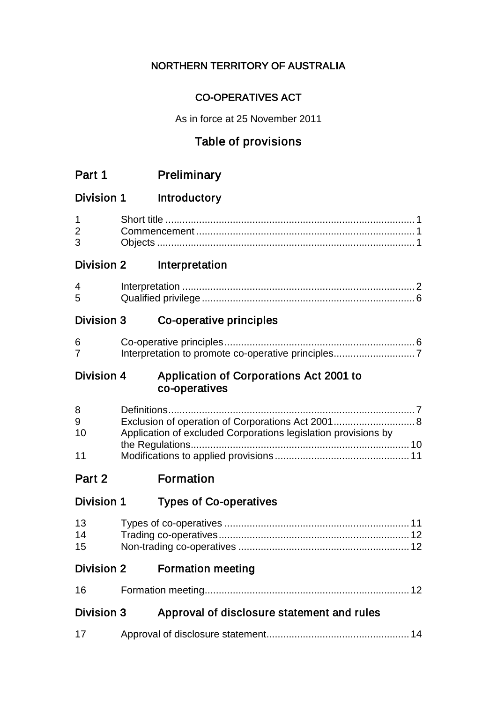### NORTHERN TERRITORY OF AUSTRALIA

### CO-OPERATIVES ACT

As in force at 25 November 2011

# Table of provisions

| Part 1                   | Preliminary                                                                                                         |
|--------------------------|---------------------------------------------------------------------------------------------------------------------|
| <b>Division 1</b>        | Introductory                                                                                                        |
| 1<br>$\overline{2}$<br>3 |                                                                                                                     |
| <b>Division 2</b>        | Interpretation                                                                                                      |
| 4<br>5                   |                                                                                                                     |
| <b>Division 3</b>        | Co-operative principles                                                                                             |
| 6<br>7                   |                                                                                                                     |
| Division 4               | Application of Corporations Act 2001 to<br>co-operatives                                                            |
| 8<br>9<br>10<br>11       | Exclusion of operation of Corporations Act 2001 8<br>Application of excluded Corporations legislation provisions by |
| Part 2                   | <b>Formation</b>                                                                                                    |
| Division 1               | <b>Types of Co-operatives</b>                                                                                       |
| 13<br>14                 |                                                                                                                     |
| Division 2               | <b>Formation meeting</b>                                                                                            |
| 16                       |                                                                                                                     |
| Division 3               | Approval of disclosure statement and rules                                                                          |
| 17                       |                                                                                                                     |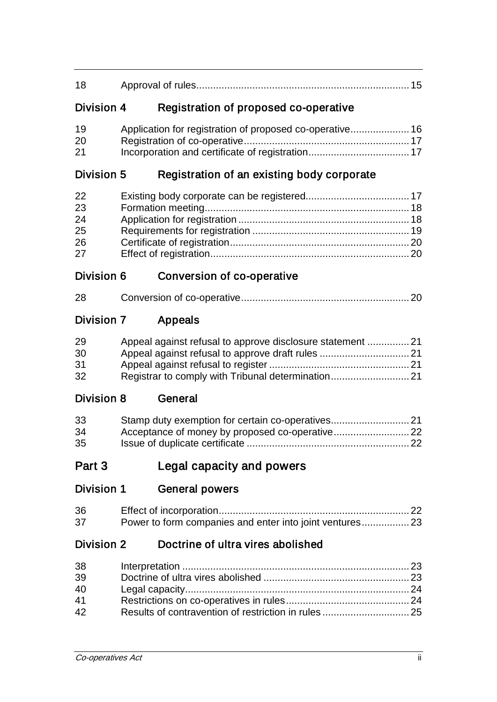| 18                               |                                                            |  |
|----------------------------------|------------------------------------------------------------|--|
| Division 4                       | Registration of proposed co-operative                      |  |
| 19<br>20<br>21                   | Application for registration of proposed co-operative 16   |  |
| Division 5                       | Registration of an existing body corporate                 |  |
| 22<br>23<br>24<br>25<br>26<br>27 |                                                            |  |
| Division 6                       | Conversion of co-operative                                 |  |
| 28                               |                                                            |  |
| <b>Division 7</b>                | Appeals                                                    |  |
| 29<br>30<br>31<br>32             | Appeal against refusal to approve disclosure statement  21 |  |
| Division 8                       | General                                                    |  |
| 33<br>34<br>35                   | Stamp duty exemption for certain co-operatives 21          |  |
| Part 3                           | Legal capacity and powers                                  |  |
| <b>Division 1</b>                | <b>General powers</b>                                      |  |
| 36<br>37                         |                                                            |  |
| <b>Division 2</b>                | Doctrine of ultra vires abolished                          |  |
| 38<br>39<br>40<br>41<br>42       |                                                            |  |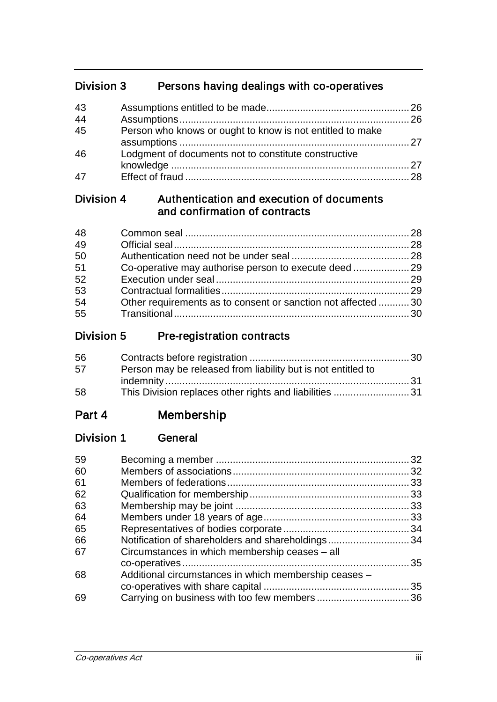# Division 3 Persons having dealings with co-operatives

| 43           |                                                           |  |
|--------------|-----------------------------------------------------------|--|
| 44           |                                                           |  |
| 45           | Person who knows or ought to know is not entitled to make |  |
| 46           | Lodgment of documents not to constitute constructive      |  |
| $\mathbf{4}$ |                                                           |  |

### Division 4 Authentication and execution of documents and confirmation of contracts

| Other requirements as to consent or sanction not affected 30 |  |
|--------------------------------------------------------------|--|
|                                                              |  |
|                                                              |  |

### Division 5 Pre-registration contracts

| 56 |                                                              |  |
|----|--------------------------------------------------------------|--|
| 57 | Person may be released from liability but is not entitled to |  |
|    |                                                              |  |
| 58 |                                                              |  |

# Part 4 Membership

### Division 1 General

| 59 |                                                       |    |
|----|-------------------------------------------------------|----|
| 60 |                                                       |    |
| 61 |                                                       |    |
| 62 |                                                       |    |
| 63 |                                                       |    |
| 64 |                                                       |    |
| 65 |                                                       |    |
| 66 | Notification of shareholders and shareholdings34      |    |
| 67 | Circumstances in which membership ceases – all        |    |
|    |                                                       | 35 |
| 68 | Additional circumstances in which membership ceases - |    |
|    |                                                       |    |
| 69 |                                                       |    |
|    |                                                       |    |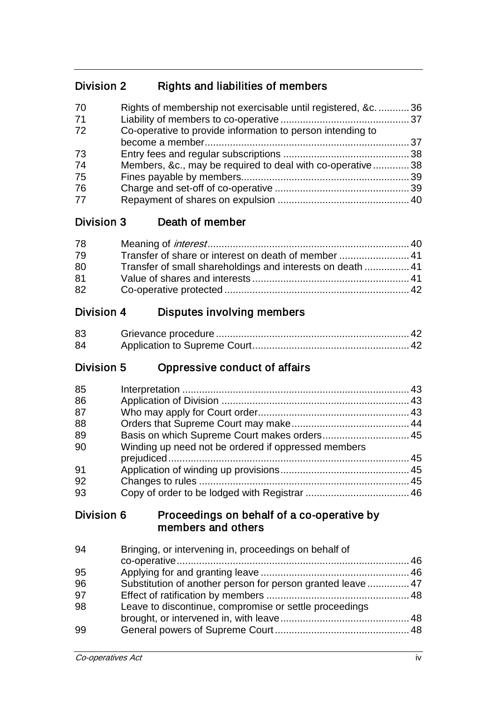## Division 2 Rights and liabilities of members

| 70<br>71 | Rights of membership not exercisable until registered, &c.  36 |  |
|----------|----------------------------------------------------------------|--|
| 72       | Co-operative to provide information to person intending to     |  |
|          |                                                                |  |
| 73       |                                                                |  |
| 74       | Members, &c., may be required to deal with co-operative38      |  |
| 75       |                                                                |  |
| 76       |                                                                |  |
| 77       |                                                                |  |

#### Division 3 Death of member

| 78 |                                                            |  |
|----|------------------------------------------------------------|--|
| 79 | Transfer of share or interest on death of member  41       |  |
| 80 | Transfer of small shareholdings and interests on death  41 |  |
| 81 |                                                            |  |
| 82 |                                                            |  |

# Division 4 Disputes involving members

| 83 |  |
|----|--|
| 84 |  |

### Division 5 Oppressive conduct of affairs

| 85 |                                                     |  |
|----|-----------------------------------------------------|--|
| 86 |                                                     |  |
| 87 |                                                     |  |
| 88 |                                                     |  |
| 89 |                                                     |  |
| 90 | Winding up need not be ordered if oppressed members |  |
|    |                                                     |  |
| 91 |                                                     |  |
| 92 |                                                     |  |
| 93 |                                                     |  |

#### Division 6 Proceedings on behalf of a co-operative by members and others

| 94 | Bringing, or intervening in, proceedings on behalf of       |  |
|----|-------------------------------------------------------------|--|
|    |                                                             |  |
| 95 |                                                             |  |
| 96 | Substitution of another person for person granted leave  47 |  |
| 97 |                                                             |  |
| 98 | Leave to discontinue, compromise or settle proceedings      |  |
|    |                                                             |  |
| 99 |                                                             |  |
|    |                                                             |  |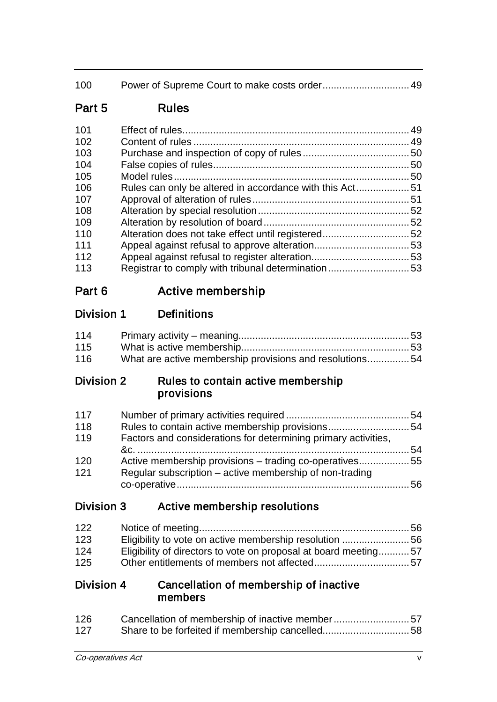| 100    |                                                         |  |
|--------|---------------------------------------------------------|--|
| Part 5 | <b>Rules</b>                                            |  |
| 101    |                                                         |  |
| 102    |                                                         |  |
| 103    |                                                         |  |
| 104    |                                                         |  |
| 105    |                                                         |  |
| 106    | Rules can only be altered in accordance with this Act51 |  |
| 107    |                                                         |  |
| 108    |                                                         |  |
| 109    |                                                         |  |
| 110    |                                                         |  |
| 111    |                                                         |  |
| 112    |                                                         |  |
| 113    | Registrar to comply with tribunal determination53       |  |
|        |                                                         |  |

# Part 6 Active membership

# Division 1 Definitions

| 114 |                                                         |  |
|-----|---------------------------------------------------------|--|
| 115 |                                                         |  |
| 116 | What are active membership provisions and resolutions54 |  |

### Division 2 Rules to contain active membership provisions

| 117 |                                                                |  |
|-----|----------------------------------------------------------------|--|
| 118 |                                                                |  |
| 119 | Factors and considerations for determining primary activities, |  |
|     |                                                                |  |
| 120 | Active membership provisions - trading co-operatives55         |  |
| 121 | Regular subscription – active membership of non-trading        |  |
|     |                                                                |  |

### Division 3 Active membership resolutions

| 122 |                                                                 |  |
|-----|-----------------------------------------------------------------|--|
| 123 |                                                                 |  |
| 124 | Eligibility of directors to vote on proposal at board meeting57 |  |
| 125 |                                                                 |  |

#### Division 4 Cancellation of membership of inactive members

| 126 | Cancellation of membership of inactive member57 |  |
|-----|-------------------------------------------------|--|
| 127 |                                                 |  |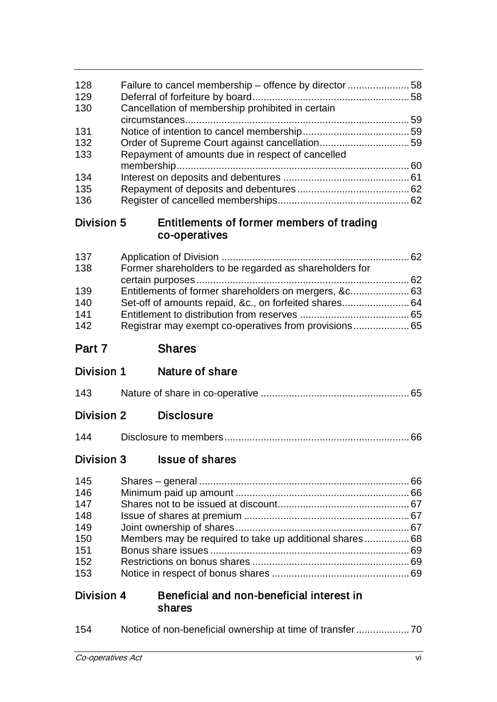| 128               | Failure to cancel membership – offence by director 58      |  |
|-------------------|------------------------------------------------------------|--|
| 129               |                                                            |  |
| 130               | Cancellation of membership prohibited in certain           |  |
| 131               |                                                            |  |
| 132               |                                                            |  |
| 133               | Repayment of amounts due in respect of cancelled           |  |
| 134               |                                                            |  |
| 135               |                                                            |  |
| 136               |                                                            |  |
| Division 5        | Entitlements of former members of trading<br>co-operatives |  |
| 137               |                                                            |  |
| 138               | Former shareholders to be regarded as shareholders for     |  |
| 139               |                                                            |  |
| 140               | Set-off of amounts repaid, &c., on forfeited shares 64     |  |
| 141               |                                                            |  |
| 142               | Registrar may exempt co-operatives from provisions 65      |  |
| Part 7            | <b>Shares</b>                                              |  |
|                   |                                                            |  |
| Division 1        | Nature of share                                            |  |
| 143               |                                                            |  |
| <b>Division 2</b> | <b>Disclosure</b>                                          |  |
| 144               |                                                            |  |
| <b>Division 3</b> | <b>Issue of shares</b>                                     |  |
| 145               |                                                            |  |
| 146               |                                                            |  |
| 147               |                                                            |  |
| 148               |                                                            |  |
| 149<br>150        |                                                            |  |
| 151               | Members may be required to take up additional shares 68    |  |
| 152               |                                                            |  |
| 153               |                                                            |  |
| <b>Division 4</b> | Beneficial and non-beneficial interest in<br>shares        |  |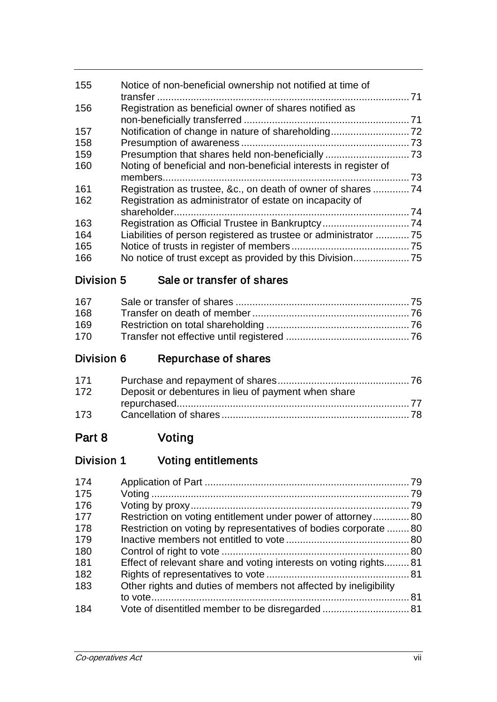| 155 | Notice of non-beneficial ownership not notified at time of       |    |
|-----|------------------------------------------------------------------|----|
| 156 | Registration as beneficial owner of shares notified as           |    |
|     |                                                                  |    |
| 157 |                                                                  |    |
| 158 |                                                                  |    |
| 159 |                                                                  |    |
| 160 | Noting of beneficial and non-beneficial interests in register of |    |
|     |                                                                  | 73 |
| 161 |                                                                  |    |
| 162 | Registration as administrator of estate on incapacity of         |    |
|     |                                                                  |    |
| 163 |                                                                  |    |
| 164 | Liabilities of person registered as trustee or administrator  75 |    |
| 165 |                                                                  |    |
| 166 |                                                                  |    |

### Division 5 Sale or transfer of shares

| 167 |  |
|-----|--|
| 168 |  |
| 169 |  |
| 170 |  |

# Division 6 Repurchase of shares

| 171 |                                                     |  |
|-----|-----------------------------------------------------|--|
| 172 | Deposit or debentures in lieu of payment when share |  |
|     |                                                     |  |
| 173 |                                                     |  |

# Part 8 Voting

# Division 1 Voting entitlements

| 174 |                                                                  |  |
|-----|------------------------------------------------------------------|--|
| 175 |                                                                  |  |
| 176 |                                                                  |  |
| 177 | Restriction on voting entitlement under power of attorney80      |  |
| 178 | Restriction on voting by representatives of bodies corporate 80  |  |
| 179 |                                                                  |  |
| 180 |                                                                  |  |
| 181 | Effect of relevant share and voting interests on voting rights81 |  |
| 182 |                                                                  |  |
| 183 | Other rights and duties of members not affected by ineligibility |  |
|     |                                                                  |  |
| 184 |                                                                  |  |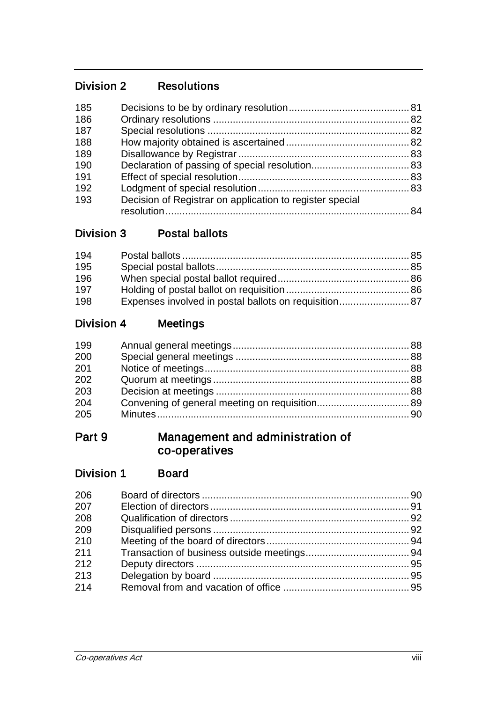## Division 2 Resolutions

| 185 |                                                          |  |
|-----|----------------------------------------------------------|--|
| 186 |                                                          |  |
| 187 |                                                          |  |
| 188 |                                                          |  |
| 189 |                                                          |  |
| 190 |                                                          |  |
| 191 |                                                          |  |
| 192 |                                                          |  |
| 193 | Decision of Registrar on application to register special |  |
|     |                                                          |  |

### Division 3 Postal ballots

| 194 |  |
|-----|--|
| 195 |  |
| 196 |  |
| 197 |  |
| 198 |  |

# Division 4 Meetings

| 199 |  |
|-----|--|
| 200 |  |
| 201 |  |
| 202 |  |
| 203 |  |
| 204 |  |
| 205 |  |
|     |  |

### Part 9 Management and administration of co-operatives

## Division 1 Board

| 206 |  |
|-----|--|
| 207 |  |
| 208 |  |
| 209 |  |
| 210 |  |
| 211 |  |
| 212 |  |
| 213 |  |
| 214 |  |
|     |  |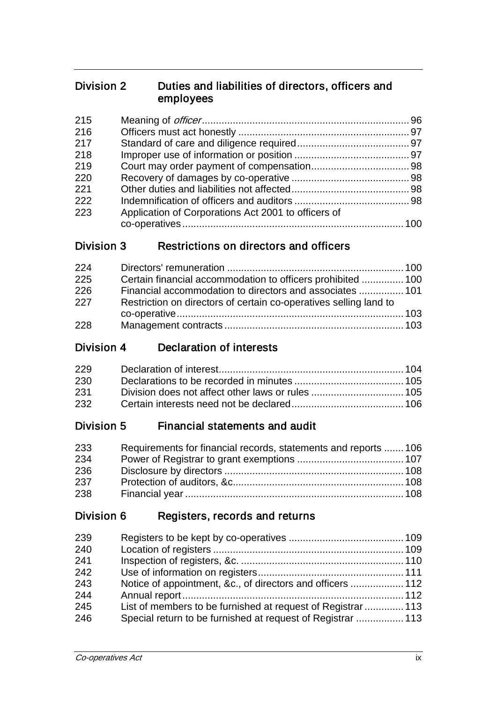#### Division 2 Duties and liabilities of directors, officers and employees

| 215 |                                                     |  |
|-----|-----------------------------------------------------|--|
| 216 |                                                     |  |
| 217 |                                                     |  |
| 218 |                                                     |  |
| 219 |                                                     |  |
| 220 |                                                     |  |
| 221 |                                                     |  |
| 222 |                                                     |  |
| 223 | Application of Corporations Act 2001 to officers of |  |
|     |                                                     |  |

## Division 3 Restrictions on directors and officers

| 224 |                                                                   |  |
|-----|-------------------------------------------------------------------|--|
| 225 | Certain financial accommodation to officers prohibited  100       |  |
| 226 | Financial accommodation to directors and associates  101          |  |
| 227 | Restriction on directors of certain co-operatives selling land to |  |
|     |                                                                   |  |
| 228 |                                                                   |  |

### Division 4 Declaration of interests

| 229 |  |
|-----|--|
| 230 |  |
| 231 |  |
| 232 |  |

### Division 5 Financial statements and audit

| 233 | Requirements for financial records, statements and reports  106 |  |
|-----|-----------------------------------------------------------------|--|
| 234 |                                                                 |  |
| 236 |                                                                 |  |
| 237 |                                                                 |  |
| 238 |                                                                 |  |

### Division 6 Registers, records and returns

| 239 |                                                             |  |
|-----|-------------------------------------------------------------|--|
| 240 |                                                             |  |
| 241 |                                                             |  |
| 242 |                                                             |  |
| 243 | Notice of appointment, &c., of directors and officers  112  |  |
| 244 |                                                             |  |
| 245 | List of members to be furnished at request of Registrar 113 |  |
| 246 | Special return to be furnished at request of Registrar  113 |  |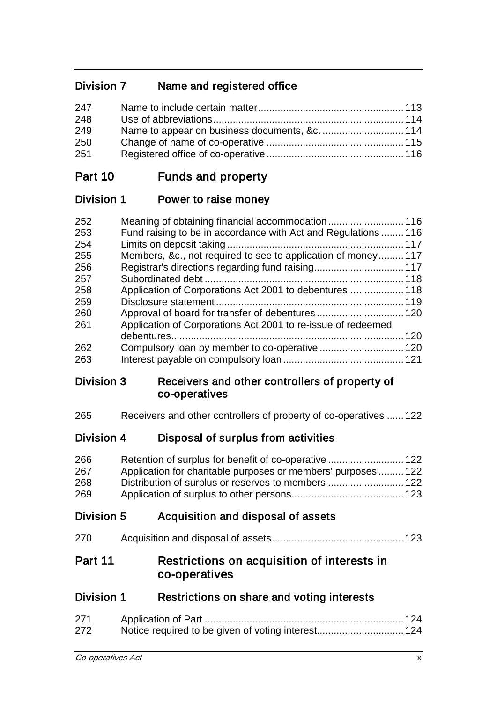# Division 7 Name and registered office

| 247 |  |
|-----|--|
| 248 |  |
| 249 |  |
| 250 |  |
| 251 |  |

### Part 10 Funds and property

### Division 1 Power to raise money

| 252 |                                                               |     |
|-----|---------------------------------------------------------------|-----|
| 253 | Fund raising to be in accordance with Act and Regulations 116 |     |
| 254 |                                                               |     |
| 255 | Members, &c., not required to see to application of money117  |     |
| 256 |                                                               |     |
| 257 |                                                               |     |
| 258 |                                                               |     |
| 259 |                                                               |     |
| 260 |                                                               |     |
| 261 | Application of Corporations Act 2001 to re-issue of redeemed  |     |
|     |                                                               | 120 |
| 262 |                                                               |     |
| 263 |                                                               |     |

#### Division 3 Receivers and other controllers of property of co-operatives

Receivers and other controllers of property of co-operatives ...... 122

### Division 4 Disposal of surplus from activities

| 266 |                                                               |  |
|-----|---------------------------------------------------------------|--|
| 267 | Application for charitable purposes or members' purposes  122 |  |
| 268 |                                                               |  |
| 269 |                                                               |  |

### Division 5 Acquisition and disposal of assets

| 270 |  |
|-----|--|

### Part 11 Restrictions on acquisition of interests in co-operatives

### Division 1 Restrictions on share and voting interests

| 271 |  |
|-----|--|
| 272 |  |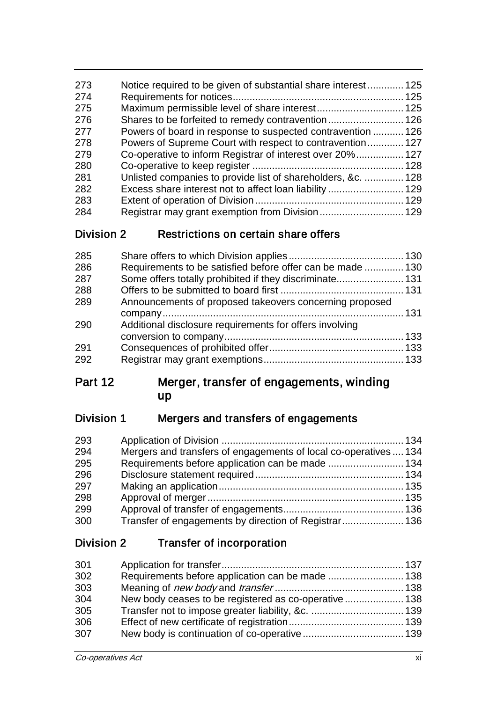| 273 | Notice required to be given of substantial share interest 125 |  |
|-----|---------------------------------------------------------------|--|
| 274 |                                                               |  |
| 275 |                                                               |  |
| 276 |                                                               |  |
| 277 | Powers of board in response to suspected contravention 126    |  |
| 278 | Powers of Supreme Court with respect to contravention 127     |  |
| 279 | Co-operative to inform Registrar of interest over 20% 127     |  |
| 280 |                                                               |  |
| 281 | Unlisted companies to provide list of shareholders, &c.  128  |  |
| 282 |                                                               |  |
| 283 |                                                               |  |
| 284 |                                                               |  |

### Division 2 Restrictions on certain share offers

| 285 |                                                            |  |
|-----|------------------------------------------------------------|--|
| 286 | Requirements to be satisfied before offer can be made  130 |  |
| 287 | Some offers totally prohibited if they discriminate 131    |  |
| 288 |                                                            |  |
| 289 | Announcements of proposed takeovers concerning proposed    |  |
|     |                                                            |  |
| 290 | Additional disclosure requirements for offers involving    |  |
|     |                                                            |  |
| 291 |                                                            |  |
| 292 |                                                            |  |

## Part 12 Merger, transfer of engagements, winding up

# Division 1 Mergers and transfers of engagements

| 293 |                                                                  |  |
|-----|------------------------------------------------------------------|--|
| 294 | Mergers and transfers of engagements of local co-operatives  134 |  |
| 295 |                                                                  |  |
| 296 |                                                                  |  |
| 297 |                                                                  |  |
| 298 |                                                                  |  |
| 299 |                                                                  |  |
| 300 |                                                                  |  |

### Division 2 Transfer of incorporation

| 301 |  |
|-----|--|
| 302 |  |
| 303 |  |
| 304 |  |
| 305 |  |
| 306 |  |
| 307 |  |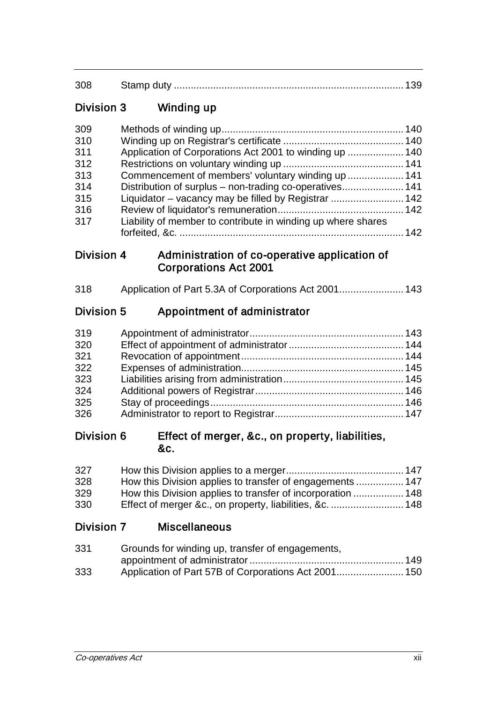| 308 | Stamp duty |  |
|-----|------------|--|
|     |            |  |

### Division 3 Winding up

| 309 |                                                              |  |
|-----|--------------------------------------------------------------|--|
| 310 |                                                              |  |
| 311 | Application of Corporations Act 2001 to winding up  140      |  |
| 312 |                                                              |  |
| 313 | Commencement of members' voluntary winding up  141           |  |
| 314 | Distribution of surplus – non-trading co-operatives 141      |  |
| 315 |                                                              |  |
| 316 |                                                              |  |
| 317 | Liability of member to contribute in winding up where shares |  |
|     |                                                              |  |

#### Division 4 Administration of co-operative application of Corporations Act 2001

# Division 5 Appointment of administrator

| 319 |  |
|-----|--|
| 320 |  |
| 321 |  |
| 322 |  |
| 323 |  |
| 324 |  |
| 325 |  |
| 326 |  |

#### Division 6 Effect of merger, &c., on property, liabilities, &c.

| 327 |                                                           |  |
|-----|-----------------------------------------------------------|--|
| 328 | How this Division applies to transfer of engagements  147 |  |
| 329 |                                                           |  |
| 330 |                                                           |  |

### Division 7 Miscellaneous

| 331 | Grounds for winding up, transfer of engagements, |  |
|-----|--------------------------------------------------|--|
|     |                                                  |  |
| 333 |                                                  |  |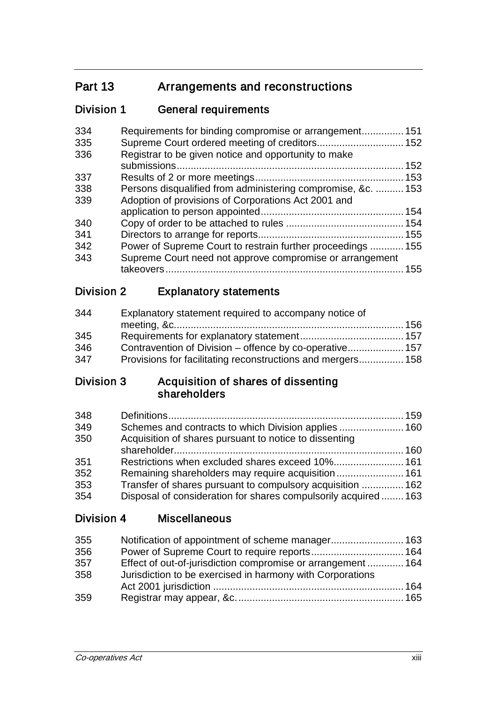# Part 13 Arrangements and reconstructions

# Division 1 General requirements

| 334 | Requirements for binding compromise or arrangement 151       |     |
|-----|--------------------------------------------------------------|-----|
| 335 |                                                              |     |
| 336 | Registrar to be given notice and opportunity to make         |     |
|     |                                                              |     |
| 337 |                                                              |     |
| 338 | Persons disqualified from administering compromise, &c.  153 |     |
| 339 | Adoption of provisions of Corporations Act 2001 and          |     |
|     |                                                              |     |
| 340 |                                                              |     |
| 341 |                                                              |     |
| 342 | Power of Supreme Court to restrain further proceedings  155  |     |
| 343 | Supreme Court need not approve compromise or arrangement     |     |
|     |                                                              | 155 |
|     |                                                              |     |

### Division 2 Explanatory statements

| 344 | Explanatory statement required to accompany notice of       |  |
|-----|-------------------------------------------------------------|--|
|     |                                                             |  |
| 345 |                                                             |  |
| 346 | Contravention of Division – offence by co-operative 157     |  |
| 347 | Provisions for facilitating reconstructions and mergers 158 |  |

### Division 3 Acquisition of shares of dissenting shareholders

| 348 |                                                               |  |
|-----|---------------------------------------------------------------|--|
| 349 |                                                               |  |
| 350 | Acquisition of shares pursuant to notice to dissenting        |  |
|     |                                                               |  |
| 351 |                                                               |  |
| 352 |                                                               |  |
| 353 | Transfer of shares pursuant to compulsory acquisition  162    |  |
| 354 | Disposal of consideration for shares compulsorily acquired163 |  |
|     |                                                               |  |

Division 4 Miscellaneous

| 355 | Notification of appointment of scheme manager 163           |  |
|-----|-------------------------------------------------------------|--|
| 356 |                                                             |  |
| 357 | Effect of out-of-jurisdiction compromise or arrangement 164 |  |
| 358 | Jurisdiction to be exercised in harmony with Corporations   |  |
|     |                                                             |  |
| 359 |                                                             |  |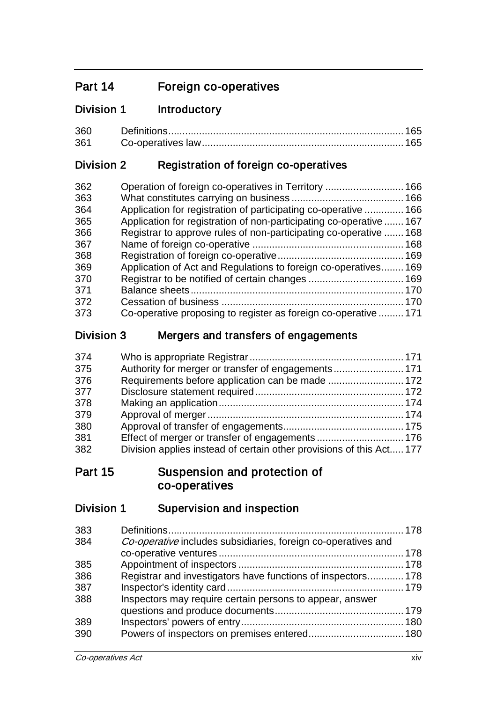# Part 14 Foreign co-operatives

### Division 1 Introductory

| 360 |  |
|-----|--|
|     |  |

### Division 2 Registration of foreign co-operatives

| Application for registration of participating co-operative  166     |
|---------------------------------------------------------------------|
|                                                                     |
|                                                                     |
| Application for registration of non-participating co-operative  167 |
| Registrar to approve rules of non-participating co-operative  168   |
|                                                                     |
|                                                                     |
| Application of Act and Regulations to foreign co-operatives169      |
|                                                                     |
|                                                                     |
|                                                                     |
| Co-operative proposing to register as foreign co-operative  171     |
|                                                                     |

### Division 3 Mergers and transfers of engagements

| 374 |                                                                      |
|-----|----------------------------------------------------------------------|
| 375 |                                                                      |
| 376 |                                                                      |
| 377 |                                                                      |
| 378 |                                                                      |
| 379 |                                                                      |
| 380 |                                                                      |
| 381 |                                                                      |
| 382 | Division applies instead of certain other provisions of this Act 177 |

### Part 15 Suspension and protection of co-operatives

## Division 1 Supervision and inspection

| 383 |                                                               |  |
|-----|---------------------------------------------------------------|--|
| 384 | Co-operative includes subsidiaries, foreign co-operatives and |  |
|     |                                                               |  |
| 385 |                                                               |  |
| 386 | Registrar and investigators have functions of inspectors 178  |  |
| 387 |                                                               |  |
| 388 | Inspectors may require certain persons to appear, answer      |  |
|     |                                                               |  |
| 389 |                                                               |  |
| 390 |                                                               |  |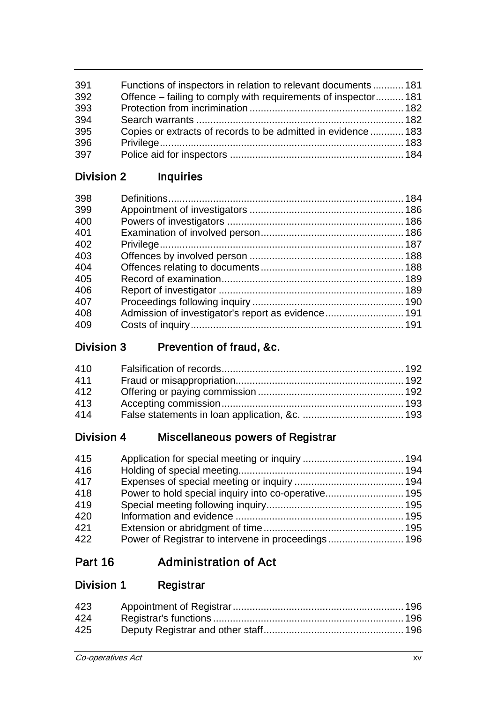| 391 | Functions of inspectors in relation to relevant documents181   |  |
|-----|----------------------------------------------------------------|--|
| 392 | Offence – failing to comply with requirements of inspector 181 |  |
| 393 |                                                                |  |
| 394 |                                                                |  |
| 395 | Copies or extracts of records to be admitted in evidence  183  |  |
| 396 |                                                                |  |
| 397 |                                                                |  |

# Division 2 Inquiries

# Division 3 Prevention of fraud, &c.

| 410 |  |
|-----|--|
| 411 |  |
| 412 |  |
| 413 |  |
| 414 |  |

# Division 4 Miscellaneous powers of Registrar

| 415 |                                                    |  |
|-----|----------------------------------------------------|--|
| 416 |                                                    |  |
| 417 |                                                    |  |
| 418 |                                                    |  |
| 419 |                                                    |  |
| 420 |                                                    |  |
| 421 |                                                    |  |
| 422 | Power of Registrar to intervene in proceedings 196 |  |

# Part 16 Administration of Act

# Division 1 Registrar

| 423 |  |
|-----|--|
| 424 |  |
| 425 |  |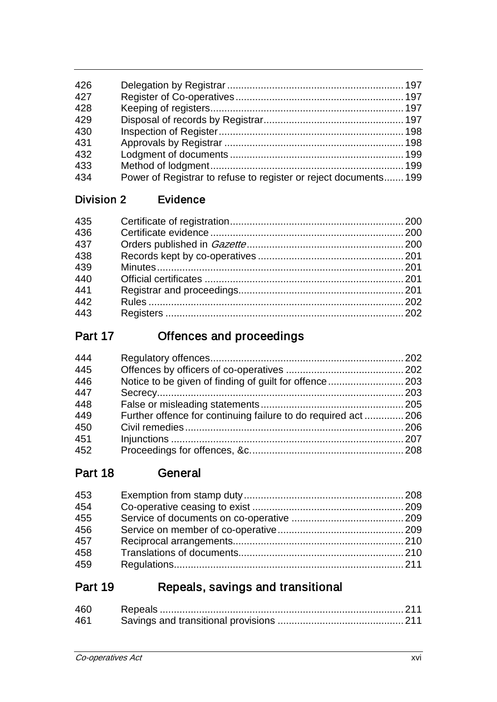| 426 |                                                                  |  |
|-----|------------------------------------------------------------------|--|
| 427 |                                                                  |  |
| 428 |                                                                  |  |
| 429 |                                                                  |  |
| 430 |                                                                  |  |
| 431 |                                                                  |  |
| 432 |                                                                  |  |
| 433 |                                                                  |  |
| 434 | Power of Registrar to refuse to register or reject documents 199 |  |
|     |                                                                  |  |

## Division 2 Evidence

| 435 |  |
|-----|--|
| 436 |  |
| 437 |  |
| 438 |  |
| 439 |  |
| 440 |  |
| 441 |  |
| 442 |  |
| 443 |  |

# Part 17 Offences and proceedings

| 444 |                                                                |  |
|-----|----------------------------------------------------------------|--|
| 445 |                                                                |  |
| 446 |                                                                |  |
| 447 |                                                                |  |
| 448 |                                                                |  |
| 449 | Further offence for continuing failure to do required act  206 |  |
| 450 |                                                                |  |
| 451 |                                                                |  |
| 452 |                                                                |  |

# Part 18 General

| 453 |  |
|-----|--|
| 454 |  |
| 455 |  |
| 456 |  |
| 457 |  |
| 458 |  |
| 459 |  |

# Part 19 Repeals, savings and transitional

| 460 |  |
|-----|--|
| 461 |  |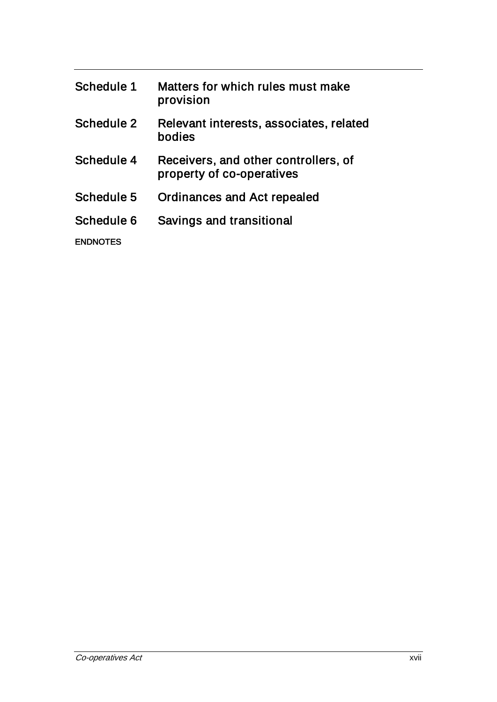| Schedule 1      | Matters for which rules must make<br>provision                    |
|-----------------|-------------------------------------------------------------------|
| Schedule 2      | Relevant interests, associates, related<br>bodies                 |
| Schedule 4      | Receivers, and other controllers, of<br>property of co-operatives |
| Schedule 5      | <b>Ordinances and Act repealed</b>                                |
| Schedule 6      | Savings and transitional                                          |
| <b>ENDNOTES</b> |                                                                   |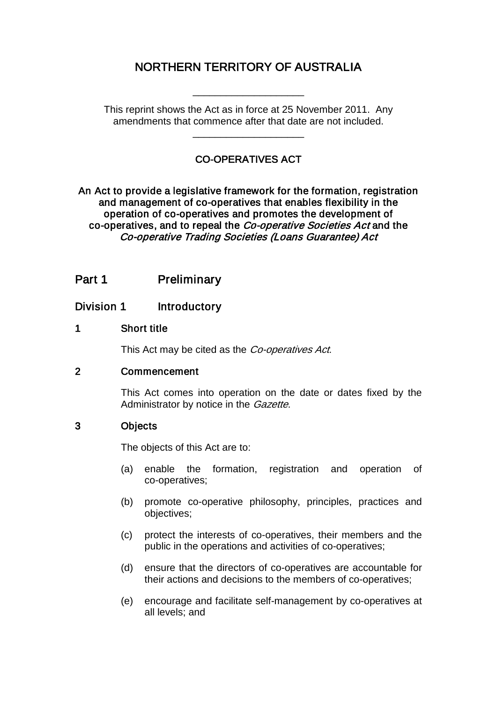## NORTHERN TERRITORY OF AUSTRALIA

\_\_\_\_\_\_\_\_\_\_\_\_\_\_\_\_\_\_\_\_

This reprint shows the Act as in force at 25 November 2011. Any amendments that commence after that date are not included.

\_\_\_\_\_\_\_\_\_\_\_\_\_\_\_\_\_\_\_\_

#### CO-OPERATIVES ACT

An Act to provide a legislative framework for the formation, registration and management of co-operatives that enables flexibility in the operation of co-operatives and promotes the development of co-operatives, and to repeal the Co-operative Societies Act and the Co-operative Trading Societies (Loans Guarantee) Act

### Part 1 Preliminary

#### Division 1 Introductory

#### 1 Short title

This Act may be cited as the *Co-operatives Act*.

#### 2 Commencement

This Act comes into operation on the date or dates fixed by the Administrator by notice in the Gazette.

#### 3 Objects

The objects of this Act are to:

- (a) enable the formation, registration and operation of co-operatives;
- (b) promote co-operative philosophy, principles, practices and objectives;
- (c) protect the interests of co-operatives, their members and the public in the operations and activities of co-operatives;
- (d) ensure that the directors of co-operatives are accountable for their actions and decisions to the members of co-operatives;
- (e) encourage and facilitate self-management by co-operatives at all levels; and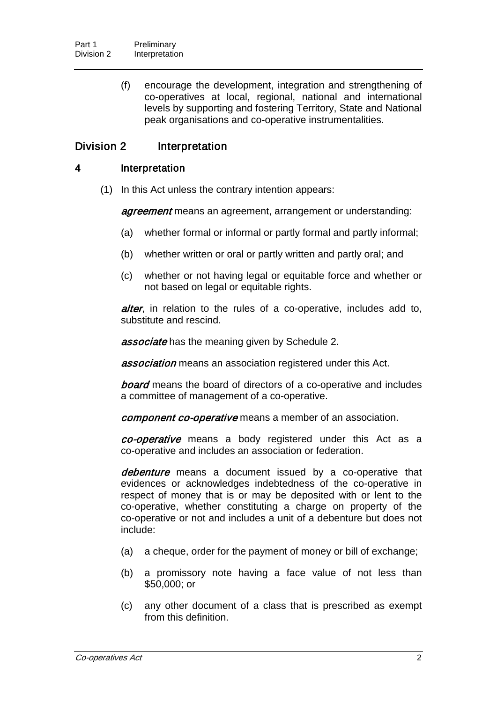(f) encourage the development, integration and strengthening of co-operatives at local, regional, national and international levels by supporting and fostering Territory, State and National peak organisations and co-operative instrumentalities.

#### Division 2 Interpretation

#### 4 Interpretation

(1) In this Act unless the contrary intention appears:

agreement means an agreement, arrangement or understanding:

- (a) whether formal or informal or partly formal and partly informal;
- (b) whether written or oral or partly written and partly oral; and
- (c) whether or not having legal or equitable force and whether or not based on legal or equitable rights.

alter, in relation to the rules of a co-operative, includes add to, substitute and rescind.

**associate** has the meaning given by Schedule 2.

**association** means an association registered under this Act.

**board** means the board of directors of a co-operative and includes a committee of management of a co-operative.

component co-operative means a member of an association.

co-operative means a body registered under this Act as a co-operative and includes an association or federation.

debenture means a document issued by a co-operative that evidences or acknowledges indebtedness of the co-operative in respect of money that is or may be deposited with or lent to the co-operative, whether constituting a charge on property of the co-operative or not and includes a unit of a debenture but does not include:

- (a) a cheque, order for the payment of money or bill of exchange;
- (b) a promissory note having a face value of not less than \$50,000; or
- (c) any other document of a class that is prescribed as exempt from this definition.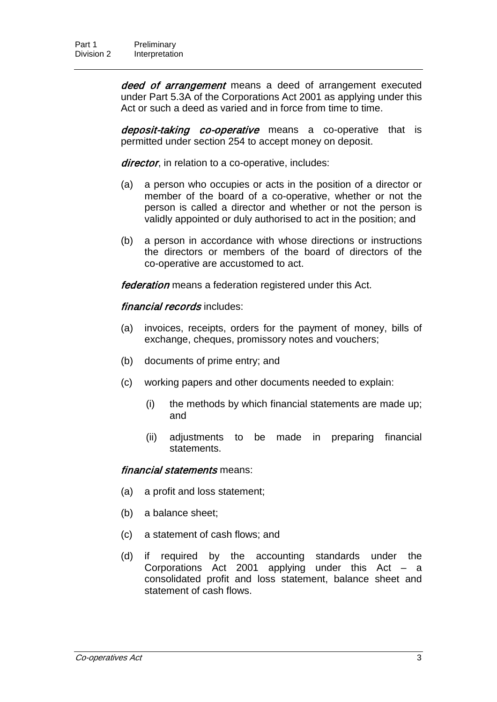deed of arrangement means a deed of arrangement executed under Part 5.3A of the Corporations Act 2001 as applying under this Act or such a deed as varied and in force from time to time.

deposit-taking co-operative means a co-operative that is permitted under section 254 to accept money on deposit.

director, in relation to a co-operative, includes:

- (a) a person who occupies or acts in the position of a director or member of the board of a co-operative, whether or not the person is called a director and whether or not the person is validly appointed or duly authorised to act in the position; and
- (b) a person in accordance with whose directions or instructions the directors or members of the board of directors of the co-operative are accustomed to act.

**federation** means a federation registered under this Act.

#### financial records includes:

- (a) invoices, receipts, orders for the payment of money, bills of exchange, cheques, promissory notes and vouchers;
- (b) documents of prime entry; and
- (c) working papers and other documents needed to explain:
	- (i) the methods by which financial statements are made up; and
	- (ii) adjustments to be made in preparing financial statements.

#### financial statements means:

- (a) a profit and loss statement;
- (b) a balance sheet;
- (c) a statement of cash flows; and
- (d) if required by the accounting standards under the Corporations Act 2001 applying under this Act  $-$  a consolidated profit and loss statement, balance sheet and statement of cash flows.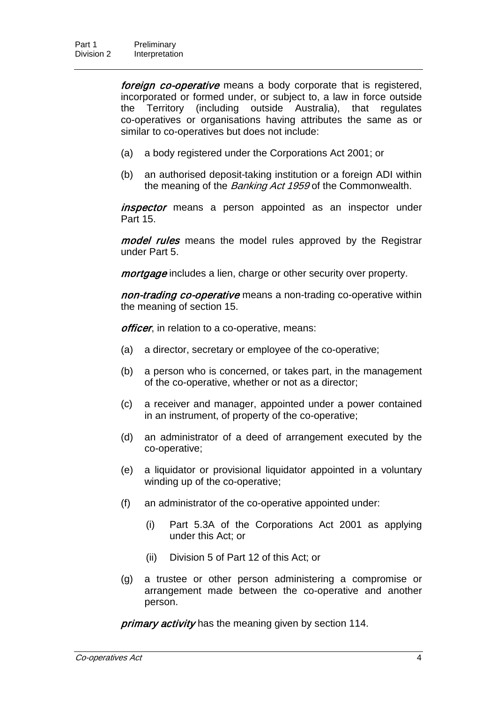foreign co-operative means a body corporate that is registered, incorporated or formed under, or subject to, a law in force outside the Territory (including outside Australia), that regulates co-operatives or organisations having attributes the same as or similar to co-operatives but does not include:

- (a) a body registered under the Corporations Act 2001; or
- (b) an authorised deposit-taking institution or a foreign ADI within the meaning of the Banking Act 1959 of the Commonwealth.

*inspector* means a person appointed as an inspector under Part 15.

model rules means the model rules approved by the Registrar under Part 5.

mortgage includes a lien, charge or other security over property.

non-trading co-operative means a non-trading co-operative within the meaning of section 15.

officer, in relation to a co-operative, means:

- (a) a director, secretary or employee of the co-operative;
- (b) a person who is concerned, or takes part, in the management of the co-operative, whether or not as a director;
- (c) a receiver and manager, appointed under a power contained in an instrument, of property of the co-operative;
- (d) an administrator of a deed of arrangement executed by the co-operative;
- (e) a liquidator or provisional liquidator appointed in a voluntary winding up of the co-operative;
- (f) an administrator of the co-operative appointed under:
	- (i) Part 5.3A of the Corporations Act 2001 as applying under this Act; or
	- (ii) Division 5 of Part 12 of this Act; or
- (g) a trustee or other person administering a compromise or arrangement made between the co-operative and another person.

primary activity has the meaning given by section 114.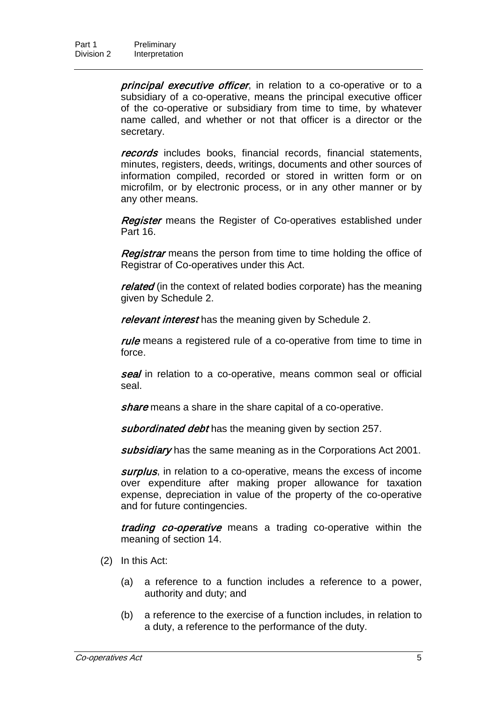principal executive officer, in relation to a co-operative or to a subsidiary of a co-operative, means the principal executive officer of the co-operative or subsidiary from time to time, by whatever name called, and whether or not that officer is a director or the secretary.

records includes books, financial records, financial statements, minutes, registers, deeds, writings, documents and other sources of information compiled, recorded or stored in written form or on microfilm, or by electronic process, or in any other manner or by any other means.

**Register** means the Register of Co-operatives established under Part 16.

Registrar means the person from time to time holding the office of Registrar of Co-operatives under this Act.

related (in the context of related bodies corporate) has the meaning given by Schedule 2.

relevant interest has the meaning given by Schedule 2.

rule means a registered rule of a co-operative from time to time in force.

seal in relation to a co-operative, means common seal or official seal.

share means a share in the share capital of a co-operative.

subordinated debt has the meaning given by section 257.

subsidiary has the same meaning as in the Corporations Act 2001.

surplus, in relation to a co-operative, means the excess of income over expenditure after making proper allowance for taxation expense, depreciation in value of the property of the co-operative and for future contingencies.

trading co-operative means a trading co-operative within the meaning of section 14.

- (2) In this Act:
	- (a) a reference to a function includes a reference to a power, authority and duty; and
	- (b) a reference to the exercise of a function includes, in relation to a duty, a reference to the performance of the duty.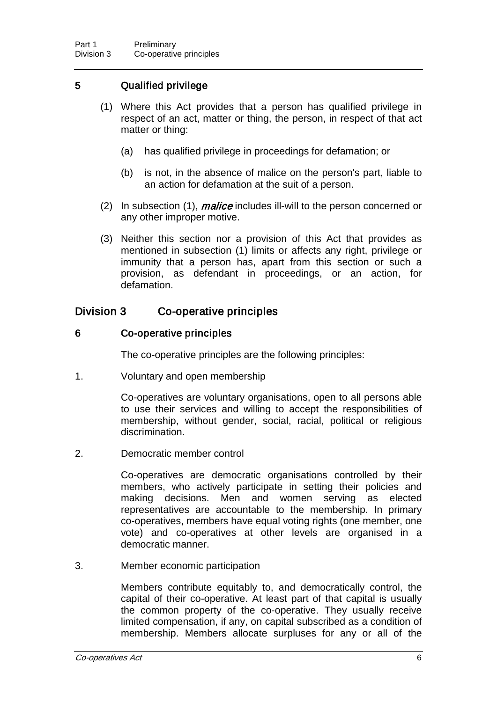#### 5 Qualified privilege

- (1) Where this Act provides that a person has qualified privilege in respect of an act, matter or thing, the person, in respect of that act matter or thing:
	- (a) has qualified privilege in proceedings for defamation; or
	- (b) is not, in the absence of malice on the person's part, liable to an action for defamation at the suit of a person.
- (2) In subsection (1), *malice* includes ill-will to the person concerned or any other improper motive.
- (3) Neither this section nor a provision of this Act that provides as mentioned in subsection (1) limits or affects any right, privilege or immunity that a person has, apart from this section or such a provision, as defendant in proceedings, or an action, for defamation.

#### Division 3 Co-operative principles

#### 6 Co-operative principles

The co-operative principles are the following principles:

1. Voluntary and open membership

Co-operatives are voluntary organisations, open to all persons able to use their services and willing to accept the responsibilities of membership, without gender, social, racial, political or religious discrimination.

2. Democratic member control

Co-operatives are democratic organisations controlled by their members, who actively participate in setting their policies and making decisions. Men and women serving as elected representatives are accountable to the membership. In primary co-operatives, members have equal voting rights (one member, one vote) and co-operatives at other levels are organised in a democratic manner.

3. Member economic participation

Members contribute equitably to, and democratically control, the capital of their co-operative. At least part of that capital is usually the common property of the co-operative. They usually receive limited compensation, if any, on capital subscribed as a condition of membership. Members allocate surpluses for any or all of the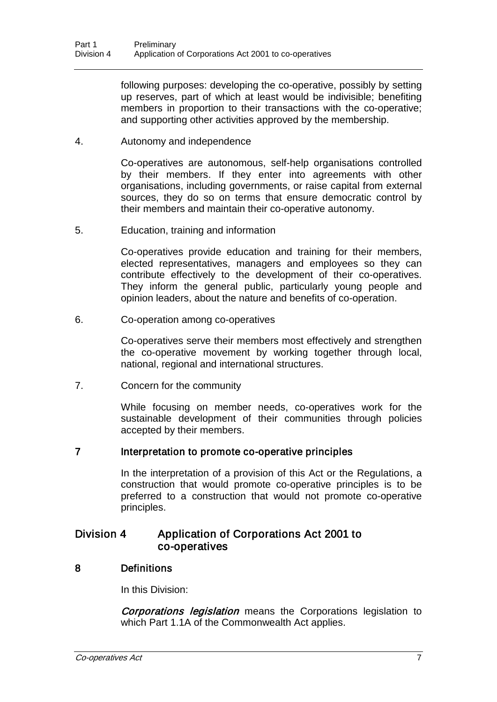following purposes: developing the co-operative, possibly by setting up reserves, part of which at least would be indivisible; benefiting members in proportion to their transactions with the co-operative; and supporting other activities approved by the membership.

4. Autonomy and independence

Co-operatives are autonomous, self-help organisations controlled by their members. If they enter into agreements with other organisations, including governments, or raise capital from external sources, they do so on terms that ensure democratic control by their members and maintain their co-operative autonomy.

5. Education, training and information

Co-operatives provide education and training for their members, elected representatives, managers and employees so they can contribute effectively to the development of their co-operatives. They inform the general public, particularly young people and opinion leaders, about the nature and benefits of co-operation.

6. Co-operation among co-operatives

Co-operatives serve their members most effectively and strengthen the co-operative movement by working together through local, national, regional and international structures.

7. Concern for the community

While focusing on member needs, co-operatives work for the sustainable development of their communities through policies accepted by their members.

#### 7 Interpretation to promote co-operative principles

In the interpretation of a provision of this Act or the Regulations, a construction that would promote co-operative principles is to be preferred to a construction that would not promote co-operative principles.

#### Division 4 Application of Corporations Act 2001 to co-operatives

#### 8 Definitions

In this Division:

**Corporations legislation** means the Corporations legislation to which Part 1.1A of the Commonwealth Act applies.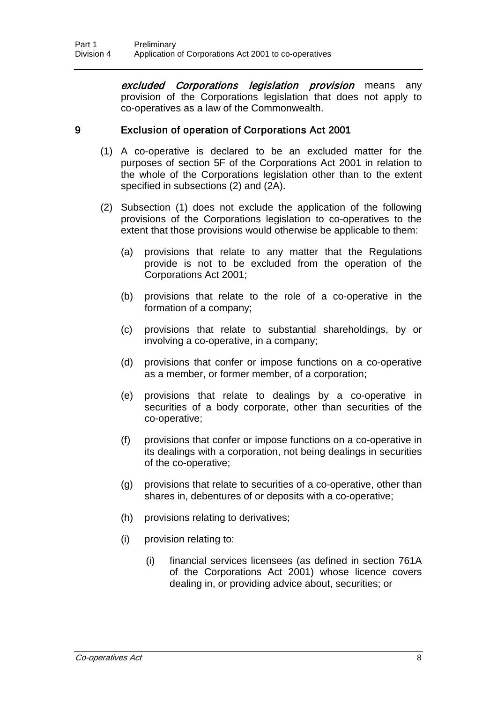excluded Corporations legislation provision means any provision of the Corporations legislation that does not apply to co-operatives as a law of the Commonwealth.

#### 9 Exclusion of operation of Corporations Act 2001

- (1) A co-operative is declared to be an excluded matter for the purposes of section 5F of the Corporations Act 2001 in relation to the whole of the Corporations legislation other than to the extent specified in subsections (2) and (2A).
- (2) Subsection (1) does not exclude the application of the following provisions of the Corporations legislation to co-operatives to the extent that those provisions would otherwise be applicable to them:
	- (a) provisions that relate to any matter that the Regulations provide is not to be excluded from the operation of the Corporations Act 2001;
	- (b) provisions that relate to the role of a co-operative in the formation of a company;
	- (c) provisions that relate to substantial shareholdings, by or involving a co-operative, in a company;
	- (d) provisions that confer or impose functions on a co-operative as a member, or former member, of a corporation;
	- (e) provisions that relate to dealings by a co-operative in securities of a body corporate, other than securities of the co-operative;
	- (f) provisions that confer or impose functions on a co-operative in its dealings with a corporation, not being dealings in securities of the co-operative;
	- (g) provisions that relate to securities of a co-operative, other than shares in, debentures of or deposits with a co-operative;
	- (h) provisions relating to derivatives;
	- (i) provision relating to:
		- (i) financial services licensees (as defined in section 761A of the Corporations Act 2001) whose licence covers dealing in, or providing advice about, securities; or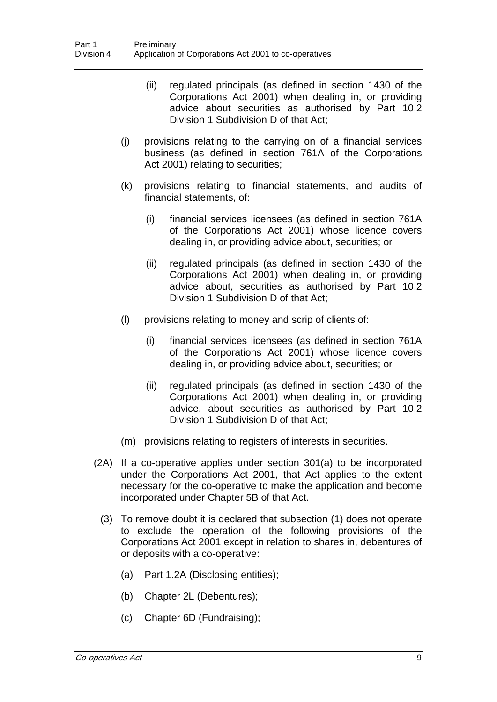- (ii) regulated principals (as defined in section 1430 of the Corporations Act 2001) when dealing in, or providing advice about securities as authorised by Part 10.2 Division 1 Subdivision D of that Act;
- (j) provisions relating to the carrying on of a financial services business (as defined in section 761A of the Corporations Act 2001) relating to securities;
- (k) provisions relating to financial statements, and audits of financial statements, of:
	- (i) financial services licensees (as defined in section 761A of the Corporations Act 2001) whose licence covers dealing in, or providing advice about, securities; or
	- (ii) regulated principals (as defined in section 1430 of the Corporations Act 2001) when dealing in, or providing advice about, securities as authorised by Part 10.2 Division 1 Subdivision D of that Act;
- (l) provisions relating to money and scrip of clients of:
	- (i) financial services licensees (as defined in section 761A of the Corporations Act 2001) whose licence covers dealing in, or providing advice about, securities; or
	- (ii) regulated principals (as defined in section 1430 of the Corporations Act 2001) when dealing in, or providing advice, about securities as authorised by Part 10.2 Division 1 Subdivision D of that Act;
- (m) provisions relating to registers of interests in securities.
- (2A) If a co-operative applies under section 301(a) to be incorporated under the Corporations Act 2001, that Act applies to the extent necessary for the co-operative to make the application and become incorporated under Chapter 5B of that Act.
	- (3) To remove doubt it is declared that subsection (1) does not operate to exclude the operation of the following provisions of the Corporations Act 2001 except in relation to shares in, debentures of or deposits with a co-operative:
		- (a) Part 1.2A (Disclosing entities);
		- (b) Chapter 2L (Debentures);
		- (c) Chapter 6D (Fundraising);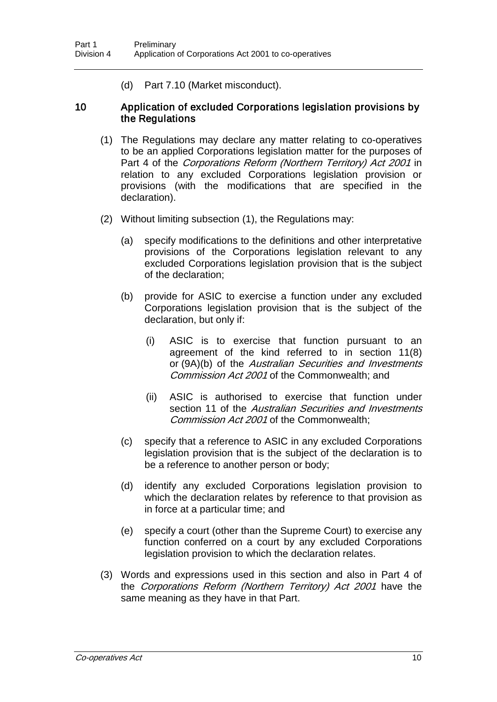(d) Part 7.10 (Market misconduct).

#### 10 Application of excluded Corporations legislation provisions by the Regulations

- (1) The Regulations may declare any matter relating to co-operatives to be an applied Corporations legislation matter for the purposes of Part 4 of the Corporations Reform (Northern Territory) Act 2001 in relation to any excluded Corporations legislation provision or provisions (with the modifications that are specified in the declaration).
- (2) Without limiting subsection (1), the Regulations may:
	- (a) specify modifications to the definitions and other interpretative provisions of the Corporations legislation relevant to any excluded Corporations legislation provision that is the subject of the declaration;
	- (b) provide for ASIC to exercise a function under any excluded Corporations legislation provision that is the subject of the declaration, but only if:
		- (i) ASIC is to exercise that function pursuant to an agreement of the kind referred to in section 11(8) or (9A)(b) of the Australian Securities and Investments Commission Act 2001 of the Commonwealth; and
		- (ii) ASIC is authorised to exercise that function under section 11 of the *Australian Securities and Investments* Commission Act 2001 of the Commonwealth;
	- (c) specify that a reference to ASIC in any excluded Corporations legislation provision that is the subject of the declaration is to be a reference to another person or body;
	- (d) identify any excluded Corporations legislation provision to which the declaration relates by reference to that provision as in force at a particular time; and
	- (e) specify a court (other than the Supreme Court) to exercise any function conferred on a court by any excluded Corporations legislation provision to which the declaration relates.
- (3) Words and expressions used in this section and also in Part 4 of the Corporations Reform (Northern Territory) Act 2001 have the same meaning as they have in that Part.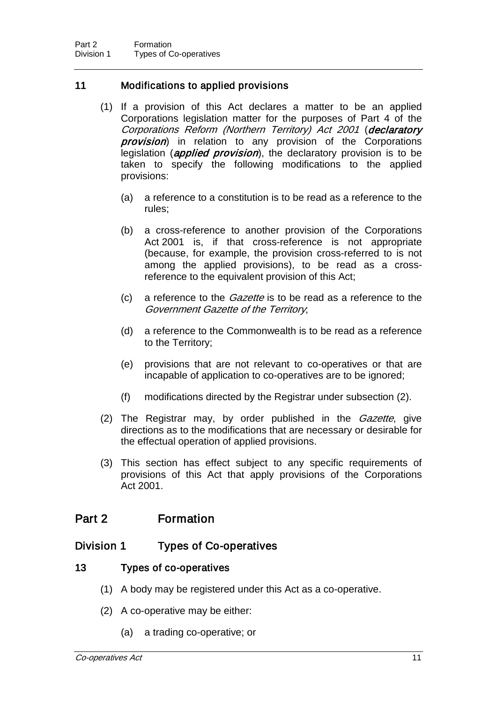#### 11 Modifications to applied provisions

- (1) If a provision of this Act declares a matter to be an applied Corporations legislation matter for the purposes of Part 4 of the Corporations Reform (Northern Territory) Act 2001 (declaratory **provision**) in relation to any provision of the Corporations legislation (*applied provision*), the declaratory provision is to be taken to specify the following modifications to the applied provisions:
	- (a) a reference to a constitution is to be read as a reference to the rules;
	- (b) a cross-reference to another provision of the Corporations Act 2001 is, if that cross-reference is not appropriate (because, for example, the provision cross-referred to is not among the applied provisions), to be read as a crossreference to the equivalent provision of this Act;
	- (c) a reference to the Gazette is to be read as a reference to the Government Gazette of the Territory;
	- (d) a reference to the Commonwealth is to be read as a reference to the Territory;
	- (e) provisions that are not relevant to co-operatives or that are incapable of application to co-operatives are to be ignored;
	- (f) modifications directed by the Registrar under subsection (2).
- (2) The Registrar may, by order published in the *Gazette*, give directions as to the modifications that are necessary or desirable for the effectual operation of applied provisions.
- (3) This section has effect subject to any specific requirements of provisions of this Act that apply provisions of the Corporations Act 2001.

### Part 2 Formation

#### Division 1 Types of Co-operatives

#### 13 Types of co-operatives

- (1) A body may be registered under this Act as a co-operative.
- (2) A co-operative may be either:
	- (a) a trading co-operative; or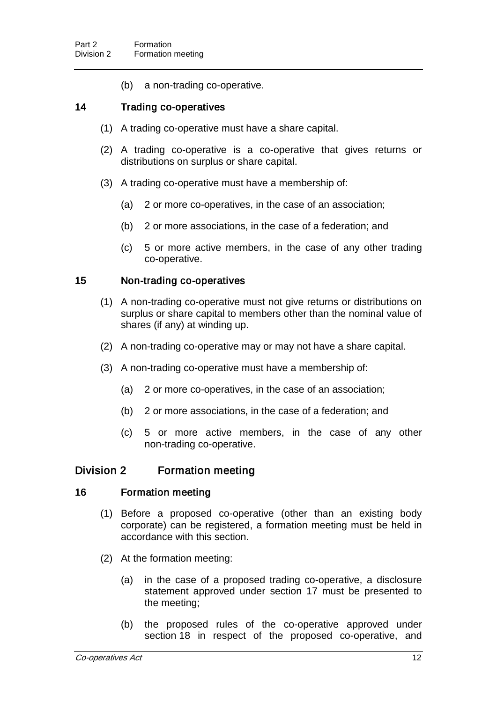(b) a non-trading co-operative.

#### 14 Trading co-operatives

- (1) A trading co-operative must have a share capital.
- (2) A trading co-operative is a co-operative that gives returns or distributions on surplus or share capital.
- (3) A trading co-operative must have a membership of:
	- (a) 2 or more co-operatives, in the case of an association;
	- (b) 2 or more associations, in the case of a federation; and
	- (c) 5 or more active members, in the case of any other trading co-operative.

#### 15 Non-trading co-operatives

- (1) A non-trading co-operative must not give returns or distributions on surplus or share capital to members other than the nominal value of shares (if any) at winding up.
- (2) A non-trading co-operative may or may not have a share capital.
- (3) A non-trading co-operative must have a membership of:
	- (a) 2 or more co-operatives, in the case of an association;
	- (b) 2 or more associations, in the case of a federation; and
	- (c) 5 or more active members, in the case of any other non-trading co-operative.

#### Division 2 Formation meeting

#### 16 Formation meeting

- (1) Before a proposed co-operative (other than an existing body corporate) can be registered, a formation meeting must be held in accordance with this section.
- (2) At the formation meeting:
	- (a) in the case of a proposed trading co-operative, a disclosure statement approved under section 17 must be presented to the meeting;
	- (b) the proposed rules of the co-operative approved under section 18 in respect of the proposed co-operative, and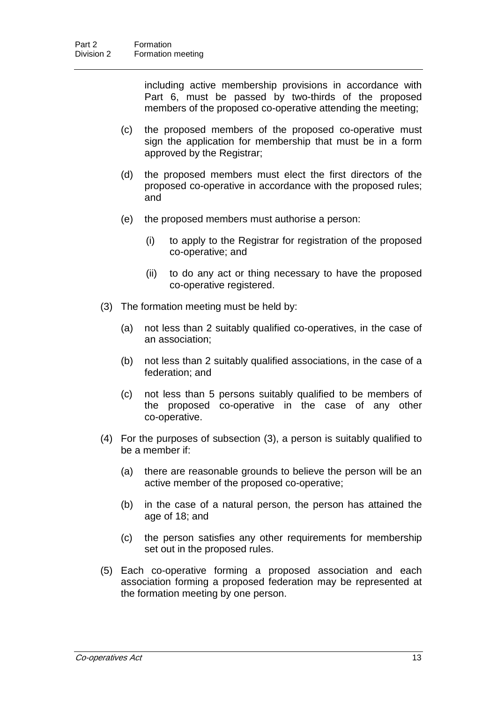including active membership provisions in accordance with Part 6, must be passed by two-thirds of the proposed members of the proposed co-operative attending the meeting;

- (c) the proposed members of the proposed co-operative must sign the application for membership that must be in a form approved by the Registrar;
- (d) the proposed members must elect the first directors of the proposed co-operative in accordance with the proposed rules; and
- (e) the proposed members must authorise a person:
	- (i) to apply to the Registrar for registration of the proposed co-operative; and
	- (ii) to do any act or thing necessary to have the proposed co-operative registered.
- (3) The formation meeting must be held by:
	- (a) not less than 2 suitably qualified co-operatives, in the case of an association;
	- (b) not less than 2 suitably qualified associations, in the case of a federation; and
	- (c) not less than 5 persons suitably qualified to be members of the proposed co-operative in the case of any other co-operative.
- (4) For the purposes of subsection (3), a person is suitably qualified to be a member if:
	- (a) there are reasonable grounds to believe the person will be an active member of the proposed co-operative;
	- (b) in the case of a natural person, the person has attained the age of 18; and
	- (c) the person satisfies any other requirements for membership set out in the proposed rules.
- (5) Each co-operative forming a proposed association and each association forming a proposed federation may be represented at the formation meeting by one person.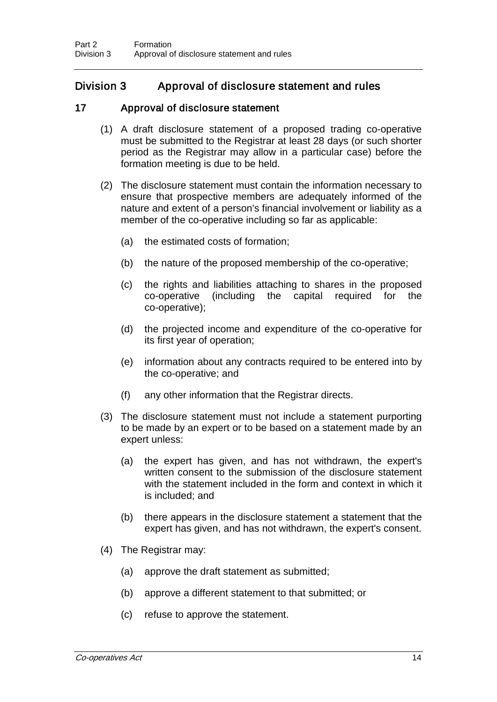#### Division 3 Approval of disclosure statement and rules

#### 17 Approval of disclosure statement

- (1) A draft disclosure statement of a proposed trading co-operative must be submitted to the Registrar at least 28 days (or such shorter period as the Registrar may allow in a particular case) before the formation meeting is due to be held.
- (2) The disclosure statement must contain the information necessary to ensure that prospective members are adequately informed of the nature and extent of a person's financial involvement or liability as a member of the co-operative including so far as applicable:
	- (a) the estimated costs of formation;
	- (b) the nature of the proposed membership of the co-operative;
	- (c) the rights and liabilities attaching to shares in the proposed (including the capital required for the co-operative);
	- (d) the projected income and expenditure of the co-operative for its first year of operation;
	- (e) information about any contracts required to be entered into by the co-operative; and
	- (f) any other information that the Registrar directs.
- (3) The disclosure statement must not include a statement purporting to be made by an expert or to be based on a statement made by an expert unless:
	- (a) the expert has given, and has not withdrawn, the expert's written consent to the submission of the disclosure statement with the statement included in the form and context in which it is included; and
	- (b) there appears in the disclosure statement a statement that the expert has given, and has not withdrawn, the expert's consent.
- (4) The Registrar may:
	- (a) approve the draft statement as submitted;
	- (b) approve a different statement to that submitted; or
	- (c) refuse to approve the statement.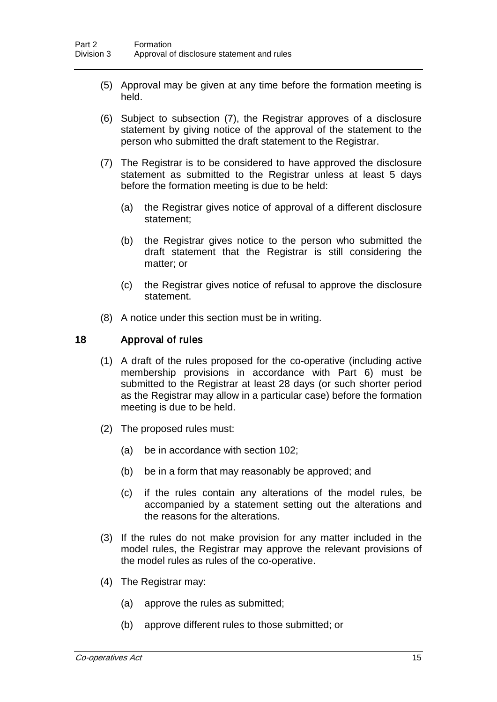- (5) Approval may be given at any time before the formation meeting is held.
- (6) Subject to subsection (7), the Registrar approves of a disclosure statement by giving notice of the approval of the statement to the person who submitted the draft statement to the Registrar.
- (7) The Registrar is to be considered to have approved the disclosure statement as submitted to the Registrar unless at least 5 days before the formation meeting is due to be held:
	- (a) the Registrar gives notice of approval of a different disclosure statement;
	- (b) the Registrar gives notice to the person who submitted the draft statement that the Registrar is still considering the matter; or
	- (c) the Registrar gives notice of refusal to approve the disclosure statement.
- (8) A notice under this section must be in writing.

#### 18 Approval of rules

- (1) A draft of the rules proposed for the co-operative (including active membership provisions in accordance with Part 6) must be submitted to the Registrar at least 28 days (or such shorter period as the Registrar may allow in a particular case) before the formation meeting is due to be held.
- (2) The proposed rules must:
	- (a) be in accordance with section 102;
	- (b) be in a form that may reasonably be approved; and
	- (c) if the rules contain any alterations of the model rules, be accompanied by a statement setting out the alterations and the reasons for the alterations.
- (3) If the rules do not make provision for any matter included in the model rules, the Registrar may approve the relevant provisions of the model rules as rules of the co-operative.
- (4) The Registrar may:
	- (a) approve the rules as submitted;
	- (b) approve different rules to those submitted; or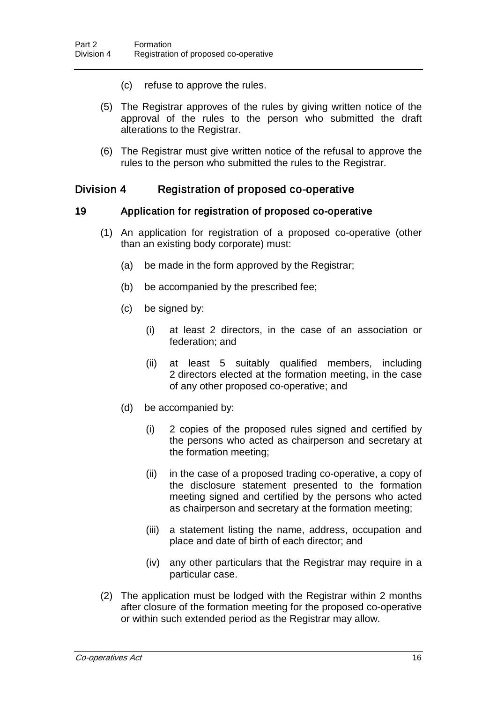- (c) refuse to approve the rules.
- (5) The Registrar approves of the rules by giving written notice of the approval of the rules to the person who submitted the draft alterations to the Registrar.
- (6) The Registrar must give written notice of the refusal to approve the rules to the person who submitted the rules to the Registrar.

#### Division 4 Registration of proposed co-operative

#### 19 Application for registration of proposed co-operative

- (1) An application for registration of a proposed co-operative (other than an existing body corporate) must:
	- (a) be made in the form approved by the Registrar;
	- (b) be accompanied by the prescribed fee;
	- (c) be signed by:
		- (i) at least 2 directors, in the case of an association or federation; and
		- (ii) at least 5 suitably qualified members, including 2 directors elected at the formation meeting, in the case of any other proposed co-operative; and
	- (d) be accompanied by:
		- (i) 2 copies of the proposed rules signed and certified by the persons who acted as chairperson and secretary at the formation meeting;
		- (ii) in the case of a proposed trading co-operative, a copy of the disclosure statement presented to the formation meeting signed and certified by the persons who acted as chairperson and secretary at the formation meeting;
		- (iii) a statement listing the name, address, occupation and place and date of birth of each director; and
		- (iv) any other particulars that the Registrar may require in a particular case.
- (2) The application must be lodged with the Registrar within 2 months after closure of the formation meeting for the proposed co-operative or within such extended period as the Registrar may allow.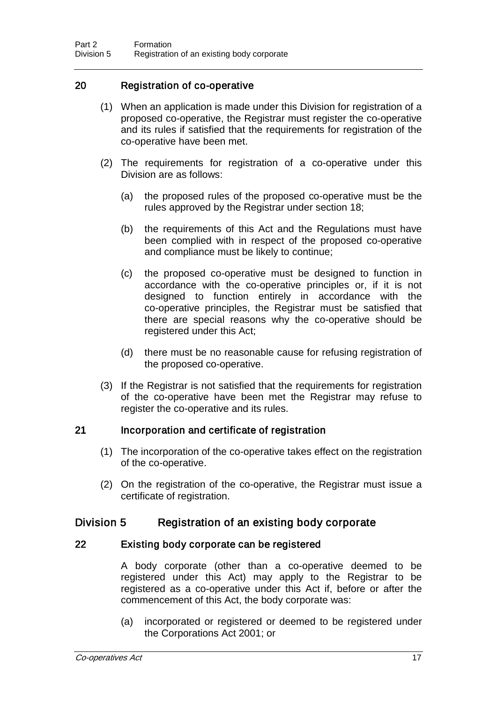#### 20 Registration of co-operative

- (1) When an application is made under this Division for registration of a proposed co-operative, the Registrar must register the co-operative and its rules if satisfied that the requirements for registration of the co-operative have been met.
- (2) The requirements for registration of a co-operative under this Division are as follows:
	- (a) the proposed rules of the proposed co-operative must be the rules approved by the Registrar under section 18;
	- (b) the requirements of this Act and the Regulations must have been complied with in respect of the proposed co-operative and compliance must be likely to continue;
	- (c) the proposed co-operative must be designed to function in accordance with the co-operative principles or, if it is not designed to function entirely in accordance with the co-operative principles, the Registrar must be satisfied that there are special reasons why the co-operative should be registered under this Act;
	- (d) there must be no reasonable cause for refusing registration of the proposed co-operative.
- (3) If the Registrar is not satisfied that the requirements for registration of the co-operative have been met the Registrar may refuse to register the co-operative and its rules.

#### 21 Incorporation and certificate of registration

- (1) The incorporation of the co-operative takes effect on the registration of the co-operative.
- (2) On the registration of the co-operative, the Registrar must issue a certificate of registration.

#### Division 5 Registration of an existing body corporate

#### 22 Existing body corporate can be registered

A body corporate (other than a co-operative deemed to be registered under this Act) may apply to the Registrar to be registered as a co-operative under this Act if, before or after the commencement of this Act, the body corporate was:

(a) incorporated or registered or deemed to be registered under the Corporations Act 2001; or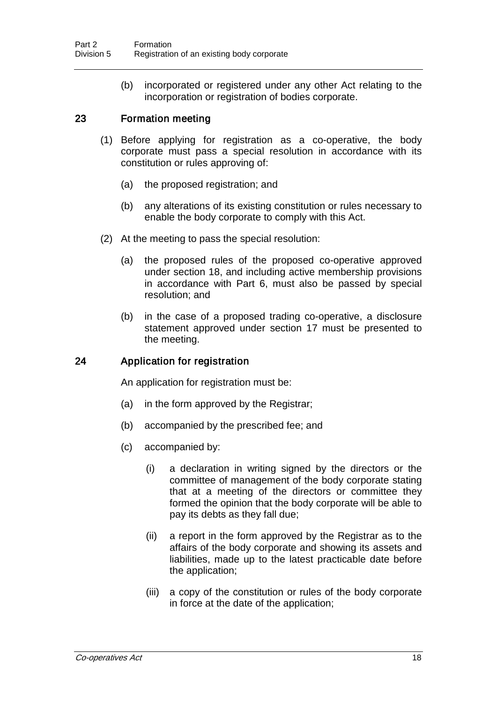(b) incorporated or registered under any other Act relating to the incorporation or registration of bodies corporate.

#### 23 Formation meeting

- (1) Before applying for registration as a co-operative, the body corporate must pass a special resolution in accordance with its constitution or rules approving of:
	- (a) the proposed registration; and
	- (b) any alterations of its existing constitution or rules necessary to enable the body corporate to comply with this Act.
- (2) At the meeting to pass the special resolution:
	- (a) the proposed rules of the proposed co-operative approved under section 18, and including active membership provisions in accordance with Part 6, must also be passed by special resolution; and
	- (b) in the case of a proposed trading co-operative, a disclosure statement approved under section 17 must be presented to the meeting.

#### 24 Application for registration

An application for registration must be:

- (a) in the form approved by the Registrar;
- (b) accompanied by the prescribed fee; and
- (c) accompanied by:
	- (i) a declaration in writing signed by the directors or the committee of management of the body corporate stating that at a meeting of the directors or committee they formed the opinion that the body corporate will be able to pay its debts as they fall due;
	- (ii) a report in the form approved by the Registrar as to the affairs of the body corporate and showing its assets and liabilities, made up to the latest practicable date before the application;
	- (iii) a copy of the constitution or rules of the body corporate in force at the date of the application;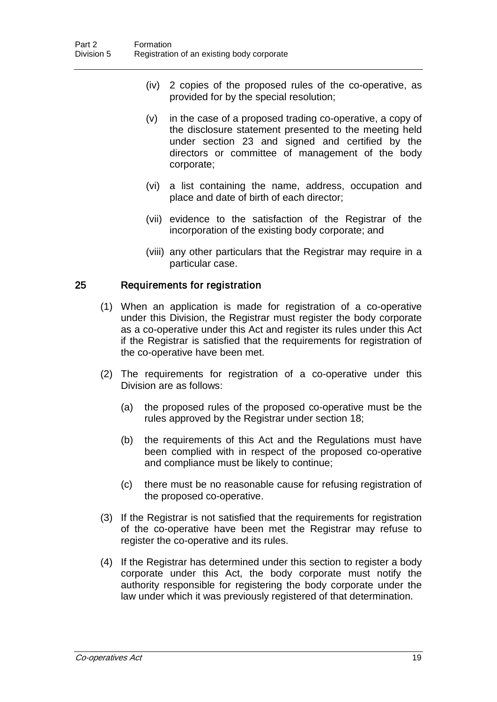- (iv) 2 copies of the proposed rules of the co-operative, as provided for by the special resolution;
- (v) in the case of a proposed trading co-operative, a copy of the disclosure statement presented to the meeting held under section 23 and signed and certified by the directors or committee of management of the body corporate;
- (vi) a list containing the name, address, occupation and place and date of birth of each director;
- (vii) evidence to the satisfaction of the Registrar of the incorporation of the existing body corporate; and
- (viii) any other particulars that the Registrar may require in a particular case.

#### 25 Requirements for registration

- (1) When an application is made for registration of a co-operative under this Division, the Registrar must register the body corporate as a co-operative under this Act and register its rules under this Act if the Registrar is satisfied that the requirements for registration of the co-operative have been met.
- (2) The requirements for registration of a co-operative under this Division are as follows:
	- (a) the proposed rules of the proposed co-operative must be the rules approved by the Registrar under section 18;
	- (b) the requirements of this Act and the Regulations must have been complied with in respect of the proposed co-operative and compliance must be likely to continue;
	- (c) there must be no reasonable cause for refusing registration of the proposed co-operative.
- (3) If the Registrar is not satisfied that the requirements for registration of the co-operative have been met the Registrar may refuse to register the co-operative and its rules.
- (4) If the Registrar has determined under this section to register a body corporate under this Act, the body corporate must notify the authority responsible for registering the body corporate under the law under which it was previously registered of that determination.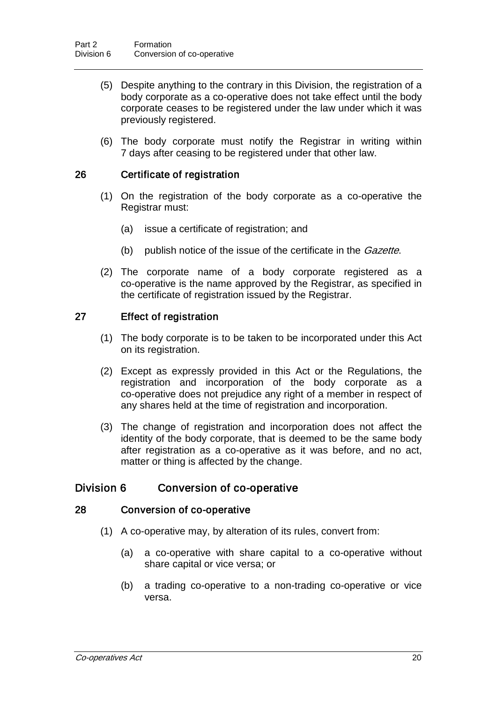- (5) Despite anything to the contrary in this Division, the registration of a body corporate as a co-operative does not take effect until the body corporate ceases to be registered under the law under which it was previously registered.
- (6) The body corporate must notify the Registrar in writing within 7 days after ceasing to be registered under that other law.

## 26 Certificate of registration

- (1) On the registration of the body corporate as a co-operative the Registrar must:
	- (a) issue a certificate of registration; and
	- (b) publish notice of the issue of the certificate in the *Gazette*.
- (2) The corporate name of a body corporate registered as a co-operative is the name approved by the Registrar, as specified in the certificate of registration issued by the Registrar.

## 27 Effect of registration

- (1) The body corporate is to be taken to be incorporated under this Act on its registration.
- (2) Except as expressly provided in this Act or the Regulations, the registration and incorporation of the body corporate as a co-operative does not prejudice any right of a member in respect of any shares held at the time of registration and incorporation.
- (3) The change of registration and incorporation does not affect the identity of the body corporate, that is deemed to be the same body after registration as a co-operative as it was before, and no act, matter or thing is affected by the change.

# Division 6 Conversion of co-operative

#### 28 Conversion of co-operative

- (1) A co-operative may, by alteration of its rules, convert from:
	- (a) a co-operative with share capital to a co-operative without share capital or vice versa; or
	- (b) a trading co-operative to a non-trading co-operative or vice versa.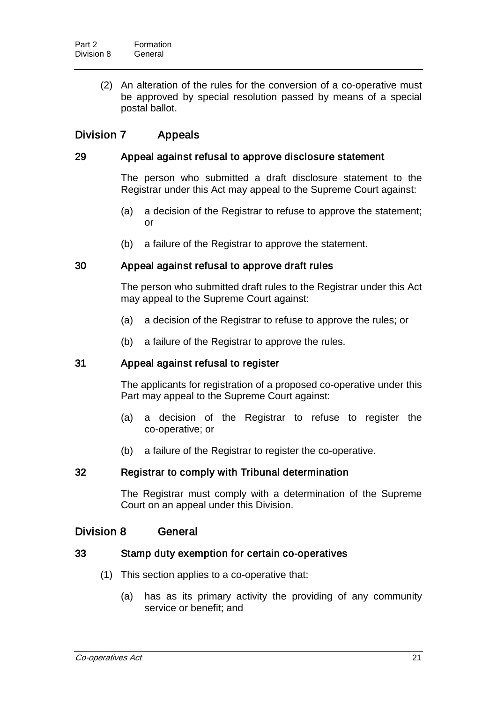(2) An alteration of the rules for the conversion of a co-operative must be approved by special resolution passed by means of a special postal ballot.

# Division 7 Appeals

## 29 Appeal against refusal to approve disclosure statement

The person who submitted a draft disclosure statement to the Registrar under this Act may appeal to the Supreme Court against:

- (a) a decision of the Registrar to refuse to approve the statement; or
- (b) a failure of the Registrar to approve the statement.

## 30 Appeal against refusal to approve draft rules

The person who submitted draft rules to the Registrar under this Act may appeal to the Supreme Court against:

- (a) a decision of the Registrar to refuse to approve the rules; or
- (b) a failure of the Registrar to approve the rules.

## 31 Appeal against refusal to register

The applicants for registration of a proposed co-operative under this Part may appeal to the Supreme Court against:

- (a) a decision of the Registrar to refuse to register the co-operative; or
- (b) a failure of the Registrar to register the co-operative.

## 32 Registrar to comply with Tribunal determination

The Registrar must comply with a determination of the Supreme Court on an appeal under this Division.

# Division 8 General

## 33 Stamp duty exemption for certain co-operatives

- (1) This section applies to a co-operative that:
	- (a) has as its primary activity the providing of any community service or benefit; and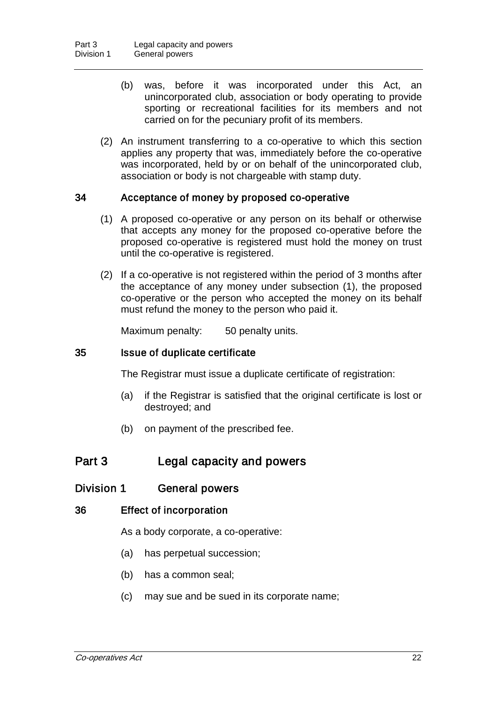- (b) was, before it was incorporated under this Act, an unincorporated club, association or body operating to provide sporting or recreational facilities for its members and not carried on for the pecuniary profit of its members.
- (2) An instrument transferring to a co-operative to which this section applies any property that was, immediately before the co-operative was incorporated, held by or on behalf of the unincorporated club, association or body is not chargeable with stamp duty.

## 34 Acceptance of money by proposed co-operative

- (1) A proposed co-operative or any person on its behalf or otherwise that accepts any money for the proposed co-operative before the proposed co-operative is registered must hold the money on trust until the co-operative is registered.
- (2) If a co-operative is not registered within the period of 3 months after the acceptance of any money under subsection (1), the proposed co-operative or the person who accepted the money on its behalf must refund the money to the person who paid it.

Maximum penalty: 50 penalty units.

## 35 Issue of duplicate certificate

The Registrar must issue a duplicate certificate of registration:

- (a) if the Registrar is satisfied that the original certificate is lost or destroyed; and
- (b) on payment of the prescribed fee.

# Part 3 Legal capacity and powers

# Division 1 General powers

## 36 Effect of incorporation

As a body corporate, a co-operative:

- (a) has perpetual succession;
- (b) has a common seal;
- (c) may sue and be sued in its corporate name;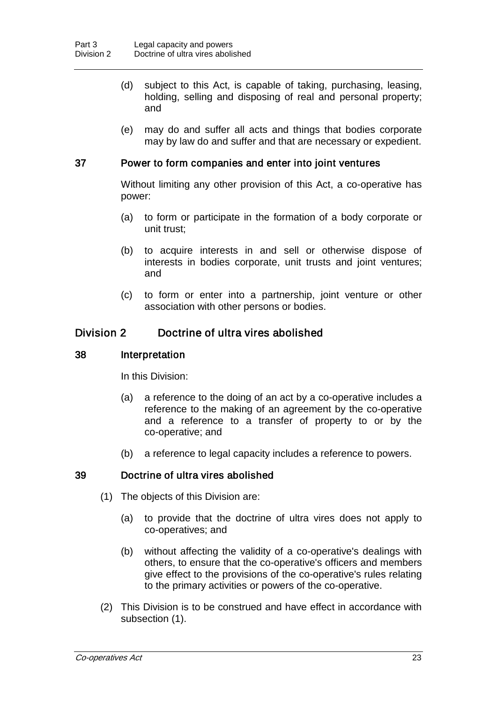- (d) subject to this Act, is capable of taking, purchasing, leasing, holding, selling and disposing of real and personal property; and
- (e) may do and suffer all acts and things that bodies corporate may by law do and suffer and that are necessary or expedient.

## 37 Power to form companies and enter into joint ventures

Without limiting any other provision of this Act, a co-operative has power:

- (a) to form or participate in the formation of a body corporate or unit trust;
- (b) to acquire interests in and sell or otherwise dispose of interests in bodies corporate, unit trusts and joint ventures; and
- (c) to form or enter into a partnership, joint venture or other association with other persons or bodies.

# Division 2 Doctrine of ultra vires abolished

## 38 Interpretation

In this Division:

- (a) a reference to the doing of an act by a co-operative includes a reference to the making of an agreement by the co-operative and a reference to a transfer of property to or by the co-operative; and
- (b) a reference to legal capacity includes a reference to powers.

## 39 Doctrine of ultra vires abolished

- (1) The objects of this Division are:
	- (a) to provide that the doctrine of ultra vires does not apply to co-operatives; and
	- (b) without affecting the validity of a co-operative's dealings with others, to ensure that the co-operative's officers and members give effect to the provisions of the co-operative's rules relating to the primary activities or powers of the co-operative.
- (2) This Division is to be construed and have effect in accordance with subsection (1).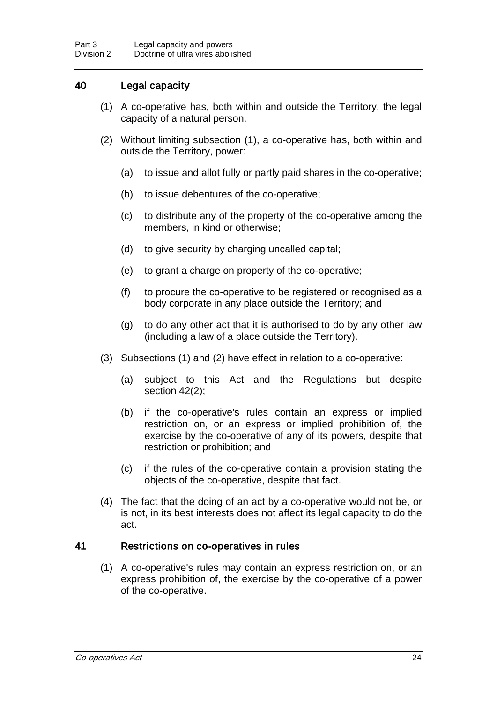# 40 Legal capacity

- (1) A co-operative has, both within and outside the Territory, the legal capacity of a natural person.
- (2) Without limiting subsection (1), a co-operative has, both within and outside the Territory, power:
	- (a) to issue and allot fully or partly paid shares in the co-operative;
	- (b) to issue debentures of the co-operative;
	- (c) to distribute any of the property of the co-operative among the members, in kind or otherwise;
	- (d) to give security by charging uncalled capital;
	- (e) to grant a charge on property of the co-operative;
	- (f) to procure the co-operative to be registered or recognised as a body corporate in any place outside the Territory; and
	- (g) to do any other act that it is authorised to do by any other law (including a law of a place outside the Territory).
- (3) Subsections (1) and (2) have effect in relation to a co-operative:
	- (a) subject to this Act and the Regulations but despite section 42(2);
	- (b) if the co-operative's rules contain an express or implied restriction on, or an express or implied prohibition of, the exercise by the co-operative of any of its powers, despite that restriction or prohibition; and
	- (c) if the rules of the co-operative contain a provision stating the objects of the co-operative, despite that fact.
- (4) The fact that the doing of an act by a co-operative would not be, or is not, in its best interests does not affect its legal capacity to do the act.

## 41 Restrictions on co-operatives in rules

(1) A co-operative's rules may contain an express restriction on, or an express prohibition of, the exercise by the co-operative of a power of the co-operative.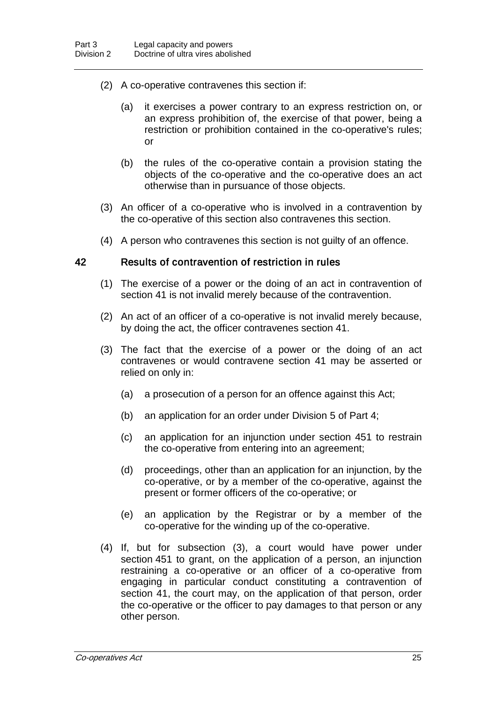- (2) A co-operative contravenes this section if:
	- (a) it exercises a power contrary to an express restriction on, or an express prohibition of, the exercise of that power, being a restriction or prohibition contained in the co-operative's rules; or
	- (b) the rules of the co-operative contain a provision stating the objects of the co-operative and the co-operative does an act otherwise than in pursuance of those objects.
- (3) An officer of a co-operative who is involved in a contravention by the co-operative of this section also contravenes this section.
- (4) A person who contravenes this section is not guilty of an offence.

#### 42 Results of contravention of restriction in rules

- (1) The exercise of a power or the doing of an act in contravention of section 41 is not invalid merely because of the contravention.
- (2) An act of an officer of a co-operative is not invalid merely because, by doing the act, the officer contravenes section 41.
- (3) The fact that the exercise of a power or the doing of an act contravenes or would contravene section 41 may be asserted or relied on only in:
	- (a) a prosecution of a person for an offence against this Act;
	- (b) an application for an order under Division 5 of Part 4;
	- (c) an application for an injunction under section 451 to restrain the co-operative from entering into an agreement;
	- (d) proceedings, other than an application for an injunction, by the co-operative, or by a member of the co-operative, against the present or former officers of the co-operative; or
	- (e) an application by the Registrar or by a member of the co-operative for the winding up of the co-operative.
- (4) If, but for subsection (3), a court would have power under section 451 to grant, on the application of a person, an injunction restraining a co-operative or an officer of a co-operative from engaging in particular conduct constituting a contravention of section 41, the court may, on the application of that person, order the co-operative or the officer to pay damages to that person or any other person.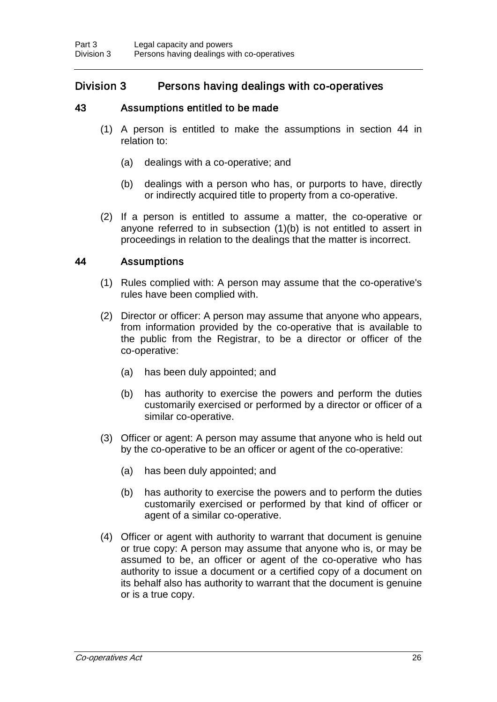# Division 3 Persons having dealings with co-operatives

# 43 Assumptions entitled to be made

- (1) A person is entitled to make the assumptions in section 44 in relation to:
	- (a) dealings with a co-operative; and
	- (b) dealings with a person who has, or purports to have, directly or indirectly acquired title to property from a co-operative.
- (2) If a person is entitled to assume a matter, the co-operative or anyone referred to in subsection (1)(b) is not entitled to assert in proceedings in relation to the dealings that the matter is incorrect.

# 44 Assumptions

- (1) Rules complied with: A person may assume that the co-operative's rules have been complied with.
- (2) Director or officer: A person may assume that anyone who appears, from information provided by the co-operative that is available to the public from the Registrar, to be a director or officer of the co-operative:
	- (a) has been duly appointed; and
	- (b) has authority to exercise the powers and perform the duties customarily exercised or performed by a director or officer of a similar co-operative.
- (3) Officer or agent: A person may assume that anyone who is held out by the co-operative to be an officer or agent of the co-operative:
	- (a) has been duly appointed; and
	- (b) has authority to exercise the powers and to perform the duties customarily exercised or performed by that kind of officer or agent of a similar co-operative.
- (4) Officer or agent with authority to warrant that document is genuine or true copy: A person may assume that anyone who is, or may be assumed to be, an officer or agent of the co-operative who has authority to issue a document or a certified copy of a document on its behalf also has authority to warrant that the document is genuine or is a true copy.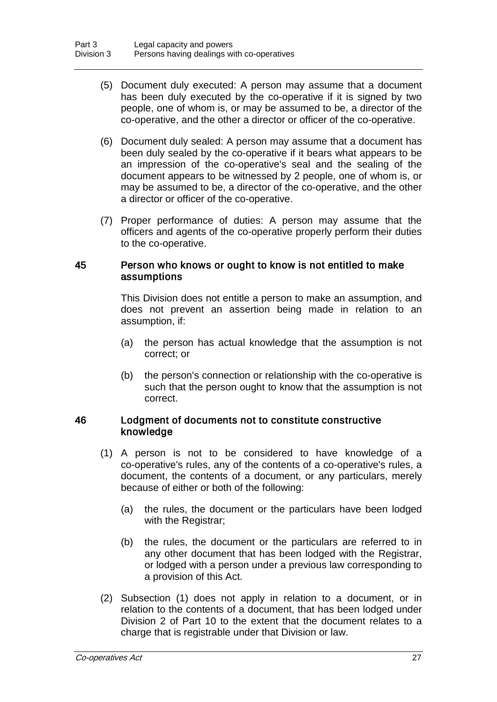- (5) Document duly executed: A person may assume that a document has been duly executed by the co-operative if it is signed by two people, one of whom is, or may be assumed to be, a director of the co-operative, and the other a director or officer of the co-operative.
- (6) Document duly sealed: A person may assume that a document has been duly sealed by the co-operative if it bears what appears to be an impression of the co-operative's seal and the sealing of the document appears to be witnessed by 2 people, one of whom is, or may be assumed to be, a director of the co-operative, and the other a director or officer of the co-operative.
- (7) Proper performance of duties: A person may assume that the officers and agents of the co-operative properly perform their duties to the co-operative.

## 45 Person who knows or ought to know is not entitled to make assumptions

This Division does not entitle a person to make an assumption, and does not prevent an assertion being made in relation to an assumption, if:

- (a) the person has actual knowledge that the assumption is not correct; or
- (b) the person's connection or relationship with the co-operative is such that the person ought to know that the assumption is not correct.

## 46 Lodgment of documents not to constitute constructive knowledge

- (1) A person is not to be considered to have knowledge of a co-operative's rules, any of the contents of a co-operative's rules, a document, the contents of a document, or any particulars, merely because of either or both of the following:
	- (a) the rules, the document or the particulars have been lodged with the Registrar;
	- (b) the rules, the document or the particulars are referred to in any other document that has been lodged with the Registrar, or lodged with a person under a previous law corresponding to a provision of this Act.
- (2) Subsection (1) does not apply in relation to a document, or in relation to the contents of a document, that has been lodged under Division 2 of Part 10 to the extent that the document relates to a charge that is registrable under that Division or law.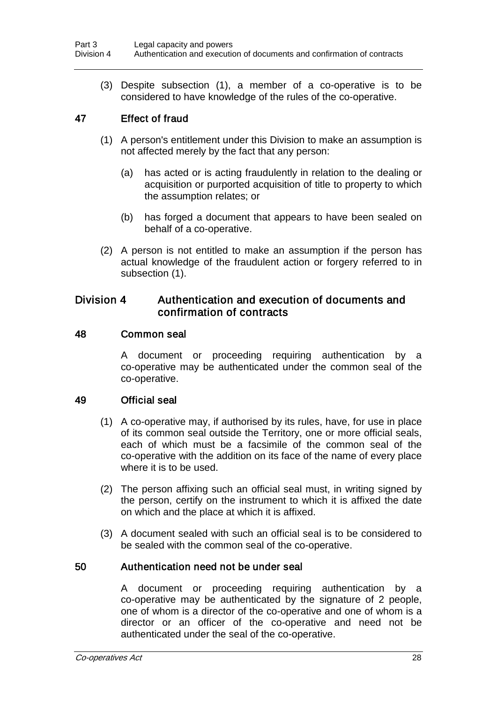(3) Despite subsection (1), a member of a co-operative is to be considered to have knowledge of the rules of the co-operative.

# 47 Effect of fraud

- (1) A person's entitlement under this Division to make an assumption is not affected merely by the fact that any person:
	- (a) has acted or is acting fraudulently in relation to the dealing or acquisition or purported acquisition of title to property to which the assumption relates; or
	- (b) has forged a document that appears to have been sealed on behalf of a co-operative.
- (2) A person is not entitled to make an assumption if the person has actual knowledge of the fraudulent action or forgery referred to in subsection (1).

# Division 4 Authentication and execution of documents and confirmation of contracts

## 48 Common seal

A document or proceeding requiring authentication by a co-operative may be authenticated under the common seal of the co-operative.

## 49 Official seal

- (1) A co-operative may, if authorised by its rules, have, for use in place of its common seal outside the Territory, one or more official seals, each of which must be a facsimile of the common seal of the co-operative with the addition on its face of the name of every place where it is to be used.
- (2) The person affixing such an official seal must, in writing signed by the person, certify on the instrument to which it is affixed the date on which and the place at which it is affixed.
- (3) A document sealed with such an official seal is to be considered to be sealed with the common seal of the co-operative.

# 50 Authentication need not be under seal

A document or proceeding requiring authentication by a co-operative may be authenticated by the signature of 2 people, one of whom is a director of the co-operative and one of whom is a director or an officer of the co-operative and need not be authenticated under the seal of the co-operative.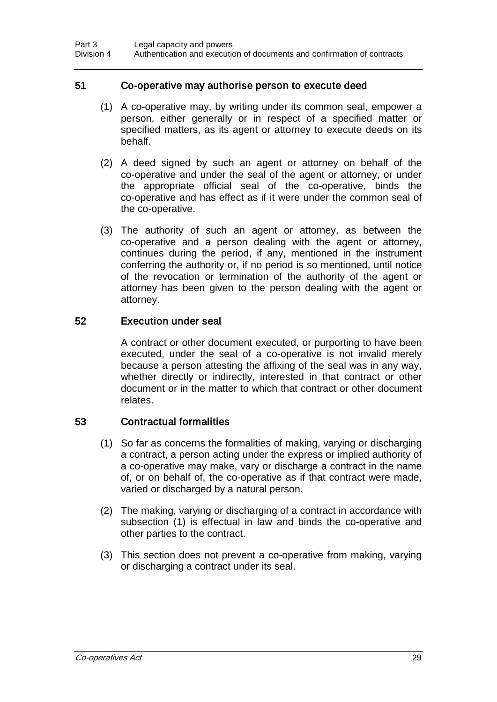## 51 Co-operative may authorise person to execute deed

- (1) A co-operative may, by writing under its common seal, empower a person, either generally or in respect of a specified matter or specified matters, as its agent or attorney to execute deeds on its behalf.
- (2) A deed signed by such an agent or attorney on behalf of the co-operative and under the seal of the agent or attorney, or under the appropriate official seal of the co-operative, binds the co-operative and has effect as if it were under the common seal of the co-operative.
- (3) The authority of such an agent or attorney, as between the co-operative and a person dealing with the agent or attorney, continues during the period, if any, mentioned in the instrument conferring the authority or, if no period is so mentioned, until notice of the revocation or termination of the authority of the agent or attorney has been given to the person dealing with the agent or attorney.

## 52 Execution under seal

A contract or other document executed, or purporting to have been executed, under the seal of a co-operative is not invalid merely because a person attesting the affixing of the seal was in any way, whether directly or indirectly, interested in that contract or other document or in the matter to which that contract or other document relates.

## 53 Contractual formalities

- (1) So far as concerns the formalities of making, varying or discharging a contract, a person acting under the express or implied authority of a co-operative may make, vary or discharge a contract in the name of, or on behalf of, the co-operative as if that contract were made, varied or discharged by a natural person.
- (2) The making, varying or discharging of a contract in accordance with subsection (1) is effectual in law and binds the co-operative and other parties to the contract.
- (3) This section does not prevent a co-operative from making, varying or discharging a contract under its seal.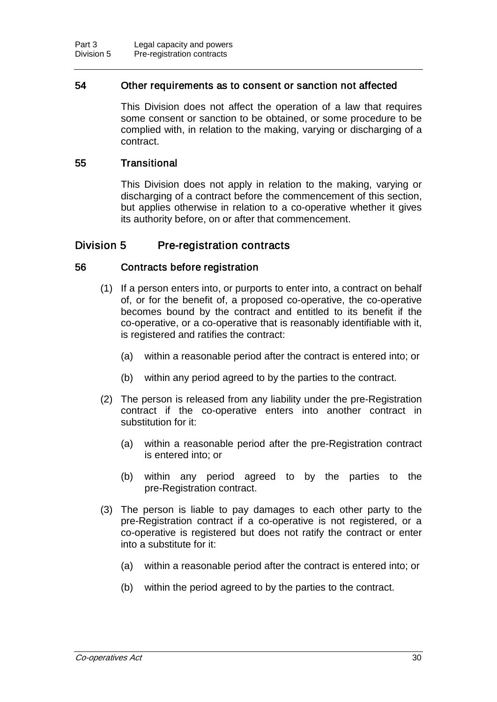## 54 Other requirements as to consent or sanction not affected

This Division does not affect the operation of a law that requires some consent or sanction to be obtained, or some procedure to be complied with, in relation to the making, varying or discharging of a contract.

## 55 Transitional

This Division does not apply in relation to the making, varying or discharging of a contract before the commencement of this section, but applies otherwise in relation to a co-operative whether it gives its authority before, on or after that commencement.

# Division 5 Pre-registration contracts

## 56 Contracts before registration

- (1) If a person enters into, or purports to enter into, a contract on behalf of, or for the benefit of, a proposed co-operative, the co-operative becomes bound by the contract and entitled to its benefit if the co-operative, or a co-operative that is reasonably identifiable with it, is registered and ratifies the contract:
	- (a) within a reasonable period after the contract is entered into; or
	- (b) within any period agreed to by the parties to the contract.
- (2) The person is released from any liability under the pre-Registration contract if the co-operative enters into another contract in substitution for it:
	- (a) within a reasonable period after the pre-Registration contract is entered into; or
	- (b) within any period agreed to by the parties to the pre-Registration contract.
- (3) The person is liable to pay damages to each other party to the pre-Registration contract if a co-operative is not registered, or a co-operative is registered but does not ratify the contract or enter into a substitute for it:
	- (a) within a reasonable period after the contract is entered into; or
	- (b) within the period agreed to by the parties to the contract.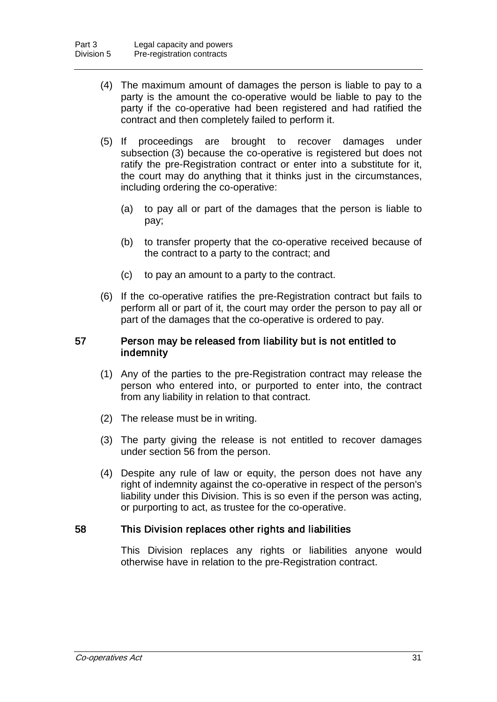- (4) The maximum amount of damages the person is liable to pay to a party is the amount the co-operative would be liable to pay to the party if the co-operative had been registered and had ratified the contract and then completely failed to perform it.
- (5) If proceedings are brought to recover damages under subsection (3) because the co-operative is registered but does not ratify the pre-Registration contract or enter into a substitute for it, the court may do anything that it thinks just in the circumstances, including ordering the co-operative:
	- (a) to pay all or part of the damages that the person is liable to pay;
	- (b) to transfer property that the co-operative received because of the contract to a party to the contract; and
	- (c) to pay an amount to a party to the contract.
- (6) If the co-operative ratifies the pre-Registration contract but fails to perform all or part of it, the court may order the person to pay all or part of the damages that the co-operative is ordered to pay.

#### 57 Person may be released from liability but is not entitled to indemnity

- (1) Any of the parties to the pre-Registration contract may release the person who entered into, or purported to enter into, the contract from any liability in relation to that contract.
- (2) The release must be in writing.
- (3) The party giving the release is not entitled to recover damages under section 56 from the person.
- (4) Despite any rule of law or equity, the person does not have any right of indemnity against the co-operative in respect of the person's liability under this Division. This is so even if the person was acting, or purporting to act, as trustee for the co-operative.

## 58 This Division replaces other rights and liabilities

This Division replaces any rights or liabilities anyone would otherwise have in relation to the pre-Registration contract.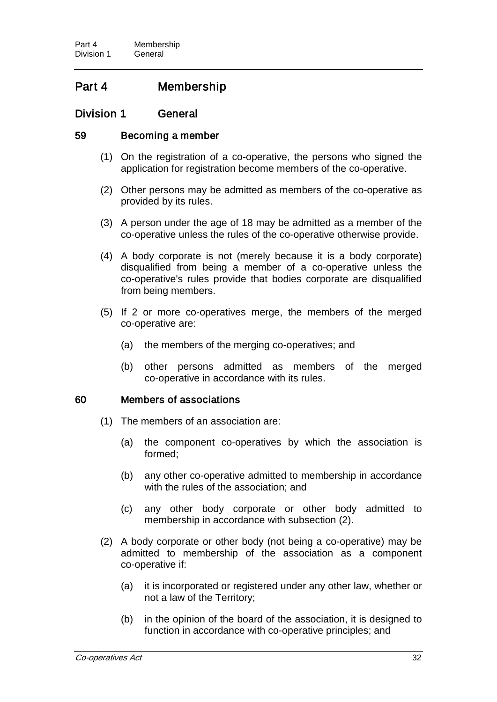# Part 4 Membership

# Division 1 General

## 59 Becoming a member

- (1) On the registration of a co-operative, the persons who signed the application for registration become members of the co-operative.
- (2) Other persons may be admitted as members of the co-operative as provided by its rules.
- (3) A person under the age of 18 may be admitted as a member of the co-operative unless the rules of the co-operative otherwise provide.
- (4) A body corporate is not (merely because it is a body corporate) disqualified from being a member of a co-operative unless the co-operative's rules provide that bodies corporate are disqualified from being members.
- (5) If 2 or more co-operatives merge, the members of the merged co-operative are:
	- (a) the members of the merging co-operatives; and
	- (b) other persons admitted as members of the merged co-operative in accordance with its rules.

## 60 Members of associations

- (1) The members of an association are:
	- (a) the component co-operatives by which the association is formed;
	- (b) any other co-operative admitted to membership in accordance with the rules of the association; and
	- (c) any other body corporate or other body admitted to membership in accordance with subsection (2).
- (2) A body corporate or other body (not being a co-operative) may be admitted to membership of the association as a component co-operative if:
	- (a) it is incorporated or registered under any other law, whether or not a law of the Territory;
	- (b) in the opinion of the board of the association, it is designed to function in accordance with co-operative principles; and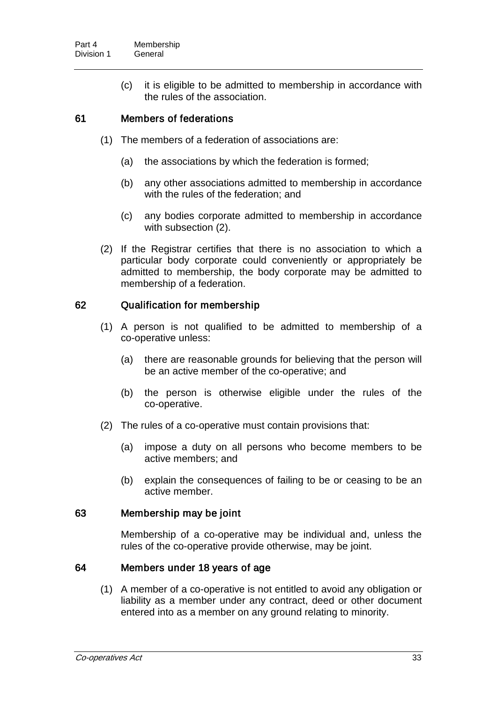(c) it is eligible to be admitted to membership in accordance with the rules of the association.

## 61 Members of federations

- (1) The members of a federation of associations are:
	- (a) the associations by which the federation is formed;
	- (b) any other associations admitted to membership in accordance with the rules of the federation; and
	- (c) any bodies corporate admitted to membership in accordance with subsection (2).
- (2) If the Registrar certifies that there is no association to which a particular body corporate could conveniently or appropriately be admitted to membership, the body corporate may be admitted to membership of a federation.

## 62 Qualification for membership

- (1) A person is not qualified to be admitted to membership of a co-operative unless:
	- (a) there are reasonable grounds for believing that the person will be an active member of the co-operative; and
	- (b) the person is otherwise eligible under the rules of the co-operative.
- (2) The rules of a co-operative must contain provisions that:
	- (a) impose a duty on all persons who become members to be active members; and
	- (b) explain the consequences of failing to be or ceasing to be an active member.

## 63 Membership may be joint

Membership of a co-operative may be individual and, unless the rules of the co-operative provide otherwise, may be joint.

## 64 Members under 18 years of age

(1) A member of a co-operative is not entitled to avoid any obligation or liability as a member under any contract, deed or other document entered into as a member on any ground relating to minority.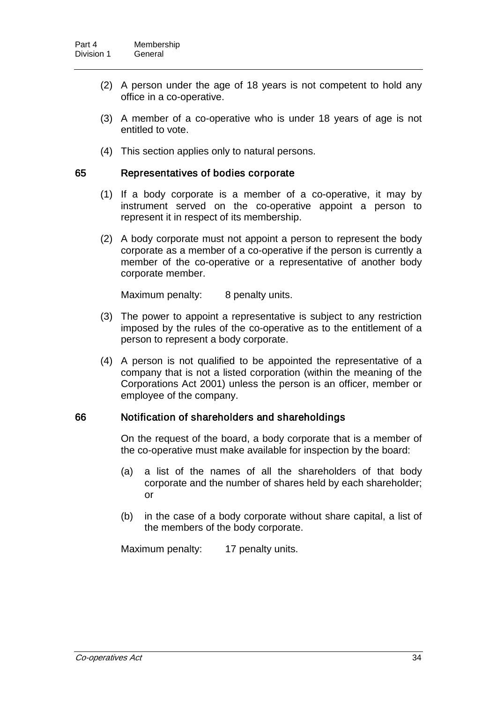- (2) A person under the age of 18 years is not competent to hold any office in a co-operative.
- (3) A member of a co-operative who is under 18 years of age is not entitled to vote.
- (4) This section applies only to natural persons.

#### 65 Representatives of bodies corporate

- (1) If a body corporate is a member of a co-operative, it may by instrument served on the co-operative appoint a person to represent it in respect of its membership.
- (2) A body corporate must not appoint a person to represent the body corporate as a member of a co-operative if the person is currently a member of the co-operative or a representative of another body corporate member.

Maximum penalty: 8 penalty units.

- (3) The power to appoint a representative is subject to any restriction imposed by the rules of the co-operative as to the entitlement of a person to represent a body corporate.
- (4) A person is not qualified to be appointed the representative of a company that is not a listed corporation (within the meaning of the Corporations Act 2001) unless the person is an officer, member or employee of the company.

## 66 Notification of shareholders and shareholdings

On the request of the board, a body corporate that is a member of the co-operative must make available for inspection by the board:

- (a) a list of the names of all the shareholders of that body corporate and the number of shares held by each shareholder; or
- (b) in the case of a body corporate without share capital, a list of the members of the body corporate.

Maximum penalty: 17 penalty units.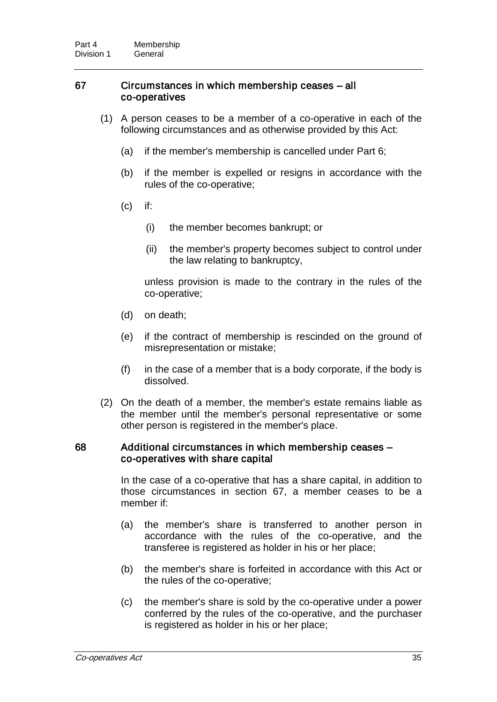## 67 Circumstances in which membership ceases – all co-operatives

- (1) A person ceases to be a member of a co-operative in each of the following circumstances and as otherwise provided by this Act:
	- (a) if the member's membership is cancelled under Part 6;
	- (b) if the member is expelled or resigns in accordance with the rules of the co-operative;
	- (c) if:
		- (i) the member becomes bankrupt; or
		- (ii) the member's property becomes subject to control under the law relating to bankruptcy,

unless provision is made to the contrary in the rules of the co-operative;

- (d) on death;
- (e) if the contract of membership is rescinded on the ground of misrepresentation or mistake;
- $(f)$  in the case of a member that is a body corporate, if the body is dissolved.
- (2) On the death of a member, the member's estate remains liable as the member until the member's personal representative or some other person is registered in the member's place.

#### 68 Additional circumstances in which membership ceases – co-operatives with share capital

In the case of a co-operative that has a share capital, in addition to those circumstances in section 67, a member ceases to be a member if:

- (a) the member's share is transferred to another person in accordance with the rules of the co-operative, and the transferee is registered as holder in his or her place;
- (b) the member's share is forfeited in accordance with this Act or the rules of the co-operative;
- (c) the member's share is sold by the co-operative under a power conferred by the rules of the co-operative, and the purchaser is registered as holder in his or her place;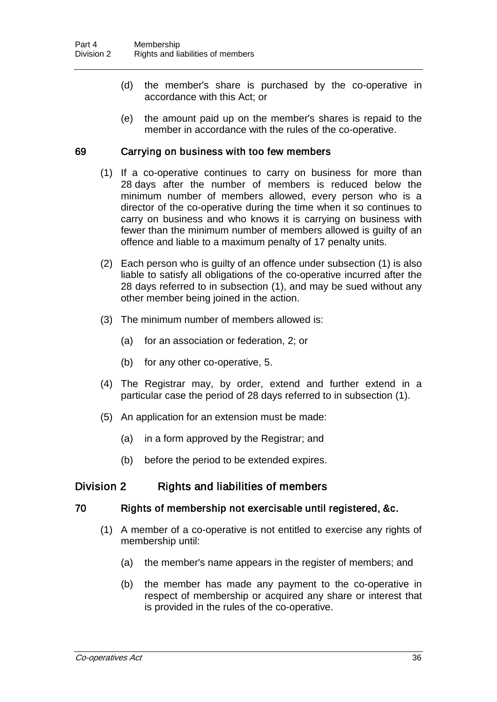- (d) the member's share is purchased by the co-operative in accordance with this Act; or
- (e) the amount paid up on the member's shares is repaid to the member in accordance with the rules of the co-operative.

## 69 Carrying on business with too few members

- (1) If a co-operative continues to carry on business for more than 28 days after the number of members is reduced below the minimum number of members allowed, every person who is a director of the co-operative during the time when it so continues to carry on business and who knows it is carrying on business with fewer than the minimum number of members allowed is guilty of an offence and liable to a maximum penalty of 17 penalty units.
- (2) Each person who is guilty of an offence under subsection (1) is also liable to satisfy all obligations of the co-operative incurred after the 28 days referred to in subsection (1), and may be sued without any other member being joined in the action.
- (3) The minimum number of members allowed is:
	- (a) for an association or federation, 2; or
	- (b) for any other co-operative, 5.
- (4) The Registrar may, by order, extend and further extend in a particular case the period of 28 days referred to in subsection (1).
- (5) An application for an extension must be made:
	- (a) in a form approved by the Registrar; and
	- (b) before the period to be extended expires.

# Division 2 Rights and liabilities of members

# 70 Rights of membership not exercisable until registered, &c.

- (1) A member of a co-operative is not entitled to exercise any rights of membership until:
	- (a) the member's name appears in the register of members; and
	- (b) the member has made any payment to the co-operative in respect of membership or acquired any share or interest that is provided in the rules of the co-operative.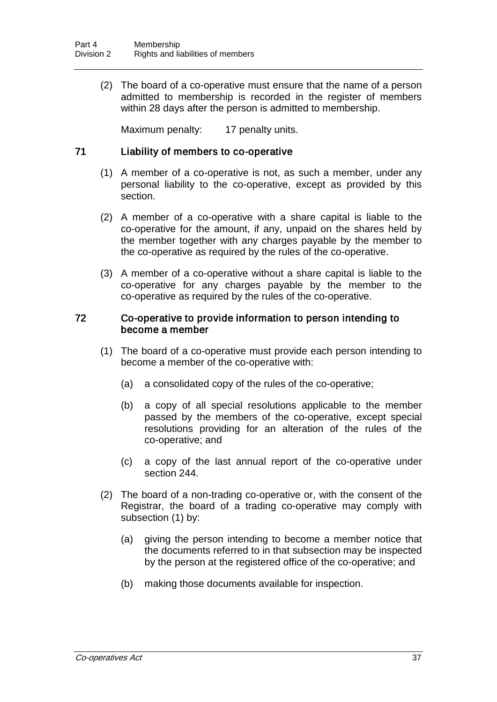(2) The board of a co-operative must ensure that the name of a person admitted to membership is recorded in the register of members within 28 days after the person is admitted to membership.

Maximum penalty: 17 penalty units.

## 71 Liability of members to co-operative

- (1) A member of a co-operative is not, as such a member, under any personal liability to the co-operative, except as provided by this section.
- (2) A member of a co-operative with a share capital is liable to the co-operative for the amount, if any, unpaid on the shares held by the member together with any charges payable by the member to the co-operative as required by the rules of the co-operative.
- (3) A member of a co-operative without a share capital is liable to the co-operative for any charges payable by the member to the co-operative as required by the rules of the co-operative.

## 72 Co-operative to provide information to person intending to become a member

- (1) The board of a co-operative must provide each person intending to become a member of the co-operative with:
	- (a) a consolidated copy of the rules of the co-operative;
	- (b) a copy of all special resolutions applicable to the member passed by the members of the co-operative, except special resolutions providing for an alteration of the rules of the co-operative; and
	- (c) a copy of the last annual report of the co-operative under section 244.
- (2) The board of a non-trading co-operative or, with the consent of the Registrar, the board of a trading co-operative may comply with subsection (1) by:
	- (a) giving the person intending to become a member notice that the documents referred to in that subsection may be inspected by the person at the registered office of the co-operative; and
	- (b) making those documents available for inspection.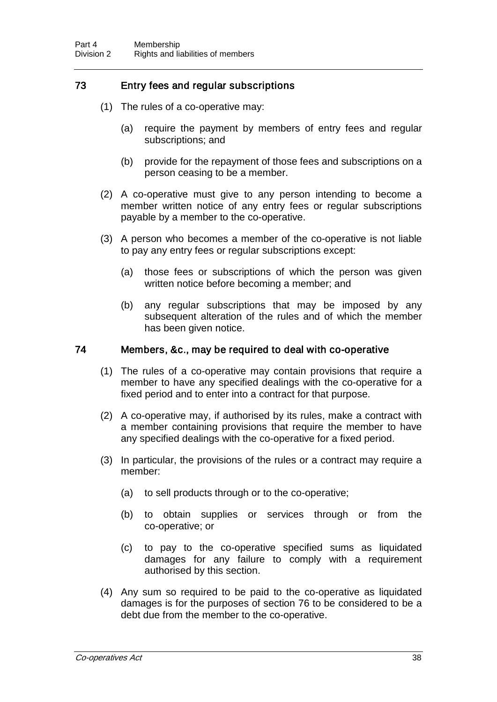# 73 Entry fees and regular subscriptions

- (1) The rules of a co-operative may:
	- (a) require the payment by members of entry fees and regular subscriptions; and
	- (b) provide for the repayment of those fees and subscriptions on a person ceasing to be a member.
- (2) A co-operative must give to any person intending to become a member written notice of any entry fees or regular subscriptions payable by a member to the co-operative.
- (3) A person who becomes a member of the co-operative is not liable to pay any entry fees or regular subscriptions except:
	- (a) those fees or subscriptions of which the person was given written notice before becoming a member; and
	- (b) any regular subscriptions that may be imposed by any subsequent alteration of the rules and of which the member has been given notice.

## 74 Members, &c., may be required to deal with co-operative

- (1) The rules of a co-operative may contain provisions that require a member to have any specified dealings with the co-operative for a fixed period and to enter into a contract for that purpose.
- (2) A co-operative may, if authorised by its rules, make a contract with a member containing provisions that require the member to have any specified dealings with the co-operative for a fixed period.
- (3) In particular, the provisions of the rules or a contract may require a member:
	- (a) to sell products through or to the co-operative;
	- (b) to obtain supplies or services through or from the co-operative; or
	- (c) to pay to the co-operative specified sums as liquidated damages for any failure to comply with a requirement authorised by this section.
- (4) Any sum so required to be paid to the co-operative as liquidated damages is for the purposes of section 76 to be considered to be a debt due from the member to the co-operative.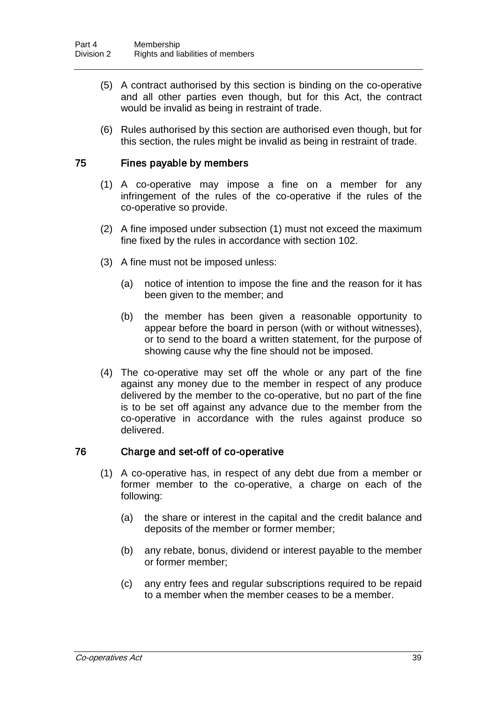- (5) A contract authorised by this section is binding on the co-operative and all other parties even though, but for this Act, the contract would be invalid as being in restraint of trade.
- (6) Rules authorised by this section are authorised even though, but for this section, the rules might be invalid as being in restraint of trade.

## 75 Fines payable by members

- (1) A co-operative may impose a fine on a member for any infringement of the rules of the co-operative if the rules of the co-operative so provide.
- (2) A fine imposed under subsection (1) must not exceed the maximum fine fixed by the rules in accordance with section 102.
- (3) A fine must not be imposed unless:
	- (a) notice of intention to impose the fine and the reason for it has been given to the member; and
	- (b) the member has been given a reasonable opportunity to appear before the board in person (with or without witnesses), or to send to the board a written statement, for the purpose of showing cause why the fine should not be imposed.
- (4) The co-operative may set off the whole or any part of the fine against any money due to the member in respect of any produce delivered by the member to the co-operative, but no part of the fine is to be set off against any advance due to the member from the co-operative in accordance with the rules against produce so delivered.

## 76 Charge and set-off of co-operative

- (1) A co-operative has, in respect of any debt due from a member or former member to the co-operative, a charge on each of the following:
	- (a) the share or interest in the capital and the credit balance and deposits of the member or former member;
	- (b) any rebate, bonus, dividend or interest payable to the member or former member;
	- (c) any entry fees and regular subscriptions required to be repaid to a member when the member ceases to be a member.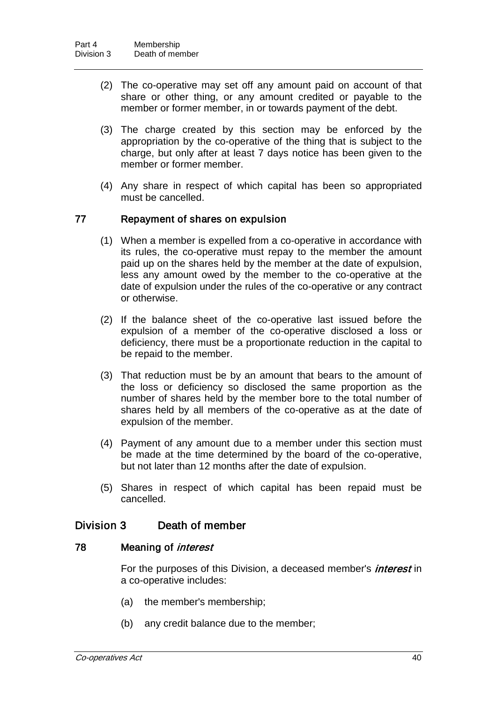- (2) The co-operative may set off any amount paid on account of that share or other thing, or any amount credited or payable to the member or former member, in or towards payment of the debt.
- (3) The charge created by this section may be enforced by the appropriation by the co-operative of the thing that is subject to the charge, but only after at least 7 days notice has been given to the member or former member.
- (4) Any share in respect of which capital has been so appropriated must be cancelled.

## 77 Repayment of shares on expulsion

- (1) When a member is expelled from a co-operative in accordance with its rules, the co-operative must repay to the member the amount paid up on the shares held by the member at the date of expulsion, less any amount owed by the member to the co-operative at the date of expulsion under the rules of the co-operative or any contract or otherwise.
- (2) If the balance sheet of the co-operative last issued before the expulsion of a member of the co-operative disclosed a loss or deficiency, there must be a proportionate reduction in the capital to be repaid to the member.
- (3) That reduction must be by an amount that bears to the amount of the loss or deficiency so disclosed the same proportion as the number of shares held by the member bore to the total number of shares held by all members of the co-operative as at the date of expulsion of the member.
- (4) Payment of any amount due to a member under this section must be made at the time determined by the board of the co-operative, but not later than 12 months after the date of expulsion.
- (5) Shares in respect of which capital has been repaid must be cancelled.

# Division 3 Death of member

## 78 Meaning of *interest*

For the purposes of this Division, a deceased member's *interest* in a co-operative includes:

- (a) the member's membership;
- (b) any credit balance due to the member;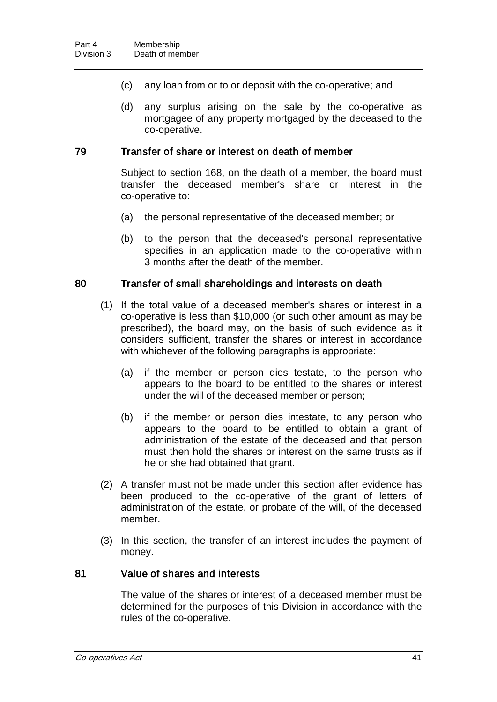- (c) any loan from or to or deposit with the co-operative; and
- (d) any surplus arising on the sale by the co-operative as mortgagee of any property mortgaged by the deceased to the co-operative.

#### 79 Transfer of share or interest on death of member

Subject to section 168, on the death of a member, the board must transfer the deceased member's share or interest in the co-operative to:

- (a) the personal representative of the deceased member; or
- (b) to the person that the deceased's personal representative specifies in an application made to the co-operative within 3 months after the death of the member.

#### 80 Transfer of small shareholdings and interests on death

- (1) If the total value of a deceased member's shares or interest in a co-operative is less than \$10,000 (or such other amount as may be prescribed), the board may, on the basis of such evidence as it considers sufficient, transfer the shares or interest in accordance with whichever of the following paragraphs is appropriate:
	- (a) if the member or person dies testate, to the person who appears to the board to be entitled to the shares or interest under the will of the deceased member or person;
	- (b) if the member or person dies intestate, to any person who appears to the board to be entitled to obtain a grant of administration of the estate of the deceased and that person must then hold the shares or interest on the same trusts as if he or she had obtained that grant.
- (2) A transfer must not be made under this section after evidence has been produced to the co-operative of the grant of letters of administration of the estate, or probate of the will, of the deceased member.
- (3) In this section, the transfer of an interest includes the payment of money.

#### 81 Value of shares and interests

The value of the shares or interest of a deceased member must be determined for the purposes of this Division in accordance with the rules of the co-operative.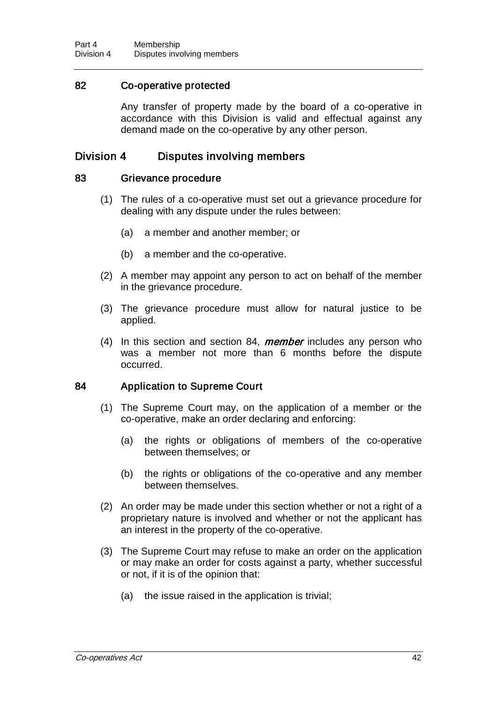# 82 Co-operative protected

Any transfer of property made by the board of a co-operative in accordance with this Division is valid and effectual against any demand made on the co-operative by any other person.

# Division 4 Disputes involving members

## 83 Grievance procedure

- (1) The rules of a co-operative must set out a grievance procedure for dealing with any dispute under the rules between:
	- (a) a member and another member; or
	- (b) a member and the co-operative.
- (2) A member may appoint any person to act on behalf of the member in the grievance procedure.
- (3) The grievance procedure must allow for natural justice to be applied.
- (4) In this section and section 84, *member* includes any person who was a member not more than 6 months before the dispute occurred.

## 84 Application to Supreme Court

- (1) The Supreme Court may, on the application of a member or the co-operative, make an order declaring and enforcing:
	- (a) the rights or obligations of members of the co-operative between themselves; or
	- (b) the rights or obligations of the co-operative and any member between themselves.
- (2) An order may be made under this section whether or not a right of a proprietary nature is involved and whether or not the applicant has an interest in the property of the co-operative.
- (3) The Supreme Court may refuse to make an order on the application or may make an order for costs against a party, whether successful or not, if it is of the opinion that:
	- (a) the issue raised in the application is trivial;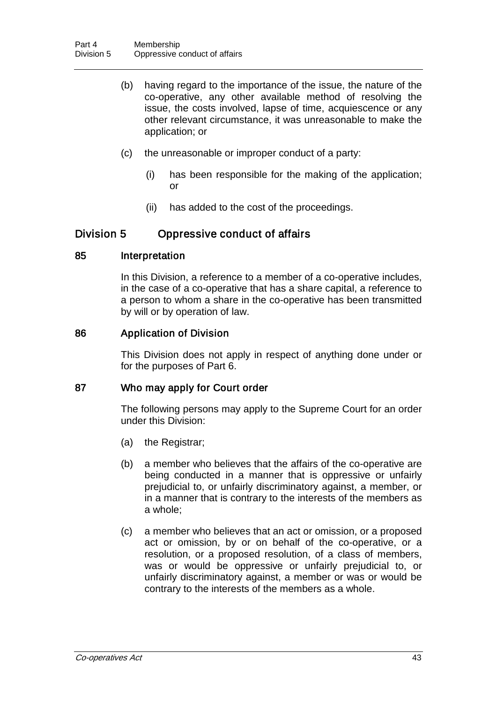- (b) having regard to the importance of the issue, the nature of the co-operative, any other available method of resolving the issue, the costs involved, lapse of time, acquiescence or any other relevant circumstance, it was unreasonable to make the application; or
- (c) the unreasonable or improper conduct of a party:
	- (i) has been responsible for the making of the application; or
	- (ii) has added to the cost of the proceedings.

# Division 5 Oppressive conduct of affairs

## 85 Interpretation

In this Division, a reference to a member of a co-operative includes, in the case of a co-operative that has a share capital, a reference to a person to whom a share in the co-operative has been transmitted by will or by operation of law.

## 86 Application of Division

This Division does not apply in respect of anything done under or for the purposes of Part 6.

# 87 Who may apply for Court order

The following persons may apply to the Supreme Court for an order under this Division:

- (a) the Registrar;
- (b) a member who believes that the affairs of the co-operative are being conducted in a manner that is oppressive or unfairly prejudicial to, or unfairly discriminatory against, a member, or in a manner that is contrary to the interests of the members as a whole;
- (c) a member who believes that an act or omission, or a proposed act or omission, by or on behalf of the co-operative, or a resolution, or a proposed resolution, of a class of members, was or would be oppressive or unfairly prejudicial to, or unfairly discriminatory against, a member or was or would be contrary to the interests of the members as a whole.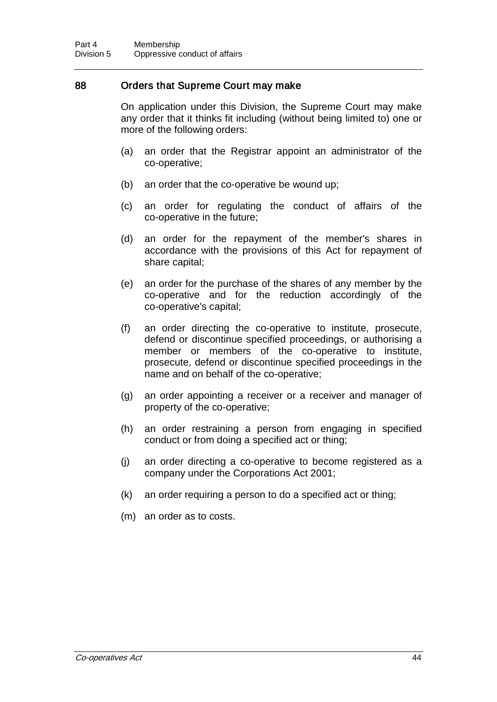## 88 Orders that Supreme Court may make

On application under this Division, the Supreme Court may make any order that it thinks fit including (without being limited to) one or more of the following orders:

- (a) an order that the Registrar appoint an administrator of the co-operative;
- (b) an order that the co-operative be wound up;
- (c) an order for regulating the conduct of affairs of the co-operative in the future;
- (d) an order for the repayment of the member's shares in accordance with the provisions of this Act for repayment of share capital;
- (e) an order for the purchase of the shares of any member by the co-operative and for the reduction accordingly of the co-operative's capital;
- (f) an order directing the co-operative to institute, prosecute, defend or discontinue specified proceedings, or authorising a member or members of the co-operative to institute, prosecute, defend or discontinue specified proceedings in the name and on behalf of the co-operative;
- (g) an order appointing a receiver or a receiver and manager of property of the co-operative;
- (h) an order restraining a person from engaging in specified conduct or from doing a specified act or thing;
- (j) an order directing a co-operative to become registered as a company under the Corporations Act 2001;
- (k) an order requiring a person to do a specified act or thing;
- (m) an order as to costs.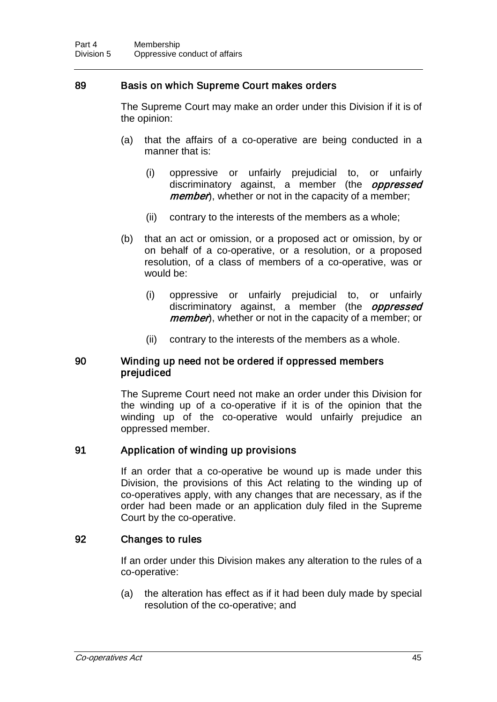## 89 Basis on which Supreme Court makes orders

The Supreme Court may make an order under this Division if it is of the opinion:

- (a) that the affairs of a co-operative are being conducted in a manner that is:
	- (i) oppressive or unfairly prejudicial to, or unfairly discriminatory against, a member (the *oppressed member*), whether or not in the capacity of a member;
	- (ii) contrary to the interests of the members as a whole;
- (b) that an act or omission, or a proposed act or omission, by or on behalf of a co-operative, or a resolution, or a proposed resolution, of a class of members of a co-operative, was or would be:
	- (i) oppressive or unfairly prejudicial to, or unfairly discriminatory against, a member (the *oppressed member*), whether or not in the capacity of a member; or
	- (ii) contrary to the interests of the members as a whole.

## 90 Winding up need not be ordered if oppressed members prejudiced

The Supreme Court need not make an order under this Division for the winding up of a co-operative if it is of the opinion that the winding up of the co-operative would unfairly prejudice an oppressed member.

# 91 Application of winding up provisions

If an order that a co-operative be wound up is made under this Division, the provisions of this Act relating to the winding up of co-operatives apply, with any changes that are necessary, as if the order had been made or an application duly filed in the Supreme Court by the co-operative.

## 92 Changes to rules

If an order under this Division makes any alteration to the rules of a co-operative:

(a) the alteration has effect as if it had been duly made by special resolution of the co-operative; and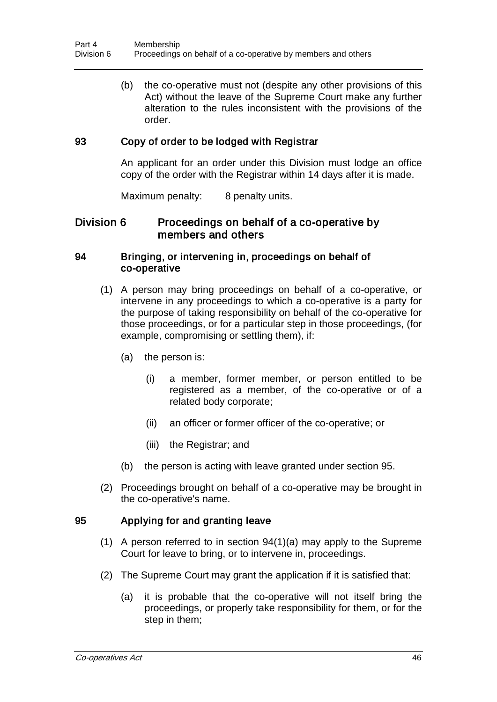(b) the co-operative must not (despite any other provisions of this Act) without the leave of the Supreme Court make any further alteration to the rules inconsistent with the provisions of the order.

## 93 Copy of order to be lodged with Registrar

An applicant for an order under this Division must lodge an office copy of the order with the Registrar within 14 days after it is made.

Maximum penalty: 8 penalty units.

# Division 6 Proceedings on behalf of a co-operative by members and others

## 94 Bringing, or intervening in, proceedings on behalf of co-operative

- (1) A person may bring proceedings on behalf of a co-operative, or intervene in any proceedings to which a co-operative is a party for the purpose of taking responsibility on behalf of the co-operative for those proceedings, or for a particular step in those proceedings, (for example, compromising or settling them), if:
	- (a) the person is:
		- (i) a member, former member, or person entitled to be registered as a member, of the co-operative or of a related body corporate;
		- (ii) an officer or former officer of the co-operative; or
		- (iii) the Registrar; and
	- (b) the person is acting with leave granted under section 95.
- (2) Proceedings brought on behalf of a co-operative may be brought in the co-operative's name.

# 95 Applying for and granting leave

- (1) A person referred to in section 94(1)(a) may apply to the Supreme Court for leave to bring, or to intervene in, proceedings.
- (2) The Supreme Court may grant the application if it is satisfied that:
	- (a) it is probable that the co-operative will not itself bring the proceedings, or properly take responsibility for them, or for the step in them;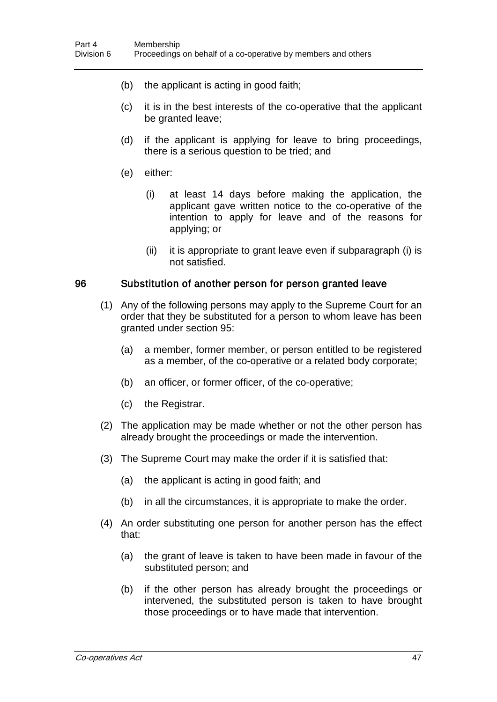- (b) the applicant is acting in good faith;
- (c) it is in the best interests of the co-operative that the applicant be granted leave;
- (d) if the applicant is applying for leave to bring proceedings, there is a serious question to be tried; and
- (e) either:
	- (i) at least 14 days before making the application, the applicant gave written notice to the co-operative of the intention to apply for leave and of the reasons for applying; or
	- (ii) it is appropriate to grant leave even if subparagraph (i) is not satisfied.

#### 96 Substitution of another person for person granted leave

- (1) Any of the following persons may apply to the Supreme Court for an order that they be substituted for a person to whom leave has been granted under section 95:
	- (a) a member, former member, or person entitled to be registered as a member, of the co-operative or a related body corporate;
	- (b) an officer, or former officer, of the co-operative;
	- (c) the Registrar.
- (2) The application may be made whether or not the other person has already brought the proceedings or made the intervention.
- (3) The Supreme Court may make the order if it is satisfied that:
	- (a) the applicant is acting in good faith; and
	- (b) in all the circumstances, it is appropriate to make the order.
- (4) An order substituting one person for another person has the effect that:
	- (a) the grant of leave is taken to have been made in favour of the substituted person; and
	- (b) if the other person has already brought the proceedings or intervened, the substituted person is taken to have brought those proceedings or to have made that intervention.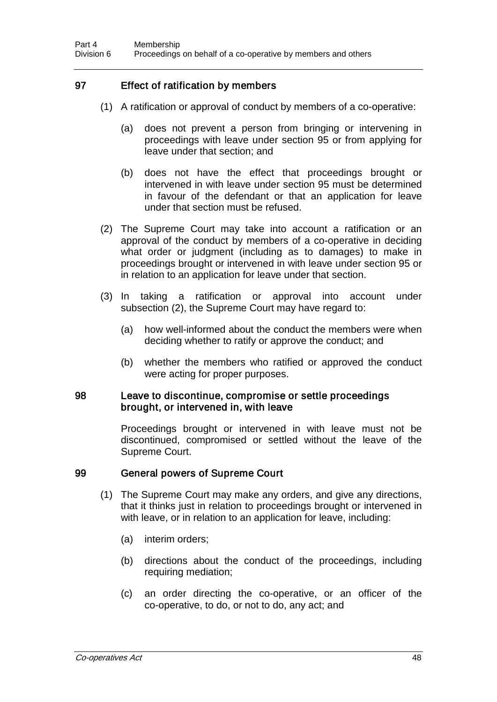# 97 Effect of ratification by members

- (1) A ratification or approval of conduct by members of a co-operative:
	- (a) does not prevent a person from bringing or intervening in proceedings with leave under section 95 or from applying for leave under that section; and
	- (b) does not have the effect that proceedings brought or intervened in with leave under section 95 must be determined in favour of the defendant or that an application for leave under that section must be refused.
- (2) The Supreme Court may take into account a ratification or an approval of the conduct by members of a co-operative in deciding what order or judgment (including as to damages) to make in proceedings brought or intervened in with leave under section 95 or in relation to an application for leave under that section.
- (3) In taking a ratification or approval into account under subsection (2), the Supreme Court may have regard to:
	- (a) how well-informed about the conduct the members were when deciding whether to ratify or approve the conduct; and
	- (b) whether the members who ratified or approved the conduct were acting for proper purposes.

#### 98 Leave to discontinue, compromise or settle proceedings brought, or intervened in, with leave

Proceedings brought or intervened in with leave must not be discontinued, compromised or settled without the leave of the Supreme Court.

## 99 General powers of Supreme Court

- (1) The Supreme Court may make any orders, and give any directions, that it thinks just in relation to proceedings brought or intervened in with leave, or in relation to an application for leave, including:
	- (a) interim orders;
	- (b) directions about the conduct of the proceedings, including requiring mediation;
	- (c) an order directing the co-operative, or an officer of the co-operative, to do, or not to do, any act; and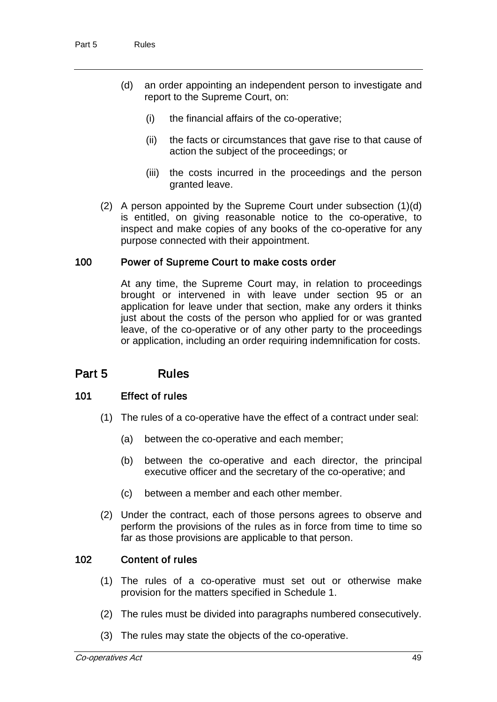- (d) an order appointing an independent person to investigate and report to the Supreme Court, on:
	- (i) the financial affairs of the co-operative;
	- (ii) the facts or circumstances that gave rise to that cause of action the subject of the proceedings; or
	- (iii) the costs incurred in the proceedings and the person granted leave.
- (2) A person appointed by the Supreme Court under subsection (1)(d) is entitled, on giving reasonable notice to the co-operative, to inspect and make copies of any books of the co-operative for any purpose connected with their appointment.

# 100 Power of Supreme Court to make costs order

At any time, the Supreme Court may, in relation to proceedings brought or intervened in with leave under section 95 or an application for leave under that section, make any orders it thinks just about the costs of the person who applied for or was granted leave, of the co-operative or of any other party to the proceedings or application, including an order requiring indemnification for costs.

# Part 5 Rules

## 101 Effect of rules

- (1) The rules of a co-operative have the effect of a contract under seal:
	- (a) between the co-operative and each member;
	- (b) between the co-operative and each director, the principal executive officer and the secretary of the co-operative; and
	- (c) between a member and each other member.
- (2) Under the contract, each of those persons agrees to observe and perform the provisions of the rules as in force from time to time so far as those provisions are applicable to that person.

## 102 Content of rules

- (1) The rules of a co-operative must set out or otherwise make provision for the matters specified in Schedule 1.
- (2) The rules must be divided into paragraphs numbered consecutively.
- (3) The rules may state the objects of the co-operative.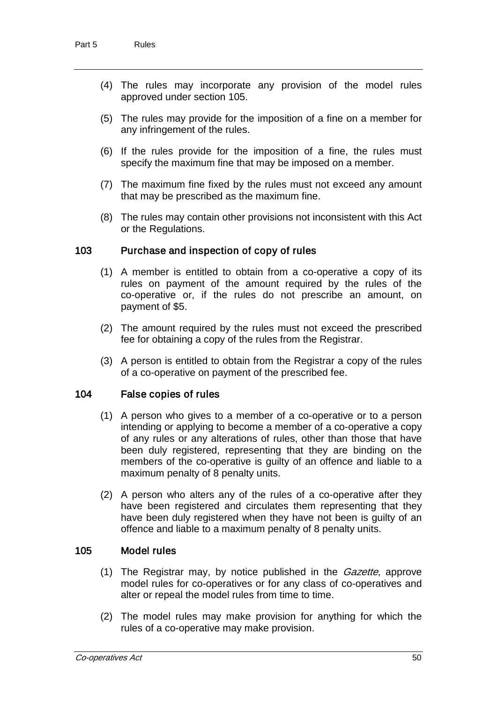- (4) The rules may incorporate any provision of the model rules approved under section 105.
- (5) The rules may provide for the imposition of a fine on a member for any infringement of the rules.
- (6) If the rules provide for the imposition of a fine, the rules must specify the maximum fine that may be imposed on a member.
- (7) The maximum fine fixed by the rules must not exceed any amount that may be prescribed as the maximum fine.
- (8) The rules may contain other provisions not inconsistent with this Act or the Regulations.

## 103 Purchase and inspection of copy of rules

- (1) A member is entitled to obtain from a co-operative a copy of its rules on payment of the amount required by the rules of the co-operative or, if the rules do not prescribe an amount, on payment of \$5.
- (2) The amount required by the rules must not exceed the prescribed fee for obtaining a copy of the rules from the Registrar.
- (3) A person is entitled to obtain from the Registrar a copy of the rules of a co-operative on payment of the prescribed fee.

#### 104 False copies of rules

- (1) A person who gives to a member of a co-operative or to a person intending or applying to become a member of a co-operative a copy of any rules or any alterations of rules, other than those that have been duly registered, representing that they are binding on the members of the co-operative is guilty of an offence and liable to a maximum penalty of 8 penalty units.
- (2) A person who alters any of the rules of a co-operative after they have been registered and circulates them representing that they have been duly registered when they have not been is guilty of an offence and liable to a maximum penalty of 8 penalty units.

## 105 Model rules

- (1) The Registrar may, by notice published in the *Gazette*, approve model rules for co-operatives or for any class of co-operatives and alter or repeal the model rules from time to time.
- (2) The model rules may make provision for anything for which the rules of a co-operative may make provision.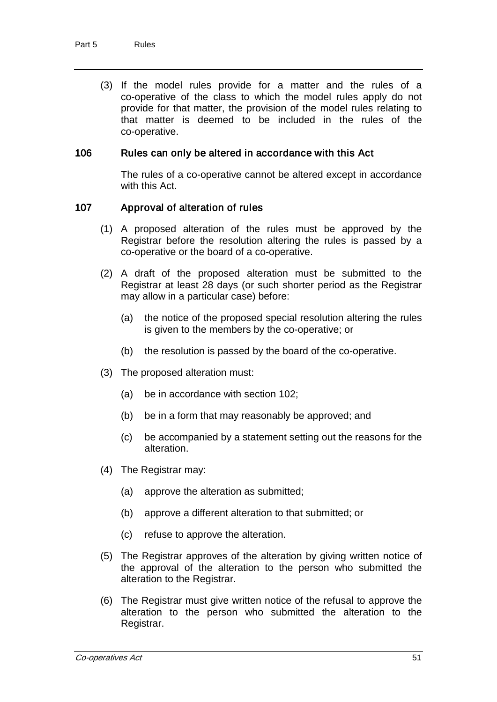(3) If the model rules provide for a matter and the rules of a co-operative of the class to which the model rules apply do not provide for that matter, the provision of the model rules relating to that matter is deemed to be included in the rules of the co-operative.

#### 106 Rules can only be altered in accordance with this Act

The rules of a co-operative cannot be altered except in accordance with this Act.

#### 107 Approval of alteration of rules

- (1) A proposed alteration of the rules must be approved by the Registrar before the resolution altering the rules is passed by a co-operative or the board of a co-operative.
- (2) A draft of the proposed alteration must be submitted to the Registrar at least 28 days (or such shorter period as the Registrar may allow in a particular case) before:
	- (a) the notice of the proposed special resolution altering the rules is given to the members by the co-operative; or
	- (b) the resolution is passed by the board of the co-operative.
- (3) The proposed alteration must:
	- (a) be in accordance with section 102;
	- (b) be in a form that may reasonably be approved; and
	- (c) be accompanied by a statement setting out the reasons for the alteration.
- (4) The Registrar may:
	- (a) approve the alteration as submitted;
	- (b) approve a different alteration to that submitted; or
	- (c) refuse to approve the alteration.
- (5) The Registrar approves of the alteration by giving written notice of the approval of the alteration to the person who submitted the alteration to the Registrar.
- (6) The Registrar must give written notice of the refusal to approve the alteration to the person who submitted the alteration to the Registrar.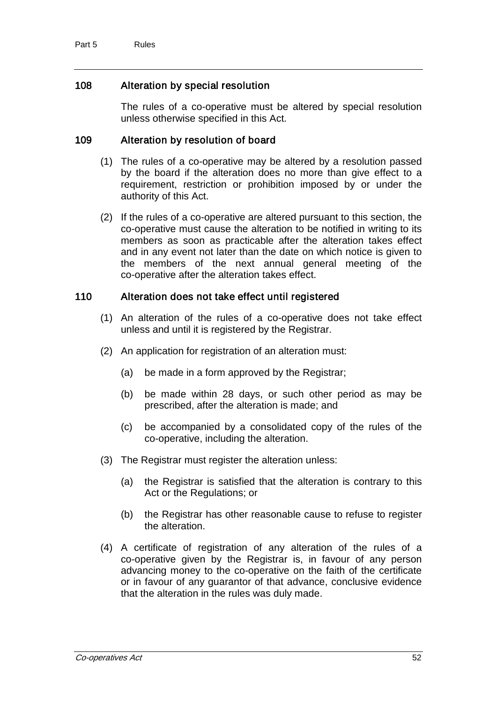# 108 Alteration by special resolution

The rules of a co-operative must be altered by special resolution unless otherwise specified in this Act.

## 109 Alteration by resolution of board

- (1) The rules of a co-operative may be altered by a resolution passed by the board if the alteration does no more than give effect to a requirement, restriction or prohibition imposed by or under the authority of this Act.
- (2) If the rules of a co-operative are altered pursuant to this section, the co-operative must cause the alteration to be notified in writing to its members as soon as practicable after the alteration takes effect and in any event not later than the date on which notice is given to the members of the next annual general meeting of the co-operative after the alteration takes effect.

## 110 Alteration does not take effect until registered

- (1) An alteration of the rules of a co-operative does not take effect unless and until it is registered by the Registrar.
- (2) An application for registration of an alteration must:
	- (a) be made in a form approved by the Registrar;
	- (b) be made within 28 days, or such other period as may be prescribed, after the alteration is made; and
	- (c) be accompanied by a consolidated copy of the rules of the co-operative, including the alteration.
- (3) The Registrar must register the alteration unless:
	- (a) the Registrar is satisfied that the alteration is contrary to this Act or the Regulations; or
	- (b) the Registrar has other reasonable cause to refuse to register the alteration.
- (4) A certificate of registration of any alteration of the rules of a co-operative given by the Registrar is, in favour of any person advancing money to the co-operative on the faith of the certificate or in favour of any guarantor of that advance, conclusive evidence that the alteration in the rules was duly made.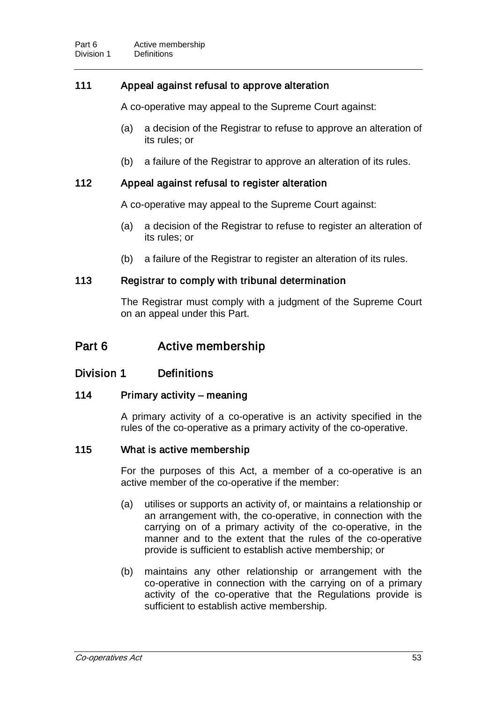# 111 Appeal against refusal to approve alteration

A co-operative may appeal to the Supreme Court against:

- (a) a decision of the Registrar to refuse to approve an alteration of its rules; or
- (b) a failure of the Registrar to approve an alteration of its rules.

## 112 Appeal against refusal to register alteration

A co-operative may appeal to the Supreme Court against:

- (a) a decision of the Registrar to refuse to register an alteration of its rules; or
- (b) a failure of the Registrar to register an alteration of its rules.

## 113 Registrar to comply with tribunal determination

The Registrar must comply with a judgment of the Supreme Court on an appeal under this Part.

# Part 6 **Active membership**

# Division 1 Definitions

## 114 Primary activity – meaning

A primary activity of a co-operative is an activity specified in the rules of the co-operative as a primary activity of the co-operative.

## 115 What is active membership

For the purposes of this Act, a member of a co-operative is an active member of the co-operative if the member:

- (a) utilises or supports an activity of, or maintains a relationship or an arrangement with, the co-operative, in connection with the carrying on of a primary activity of the co-operative, in the manner and to the extent that the rules of the co-operative provide is sufficient to establish active membership; or
- (b) maintains any other relationship or arrangement with the co-operative in connection with the carrying on of a primary activity of the co-operative that the Regulations provide is sufficient to establish active membership.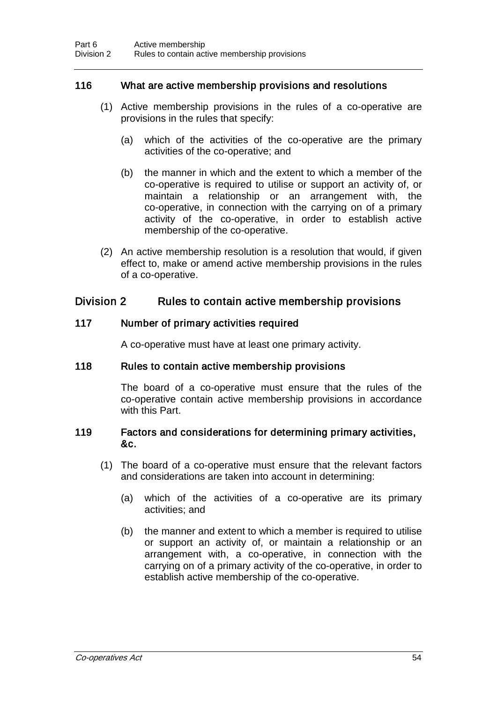## 116 What are active membership provisions and resolutions

- (1) Active membership provisions in the rules of a co-operative are provisions in the rules that specify:
	- (a) which of the activities of the co-operative are the primary activities of the co-operative; and
	- (b) the manner in which and the extent to which a member of the co-operative is required to utilise or support an activity of, or maintain a relationship or an arrangement with, the co-operative, in connection with the carrying on of a primary activity of the co-operative, in order to establish active membership of the co-operative.
- (2) An active membership resolution is a resolution that would, if given effect to, make or amend active membership provisions in the rules of a co-operative.

# Division 2 Rules to contain active membership provisions

## 117 Number of primary activities required

A co-operative must have at least one primary activity.

## 118 Rules to contain active membership provisions

The board of a co-operative must ensure that the rules of the co-operative contain active membership provisions in accordance with this Part.

## 119 Factors and considerations for determining primary activities, &c.

- (1) The board of a co-operative must ensure that the relevant factors and considerations are taken into account in determining:
	- (a) which of the activities of a co-operative are its primary activities; and
	- (b) the manner and extent to which a member is required to utilise or support an activity of, or maintain a relationship or an arrangement with, a co-operative, in connection with the carrying on of a primary activity of the co-operative, in order to establish active membership of the co-operative.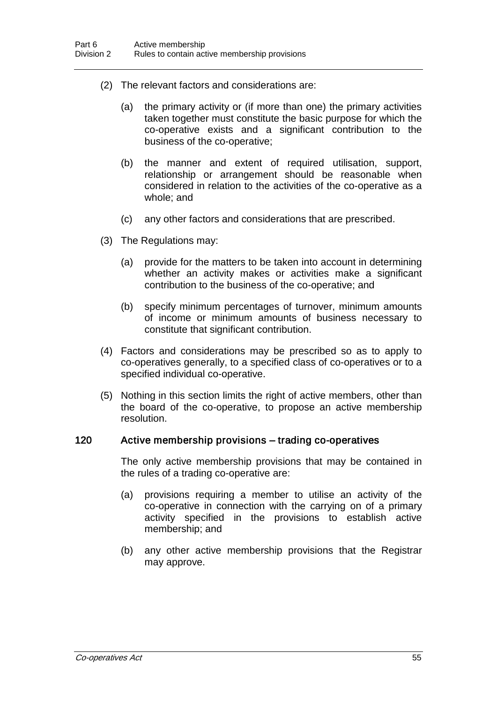- (2) The relevant factors and considerations are:
	- (a) the primary activity or (if more than one) the primary activities taken together must constitute the basic purpose for which the co-operative exists and a significant contribution to the business of the co-operative;
	- (b) the manner and extent of required utilisation, support, relationship or arrangement should be reasonable when considered in relation to the activities of the co-operative as a whole; and
	- (c) any other factors and considerations that are prescribed.
- (3) The Regulations may:
	- (a) provide for the matters to be taken into account in determining whether an activity makes or activities make a significant contribution to the business of the co-operative; and
	- (b) specify minimum percentages of turnover, minimum amounts of income or minimum amounts of business necessary to constitute that significant contribution.
- (4) Factors and considerations may be prescribed so as to apply to co-operatives generally, to a specified class of co-operatives or to a specified individual co-operative.
- (5) Nothing in this section limits the right of active members, other than the board of the co-operative, to propose an active membership resolution.

#### 120 Active membership provisions – trading co-operatives

The only active membership provisions that may be contained in the rules of a trading co-operative are:

- (a) provisions requiring a member to utilise an activity of the co-operative in connection with the carrying on of a primary activity specified in the provisions to establish active membership; and
- (b) any other active membership provisions that the Registrar may approve.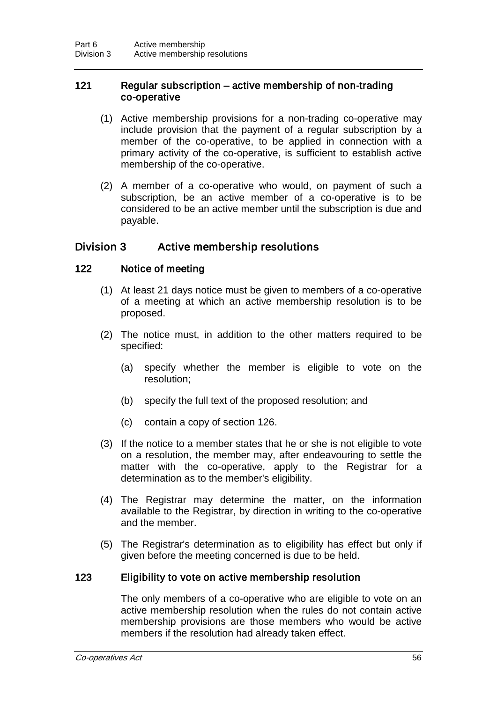### 121 Regular subscription – active membership of non-trading co-operative

- (1) Active membership provisions for a non-trading co-operative may include provision that the payment of a regular subscription by a member of the co-operative, to be applied in connection with a primary activity of the co-operative, is sufficient to establish active membership of the co-operative.
- (2) A member of a co-operative who would, on payment of such a subscription, be an active member of a co-operative is to be considered to be an active member until the subscription is due and payable.

# Division 3 Active membership resolutions

## 122 Notice of meeting

- (1) At least 21 days notice must be given to members of a co-operative of a meeting at which an active membership resolution is to be proposed.
- (2) The notice must, in addition to the other matters required to be specified:
	- (a) specify whether the member is eligible to vote on the resolution;
	- (b) specify the full text of the proposed resolution; and
	- (c) contain a copy of section 126.
- (3) If the notice to a member states that he or she is not eligible to vote on a resolution, the member may, after endeavouring to settle the matter with the co-operative, apply to the Registrar for a determination as to the member's eligibility.
- (4) The Registrar may determine the matter, on the information available to the Registrar, by direction in writing to the co-operative and the member.
- (5) The Registrar's determination as to eligibility has effect but only if given before the meeting concerned is due to be held.

#### 123 Eligibility to vote on active membership resolution

The only members of a co-operative who are eligible to vote on an active membership resolution when the rules do not contain active membership provisions are those members who would be active members if the resolution had already taken effect.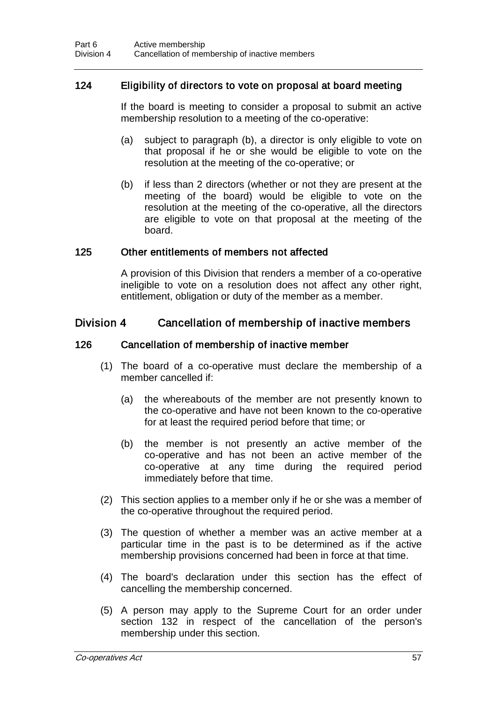## 124 Eligibility of directors to vote on proposal at board meeting

If the board is meeting to consider a proposal to submit an active membership resolution to a meeting of the co-operative:

- (a) subject to paragraph (b), a director is only eligible to vote on that proposal if he or she would be eligible to vote on the resolution at the meeting of the co-operative; or
- (b) if less than 2 directors (whether or not they are present at the meeting of the board) would be eligible to vote on the resolution at the meeting of the co-operative, all the directors are eligible to vote on that proposal at the meeting of the board.

#### 125 Other entitlements of members not affected

A provision of this Division that renders a member of a co-operative ineligible to vote on a resolution does not affect any other right, entitlement, obligation or duty of the member as a member.

## Division 4 Cancellation of membership of inactive members

#### 126 Cancellation of membership of inactive member

- (1) The board of a co-operative must declare the membership of a member cancelled if:
	- (a) the whereabouts of the member are not presently known to the co-operative and have not been known to the co-operative for at least the required period before that time; or
	- (b) the member is not presently an active member of the co-operative and has not been an active member of the co-operative at any time during the required period immediately before that time.
- (2) This section applies to a member only if he or she was a member of the co-operative throughout the required period.
- (3) The question of whether a member was an active member at a particular time in the past is to be determined as if the active membership provisions concerned had been in force at that time.
- (4) The board's declaration under this section has the effect of cancelling the membership concerned.
- (5) A person may apply to the Supreme Court for an order under section 132 in respect of the cancellation of the person's membership under this section.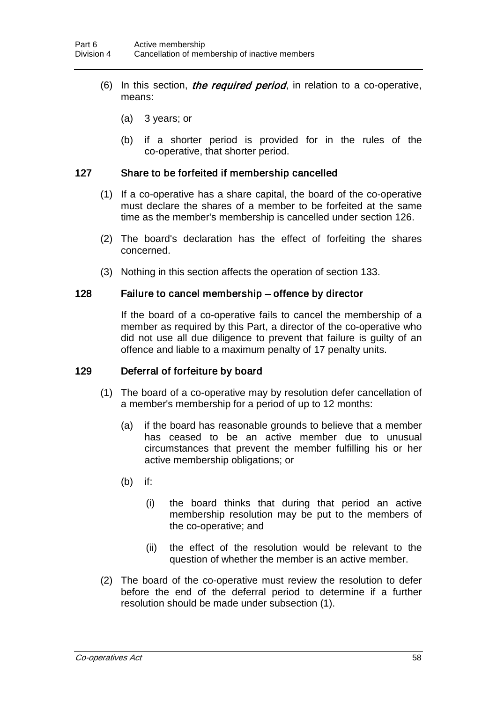- (6) In this section, *the required period*, in relation to a co-operative, means:
	- (a) 3 years; or
	- (b) if a shorter period is provided for in the rules of the co-operative, that shorter period.

### 127 Share to be forfeited if membership cancelled

- (1) If a co-operative has a share capital, the board of the co-operative must declare the shares of a member to be forfeited at the same time as the member's membership is cancelled under section 126.
- (2) The board's declaration has the effect of forfeiting the shares concerned.
- (3) Nothing in this section affects the operation of section 133.

#### 128 Failure to cancel membership – offence by director

If the board of a co-operative fails to cancel the membership of a member as required by this Part, a director of the co-operative who did not use all due diligence to prevent that failure is guilty of an offence and liable to a maximum penalty of 17 penalty units.

#### 129 Deferral of forfeiture by board

- (1) The board of a co-operative may by resolution defer cancellation of a member's membership for a period of up to 12 months:
	- (a) if the board has reasonable grounds to believe that a member has ceased to be an active member due to unusual circumstances that prevent the member fulfilling his or her active membership obligations; or
	- (b) if:
		- (i) the board thinks that during that period an active membership resolution may be put to the members of the co-operative; and
		- (ii) the effect of the resolution would be relevant to the question of whether the member is an active member.
- (2) The board of the co-operative must review the resolution to defer before the end of the deferral period to determine if a further resolution should be made under subsection (1).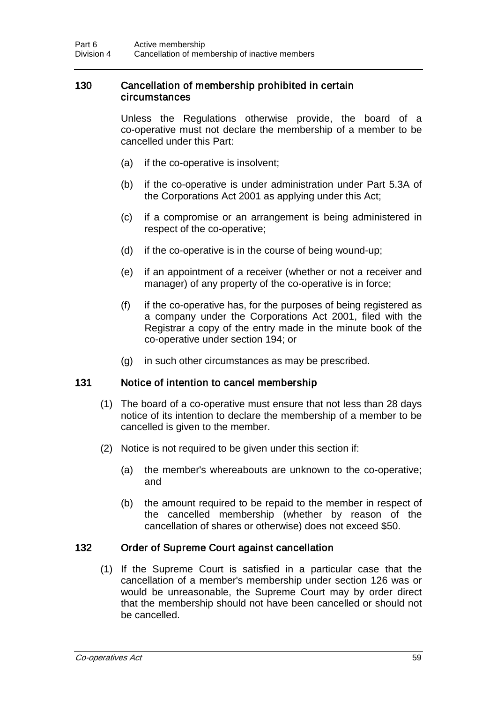### 130 Cancellation of membership prohibited in certain circumstances

Unless the Regulations otherwise provide, the board of a co-operative must not declare the membership of a member to be cancelled under this Part:

- (a) if the co-operative is insolvent;
- (b) if the co-operative is under administration under Part 5.3A of the Corporations Act 2001 as applying under this Act;
- (c) if a compromise or an arrangement is being administered in respect of the co-operative;
- (d) if the co-operative is in the course of being wound-up;
- (e) if an appointment of a receiver (whether or not a receiver and manager) of any property of the co-operative is in force;
- (f) if the co-operative has, for the purposes of being registered as a company under the Corporations Act 2001, filed with the Registrar a copy of the entry made in the minute book of the co-operative under section 194; or
- (g) in such other circumstances as may be prescribed.

#### 131 Notice of intention to cancel membership

- (1) The board of a co-operative must ensure that not less than 28 days notice of its intention to declare the membership of a member to be cancelled is given to the member.
- (2) Notice is not required to be given under this section if:
	- (a) the member's whereabouts are unknown to the co-operative; and
	- (b) the amount required to be repaid to the member in respect of the cancelled membership (whether by reason of the cancellation of shares or otherwise) does not exceed \$50.

#### 132 Order of Supreme Court against cancellation

(1) If the Supreme Court is satisfied in a particular case that the cancellation of a member's membership under section 126 was or would be unreasonable, the Supreme Court may by order direct that the membership should not have been cancelled or should not be cancelled.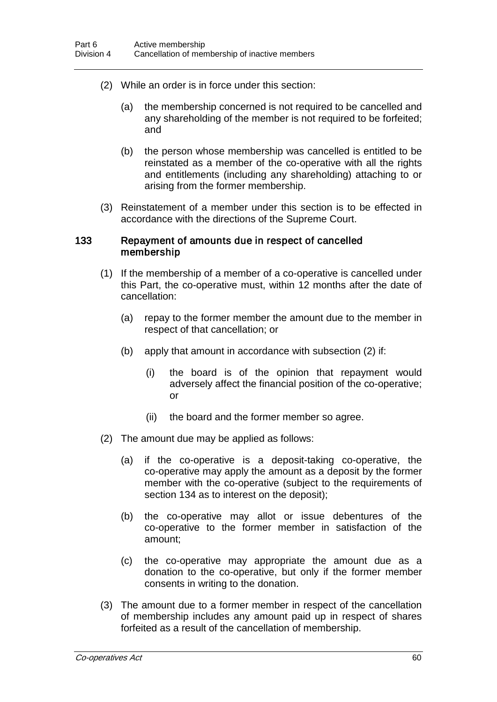- (2) While an order is in force under this section:
	- (a) the membership concerned is not required to be cancelled and any shareholding of the member is not required to be forfeited; and
	- (b) the person whose membership was cancelled is entitled to be reinstated as a member of the co-operative with all the rights and entitlements (including any shareholding) attaching to or arising from the former membership.
- (3) Reinstatement of a member under this section is to be effected in accordance with the directions of the Supreme Court.

#### 133 Repayment of amounts due in respect of cancelled membership

- (1) If the membership of a member of a co-operative is cancelled under this Part, the co-operative must, within 12 months after the date of cancellation:
	- (a) repay to the former member the amount due to the member in respect of that cancellation; or
	- (b) apply that amount in accordance with subsection (2) if:
		- (i) the board is of the opinion that repayment would adversely affect the financial position of the co-operative; or
		- (ii) the board and the former member so agree.
- (2) The amount due may be applied as follows:
	- (a) if the co-operative is a deposit-taking co-operative, the co-operative may apply the amount as a deposit by the former member with the co-operative (subject to the requirements of section 134 as to interest on the deposit);
	- (b) the co-operative may allot or issue debentures of the co-operative to the former member in satisfaction of the amount;
	- (c) the co-operative may appropriate the amount due as a donation to the co-operative, but only if the former member consents in writing to the donation.
- (3) The amount due to a former member in respect of the cancellation of membership includes any amount paid up in respect of shares forfeited as a result of the cancellation of membership.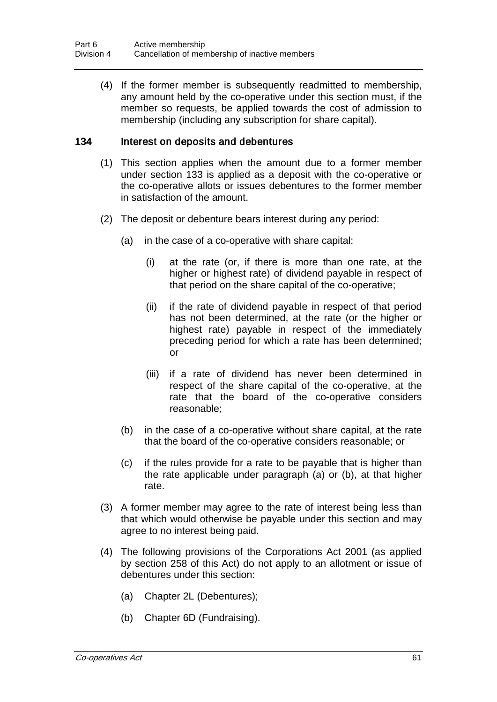(4) If the former member is subsequently readmitted to membership, any amount held by the co-operative under this section must, if the member so requests, be applied towards the cost of admission to membership (including any subscription for share capital).

### 134 Interest on deposits and debentures

- (1) This section applies when the amount due to a former member under section 133 is applied as a deposit with the co-operative or the co-operative allots or issues debentures to the former member in satisfaction of the amount.
- (2) The deposit or debenture bears interest during any period:
	- (a) in the case of a co-operative with share capital:
		- (i) at the rate (or, if there is more than one rate, at the higher or highest rate) of dividend payable in respect of that period on the share capital of the co-operative;
		- (ii) if the rate of dividend payable in respect of that period has not been determined, at the rate (or the higher or highest rate) payable in respect of the immediately preceding period for which a rate has been determined; or
		- (iii) if a rate of dividend has never been determined in respect of the share capital of the co-operative, at the rate that the board of the co-operative considers reasonable;
	- (b) in the case of a co-operative without share capital, at the rate that the board of the co-operative considers reasonable; or
	- (c) if the rules provide for a rate to be payable that is higher than the rate applicable under paragraph (a) or (b), at that higher rate.
- (3) A former member may agree to the rate of interest being less than that which would otherwise be payable under this section and may agree to no interest being paid.
- (4) The following provisions of the Corporations Act 2001 (as applied by section 258 of this Act) do not apply to an allotment or issue of debentures under this section:
	- (a) Chapter 2L (Debentures);
	- (b) Chapter 6D (Fundraising).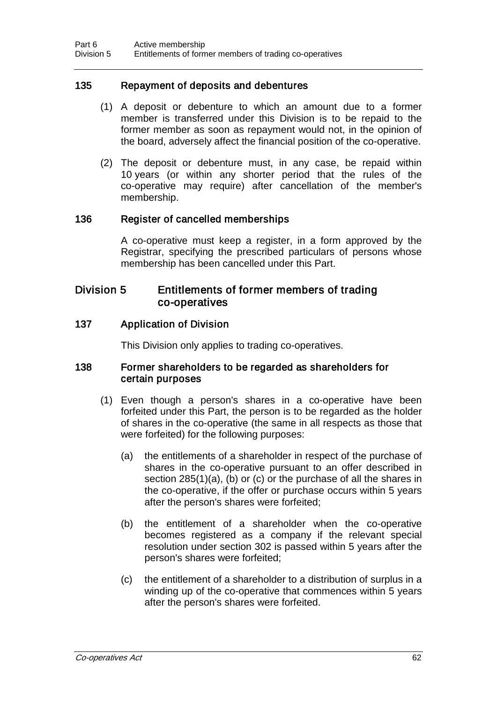## 135 Repayment of deposits and debentures

- (1) A deposit or debenture to which an amount due to a former member is transferred under this Division is to be repaid to the former member as soon as repayment would not, in the opinion of the board, adversely affect the financial position of the co-operative.
- (2) The deposit or debenture must, in any case, be repaid within 10 years (or within any shorter period that the rules of the co-operative may require) after cancellation of the member's membership.

## 136 Register of cancelled memberships

A co-operative must keep a register, in a form approved by the Registrar, specifying the prescribed particulars of persons whose membership has been cancelled under this Part.

## Division 5 Entitlements of former members of trading co-operatives

#### 137 Application of Division

This Division only applies to trading co-operatives.

#### 138 Former shareholders to be regarded as shareholders for certain purposes

- (1) Even though a person's shares in a co-operative have been forfeited under this Part, the person is to be regarded as the holder of shares in the co-operative (the same in all respects as those that were forfeited) for the following purposes:
	- (a) the entitlements of a shareholder in respect of the purchase of shares in the co-operative pursuant to an offer described in section 285(1)(a), (b) or (c) or the purchase of all the shares in the co-operative, if the offer or purchase occurs within 5 years after the person's shares were forfeited;
	- (b) the entitlement of a shareholder when the co-operative becomes registered as a company if the relevant special resolution under section 302 is passed within 5 years after the person's shares were forfeited;
	- (c) the entitlement of a shareholder to a distribution of surplus in a winding up of the co-operative that commences within 5 years after the person's shares were forfeited.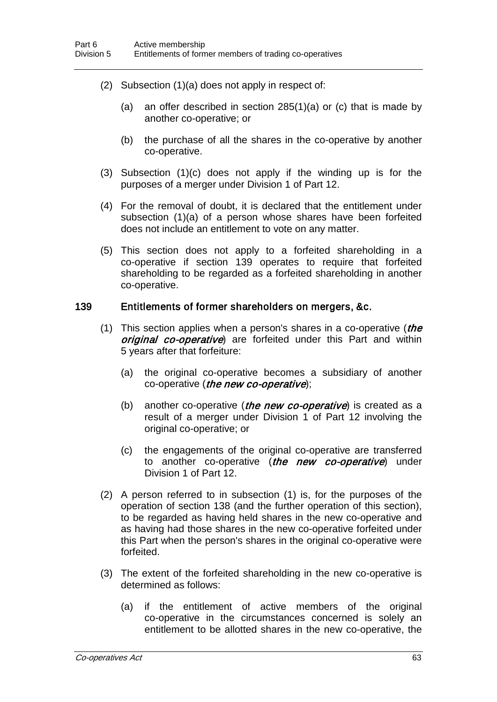- (2) Subsection (1)(a) does not apply in respect of:
	- (a) an offer described in section 285(1)(a) or (c) that is made by another co-operative; or
	- (b) the purchase of all the shares in the co-operative by another co-operative.
- (3) Subsection (1)(c) does not apply if the winding up is for the purposes of a merger under Division 1 of Part 12.
- (4) For the removal of doubt, it is declared that the entitlement under subsection (1)(a) of a person whose shares have been forfeited does not include an entitlement to vote on any matter.
- (5) This section does not apply to a forfeited shareholding in a co-operative if section 139 operates to require that forfeited shareholding to be regarded as a forfeited shareholding in another co-operative.

#### 139 Entitlements of former shareholders on mergers, &c.

- (1) This section applies when a person's shares in a co-operative (*the* original co-operative) are forfeited under this Part and within 5 years after that forfeiture:
	- (a) the original co-operative becomes a subsidiary of another co-operative (the new co-operative);
	- (b) another co-operative (*the new co-operative*) is created as a result of a merger under Division 1 of Part 12 involving the original co-operative; or
	- (c) the engagements of the original co-operative are transferred to another co-operative (the new co-operative) under Division 1 of Part 12.
- (2) A person referred to in subsection (1) is, for the purposes of the operation of section 138 (and the further operation of this section), to be regarded as having held shares in the new co-operative and as having had those shares in the new co-operative forfeited under this Part when the person's shares in the original co-operative were forfeited.
- (3) The extent of the forfeited shareholding in the new co-operative is determined as follows:
	- (a) if the entitlement of active members of the original co-operative in the circumstances concerned is solely an entitlement to be allotted shares in the new co-operative, the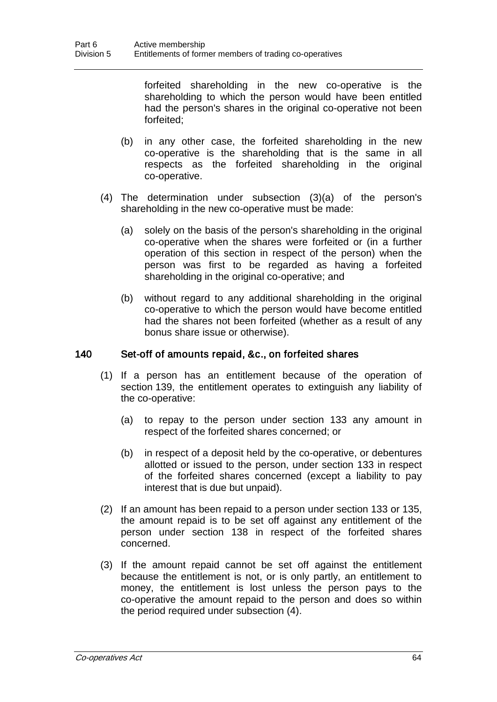forfeited shareholding in the new co-operative is the shareholding to which the person would have been entitled had the person's shares in the original co-operative not been forfeited;

- (b) in any other case, the forfeited shareholding in the new co-operative is the shareholding that is the same in all respects as the forfeited shareholding in the original co-operative.
- (4) The determination under subsection (3)(a) of the person's shareholding in the new co-operative must be made:
	- (a) solely on the basis of the person's shareholding in the original co-operative when the shares were forfeited or (in a further operation of this section in respect of the person) when the person was first to be regarded as having a forfeited shareholding in the original co-operative; and
	- (b) without regard to any additional shareholding in the original co-operative to which the person would have become entitled had the shares not been forfeited (whether as a result of any bonus share issue or otherwise).

#### 140 Set-off of amounts repaid, &c., on forfeited shares

- (1) If a person has an entitlement because of the operation of section 139, the entitlement operates to extinguish any liability of the co-operative:
	- (a) to repay to the person under section 133 any amount in respect of the forfeited shares concerned; or
	- (b) in respect of a deposit held by the co-operative, or debentures allotted or issued to the person, under section 133 in respect of the forfeited shares concerned (except a liability to pay interest that is due but unpaid).
- (2) If an amount has been repaid to a person under section 133 or 135, the amount repaid is to be set off against any entitlement of the person under section 138 in respect of the forfeited shares concerned.
- (3) If the amount repaid cannot be set off against the entitlement because the entitlement is not, or is only partly, an entitlement to money, the entitlement is lost unless the person pays to the co-operative the amount repaid to the person and does so within the period required under subsection (4).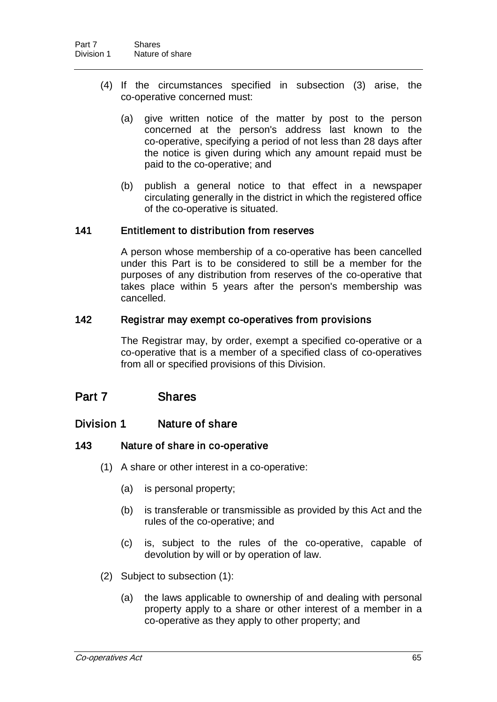- (4) If the circumstances specified in subsection (3) arise, the co-operative concerned must:
	- (a) give written notice of the matter by post to the person concerned at the person's address last known to the co-operative, specifying a period of not less than 28 days after the notice is given during which any amount repaid must be paid to the co-operative; and
	- (b) publish a general notice to that effect in a newspaper circulating generally in the district in which the registered office of the co-operative is situated.

## 141 Entitlement to distribution from reserves

A person whose membership of a co-operative has been cancelled under this Part is to be considered to still be a member for the purposes of any distribution from reserves of the co-operative that takes place within 5 years after the person's membership was cancelled.

#### 142 Registrar may exempt co-operatives from provisions

The Registrar may, by order, exempt a specified co-operative or a co-operative that is a member of a specified class of co-operatives from all or specified provisions of this Division.

# Part 7 Shares

## Division 1 Nature of share

#### 143 Nature of share in co-operative

- (1) A share or other interest in a co-operative:
	- (a) is personal property;
	- (b) is transferable or transmissible as provided by this Act and the rules of the co-operative; and
	- (c) is, subject to the rules of the co-operative, capable of devolution by will or by operation of law.
- (2) Subject to subsection (1):
	- (a) the laws applicable to ownership of and dealing with personal property apply to a share or other interest of a member in a co-operative as they apply to other property; and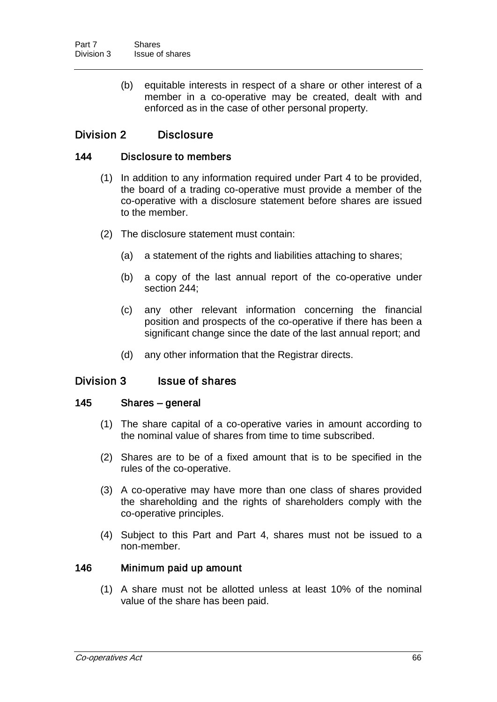(b) equitable interests in respect of a share or other interest of a member in a co-operative may be created, dealt with and enforced as in the case of other personal property.

# Division 2 Disclosure

### 144 Disclosure to members

- (1) In addition to any information required under Part 4 to be provided, the board of a trading co-operative must provide a member of the co-operative with a disclosure statement before shares are issued to the member.
- (2) The disclosure statement must contain:
	- (a) a statement of the rights and liabilities attaching to shares;
	- (b) a copy of the last annual report of the co-operative under section 244;
	- (c) any other relevant information concerning the financial position and prospects of the co-operative if there has been a significant change since the date of the last annual report; and
	- (d) any other information that the Registrar directs.

## Division 3 Issue of shares

#### 145 Shares – general

- (1) The share capital of a co-operative varies in amount according to the nominal value of shares from time to time subscribed.
- (2) Shares are to be of a fixed amount that is to be specified in the rules of the co-operative.
- (3) A co-operative may have more than one class of shares provided the shareholding and the rights of shareholders comply with the co-operative principles.
- (4) Subject to this Part and Part 4, shares must not be issued to a non-member.

#### 146 Minimum paid up amount

(1) A share must not be allotted unless at least 10% of the nominal value of the share has been paid.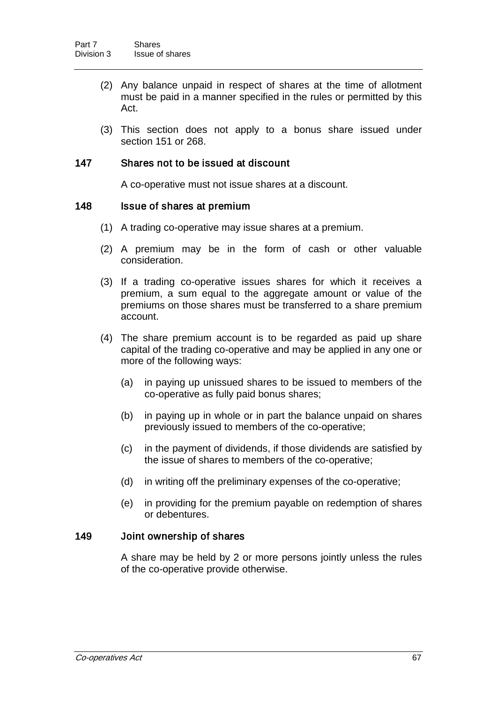- (2) Any balance unpaid in respect of shares at the time of allotment must be paid in a manner specified in the rules or permitted by this Act.
- (3) This section does not apply to a bonus share issued under section 151 or 268.

## 147 Shares not to be issued at discount

A co-operative must not issue shares at a discount.

#### 148 Issue of shares at premium

- (1) A trading co-operative may issue shares at a premium.
- (2) A premium may be in the form of cash or other valuable consideration.
- (3) If a trading co-operative issues shares for which it receives a premium, a sum equal to the aggregate amount or value of the premiums on those shares must be transferred to a share premium account.
- (4) The share premium account is to be regarded as paid up share capital of the trading co-operative and may be applied in any one or more of the following ways:
	- (a) in paying up unissued shares to be issued to members of the co-operative as fully paid bonus shares;
	- (b) in paying up in whole or in part the balance unpaid on shares previously issued to members of the co-operative;
	- (c) in the payment of dividends, if those dividends are satisfied by the issue of shares to members of the co-operative;
	- (d) in writing off the preliminary expenses of the co-operative;
	- (e) in providing for the premium payable on redemption of shares or debentures.

#### 149 Joint ownership of shares

A share may be held by 2 or more persons jointly unless the rules of the co-operative provide otherwise.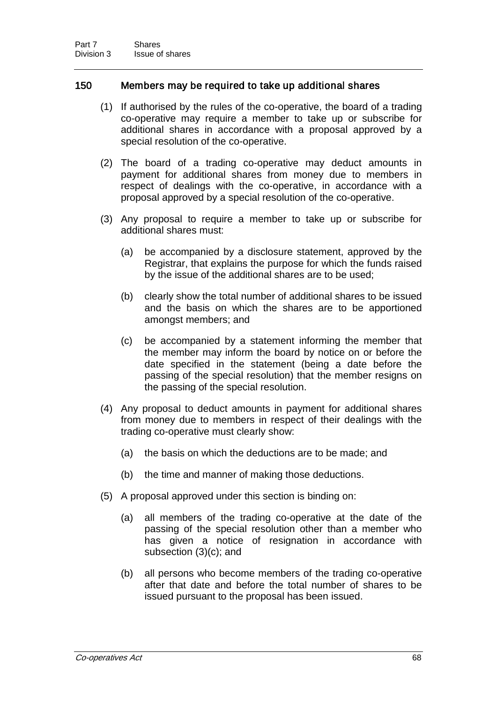## 150 Members may be required to take up additional shares

- (1) If authorised by the rules of the co-operative, the board of a trading co-operative may require a member to take up or subscribe for additional shares in accordance with a proposal approved by a special resolution of the co-operative.
- (2) The board of a trading co-operative may deduct amounts in payment for additional shares from money due to members in respect of dealings with the co-operative, in accordance with a proposal approved by a special resolution of the co-operative.
- (3) Any proposal to require a member to take up or subscribe for additional shares must:
	- (a) be accompanied by a disclosure statement, approved by the Registrar, that explains the purpose for which the funds raised by the issue of the additional shares are to be used;
	- (b) clearly show the total number of additional shares to be issued and the basis on which the shares are to be apportioned amongst members; and
	- (c) be accompanied by a statement informing the member that the member may inform the board by notice on or before the date specified in the statement (being a date before the passing of the special resolution) that the member resigns on the passing of the special resolution.
- (4) Any proposal to deduct amounts in payment for additional shares from money due to members in respect of their dealings with the trading co-operative must clearly show:
	- (a) the basis on which the deductions are to be made; and
	- (b) the time and manner of making those deductions.
- (5) A proposal approved under this section is binding on:
	- (a) all members of the trading co-operative at the date of the passing of the special resolution other than a member who has given a notice of resignation in accordance with subsection (3)(c); and
	- (b) all persons who become members of the trading co-operative after that date and before the total number of shares to be issued pursuant to the proposal has been issued.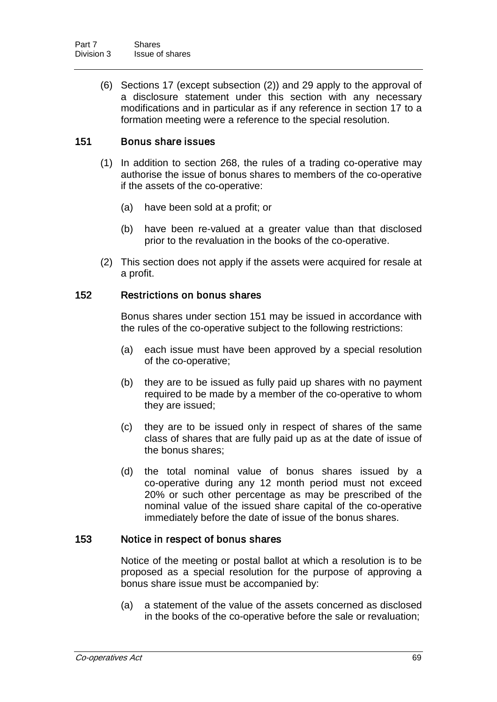(6) Sections 17 (except subsection (2)) and 29 apply to the approval of a disclosure statement under this section with any necessary modifications and in particular as if any reference in section 17 to a formation meeting were a reference to the special resolution.

## 151 Bonus share issues

- (1) In addition to section 268, the rules of a trading co-operative may authorise the issue of bonus shares to members of the co-operative if the assets of the co-operative:
	- (a) have been sold at a profit; or
	- (b) have been re-valued at a greater value than that disclosed prior to the revaluation in the books of the co-operative.
- (2) This section does not apply if the assets were acquired for resale at a profit.

#### 152 Restrictions on bonus shares

Bonus shares under section 151 may be issued in accordance with the rules of the co-operative subject to the following restrictions:

- (a) each issue must have been approved by a special resolution of the co-operative;
- (b) they are to be issued as fully paid up shares with no payment required to be made by a member of the co-operative to whom they are issued;
- (c) they are to be issued only in respect of shares of the same class of shares that are fully paid up as at the date of issue of the bonus shares;
- (d) the total nominal value of bonus shares issued by a co-operative during any 12 month period must not exceed 20% or such other percentage as may be prescribed of the nominal value of the issued share capital of the co-operative immediately before the date of issue of the bonus shares.

## 153 Notice in respect of bonus shares

Notice of the meeting or postal ballot at which a resolution is to be proposed as a special resolution for the purpose of approving a bonus share issue must be accompanied by:

(a) a statement of the value of the assets concerned as disclosed in the books of the co-operative before the sale or revaluation;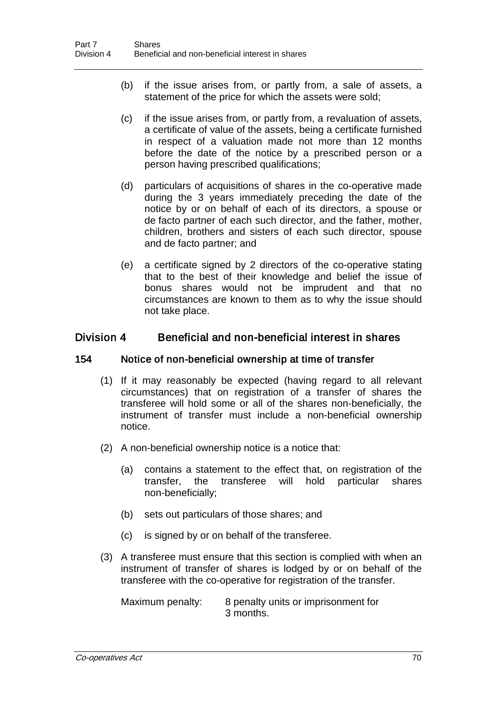- (b) if the issue arises from, or partly from, a sale of assets, a statement of the price for which the assets were sold;
- (c) if the issue arises from, or partly from, a revaluation of assets, a certificate of value of the assets, being a certificate furnished in respect of a valuation made not more than 12 months before the date of the notice by a prescribed person or a person having prescribed qualifications;
- (d) particulars of acquisitions of shares in the co-operative made during the 3 years immediately preceding the date of the notice by or on behalf of each of its directors, a spouse or de facto partner of each such director, and the father, mother, children, brothers and sisters of each such director, spouse and de facto partner; and
- (e) a certificate signed by 2 directors of the co-operative stating that to the best of their knowledge and belief the issue of bonus shares would not be imprudent and that no circumstances are known to them as to why the issue should not take place.

# Division 4 Beneficial and non-beneficial interest in shares

#### 154 Notice of non-beneficial ownership at time of transfer

- (1) If it may reasonably be expected (having regard to all relevant circumstances) that on registration of a transfer of shares the transferee will hold some or all of the shares non-beneficially, the instrument of transfer must include a non-beneficial ownership notice.
- (2) A non-beneficial ownership notice is a notice that:
	- (a) contains a statement to the effect that, on registration of the transfer, the transferee will hold particular shares non-beneficially;
	- (b) sets out particulars of those shares; and
	- (c) is signed by or on behalf of the transferee.
- (3) A transferee must ensure that this section is complied with when an instrument of transfer of shares is lodged by or on behalf of the transferee with the co-operative for registration of the transfer.

Maximum penalty: 8 penalty units or imprisonment for 3 months.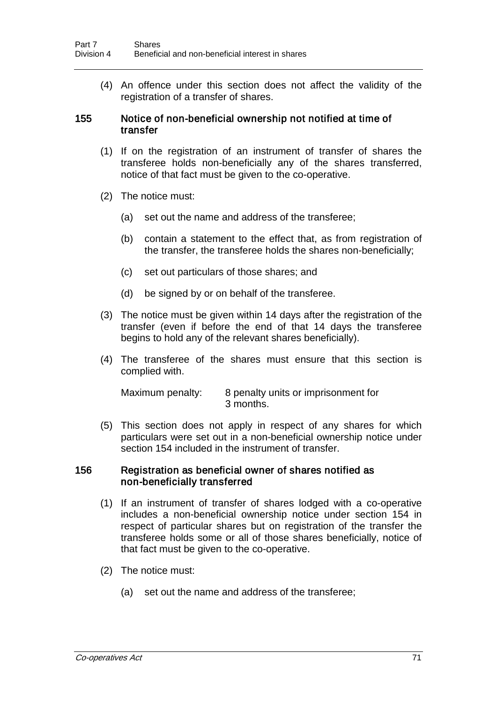(4) An offence under this section does not affect the validity of the registration of a transfer of shares.

#### 155 Notice of non-beneficial ownership not notified at time of transfer

- (1) If on the registration of an instrument of transfer of shares the transferee holds non-beneficially any of the shares transferred, notice of that fact must be given to the co-operative.
- (2) The notice must:
	- (a) set out the name and address of the transferee;
	- (b) contain a statement to the effect that, as from registration of the transfer, the transferee holds the shares non-beneficially;
	- (c) set out particulars of those shares; and
	- (d) be signed by or on behalf of the transferee.
- (3) The notice must be given within 14 days after the registration of the transfer (even if before the end of that 14 days the transferee begins to hold any of the relevant shares beneficially).
- (4) The transferee of the shares must ensure that this section is complied with.

| Maximum penalty: | 8 penalty units or imprisonment for |
|------------------|-------------------------------------|
|                  | 3 months.                           |

(5) This section does not apply in respect of any shares for which particulars were set out in a non-beneficial ownership notice under section 154 included in the instrument of transfer.

#### 156 Registration as beneficial owner of shares notified as non-beneficially transferred

- (1) If an instrument of transfer of shares lodged with a co-operative includes a non-beneficial ownership notice under section 154 in respect of particular shares but on registration of the transfer the transferee holds some or all of those shares beneficially, notice of that fact must be given to the co-operative.
- (2) The notice must:
	- (a) set out the name and address of the transferee;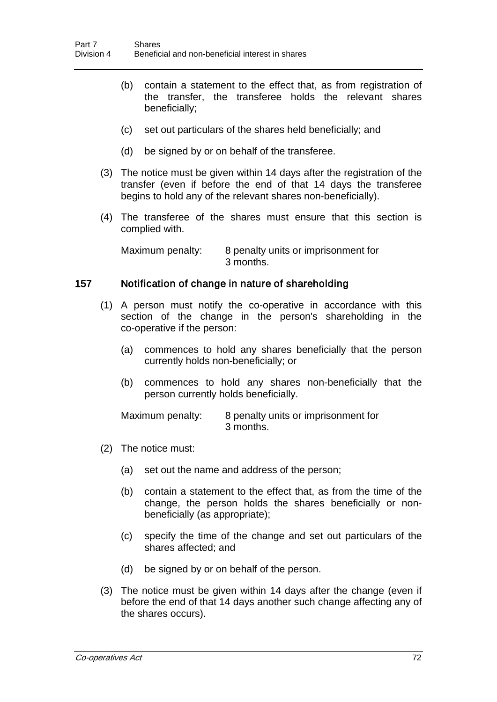- (b) contain a statement to the effect that, as from registration of the transfer, the transferee holds the relevant shares beneficially;
- (c) set out particulars of the shares held beneficially; and
- (d) be signed by or on behalf of the transferee.
- (3) The notice must be given within 14 days after the registration of the transfer (even if before the end of that 14 days the transferee begins to hold any of the relevant shares non-beneficially).
- (4) The transferee of the shares must ensure that this section is complied with.

Maximum penalty: 8 penalty units or imprisonment for 3 months.

## 157 Notification of change in nature of shareholding

- (1) A person must notify the co-operative in accordance with this section of the change in the person's shareholding in the co-operative if the person:
	- (a) commences to hold any shares beneficially that the person currently holds non-beneficially; or
	- (b) commences to hold any shares non-beneficially that the person currently holds beneficially.

Maximum penalty: 8 penalty units or imprisonment for 3 months.

- (2) The notice must:
	- (a) set out the name and address of the person;
	- (b) contain a statement to the effect that, as from the time of the change, the person holds the shares beneficially or nonbeneficially (as appropriate);
	- (c) specify the time of the change and set out particulars of the shares affected; and
	- (d) be signed by or on behalf of the person.
- (3) The notice must be given within 14 days after the change (even if before the end of that 14 days another such change affecting any of the shares occurs).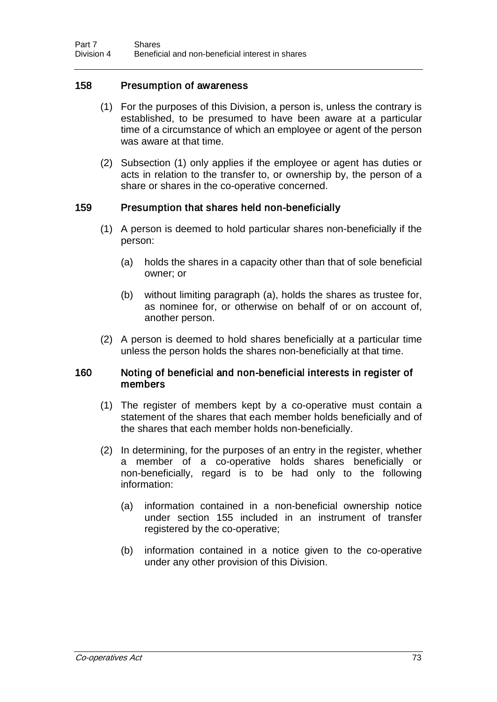## 158 Presumption of awareness

- (1) For the purposes of this Division, a person is, unless the contrary is established, to be presumed to have been aware at a particular time of a circumstance of which an employee or agent of the person was aware at that time.
- (2) Subsection (1) only applies if the employee or agent has duties or acts in relation to the transfer to, or ownership by, the person of a share or shares in the co-operative concerned.

#### 159 Presumption that shares held non-beneficially

- (1) A person is deemed to hold particular shares non-beneficially if the person:
	- (a) holds the shares in a capacity other than that of sole beneficial owner; or
	- (b) without limiting paragraph (a), holds the shares as trustee for, as nominee for, or otherwise on behalf of or on account of, another person.
- (2) A person is deemed to hold shares beneficially at a particular time unless the person holds the shares non-beneficially at that time.

#### 160 Noting of beneficial and non-beneficial interests in register of members

- (1) The register of members kept by a co-operative must contain a statement of the shares that each member holds beneficially and of the shares that each member holds non-beneficially.
- (2) In determining, for the purposes of an entry in the register, whether a member of a co-operative holds shares beneficially or non-beneficially, regard is to be had only to the following information:
	- (a) information contained in a non-beneficial ownership notice under section 155 included in an instrument of transfer registered by the co-operative;
	- (b) information contained in a notice given to the co-operative under any other provision of this Division.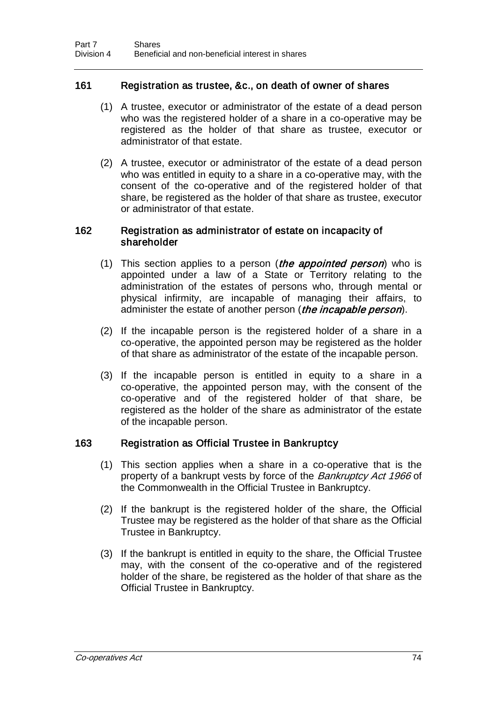## 161 Registration as trustee, &c., on death of owner of shares

- (1) A trustee, executor or administrator of the estate of a dead person who was the registered holder of a share in a co-operative may be registered as the holder of that share as trustee, executor or administrator of that estate.
- (2) A trustee, executor or administrator of the estate of a dead person who was entitled in equity to a share in a co-operative may, with the consent of the co-operative and of the registered holder of that share, be registered as the holder of that share as trustee, executor or administrator of that estate.

#### 162 Registration as administrator of estate on incapacity of shareholder

- (1) This section applies to a person (*the appointed person*) who is appointed under a law of a State or Territory relating to the administration of the estates of persons who, through mental or physical infirmity, are incapable of managing their affairs, to administer the estate of another person (*the incapable person*).
- (2) If the incapable person is the registered holder of a share in a co-operative, the appointed person may be registered as the holder of that share as administrator of the estate of the incapable person.
- (3) If the incapable person is entitled in equity to a share in a co-operative, the appointed person may, with the consent of the co-operative and of the registered holder of that share, be registered as the holder of the share as administrator of the estate of the incapable person.

#### 163 Registration as Official Trustee in Bankruptcy

- (1) This section applies when a share in a co-operative that is the property of a bankrupt vests by force of the Bankruptcy Act 1966 of the Commonwealth in the Official Trustee in Bankruptcy.
- (2) If the bankrupt is the registered holder of the share, the Official Trustee may be registered as the holder of that share as the Official Trustee in Bankruptcy.
- (3) If the bankrupt is entitled in equity to the share, the Official Trustee may, with the consent of the co-operative and of the registered holder of the share, be registered as the holder of that share as the Official Trustee in Bankruptcy.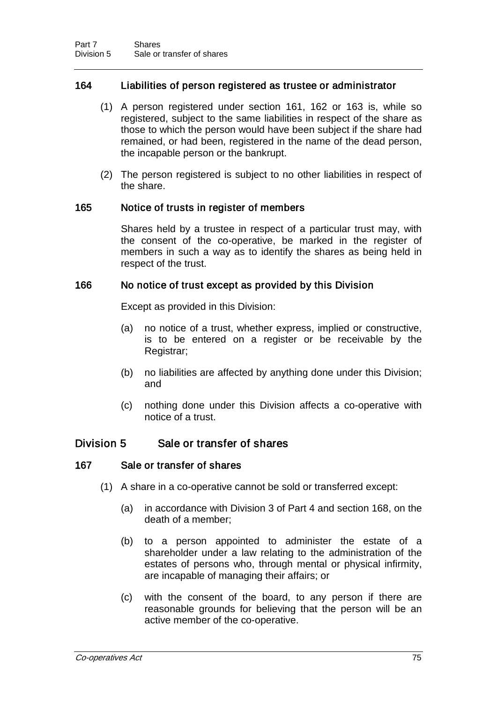## 164 Liabilities of person registered as trustee or administrator

- (1) A person registered under section 161, 162 or 163 is, while so registered, subject to the same liabilities in respect of the share as those to which the person would have been subject if the share had remained, or had been, registered in the name of the dead person, the incapable person or the bankrupt.
- (2) The person registered is subject to no other liabilities in respect of the share.

## 165 Notice of trusts in register of members

Shares held by a trustee in respect of a particular trust may, with the consent of the co-operative, be marked in the register of members in such a way as to identify the shares as being held in respect of the trust.

## 166 No notice of trust except as provided by this Division

Except as provided in this Division:

- (a) no notice of a trust, whether express, implied or constructive, is to be entered on a register or be receivable by the Registrar;
- (b) no liabilities are affected by anything done under this Division; and
- (c) nothing done under this Division affects a co-operative with notice of a trust.

## Division 5 Sale or transfer of shares

#### 167 Sale or transfer of shares

- (1) A share in a co-operative cannot be sold or transferred except:
	- (a) in accordance with Division 3 of Part 4 and section 168, on the death of a member;
	- (b) to a person appointed to administer the estate of a shareholder under a law relating to the administration of the estates of persons who, through mental or physical infirmity, are incapable of managing their affairs; or
	- (c) with the consent of the board, to any person if there are reasonable grounds for believing that the person will be an active member of the co-operative.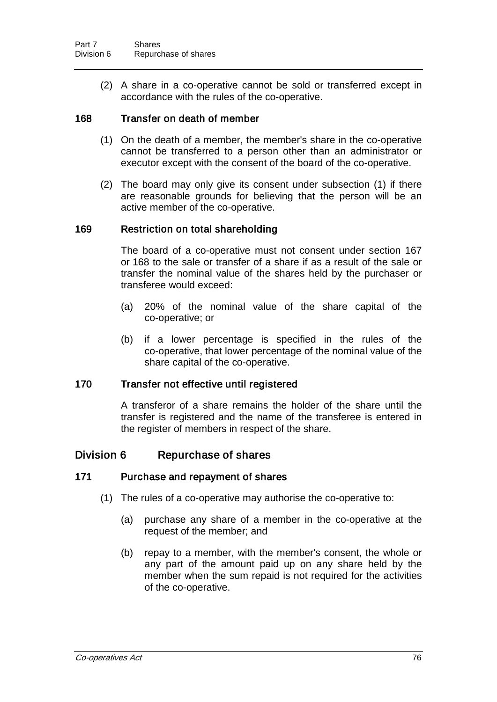(2) A share in a co-operative cannot be sold or transferred except in accordance with the rules of the co-operative.

#### 168 Transfer on death of member

- (1) On the death of a member, the member's share in the co-operative cannot be transferred to a person other than an administrator or executor except with the consent of the board of the co-operative.
- (2) The board may only give its consent under subsection (1) if there are reasonable grounds for believing that the person will be an active member of the co-operative.

#### 169 Restriction on total shareholding

The board of a co-operative must not consent under section 167 or 168 to the sale or transfer of a share if as a result of the sale or transfer the nominal value of the shares held by the purchaser or transferee would exceed:

- (a) 20% of the nominal value of the share capital of the co-operative; or
- (b) if a lower percentage is specified in the rules of the co-operative, that lower percentage of the nominal value of the share capital of the co-operative.

#### 170 Transfer not effective until registered

A transferor of a share remains the holder of the share until the transfer is registered and the name of the transferee is entered in the register of members in respect of the share.

## Division 6 Repurchase of shares

#### 171 Purchase and repayment of shares

- (1) The rules of a co-operative may authorise the co-operative to:
	- (a) purchase any share of a member in the co-operative at the request of the member; and
	- (b) repay to a member, with the member's consent, the whole or any part of the amount paid up on any share held by the member when the sum repaid is not required for the activities of the co-operative.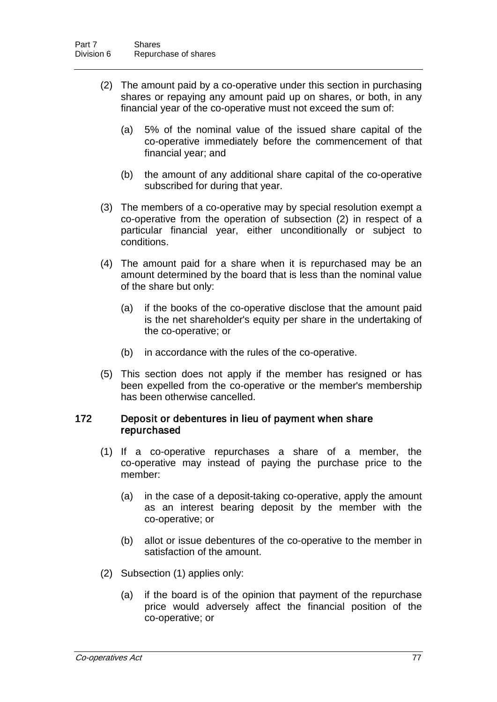- (2) The amount paid by a co-operative under this section in purchasing shares or repaying any amount paid up on shares, or both, in any financial year of the co-operative must not exceed the sum of:
	- (a) 5% of the nominal value of the issued share capital of the co-operative immediately before the commencement of that financial year; and
	- (b) the amount of any additional share capital of the co-operative subscribed for during that year.
- (3) The members of a co-operative may by special resolution exempt a co-operative from the operation of subsection (2) in respect of a particular financial year, either unconditionally or subject to conditions.
- (4) The amount paid for a share when it is repurchased may be an amount determined by the board that is less than the nominal value of the share but only:
	- (a) if the books of the co-operative disclose that the amount paid is the net shareholder's equity per share in the undertaking of the co-operative; or
	- (b) in accordance with the rules of the co-operative.
- (5) This section does not apply if the member has resigned or has been expelled from the co-operative or the member's membership has been otherwise cancelled.

#### 172 Deposit or debentures in lieu of payment when share repurchased

- (1) If a co-operative repurchases a share of a member, the co-operative may instead of paying the purchase price to the member:
	- (a) in the case of a deposit-taking co-operative, apply the amount as an interest bearing deposit by the member with the co-operative; or
	- (b) allot or issue debentures of the co-operative to the member in satisfaction of the amount.
- (2) Subsection (1) applies only:
	- (a) if the board is of the opinion that payment of the repurchase price would adversely affect the financial position of the co-operative; or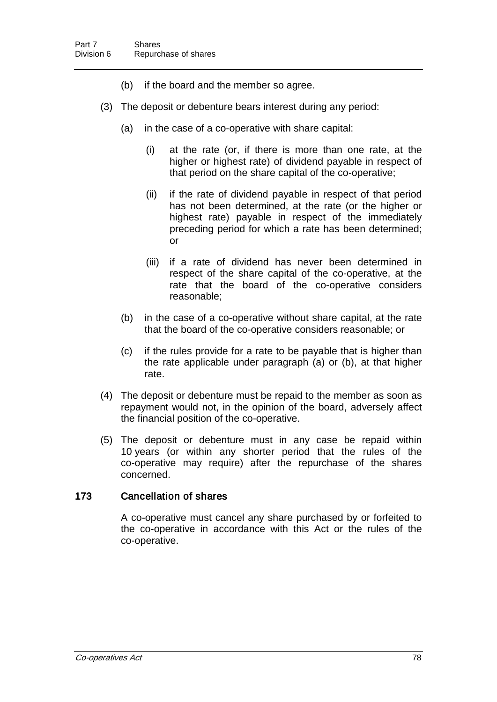- (b) if the board and the member so agree.
- (3) The deposit or debenture bears interest during any period:
	- (a) in the case of a co-operative with share capital:
		- (i) at the rate (or, if there is more than one rate, at the higher or highest rate) of dividend payable in respect of that period on the share capital of the co-operative;
		- (ii) if the rate of dividend payable in respect of that period has not been determined, at the rate (or the higher or highest rate) payable in respect of the immediately preceding period for which a rate has been determined; or
		- (iii) if a rate of dividend has never been determined in respect of the share capital of the co-operative, at the rate that the board of the co-operative considers reasonable;
	- (b) in the case of a co-operative without share capital, at the rate that the board of the co-operative considers reasonable; or
	- (c) if the rules provide for a rate to be payable that is higher than the rate applicable under paragraph (a) or (b), at that higher rate.
- (4) The deposit or debenture must be repaid to the member as soon as repayment would not, in the opinion of the board, adversely affect the financial position of the co-operative.
- (5) The deposit or debenture must in any case be repaid within 10 years (or within any shorter period that the rules of the co-operative may require) after the repurchase of the shares concerned.

#### 173 Cancellation of shares

A co-operative must cancel any share purchased by or forfeited to the co-operative in accordance with this Act or the rules of the co-operative.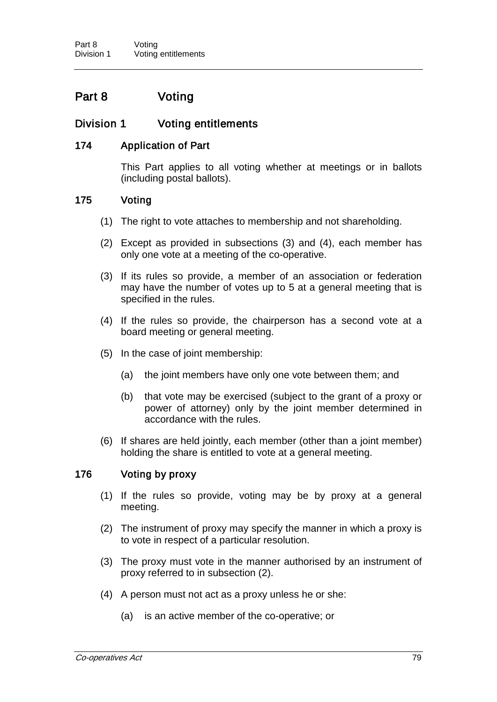# Part 8 Voting

# Division 1 Voting entitlements

## 174 Application of Part

This Part applies to all voting whether at meetings or in ballots (including postal ballots).

#### 175 Voting

- (1) The right to vote attaches to membership and not shareholding.
- (2) Except as provided in subsections (3) and (4), each member has only one vote at a meeting of the co-operative.
- (3) If its rules so provide, a member of an association or federation may have the number of votes up to 5 at a general meeting that is specified in the rules.
- (4) If the rules so provide, the chairperson has a second vote at a board meeting or general meeting.
- (5) In the case of joint membership:
	- (a) the joint members have only one vote between them; and
	- (b) that vote may be exercised (subject to the grant of a proxy or power of attorney) only by the joint member determined in accordance with the rules.
- (6) If shares are held jointly, each member (other than a joint member) holding the share is entitled to vote at a general meeting.

## 176 Voting by proxy

- (1) If the rules so provide, voting may be by proxy at a general meeting.
- (2) The instrument of proxy may specify the manner in which a proxy is to vote in respect of a particular resolution.
- (3) The proxy must vote in the manner authorised by an instrument of proxy referred to in subsection (2).
- (4) A person must not act as a proxy unless he or she:
	- (a) is an active member of the co-operative; or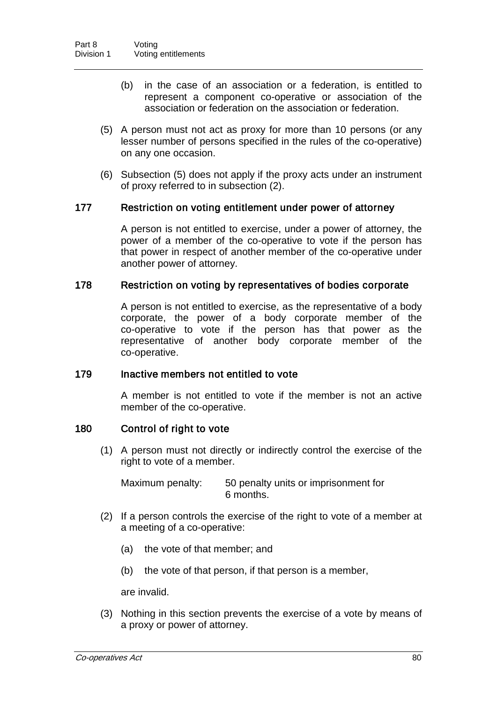- (b) in the case of an association or a federation, is entitled to represent a component co-operative or association of the association or federation on the association or federation.
- (5) A person must not act as proxy for more than 10 persons (or any lesser number of persons specified in the rules of the co-operative) on any one occasion.
- (6) Subsection (5) does not apply if the proxy acts under an instrument of proxy referred to in subsection (2).

#### 177 Restriction on voting entitlement under power of attorney

A person is not entitled to exercise, under a power of attorney, the power of a member of the co-operative to vote if the person has that power in respect of another member of the co-operative under another power of attorney.

#### 178 Restriction on voting by representatives of bodies corporate

A person is not entitled to exercise, as the representative of a body corporate, the power of a body corporate member of the co-operative to vote if the person has that power as the representative of another body corporate member of the co-operative.

#### 179 Inactive members not entitled to vote

A member is not entitled to vote if the member is not an active member of the co-operative.

#### 180 Control of right to vote

(1) A person must not directly or indirectly control the exercise of the right to vote of a member.

Maximum penalty: 50 penalty units or imprisonment for 6 months.

- (2) If a person controls the exercise of the right to vote of a member at a meeting of a co-operative:
	- (a) the vote of that member; and
	- (b) the vote of that person, if that person is a member,

are invalid.

(3) Nothing in this section prevents the exercise of a vote by means of a proxy or power of attorney.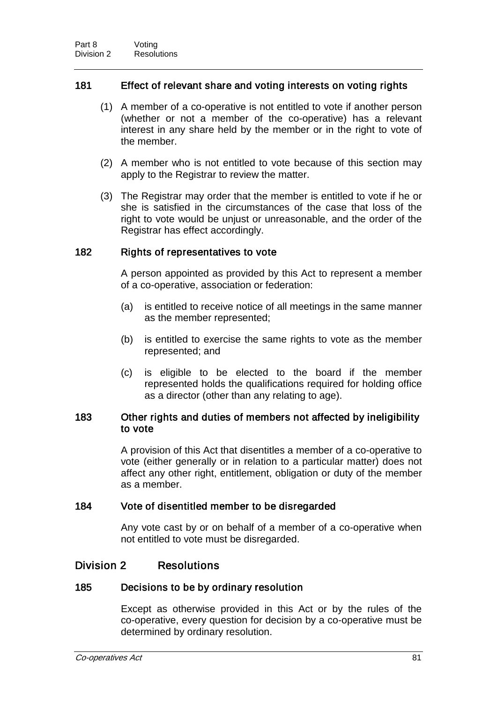## 181 Effect of relevant share and voting interests on voting rights

- (1) A member of a co-operative is not entitled to vote if another person (whether or not a member of the co-operative) has a relevant interest in any share held by the member or in the right to vote of the member.
- (2) A member who is not entitled to vote because of this section may apply to the Registrar to review the matter.
- (3) The Registrar may order that the member is entitled to vote if he or she is satisfied in the circumstances of the case that loss of the right to vote would be unjust or unreasonable, and the order of the Registrar has effect accordingly.

## 182 Rights of representatives to vote

A person appointed as provided by this Act to represent a member of a co-operative, association or federation:

- (a) is entitled to receive notice of all meetings in the same manner as the member represented;
- (b) is entitled to exercise the same rights to vote as the member represented; and
- (c) is eligible to be elected to the board if the member represented holds the qualifications required for holding office as a director (other than any relating to age).

## 183 Other rights and duties of members not affected by ineligibility to vote

A provision of this Act that disentitles a member of a co-operative to vote (either generally or in relation to a particular matter) does not affect any other right, entitlement, obligation or duty of the member as a member.

#### 184 Vote of disentitled member to be disregarded

Any vote cast by or on behalf of a member of a co-operative when not entitled to vote must be disregarded.

# Division 2 Resolutions

#### 185 Decisions to be by ordinary resolution

Except as otherwise provided in this Act or by the rules of the co-operative, every question for decision by a co-operative must be determined by ordinary resolution.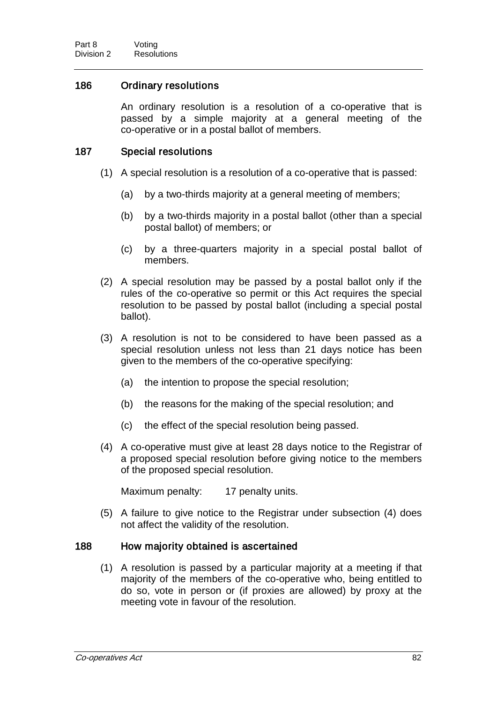## 186 Ordinary resolutions

An ordinary resolution is a resolution of a co-operative that is passed by a simple majority at a general meeting of the co-operative or in a postal ballot of members.

#### 187 Special resolutions

- (1) A special resolution is a resolution of a co-operative that is passed:
	- (a) by a two-thirds majority at a general meeting of members;
	- (b) by a two-thirds majority in a postal ballot (other than a special postal ballot) of members; or
	- (c) by a three-quarters majority in a special postal ballot of members.
- (2) A special resolution may be passed by a postal ballot only if the rules of the co-operative so permit or this Act requires the special resolution to be passed by postal ballot (including a special postal ballot).
- (3) A resolution is not to be considered to have been passed as a special resolution unless not less than 21 days notice has been given to the members of the co-operative specifying:
	- (a) the intention to propose the special resolution;
	- (b) the reasons for the making of the special resolution; and
	- (c) the effect of the special resolution being passed.
- (4) A co-operative must give at least 28 days notice to the Registrar of a proposed special resolution before giving notice to the members of the proposed special resolution.

Maximum penalty: 17 penalty units.

(5) A failure to give notice to the Registrar under subsection (4) does not affect the validity of the resolution.

#### 188 How majority obtained is ascertained

(1) A resolution is passed by a particular majority at a meeting if that majority of the members of the co-operative who, being entitled to do so, vote in person or (if proxies are allowed) by proxy at the meeting vote in favour of the resolution.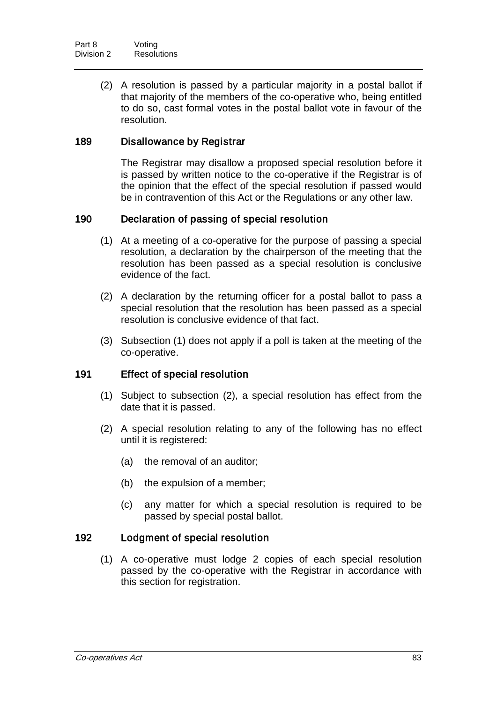(2) A resolution is passed by a particular majority in a postal ballot if that majority of the members of the co-operative who, being entitled to do so, cast formal votes in the postal ballot vote in favour of the resolution.

## 189 Disallowance by Registrar

The Registrar may disallow a proposed special resolution before it is passed by written notice to the co-operative if the Registrar is of the opinion that the effect of the special resolution if passed would be in contravention of this Act or the Regulations or any other law.

## 190 Declaration of passing of special resolution

- (1) At a meeting of a co-operative for the purpose of passing a special resolution, a declaration by the chairperson of the meeting that the resolution has been passed as a special resolution is conclusive evidence of the fact.
- (2) A declaration by the returning officer for a postal ballot to pass a special resolution that the resolution has been passed as a special resolution is conclusive evidence of that fact.
- (3) Subsection (1) does not apply if a poll is taken at the meeting of the co-operative.

#### 191 Effect of special resolution

- (1) Subject to subsection (2), a special resolution has effect from the date that it is passed.
- (2) A special resolution relating to any of the following has no effect until it is registered:
	- (a) the removal of an auditor;
	- (b) the expulsion of a member;
	- (c) any matter for which a special resolution is required to be passed by special postal ballot.

#### 192 Lodgment of special resolution

(1) A co-operative must lodge 2 copies of each special resolution passed by the co-operative with the Registrar in accordance with this section for registration.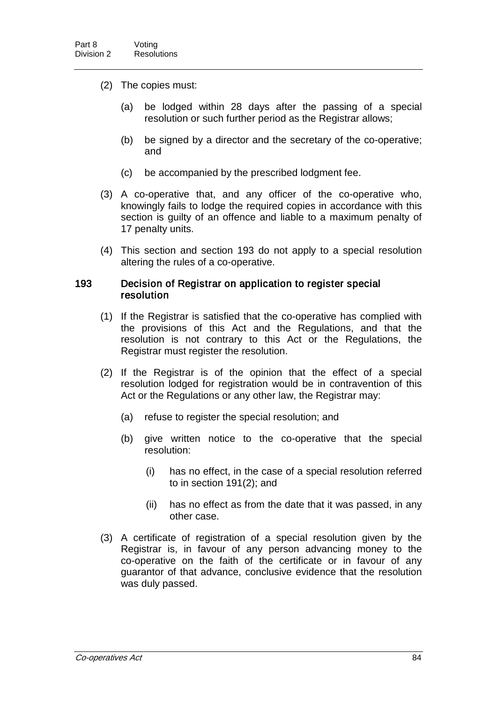- (2) The copies must:
	- (a) be lodged within 28 days after the passing of a special resolution or such further period as the Registrar allows;
	- (b) be signed by a director and the secretary of the co-operative; and
	- (c) be accompanied by the prescribed lodgment fee.
- (3) A co-operative that, and any officer of the co-operative who, knowingly fails to lodge the required copies in accordance with this section is guilty of an offence and liable to a maximum penalty of 17 penalty units.
- (4) This section and section 193 do not apply to a special resolution altering the rules of a co-operative.

#### 193 Decision of Registrar on application to register special resolution

- (1) If the Registrar is satisfied that the co-operative has complied with the provisions of this Act and the Regulations, and that the resolution is not contrary to this Act or the Regulations, the Registrar must register the resolution.
- (2) If the Registrar is of the opinion that the effect of a special resolution lodged for registration would be in contravention of this Act or the Regulations or any other law, the Registrar may:
	- (a) refuse to register the special resolution; and
	- (b) give written notice to the co-operative that the special resolution:
		- (i) has no effect, in the case of a special resolution referred to in section 191(2); and
		- (ii) has no effect as from the date that it was passed, in any other case.
- (3) A certificate of registration of a special resolution given by the Registrar is, in favour of any person advancing money to the co-operative on the faith of the certificate or in favour of any guarantor of that advance, conclusive evidence that the resolution was duly passed.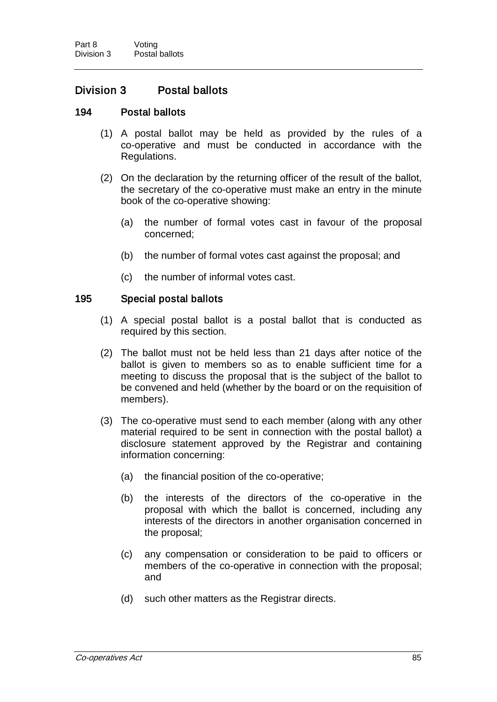# Division 3 Postal ballots

#### 194 Postal ballots

- (1) A postal ballot may be held as provided by the rules of a co-operative and must be conducted in accordance with the Regulations.
- (2) On the declaration by the returning officer of the result of the ballot, the secretary of the co-operative must make an entry in the minute book of the co-operative showing:
	- (a) the number of formal votes cast in favour of the proposal concerned;
	- (b) the number of formal votes cast against the proposal; and
	- (c) the number of informal votes cast.

#### 195 Special postal ballots

- (1) A special postal ballot is a postal ballot that is conducted as required by this section.
- (2) The ballot must not be held less than 21 days after notice of the ballot is given to members so as to enable sufficient time for a meeting to discuss the proposal that is the subject of the ballot to be convened and held (whether by the board or on the requisition of members).
- (3) The co-operative must send to each member (along with any other material required to be sent in connection with the postal ballot) a disclosure statement approved by the Registrar and containing information concerning:
	- (a) the financial position of the co-operative;
	- (b) the interests of the directors of the co-operative in the proposal with which the ballot is concerned, including any interests of the directors in another organisation concerned in the proposal;
	- (c) any compensation or consideration to be paid to officers or members of the co-operative in connection with the proposal; and
	- (d) such other matters as the Registrar directs.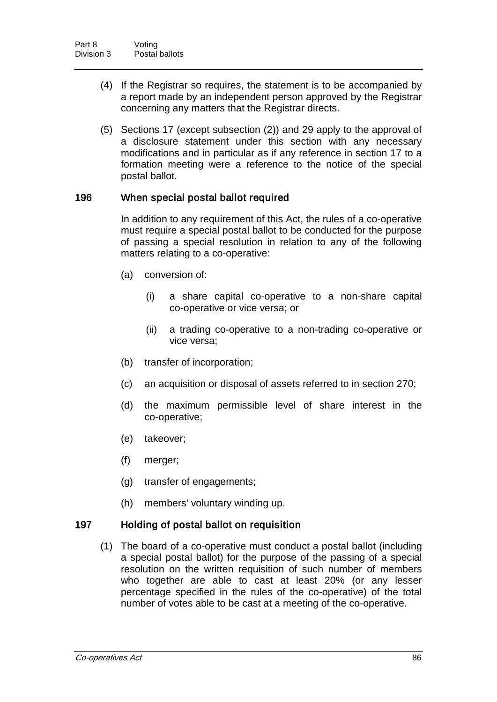- (4) If the Registrar so requires, the statement is to be accompanied by a report made by an independent person approved by the Registrar concerning any matters that the Registrar directs.
- (5) Sections 17 (except subsection (2)) and 29 apply to the approval of a disclosure statement under this section with any necessary modifications and in particular as if any reference in section 17 to a formation meeting were a reference to the notice of the special postal ballot.

## 196 When special postal ballot required

In addition to any requirement of this Act, the rules of a co-operative must require a special postal ballot to be conducted for the purpose of passing a special resolution in relation to any of the following matters relating to a co-operative:

- (a) conversion of:
	- (i) a share capital co-operative to a non-share capital co-operative or vice versa; or
	- (ii) a trading co-operative to a non-trading co-operative or vice versa;
- (b) transfer of incorporation;
- (c) an acquisition or disposal of assets referred to in section 270;
- (d) the maximum permissible level of share interest in the co-operative;
- (e) takeover;
- (f) merger;
- (g) transfer of engagements;
- (h) members' voluntary winding up.

#### 197 Holding of postal ballot on requisition

(1) The board of a co-operative must conduct a postal ballot (including a special postal ballot) for the purpose of the passing of a special resolution on the written requisition of such number of members who together are able to cast at least 20% (or any lesser percentage specified in the rules of the co-operative) of the total number of votes able to be cast at a meeting of the co-operative.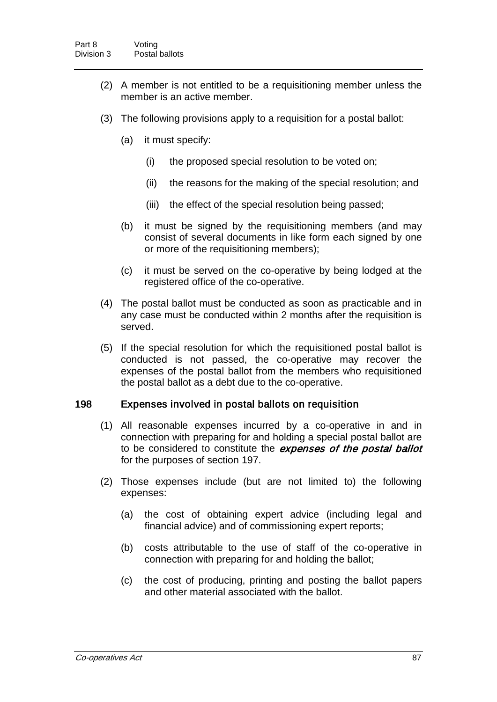- (2) A member is not entitled to be a requisitioning member unless the member is an active member.
- (3) The following provisions apply to a requisition for a postal ballot:
	- (a) it must specify:
		- (i) the proposed special resolution to be voted on;
		- (ii) the reasons for the making of the special resolution; and
		- (iii) the effect of the special resolution being passed;
	- (b) it must be signed by the requisitioning members (and may consist of several documents in like form each signed by one or more of the requisitioning members);
	- (c) it must be served on the co-operative by being lodged at the registered office of the co-operative.
- (4) The postal ballot must be conducted as soon as practicable and in any case must be conducted within 2 months after the requisition is served.
- (5) If the special resolution for which the requisitioned postal ballot is conducted is not passed, the co-operative may recover the expenses of the postal ballot from the members who requisitioned the postal ballot as a debt due to the co-operative.

#### 198 Expenses involved in postal ballots on requisition

- (1) All reasonable expenses incurred by a co-operative in and in connection with preparing for and holding a special postal ballot are to be considered to constitute the expenses of the postal ballot for the purposes of section 197.
- (2) Those expenses include (but are not limited to) the following expenses:
	- (a) the cost of obtaining expert advice (including legal and financial advice) and of commissioning expert reports;
	- (b) costs attributable to the use of staff of the co-operative in connection with preparing for and holding the ballot;
	- (c) the cost of producing, printing and posting the ballot papers and other material associated with the ballot.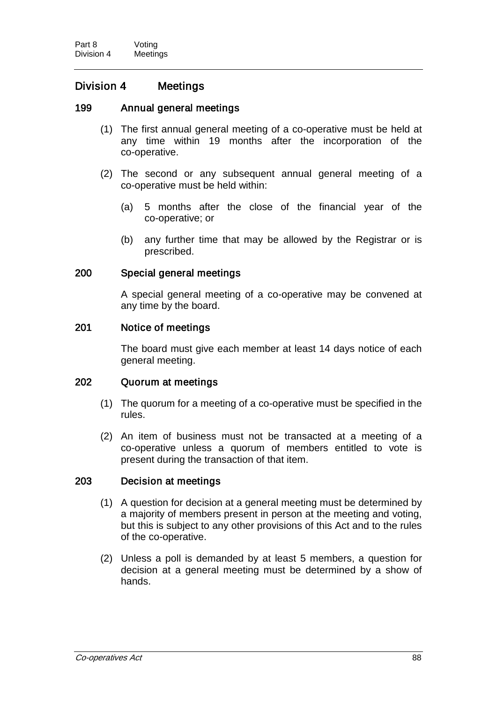# Division 4 Meetings

## 199 Annual general meetings

- (1) The first annual general meeting of a co-operative must be held at any time within 19 months after the incorporation of the co-operative.
- (2) The second or any subsequent annual general meeting of a co-operative must be held within:
	- (a) 5 months after the close of the financial year of the co-operative; or
	- (b) any further time that may be allowed by the Registrar or is prescribed.

## 200 Special general meetings

A special general meeting of a co-operative may be convened at any time by the board.

## 201 Notice of meetings

The board must give each member at least 14 days notice of each general meeting.

#### 202 Quorum at meetings

- (1) The quorum for a meeting of a co-operative must be specified in the rules.
- (2) An item of business must not be transacted at a meeting of a co-operative unless a quorum of members entitled to vote is present during the transaction of that item.

## 203 Decision at meetings

- (1) A question for decision at a general meeting must be determined by a majority of members present in person at the meeting and voting, but this is subject to any other provisions of this Act and to the rules of the co-operative.
- (2) Unless a poll is demanded by at least 5 members, a question for decision at a general meeting must be determined by a show of hands.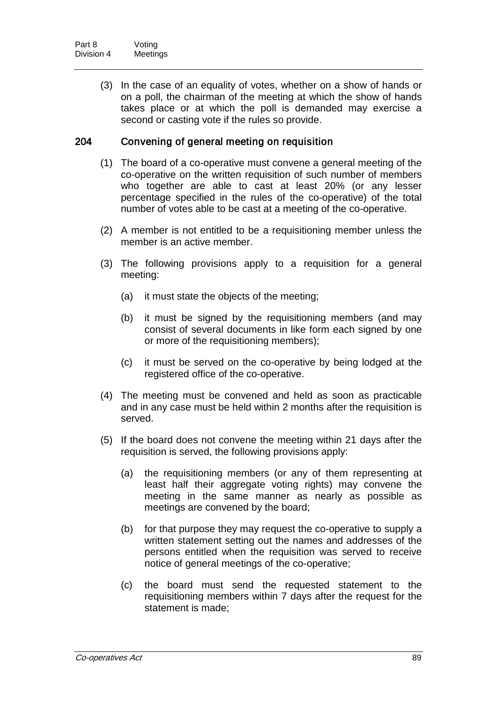(3) In the case of an equality of votes, whether on a show of hands or on a poll, the chairman of the meeting at which the show of hands takes place or at which the poll is demanded may exercise a second or casting vote if the rules so provide.

# 204 Convening of general meeting on requisition

- (1) The board of a co-operative must convene a general meeting of the co-operative on the written requisition of such number of members who together are able to cast at least 20% (or any lesser percentage specified in the rules of the co-operative) of the total number of votes able to be cast at a meeting of the co-operative.
- (2) A member is not entitled to be a requisitioning member unless the member is an active member.
- (3) The following provisions apply to a requisition for a general meeting:
	- (a) it must state the objects of the meeting;
	- (b) it must be signed by the requisitioning members (and may consist of several documents in like form each signed by one or more of the requisitioning members);
	- (c) it must be served on the co-operative by being lodged at the registered office of the co-operative.
- (4) The meeting must be convened and held as soon as practicable and in any case must be held within 2 months after the requisition is served.
- (5) If the board does not convene the meeting within 21 days after the requisition is served, the following provisions apply:
	- (a) the requisitioning members (or any of them representing at least half their aggregate voting rights) may convene the meeting in the same manner as nearly as possible as meetings are convened by the board;
	- (b) for that purpose they may request the co-operative to supply a written statement setting out the names and addresses of the persons entitled when the requisition was served to receive notice of general meetings of the co-operative;
	- (c) the board must send the requested statement to the requisitioning members within 7 days after the request for the statement is made;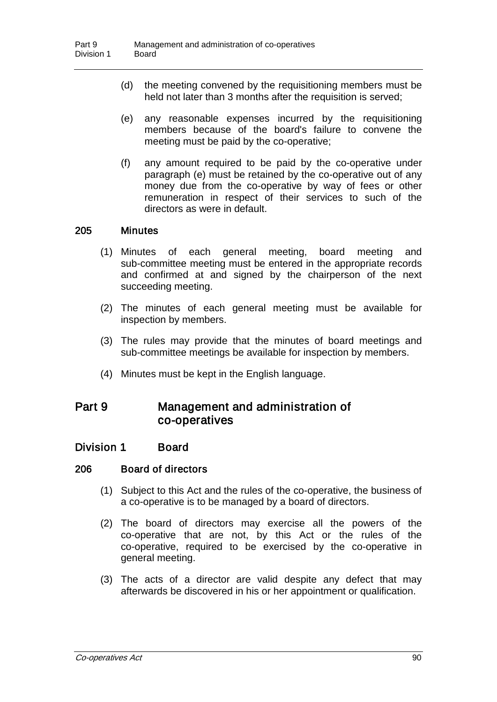- (d) the meeting convened by the requisitioning members must be held not later than 3 months after the requisition is served;
- (e) any reasonable expenses incurred by the requisitioning members because of the board's failure to convene the meeting must be paid by the co-operative;
- (f) any amount required to be paid by the co-operative under paragraph (e) must be retained by the co-operative out of any money due from the co-operative by way of fees or other remuneration in respect of their services to such of the directors as were in default.

## 205 Minutes

- (1) Minutes of each general meeting, board meeting and sub-committee meeting must be entered in the appropriate records and confirmed at and signed by the chairperson of the next succeeding meeting.
- (2) The minutes of each general meeting must be available for inspection by members.
- (3) The rules may provide that the minutes of board meetings and sub-committee meetings be available for inspection by members.
- (4) Minutes must be kept in the English language.

# Part 9 Management and administration of co-operatives

# Division 1 Board

#### 206 Board of directors

- (1) Subject to this Act and the rules of the co-operative, the business of a co-operative is to be managed by a board of directors.
- (2) The board of directors may exercise all the powers of the co-operative that are not, by this Act or the rules of the co-operative, required to be exercised by the co-operative in general meeting.
- (3) The acts of a director are valid despite any defect that may afterwards be discovered in his or her appointment or qualification.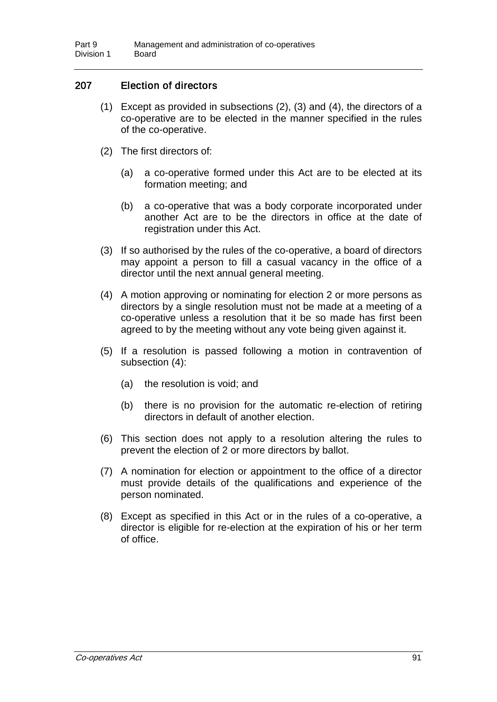# 207 Election of directors

- (1) Except as provided in subsections (2), (3) and (4), the directors of a co-operative are to be elected in the manner specified in the rules of the co-operative.
- (2) The first directors of:
	- (a) a co-operative formed under this Act are to be elected at its formation meeting; and
	- (b) a co-operative that was a body corporate incorporated under another Act are to be the directors in office at the date of registration under this Act.
- (3) If so authorised by the rules of the co-operative, a board of directors may appoint a person to fill a casual vacancy in the office of a director until the next annual general meeting.
- (4) A motion approving or nominating for election 2 or more persons as directors by a single resolution must not be made at a meeting of a co-operative unless a resolution that it be so made has first been agreed to by the meeting without any vote being given against it.
- (5) If a resolution is passed following a motion in contravention of subsection (4):
	- (a) the resolution is void; and
	- (b) there is no provision for the automatic re-election of retiring directors in default of another election.
- (6) This section does not apply to a resolution altering the rules to prevent the election of 2 or more directors by ballot.
- (7) A nomination for election or appointment to the office of a director must provide details of the qualifications and experience of the person nominated.
- (8) Except as specified in this Act or in the rules of a co-operative, a director is eligible for re-election at the expiration of his or her term of office.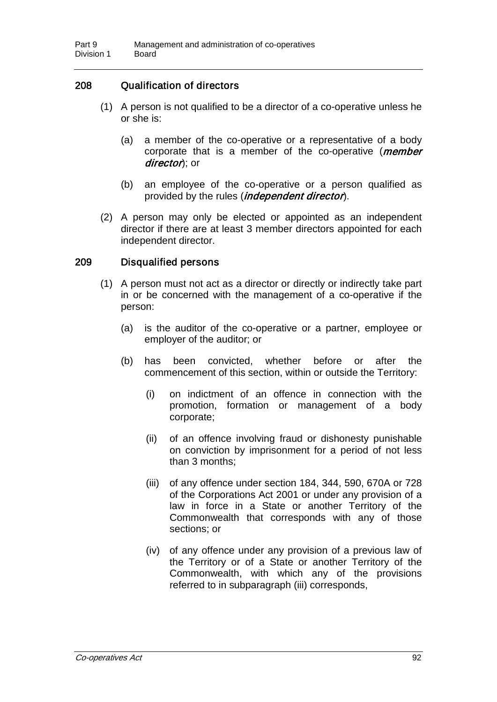## 208 Qualification of directors

- (1) A person is not qualified to be a director of a co-operative unless he or she is:
	- (a) a member of the co-operative or a representative of a body corporate that is a member of the co-operative (*member* director); or
	- (b) an employee of the co-operative or a person qualified as provided by the rules *(independent director)*.
- (2) A person may only be elected or appointed as an independent director if there are at least 3 member directors appointed for each independent director.

### 209 Disqualified persons

- (1) A person must not act as a director or directly or indirectly take part in or be concerned with the management of a co-operative if the person:
	- (a) is the auditor of the co-operative or a partner, employee or employer of the auditor; or
	- (b) has been convicted, whether before or after the commencement of this section, within or outside the Territory:
		- (i) on indictment of an offence in connection with the promotion, formation or management of a body corporate;
		- (ii) of an offence involving fraud or dishonesty punishable on conviction by imprisonment for a period of not less than 3 months;
		- (iii) of any offence under section 184, 344, 590, 670A or 728 of the Corporations Act 2001 or under any provision of a law in force in a State or another Territory of the Commonwealth that corresponds with any of those sections; or
		- (iv) of any offence under any provision of a previous law of the Territory or of a State or another Territory of the Commonwealth, with which any of the provisions referred to in subparagraph (iii) corresponds,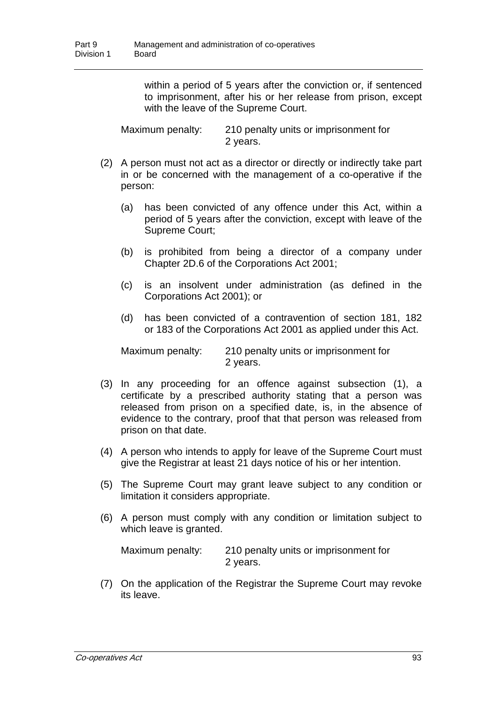within a period of 5 years after the conviction or, if sentenced to imprisonment, after his or her release from prison, except with the leave of the Supreme Court.

Maximum penalty: 210 penalty units or imprisonment for 2 years.

- (2) A person must not act as a director or directly or indirectly take part in or be concerned with the management of a co-operative if the person:
	- (a) has been convicted of any offence under this Act, within a period of 5 years after the conviction, except with leave of the Supreme Court;
	- (b) is prohibited from being a director of a company under Chapter 2D.6 of the Corporations Act 2001;
	- (c) is an insolvent under administration (as defined in the Corporations Act 2001); or
	- (d) has been convicted of a contravention of section 181, 182 or 183 of the Corporations Act 2001 as applied under this Act.

Maximum penalty: 210 penalty units or imprisonment for 2 years.

- (3) In any proceeding for an offence against subsection (1), a certificate by a prescribed authority stating that a person was released from prison on a specified date, is, in the absence of evidence to the contrary, proof that that person was released from prison on that date.
- (4) A person who intends to apply for leave of the Supreme Court must give the Registrar at least 21 days notice of his or her intention.
- (5) The Supreme Court may grant leave subject to any condition or limitation it considers appropriate.
- (6) A person must comply with any condition or limitation subject to which leave is granted.

Maximum penalty: 210 penalty units or imprisonment for 2 years.

(7) On the application of the Registrar the Supreme Court may revoke its leave.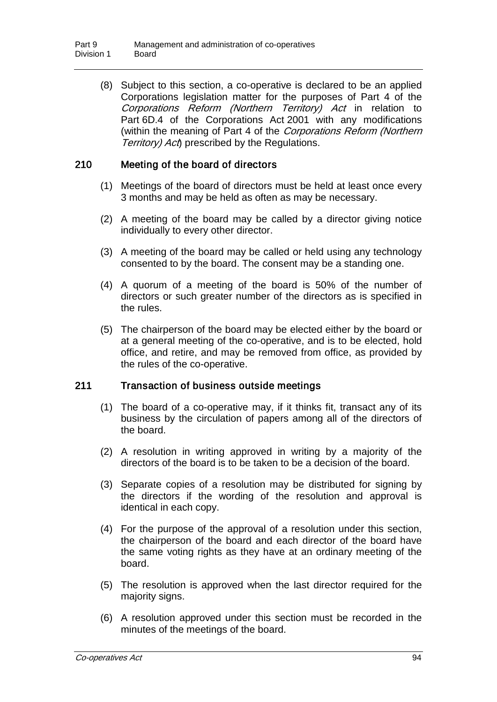(8) Subject to this section, a co-operative is declared to be an applied Corporations legislation matter for the purposes of Part 4 of the Corporations Reform (Northern Territory) Act in relation to Part 6D.4 of the Corporations Act 2001 with any modifications (within the meaning of Part 4 of the Corporations Reform (Northern Territory) Act prescribed by the Regulations.

## 210 Meeting of the board of directors

- (1) Meetings of the board of directors must be held at least once every 3 months and may be held as often as may be necessary.
- (2) A meeting of the board may be called by a director giving notice individually to every other director.
- (3) A meeting of the board may be called or held using any technology consented to by the board. The consent may be a standing one.
- (4) A quorum of a meeting of the board is 50% of the number of directors or such greater number of the directors as is specified in the rules.
- (5) The chairperson of the board may be elected either by the board or at a general meeting of the co-operative, and is to be elected, hold office, and retire, and may be removed from office, as provided by the rules of the co-operative.

### 211 Transaction of business outside meetings

- (1) The board of a co-operative may, if it thinks fit, transact any of its business by the circulation of papers among all of the directors of the board.
- (2) A resolution in writing approved in writing by a majority of the directors of the board is to be taken to be a decision of the board.
- (3) Separate copies of a resolution may be distributed for signing by the directors if the wording of the resolution and approval is identical in each copy.
- (4) For the purpose of the approval of a resolution under this section, the chairperson of the board and each director of the board have the same voting rights as they have at an ordinary meeting of the board.
- (5) The resolution is approved when the last director required for the majority signs.
- (6) A resolution approved under this section must be recorded in the minutes of the meetings of the board.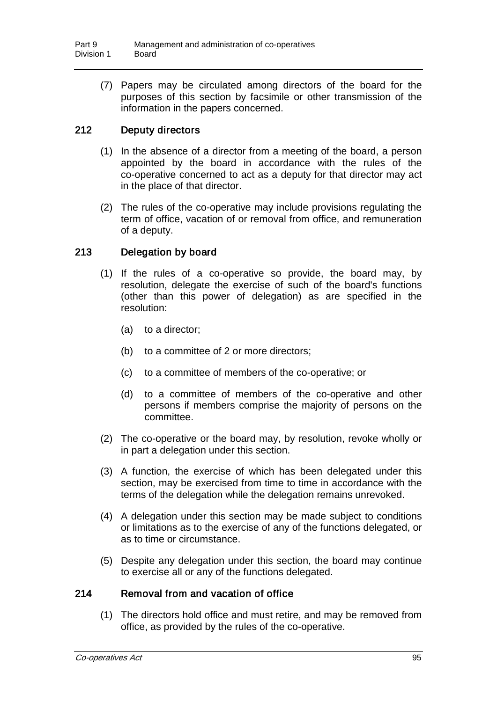(7) Papers may be circulated among directors of the board for the purposes of this section by facsimile or other transmission of the information in the papers concerned.

# 212 Deputy directors

- (1) In the absence of a director from a meeting of the board, a person appointed by the board in accordance with the rules of the co-operative concerned to act as a deputy for that director may act in the place of that director.
- (2) The rules of the co-operative may include provisions regulating the term of office, vacation of or removal from office, and remuneration of a deputy.

### 213 Delegation by board

- (1) If the rules of a co-operative so provide, the board may, by resolution, delegate the exercise of such of the board's functions (other than this power of delegation) as are specified in the resolution:
	- (a) to a director;
	- (b) to a committee of 2 or more directors;
	- (c) to a committee of members of the co-operative; or
	- (d) to a committee of members of the co-operative and other persons if members comprise the majority of persons on the committee.
- (2) The co-operative or the board may, by resolution, revoke wholly or in part a delegation under this section.
- (3) A function, the exercise of which has been delegated under this section, may be exercised from time to time in accordance with the terms of the delegation while the delegation remains unrevoked.
- (4) A delegation under this section may be made subject to conditions or limitations as to the exercise of any of the functions delegated, or as to time or circumstance.
- (5) Despite any delegation under this section, the board may continue to exercise all or any of the functions delegated.

### 214 Removal from and vacation of office

(1) The directors hold office and must retire, and may be removed from office, as provided by the rules of the co-operative.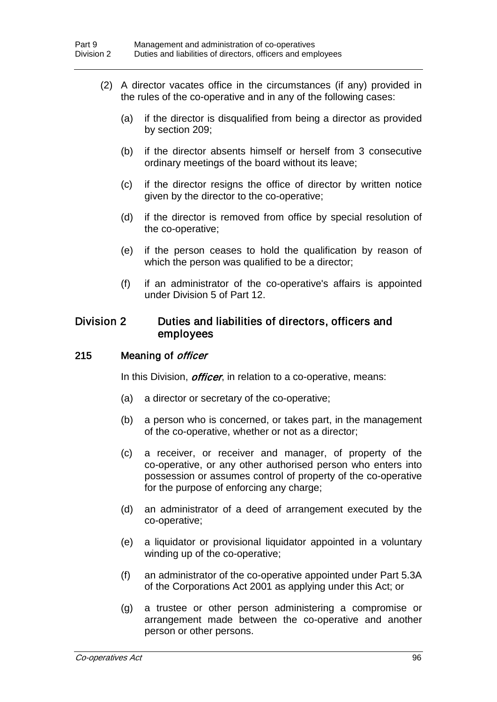- (2) A director vacates office in the circumstances (if any) provided in the rules of the co-operative and in any of the following cases:
	- (a) if the director is disqualified from being a director as provided by section 209;
	- (b) if the director absents himself or herself from 3 consecutive ordinary meetings of the board without its leave;
	- (c) if the director resigns the office of director by written notice given by the director to the co-operative;
	- (d) if the director is removed from office by special resolution of the co-operative;
	- (e) if the person ceases to hold the qualification by reason of which the person was qualified to be a director;
	- (f) if an administrator of the co-operative's affairs is appointed under Division 5 of Part 12.

### Division 2 Duties and liabilities of directors, officers and employees

### 215 Meaning of *officer*

In this Division, *officer*, in relation to a co-operative, means:

- (a) a director or secretary of the co-operative;
- (b) a person who is concerned, or takes part, in the management of the co-operative, whether or not as a director;
- (c) a receiver, or receiver and manager, of property of the co-operative, or any other authorised person who enters into possession or assumes control of property of the co-operative for the purpose of enforcing any charge;
- (d) an administrator of a deed of arrangement executed by the co-operative;
- (e) a liquidator or provisional liquidator appointed in a voluntary winding up of the co-operative;
- (f) an administrator of the co-operative appointed under Part 5.3A of the Corporations Act 2001 as applying under this Act; or
- (g) a trustee or other person administering a compromise or arrangement made between the co-operative and another person or other persons.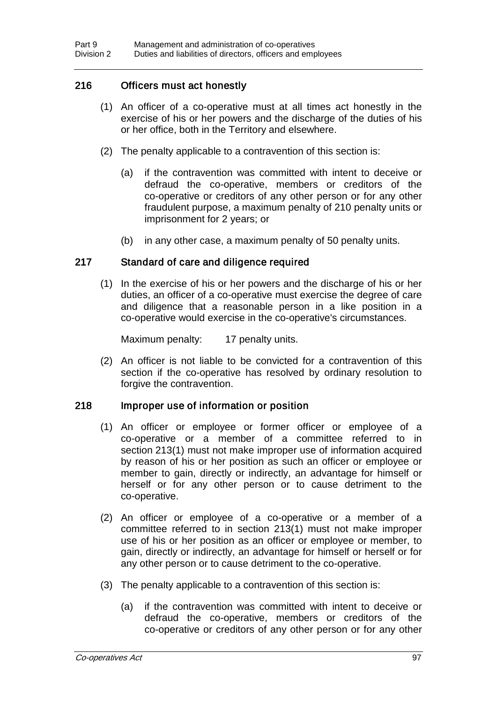### 216 Officers must act honestly

- (1) An officer of a co-operative must at all times act honestly in the exercise of his or her powers and the discharge of the duties of his or her office, both in the Territory and elsewhere.
- (2) The penalty applicable to a contravention of this section is:
	- (a) if the contravention was committed with intent to deceive or defraud the co-operative, members or creditors of the co-operative or creditors of any other person or for any other fraudulent purpose, a maximum penalty of 210 penalty units or imprisonment for 2 years; or
	- (b) in any other case, a maximum penalty of 50 penalty units.

### 217 Standard of care and diligence required

(1) In the exercise of his or her powers and the discharge of his or her duties, an officer of a co-operative must exercise the degree of care and diligence that a reasonable person in a like position in a co-operative would exercise in the co-operative's circumstances.

Maximum penalty: 17 penalty units.

(2) An officer is not liable to be convicted for a contravention of this section if the co-operative has resolved by ordinary resolution to forgive the contravention.

### 218 Improper use of information or position

- (1) An officer or employee or former officer or employee of a co-operative or a member of a committee referred to in section 213(1) must not make improper use of information acquired by reason of his or her position as such an officer or employee or member to gain, directly or indirectly, an advantage for himself or herself or for any other person or to cause detriment to the co-operative.
- (2) An officer or employee of a co-operative or a member of a committee referred to in section 213(1) must not make improper use of his or her position as an officer or employee or member, to gain, directly or indirectly, an advantage for himself or herself or for any other person or to cause detriment to the co-operative.
- (3) The penalty applicable to a contravention of this section is:
	- (a) if the contravention was committed with intent to deceive or defraud the co-operative, members or creditors of the co-operative or creditors of any other person or for any other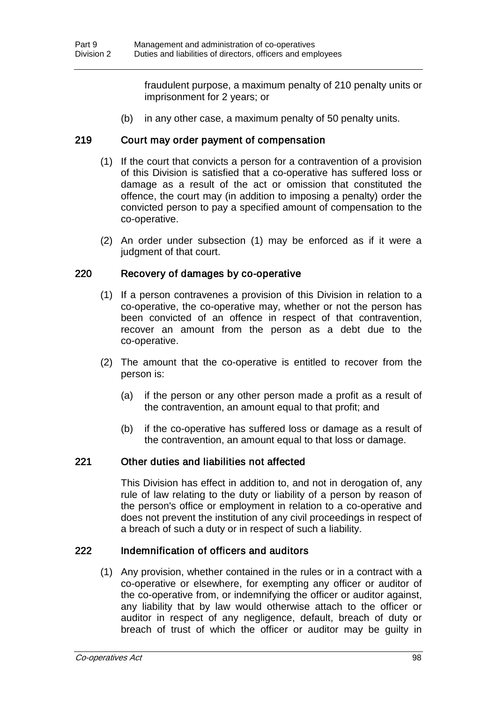fraudulent purpose, a maximum penalty of 210 penalty units or imprisonment for 2 years; or

(b) in any other case, a maximum penalty of 50 penalty units.

### 219 Court may order payment of compensation

- (1) If the court that convicts a person for a contravention of a provision of this Division is satisfied that a co-operative has suffered loss or damage as a result of the act or omission that constituted the offence, the court may (in addition to imposing a penalty) order the convicted person to pay a specified amount of compensation to the co-operative.
- (2) An order under subsection (1) may be enforced as if it were a judgment of that court.

### 220 Recovery of damages by co-operative

- (1) If a person contravenes a provision of this Division in relation to a co-operative, the co-operative may, whether or not the person has been convicted of an offence in respect of that contravention, recover an amount from the person as a debt due to the co-operative.
- (2) The amount that the co-operative is entitled to recover from the person is:
	- (a) if the person or any other person made a profit as a result of the contravention, an amount equal to that profit; and
	- (b) if the co-operative has suffered loss or damage as a result of the contravention, an amount equal to that loss or damage.

### 221 Other duties and liabilities not affected

This Division has effect in addition to, and not in derogation of, any rule of law relating to the duty or liability of a person by reason of the person's office or employment in relation to a co-operative and does not prevent the institution of any civil proceedings in respect of a breach of such a duty or in respect of such a liability.

### 222 Indemnification of officers and auditors

(1) Any provision, whether contained in the rules or in a contract with a co-operative or elsewhere, for exempting any officer or auditor of the co-operative from, or indemnifying the officer or auditor against, any liability that by law would otherwise attach to the officer or auditor in respect of any negligence, default, breach of duty or breach of trust of which the officer or auditor may be guilty in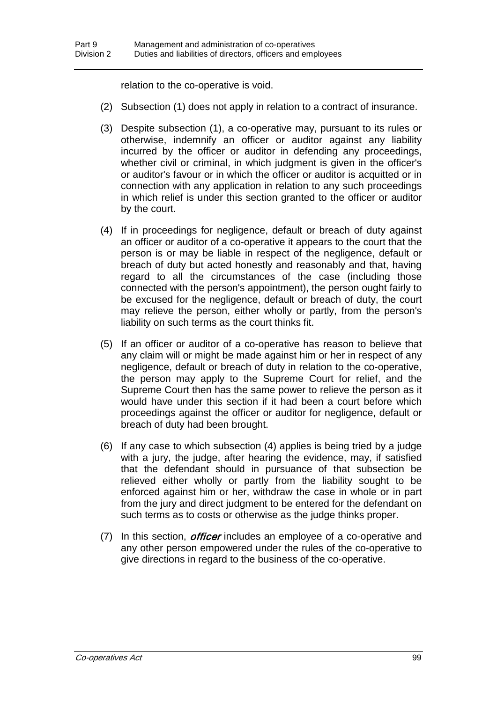relation to the co-operative is void.

- (2) Subsection (1) does not apply in relation to a contract of insurance.
- (3) Despite subsection (1), a co-operative may, pursuant to its rules or otherwise, indemnify an officer or auditor against any liability incurred by the officer or auditor in defending any proceedings, whether civil or criminal, in which judgment is given in the officer's or auditor's favour or in which the officer or auditor is acquitted or in connection with any application in relation to any such proceedings in which relief is under this section granted to the officer or auditor by the court.
- (4) If in proceedings for negligence, default or breach of duty against an officer or auditor of a co-operative it appears to the court that the person is or may be liable in respect of the negligence, default or breach of duty but acted honestly and reasonably and that, having regard to all the circumstances of the case (including those connected with the person's appointment), the person ought fairly to be excused for the negligence, default or breach of duty, the court may relieve the person, either wholly or partly, from the person's liability on such terms as the court thinks fit.
- (5) If an officer or auditor of a co-operative has reason to believe that any claim will or might be made against him or her in respect of any negligence, default or breach of duty in relation to the co-operative, the person may apply to the Supreme Court for relief, and the Supreme Court then has the same power to relieve the person as it would have under this section if it had been a court before which proceedings against the officer or auditor for negligence, default or breach of duty had been brought.
- (6) If any case to which subsection (4) applies is being tried by a judge with a jury, the judge, after hearing the evidence, may, if satisfied that the defendant should in pursuance of that subsection be relieved either wholly or partly from the liability sought to be enforced against him or her, withdraw the case in whole or in part from the jury and direct judgment to be entered for the defendant on such terms as to costs or otherwise as the judge thinks proper.
- (7) In this section, *officer* includes an employee of a co-operative and any other person empowered under the rules of the co-operative to give directions in regard to the business of the co-operative.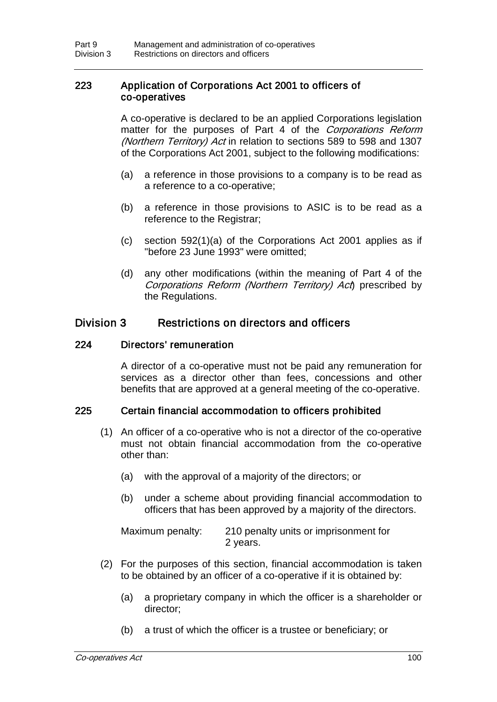### 223 Application of Corporations Act 2001 to officers of co-operatives

A co-operative is declared to be an applied Corporations legislation matter for the purposes of Part 4 of the Corporations Reform (Northern Territory) Act in relation to sections 589 to 598 and 1307 of the Corporations Act 2001, subject to the following modifications:

- (a) a reference in those provisions to a company is to be read as a reference to a co-operative;
- (b) a reference in those provisions to ASIC is to be read as a reference to the Registrar;
- (c) section 592(1)(a) of the Corporations Act 2001 applies as if "before 23 June 1993" were omitted;
- (d) any other modifications (within the meaning of Part 4 of the Corporations Reform (Northern Territory) Act prescribed by the Regulations.

### Division 3 Restrictions on directors and officers

### 224 Directors' remuneration

A director of a co-operative must not be paid any remuneration for services as a director other than fees, concessions and other benefits that are approved at a general meeting of the co-operative.

### 225 Certain financial accommodation to officers prohibited

- (1) An officer of a co-operative who is not a director of the co-operative must not obtain financial accommodation from the co-operative other than:
	- (a) with the approval of a majority of the directors; or
	- (b) under a scheme about providing financial accommodation to officers that has been approved by a majority of the directors.

Maximum penalty: 210 penalty units or imprisonment for 2 years.

- (2) For the purposes of this section, financial accommodation is taken to be obtained by an officer of a co-operative if it is obtained by:
	- (a) a proprietary company in which the officer is a shareholder or director;
	- (b) a trust of which the officer is a trustee or beneficiary; or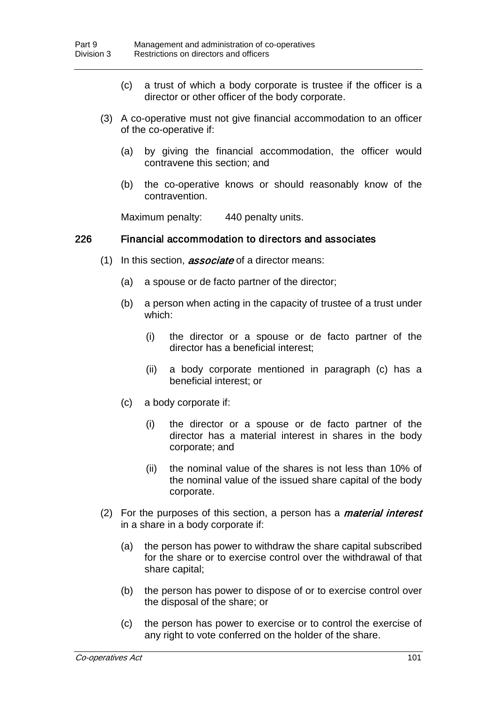- (c) a trust of which a body corporate is trustee if the officer is a director or other officer of the body corporate.
- (3) A co-operative must not give financial accommodation to an officer of the co-operative if:
	- (a) by giving the financial accommodation, the officer would contravene this section; and
	- (b) the co-operative knows or should reasonably know of the contravention.

Maximum penalty: 440 penalty units.

#### 226 Financial accommodation to directors and associates

- (1) In this section, *associate* of a director means:
	- (a) a spouse or de facto partner of the director;
	- (b) a person when acting in the capacity of trustee of a trust under which:
		- (i) the director or a spouse or de facto partner of the director has a beneficial interest;
		- (ii) a body corporate mentioned in paragraph (c) has a beneficial interest; or
	- (c) a body corporate if:
		- (i) the director or a spouse or de facto partner of the director has a material interest in shares in the body corporate; and
		- (ii) the nominal value of the shares is not less than 10% of the nominal value of the issued share capital of the body corporate.
- (2) For the purposes of this section, a person has a *material interest* in a share in a body corporate if:
	- (a) the person has power to withdraw the share capital subscribed for the share or to exercise control over the withdrawal of that share capital;
	- (b) the person has power to dispose of or to exercise control over the disposal of the share; or
	- (c) the person has power to exercise or to control the exercise of any right to vote conferred on the holder of the share.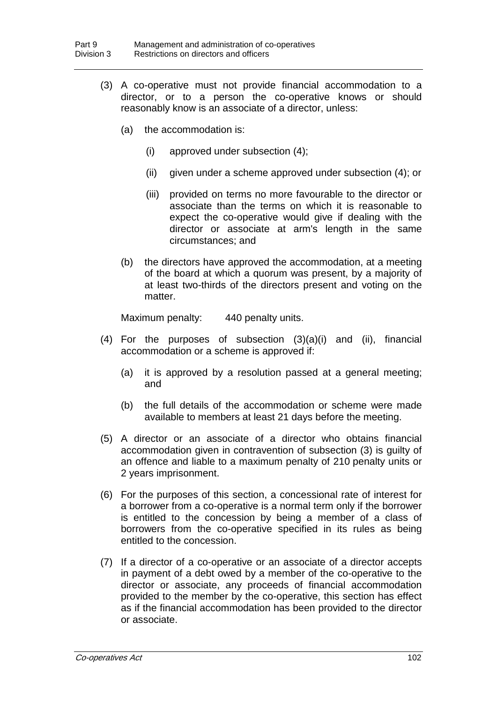- (3) A co-operative must not provide financial accommodation to a director, or to a person the co-operative knows or should reasonably know is an associate of a director, unless:
	- (a) the accommodation is:
		- (i) approved under subsection (4);
		- (ii) given under a scheme approved under subsection (4); or
		- (iii) provided on terms no more favourable to the director or associate than the terms on which it is reasonable to expect the co-operative would give if dealing with the director or associate at arm's length in the same circumstances; and
	- (b) the directors have approved the accommodation, at a meeting of the board at which a quorum was present, by a majority of at least two-thirds of the directors present and voting on the matter.

Maximum penalty: 440 penalty units.

- (4) For the purposes of subsection (3)(a)(i) and (ii), financial accommodation or a scheme is approved if:
	- (a) it is approved by a resolution passed at a general meeting; and
	- (b) the full details of the accommodation or scheme were made available to members at least 21 days before the meeting.
- (5) A director or an associate of a director who obtains financial accommodation given in contravention of subsection (3) is guilty of an offence and liable to a maximum penalty of 210 penalty units or 2 years imprisonment.
- (6) For the purposes of this section, a concessional rate of interest for a borrower from a co-operative is a normal term only if the borrower is entitled to the concession by being a member of a class of borrowers from the co-operative specified in its rules as being entitled to the concession.
- (7) If a director of a co-operative or an associate of a director accepts in payment of a debt owed by a member of the co-operative to the director or associate, any proceeds of financial accommodation provided to the member by the co-operative, this section has effect as if the financial accommodation has been provided to the director or associate.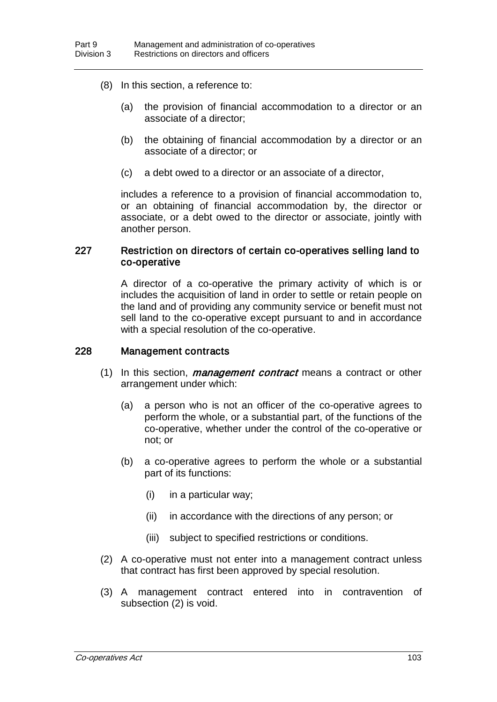- (8) In this section, a reference to:
	- (a) the provision of financial accommodation to a director or an associate of a director;
	- (b) the obtaining of financial accommodation by a director or an associate of a director; or
	- (c) a debt owed to a director or an associate of a director,

includes a reference to a provision of financial accommodation to, or an obtaining of financial accommodation by, the director or associate, or a debt owed to the director or associate, jointly with another person.

### 227 Restriction on directors of certain co-operatives selling land to co-operative

A director of a co-operative the primary activity of which is or includes the acquisition of land in order to settle or retain people on the land and of providing any community service or benefit must not sell land to the co-operative except pursuant to and in accordance with a special resolution of the co-operative.

### 228 Management contracts

- $(1)$  In this section, *management contract* means a contract or other arrangement under which:
	- (a) a person who is not an officer of the co-operative agrees to perform the whole, or a substantial part, of the functions of the co-operative, whether under the control of the co-operative or not; or
	- (b) a co-operative agrees to perform the whole or a substantial part of its functions:
		- (i) in a particular way;
		- (ii) in accordance with the directions of any person; or
		- (iii) subject to specified restrictions or conditions.
- (2) A co-operative must not enter into a management contract unless that contract has first been approved by special resolution.
- (3) A management contract entered into in contravention of subsection (2) is void.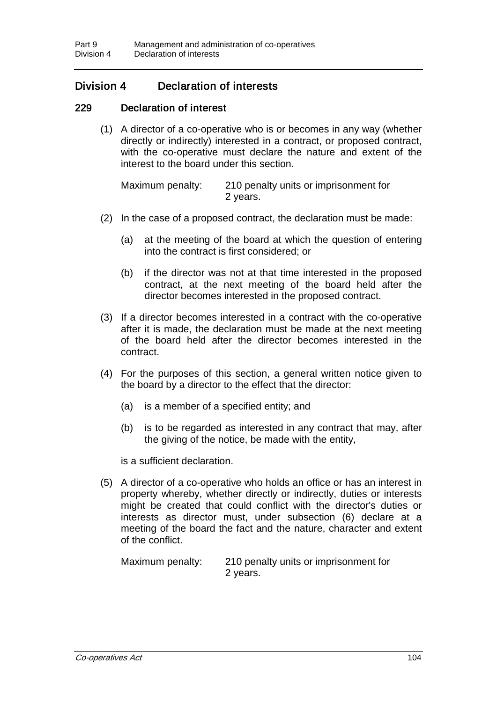# Division 4 Declaration of interests

### 229 Declaration of interest

(1) A director of a co-operative who is or becomes in any way (whether directly or indirectly) interested in a contract, or proposed contract, with the co-operative must declare the nature and extent of the interest to the board under this section.

Maximum penalty: 210 penalty units or imprisonment for 2 years.

- (2) In the case of a proposed contract, the declaration must be made:
	- (a) at the meeting of the board at which the question of entering into the contract is first considered; or
	- (b) if the director was not at that time interested in the proposed contract, at the next meeting of the board held after the director becomes interested in the proposed contract.
- (3) If a director becomes interested in a contract with the co-operative after it is made, the declaration must be made at the next meeting of the board held after the director becomes interested in the contract.
- (4) For the purposes of this section, a general written notice given to the board by a director to the effect that the director:
	- (a) is a member of a specified entity; and
	- (b) is to be regarded as interested in any contract that may, after the giving of the notice, be made with the entity,

is a sufficient declaration.

(5) A director of a co-operative who holds an office or has an interest in property whereby, whether directly or indirectly, duties or interests might be created that could conflict with the director's duties or interests as director must, under subsection (6) declare at a meeting of the board the fact and the nature, character and extent of the conflict.

Maximum penalty: 210 penalty units or imprisonment for 2 years.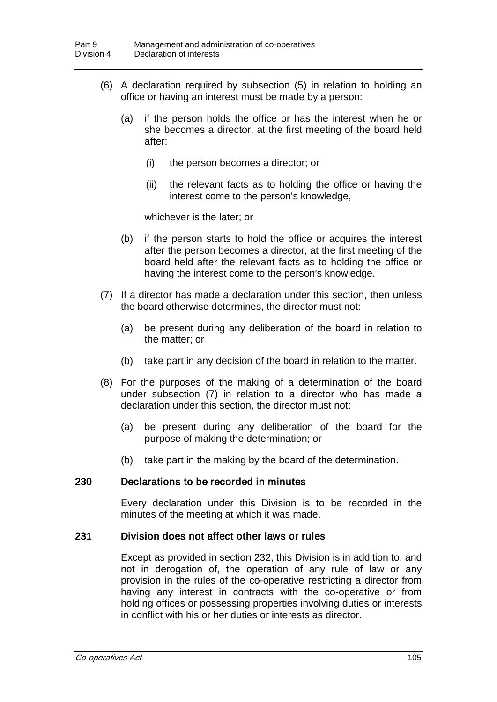- (6) A declaration required by subsection (5) in relation to holding an office or having an interest must be made by a person:
	- (a) if the person holds the office or has the interest when he or she becomes a director, at the first meeting of the board held after:
		- (i) the person becomes a director; or
		- (ii) the relevant facts as to holding the office or having the interest come to the person's knowledge,

whichever is the later; or

- (b) if the person starts to hold the office or acquires the interest after the person becomes a director, at the first meeting of the board held after the relevant facts as to holding the office or having the interest come to the person's knowledge.
- (7) If a director has made a declaration under this section, then unless the board otherwise determines, the director must not:
	- (a) be present during any deliberation of the board in relation to the matter; or
	- (b) take part in any decision of the board in relation to the matter.
- (8) For the purposes of the making of a determination of the board under subsection (7) in relation to a director who has made a declaration under this section, the director must not:
	- (a) be present during any deliberation of the board for the purpose of making the determination; or
	- (b) take part in the making by the board of the determination.

### 230 Declarations to be recorded in minutes

Every declaration under this Division is to be recorded in the minutes of the meeting at which it was made.

#### 231 Division does not affect other laws or rules

Except as provided in section 232, this Division is in addition to, and not in derogation of, the operation of any rule of law or any provision in the rules of the co-operative restricting a director from having any interest in contracts with the co-operative or from holding offices or possessing properties involving duties or interests in conflict with his or her duties or interests as director.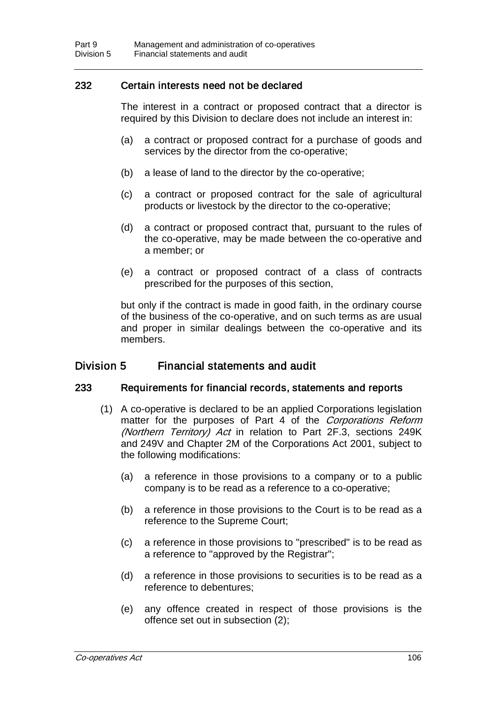### 232 Certain interests need not be declared

The interest in a contract or proposed contract that a director is required by this Division to declare does not include an interest in:

- (a) a contract or proposed contract for a purchase of goods and services by the director from the co-operative;
- (b) a lease of land to the director by the co-operative;
- (c) a contract or proposed contract for the sale of agricultural products or livestock by the director to the co-operative;
- (d) a contract or proposed contract that, pursuant to the rules of the co-operative, may be made between the co-operative and a member; or
- (e) a contract or proposed contract of a class of contracts prescribed for the purposes of this section,

but only if the contract is made in good faith, in the ordinary course of the business of the co-operative, and on such terms as are usual and proper in similar dealings between the co-operative and its members.

### Division 5 Financial statements and audit

### 233 Requirements for financial records, statements and reports

- (1) A co-operative is declared to be an applied Corporations legislation matter for the purposes of Part 4 of the Corporations Reform (Northern Territory) Act in relation to Part 2F.3, sections 249K and 249V and Chapter 2M of the Corporations Act 2001, subject to the following modifications:
	- (a) a reference in those provisions to a company or to a public company is to be read as a reference to a co-operative;
	- (b) a reference in those provisions to the Court is to be read as a reference to the Supreme Court;
	- (c) a reference in those provisions to "prescribed" is to be read as a reference to "approved by the Registrar";
	- (d) a reference in those provisions to securities is to be read as a reference to debentures;
	- (e) any offence created in respect of those provisions is the offence set out in subsection (2);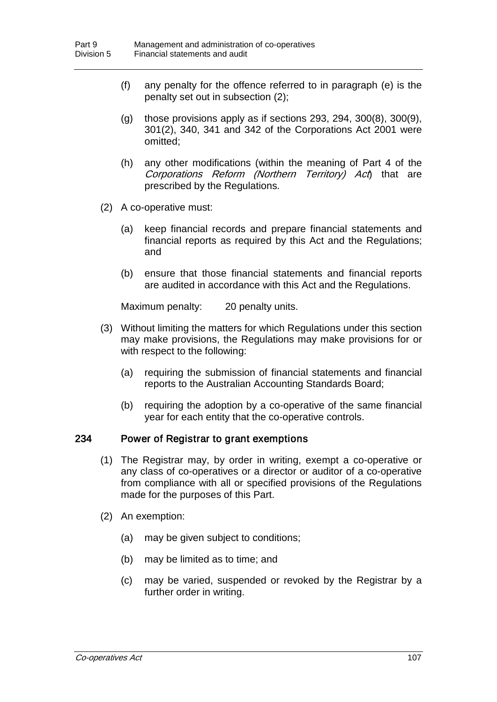- (f) any penalty for the offence referred to in paragraph (e) is the penalty set out in subsection (2);
- $(q)$  those provisions apply as if sections 293, 294, 300 $(8)$ , 300 $(9)$ , 301(2), 340, 341 and 342 of the Corporations Act 2001 were omitted;
- (h) any other modifications (within the meaning of Part 4 of the Corporations Reform (Northern Territory) Act) that are prescribed by the Regulations.
- (2) A co-operative must:
	- (a) keep financial records and prepare financial statements and financial reports as required by this Act and the Regulations; and
	- (b) ensure that those financial statements and financial reports are audited in accordance with this Act and the Regulations.

Maximum penalty: 20 penalty units.

- (3) Without limiting the matters for which Regulations under this section may make provisions, the Regulations may make provisions for or with respect to the following:
	- (a) requiring the submission of financial statements and financial reports to the Australian Accounting Standards Board;
	- (b) requiring the adoption by a co-operative of the same financial year for each entity that the co-operative controls.

### 234 Power of Registrar to grant exemptions

- (1) The Registrar may, by order in writing, exempt a co-operative or any class of co-operatives or a director or auditor of a co-operative from compliance with all or specified provisions of the Regulations made for the purposes of this Part.
- (2) An exemption:
	- (a) may be given subject to conditions;
	- (b) may be limited as to time; and
	- (c) may be varied, suspended or revoked by the Registrar by a further order in writing.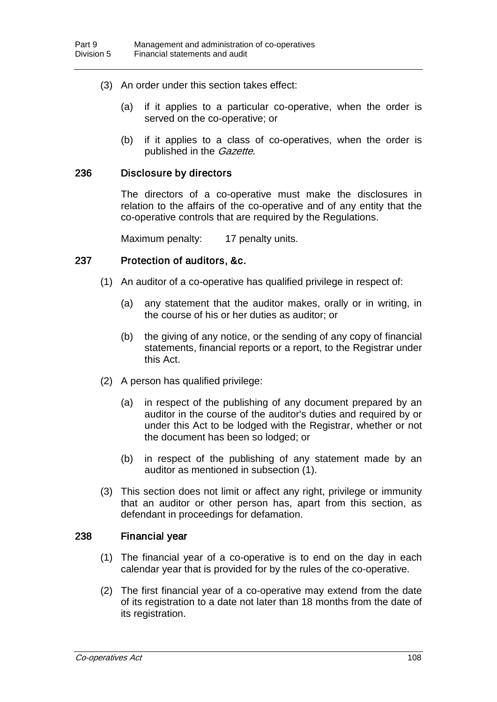- (3) An order under this section takes effect:
	- (a) if it applies to a particular co-operative, when the order is served on the co-operative; or
	- (b) if it applies to a class of co-operatives, when the order is published in the *Gazette*.

#### 236 Disclosure by directors

The directors of a co-operative must make the disclosures in relation to the affairs of the co-operative and of any entity that the co-operative controls that are required by the Regulations.

Maximum penalty: 17 penalty units.

#### 237 Protection of auditors, &c.

- (1) An auditor of a co-operative has qualified privilege in respect of:
	- (a) any statement that the auditor makes, orally or in writing, in the course of his or her duties as auditor; or
	- (b) the giving of any notice, or the sending of any copy of financial statements, financial reports or a report, to the Registrar under this Act.
- (2) A person has qualified privilege:
	- (a) in respect of the publishing of any document prepared by an auditor in the course of the auditor's duties and required by or under this Act to be lodged with the Registrar, whether or not the document has been so lodged; or
	- (b) in respect of the publishing of any statement made by an auditor as mentioned in subsection (1).
- (3) This section does not limit or affect any right, privilege or immunity that an auditor or other person has, apart from this section, as defendant in proceedings for defamation.

#### 238 Financial year

- (1) The financial year of a co-operative is to end on the day in each calendar year that is provided for by the rules of the co-operative.
- (2) The first financial year of a co-operative may extend from the date of its registration to a date not later than 18 months from the date of its registration.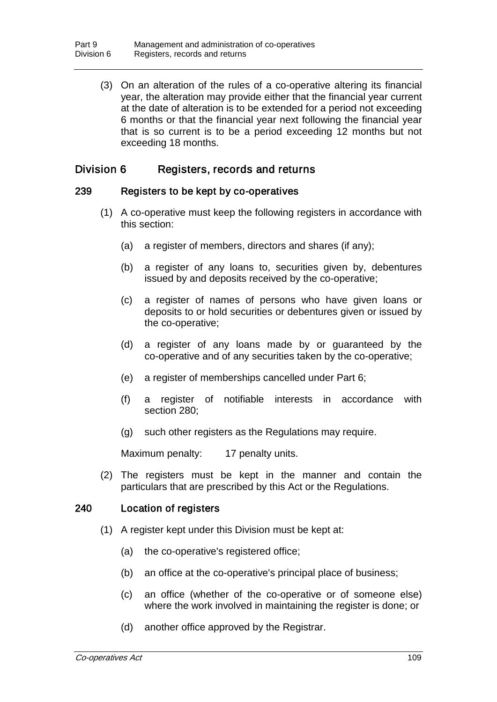(3) On an alteration of the rules of a co-operative altering its financial year, the alteration may provide either that the financial year current at the date of alteration is to be extended for a period not exceeding 6 months or that the financial year next following the financial year that is so current is to be a period exceeding 12 months but not exceeding 18 months.

# Division 6 Registers, records and returns

### 239 Registers to be kept by co-operatives

- (1) A co-operative must keep the following registers in accordance with this section:
	- (a) a register of members, directors and shares (if any);
	- (b) a register of any loans to, securities given by, debentures issued by and deposits received by the co-operative;
	- (c) a register of names of persons who have given loans or deposits to or hold securities or debentures given or issued by the co-operative;
	- (d) a register of any loans made by or guaranteed by the co-operative and of any securities taken by the co-operative;
	- (e) a register of memberships cancelled under Part 6;
	- (f) a register of notifiable interests in accordance with section 280;
	- (g) such other registers as the Regulations may require.

Maximum penalty: 17 penalty units.

(2) The registers must be kept in the manner and contain the particulars that are prescribed by this Act or the Regulations.

### 240 Location of registers

- (1) A register kept under this Division must be kept at:
	- (a) the co-operative's registered office;
	- (b) an office at the co-operative's principal place of business;
	- (c) an office (whether of the co-operative or of someone else) where the work involved in maintaining the register is done; or
	- (d) another office approved by the Registrar.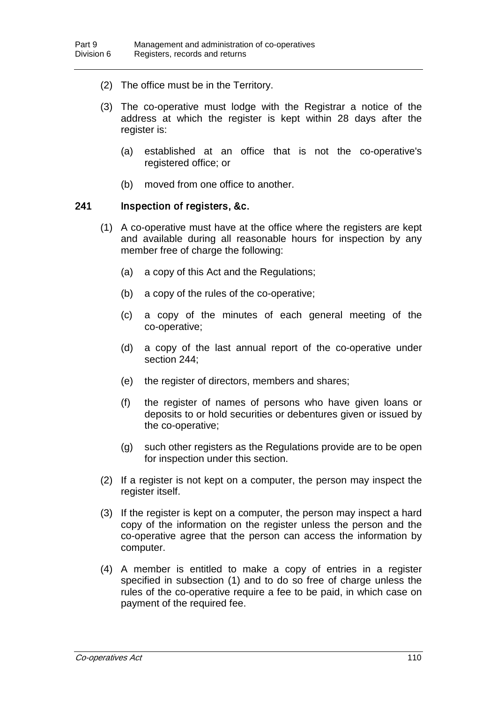- (2) The office must be in the Territory.
- (3) The co-operative must lodge with the Registrar a notice of the address at which the register is kept within 28 days after the register is:
	- (a) established at an office that is not the co-operative's registered office; or
	- (b) moved from one office to another.

#### 241 Inspection of registers, &c.

- (1) A co-operative must have at the office where the registers are kept and available during all reasonable hours for inspection by any member free of charge the following:
	- (a) a copy of this Act and the Regulations;
	- (b) a copy of the rules of the co-operative;
	- (c) a copy of the minutes of each general meeting of the co-operative;
	- (d) a copy of the last annual report of the co-operative under section 244;
	- (e) the register of directors, members and shares;
	- (f) the register of names of persons who have given loans or deposits to or hold securities or debentures given or issued by the co-operative;
	- (g) such other registers as the Regulations provide are to be open for inspection under this section.
- (2) If a register is not kept on a computer, the person may inspect the register itself.
- (3) If the register is kept on a computer, the person may inspect a hard copy of the information on the register unless the person and the co-operative agree that the person can access the information by computer.
- (4) A member is entitled to make a copy of entries in a register specified in subsection (1) and to do so free of charge unless the rules of the co-operative require a fee to be paid, in which case on payment of the required fee.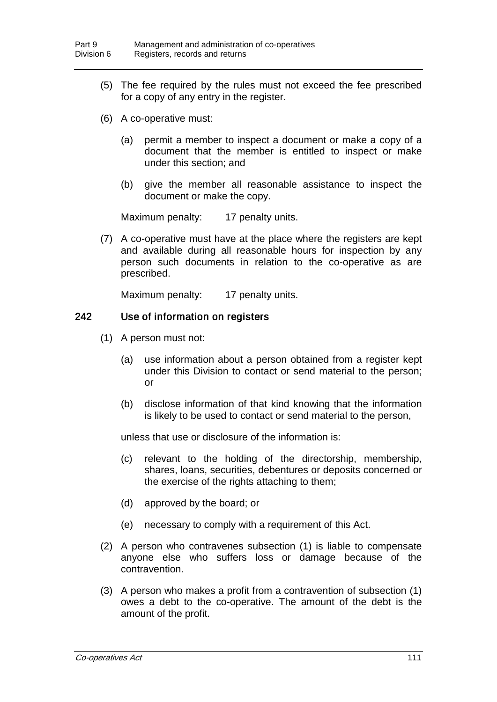- (5) The fee required by the rules must not exceed the fee prescribed for a copy of any entry in the register.
- (6) A co-operative must:
	- (a) permit a member to inspect a document or make a copy of a document that the member is entitled to inspect or make under this section; and
	- (b) give the member all reasonable assistance to inspect the document or make the copy.

Maximum penalty: 17 penalty units.

(7) A co-operative must have at the place where the registers are kept and available during all reasonable hours for inspection by any person such documents in relation to the co-operative as are prescribed.

Maximum penalty: 17 penalty units.

### 242 Use of information on registers

- (1) A person must not:
	- (a) use information about a person obtained from a register kept under this Division to contact or send material to the person; or
	- (b) disclose information of that kind knowing that the information is likely to be used to contact or send material to the person,

unless that use or disclosure of the information is:

- (c) relevant to the holding of the directorship, membership, shares, loans, securities, debentures or deposits concerned or the exercise of the rights attaching to them;
- (d) approved by the board; or
- (e) necessary to comply with a requirement of this Act.
- (2) A person who contravenes subsection (1) is liable to compensate anyone else who suffers loss or damage because of the contravention.
- (3) A person who makes a profit from a contravention of subsection (1) owes a debt to the co-operative. The amount of the debt is the amount of the profit.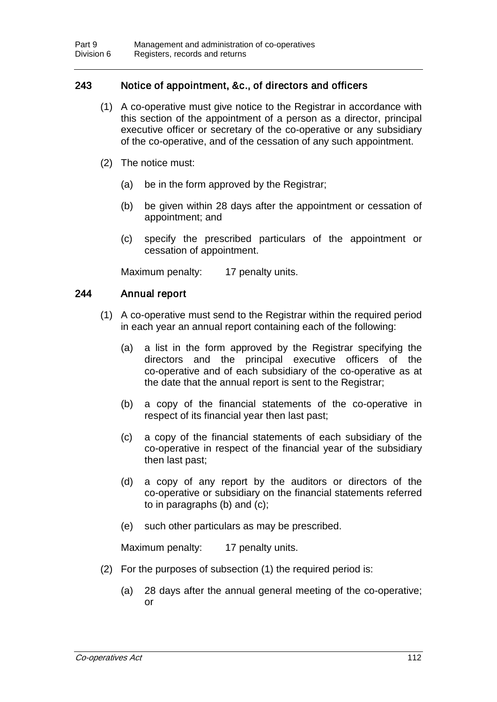## 243 Notice of appointment, &c., of directors and officers

- (1) A co-operative must give notice to the Registrar in accordance with this section of the appointment of a person as a director, principal executive officer or secretary of the co-operative or any subsidiary of the co-operative, and of the cessation of any such appointment.
- (2) The notice must:
	- (a) be in the form approved by the Registrar;
	- (b) be given within 28 days after the appointment or cessation of appointment; and
	- (c) specify the prescribed particulars of the appointment or cessation of appointment.

Maximum penalty: 17 penalty units.

### 244 Annual report

- (1) A co-operative must send to the Registrar within the required period in each year an annual report containing each of the following:
	- (a) a list in the form approved by the Registrar specifying the directors and the principal executive officers of the co-operative and of each subsidiary of the co-operative as at the date that the annual report is sent to the Registrar;
	- (b) a copy of the financial statements of the co-operative in respect of its financial year then last past;
	- (c) a copy of the financial statements of each subsidiary of the co-operative in respect of the financial year of the subsidiary then last past;
	- (d) a copy of any report by the auditors or directors of the co-operative or subsidiary on the financial statements referred to in paragraphs (b) and (c);
	- (e) such other particulars as may be prescribed.

Maximum penalty: 17 penalty units.

- (2) For the purposes of subsection (1) the required period is:
	- (a) 28 days after the annual general meeting of the co-operative; or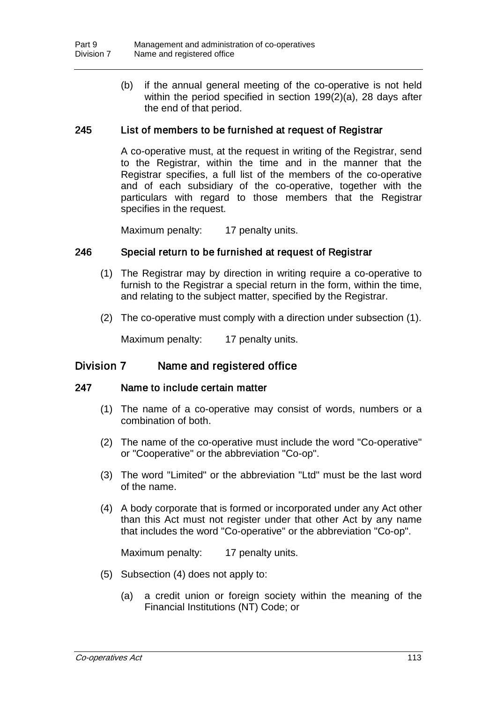(b) if the annual general meeting of the co-operative is not held within the period specified in section 199(2)(a), 28 days after the end of that period.

### 245 List of members to be furnished at request of Registrar

A co-operative must, at the request in writing of the Registrar, send to the Registrar, within the time and in the manner that the Registrar specifies, a full list of the members of the co-operative and of each subsidiary of the co-operative, together with the particulars with regard to those members that the Registrar specifies in the request.

Maximum penalty: 17 penalty units.

### 246 Special return to be furnished at request of Registrar

- (1) The Registrar may by direction in writing require a co-operative to furnish to the Registrar a special return in the form, within the time, and relating to the subject matter, specified by the Registrar.
- (2) The co-operative must comply with a direction under subsection (1).

Maximum penalty: 17 penalty units.

### Division 7 Name and registered office

### 247 Name to include certain matter

- (1) The name of a co-operative may consist of words, numbers or a combination of both.
- (2) The name of the co-operative must include the word "Co-operative" or "Cooperative" or the abbreviation "Co-op".
- (3) The word "Limited" or the abbreviation "Ltd" must be the last word of the name.
- (4) A body corporate that is formed or incorporated under any Act other than this Act must not register under that other Act by any name that includes the word "Co-operative" or the abbreviation "Co-op".

Maximum penalty: 17 penalty units.

- (5) Subsection (4) does not apply to:
	- (a) a credit union or foreign society within the meaning of the Financial Institutions (NT) Code; or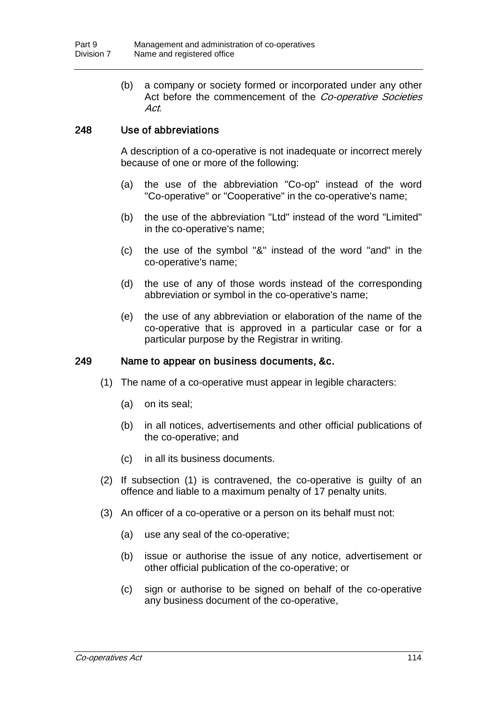(b) a company or society formed or incorporated under any other Act before the commencement of the Co-operative Societies Act.

# 248 Use of abbreviations

A description of a co-operative is not inadequate or incorrect merely because of one or more of the following:

- (a) the use of the abbreviation "Co-op" instead of the word "Co-operative" or "Cooperative" in the co-operative's name;
- (b) the use of the abbreviation "Ltd" instead of the word "Limited" in the co-operative's name;
- (c) the use of the symbol "&" instead of the word "and" in the co-operative's name;
- (d) the use of any of those words instead of the corresponding abbreviation or symbol in the co-operative's name;
- (e) the use of any abbreviation or elaboration of the name of the co-operative that is approved in a particular case or for a particular purpose by the Registrar in writing.

### 249 Name to appear on business documents, &c.

- (1) The name of a co-operative must appear in legible characters:
	- (a) on its seal;
	- (b) in all notices, advertisements and other official publications of the co-operative; and
	- (c) in all its business documents.
- (2) If subsection (1) is contravened, the co-operative is guilty of an offence and liable to a maximum penalty of 17 penalty units.
- (3) An officer of a co-operative or a person on its behalf must not:
	- (a) use any seal of the co-operative;
	- (b) issue or authorise the issue of any notice, advertisement or other official publication of the co-operative; or
	- (c) sign or authorise to be signed on behalf of the co-operative any business document of the co-operative,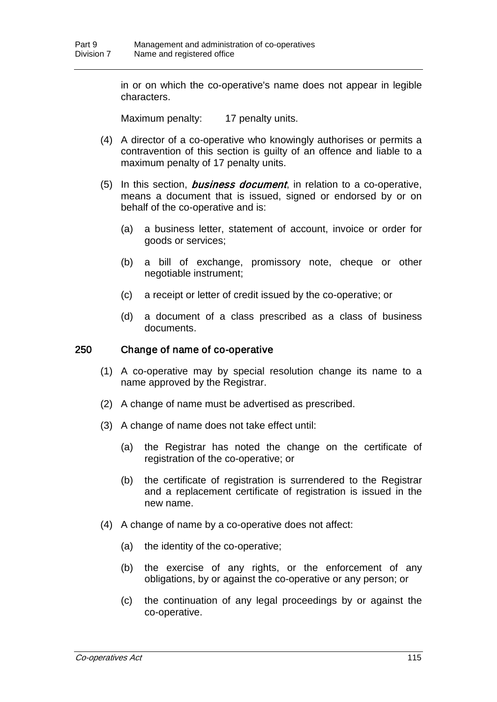in or on which the co-operative's name does not appear in legible characters.

Maximum penalty: 17 penalty units.

- (4) A director of a co-operative who knowingly authorises or permits a contravention of this section is guilty of an offence and liable to a maximum penalty of 17 penalty units.
- (5) In this section, *business document*, in relation to a co-operative, means a document that is issued, signed or endorsed by or on behalf of the co-operative and is:
	- (a) a business letter, statement of account, invoice or order for goods or services;
	- (b) a bill of exchange, promissory note, cheque or other negotiable instrument;
	- (c) a receipt or letter of credit issued by the co-operative; or
	- (d) a document of a class prescribed as a class of business documents.

#### 250 Change of name of co-operative

- (1) A co-operative may by special resolution change its name to a name approved by the Registrar.
- (2) A change of name must be advertised as prescribed.
- (3) A change of name does not take effect until:
	- (a) the Registrar has noted the change on the certificate of registration of the co-operative; or
	- (b) the certificate of registration is surrendered to the Registrar and a replacement certificate of registration is issued in the new name.
- (4) A change of name by a co-operative does not affect:
	- (a) the identity of the co-operative;
	- (b) the exercise of any rights, or the enforcement of any obligations, by or against the co-operative or any person; or
	- (c) the continuation of any legal proceedings by or against the co-operative.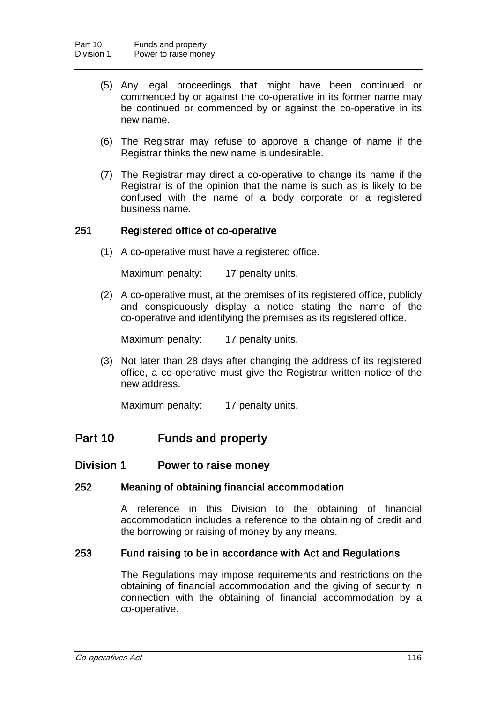- (5) Any legal proceedings that might have been continued or commenced by or against the co-operative in its former name may be continued or commenced by or against the co-operative in its new name.
- (6) The Registrar may refuse to approve a change of name if the Registrar thinks the new name is undesirable.
- (7) The Registrar may direct a co-operative to change its name if the Registrar is of the opinion that the name is such as is likely to be confused with the name of a body corporate or a registered business name.

### 251 Registered office of co-operative

(1) A co-operative must have a registered office.

Maximum penalty: 17 penalty units.

(2) A co-operative must, at the premises of its registered office, publicly and conspicuously display a notice stating the name of the co-operative and identifying the premises as its registered office.

Maximum penalty: 17 penalty units.

(3) Not later than 28 days after changing the address of its registered office, a co-operative must give the Registrar written notice of the new address.

Maximum penalty: 17 penalty units.

# Part 10 Funds and property

### Division 1 Power to raise money

### 252 Meaning of obtaining financial accommodation

A reference in this Division to the obtaining of financial accommodation includes a reference to the obtaining of credit and the borrowing or raising of money by any means.

### 253 Fund raising to be in accordance with Act and Regulations

The Regulations may impose requirements and restrictions on the obtaining of financial accommodation and the giving of security in connection with the obtaining of financial accommodation by a co-operative.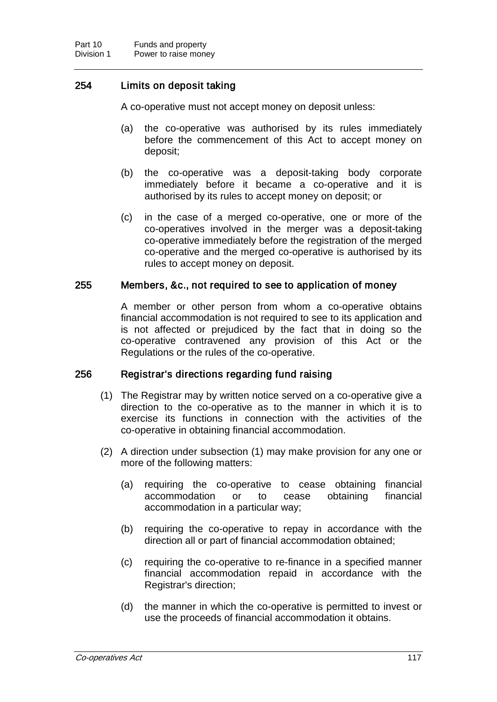# 254 Limits on deposit taking

A co-operative must not accept money on deposit unless:

- (a) the co-operative was authorised by its rules immediately before the commencement of this Act to accept money on deposit;
- (b) the co-operative was a deposit-taking body corporate immediately before it became a co-operative and it is authorised by its rules to accept money on deposit; or
- (c) in the case of a merged co-operative, one or more of the co-operatives involved in the merger was a deposit-taking co-operative immediately before the registration of the merged co-operative and the merged co-operative is authorised by its rules to accept money on deposit.

### 255 Members, &c., not required to see to application of money

A member or other person from whom a co-operative obtains financial accommodation is not required to see to its application and is not affected or prejudiced by the fact that in doing so the co-operative contravened any provision of this Act or the Regulations or the rules of the co-operative.

### 256 Registrar's directions regarding fund raising

- (1) The Registrar may by written notice served on a co-operative give a direction to the co-operative as to the manner in which it is to exercise its functions in connection with the activities of the co-operative in obtaining financial accommodation.
- (2) A direction under subsection (1) may make provision for any one or more of the following matters:
	- (a) requiring the co-operative to cease obtaining financial accommodation or to cease obtaining financial accommodation in a particular way;
	- (b) requiring the co-operative to repay in accordance with the direction all or part of financial accommodation obtained;
	- (c) requiring the co-operative to re-finance in a specified manner financial accommodation repaid in accordance with the Registrar's direction;
	- (d) the manner in which the co-operative is permitted to invest or use the proceeds of financial accommodation it obtains.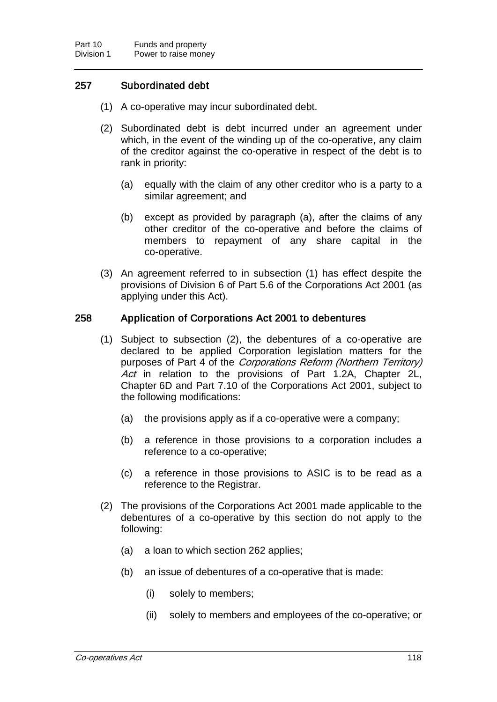# 257 Subordinated debt

- (1) A co-operative may incur subordinated debt.
- (2) Subordinated debt is debt incurred under an agreement under which, in the event of the winding up of the co-operative, any claim of the creditor against the co-operative in respect of the debt is to rank in priority:
	- (a) equally with the claim of any other creditor who is a party to a similar agreement; and
	- (b) except as provided by paragraph (a), after the claims of any other creditor of the co-operative and before the claims of members to repayment of any share capital in the co-operative.
- (3) An agreement referred to in subsection (1) has effect despite the provisions of Division 6 of Part 5.6 of the Corporations Act 2001 (as applying under this Act).

### 258 Application of Corporations Act 2001 to debentures

- (1) Subject to subsection (2), the debentures of a co-operative are declared to be applied Corporation legislation matters for the purposes of Part 4 of the Corporations Reform (Northern Territory) Act in relation to the provisions of Part 1.2A, Chapter 2L, Chapter 6D and Part 7.10 of the Corporations Act 2001, subject to the following modifications:
	- (a) the provisions apply as if a co-operative were a company;
	- (b) a reference in those provisions to a corporation includes a reference to a co-operative;
	- (c) a reference in those provisions to ASIC is to be read as a reference to the Registrar.
- (2) The provisions of the Corporations Act 2001 made applicable to the debentures of a co-operative by this section do not apply to the following:
	- (a) a loan to which section 262 applies;
	- (b) an issue of debentures of a co-operative that is made:
		- (i) solely to members;
		- (ii) solely to members and employees of the co-operative; or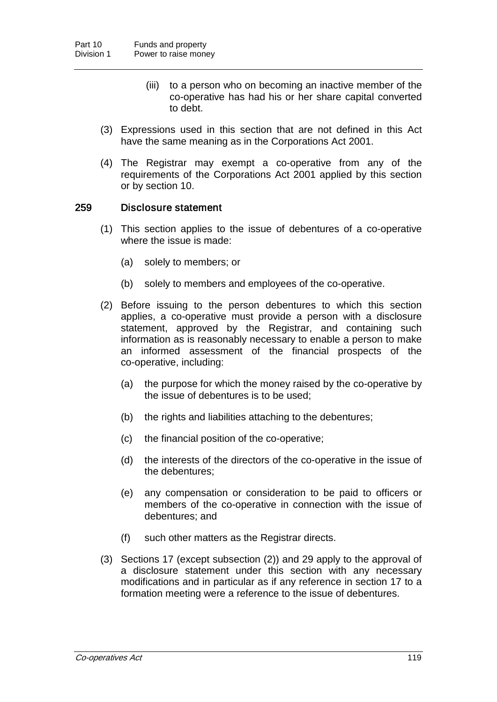- (iii) to a person who on becoming an inactive member of the co-operative has had his or her share capital converted to debt.
- (3) Expressions used in this section that are not defined in this Act have the same meaning as in the Corporations Act 2001.
- (4) The Registrar may exempt a co-operative from any of the requirements of the Corporations Act 2001 applied by this section or by section 10.

### 259 Disclosure statement

- (1) This section applies to the issue of debentures of a co-operative where the issue is made:
	- (a) solely to members; or
	- (b) solely to members and employees of the co-operative.
- (2) Before issuing to the person debentures to which this section applies, a co-operative must provide a person with a disclosure statement, approved by the Registrar, and containing such information as is reasonably necessary to enable a person to make an informed assessment of the financial prospects of the co-operative, including:
	- (a) the purpose for which the money raised by the co-operative by the issue of debentures is to be used;
	- (b) the rights and liabilities attaching to the debentures;
	- (c) the financial position of the co-operative;
	- (d) the interests of the directors of the co-operative in the issue of the debentures;
	- (e) any compensation or consideration to be paid to officers or members of the co-operative in connection with the issue of debentures; and
	- (f) such other matters as the Registrar directs.
- (3) Sections 17 (except subsection (2)) and 29 apply to the approval of a disclosure statement under this section with any necessary modifications and in particular as if any reference in section 17 to a formation meeting were a reference to the issue of debentures.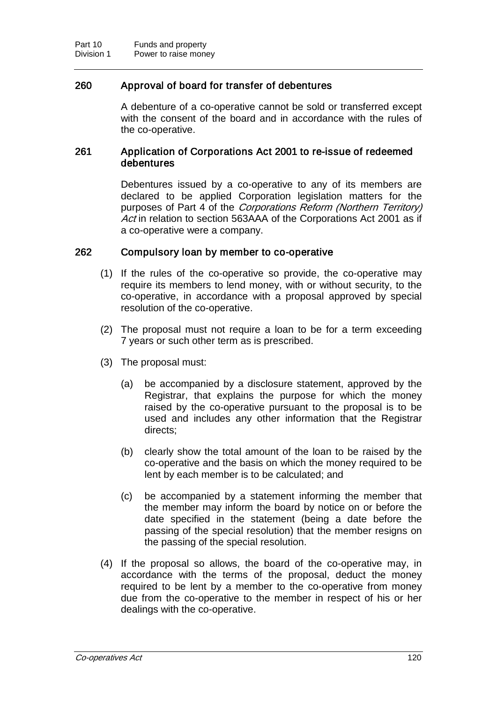### 260 Approval of board for transfer of debentures

A debenture of a co-operative cannot be sold or transferred except with the consent of the board and in accordance with the rules of the co-operative.

### 261 Application of Corporations Act 2001 to re-issue of redeemed debentures

Debentures issued by a co-operative to any of its members are declared to be applied Corporation legislation matters for the purposes of Part 4 of the Corporations Reform (Northern Territory) Act in relation to section 563AAA of the Corporations Act 2001 as if a co-operative were a company.

### 262 Compulsory loan by member to co-operative

- (1) If the rules of the co-operative so provide, the co-operative may require its members to lend money, with or without security, to the co-operative, in accordance with a proposal approved by special resolution of the co-operative.
- (2) The proposal must not require a loan to be for a term exceeding 7 years or such other term as is prescribed.
- (3) The proposal must:
	- (a) be accompanied by a disclosure statement, approved by the Registrar, that explains the purpose for which the money raised by the co-operative pursuant to the proposal is to be used and includes any other information that the Registrar directs;
	- (b) clearly show the total amount of the loan to be raised by the co-operative and the basis on which the money required to be lent by each member is to be calculated; and
	- (c) be accompanied by a statement informing the member that the member may inform the board by notice on or before the date specified in the statement (being a date before the passing of the special resolution) that the member resigns on the passing of the special resolution.
- (4) If the proposal so allows, the board of the co-operative may, in accordance with the terms of the proposal, deduct the money required to be lent by a member to the co-operative from money due from the co-operative to the member in respect of his or her dealings with the co-operative.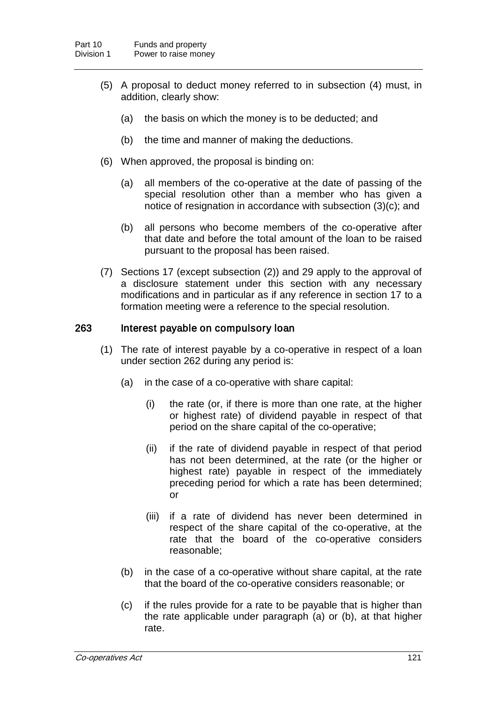- (5) A proposal to deduct money referred to in subsection (4) must, in addition, clearly show:
	- (a) the basis on which the money is to be deducted; and
	- (b) the time and manner of making the deductions.
- (6) When approved, the proposal is binding on:
	- (a) all members of the co-operative at the date of passing of the special resolution other than a member who has given a notice of resignation in accordance with subsection (3)(c); and
	- (b) all persons who become members of the co-operative after that date and before the total amount of the loan to be raised pursuant to the proposal has been raised.
- (7) Sections 17 (except subsection (2)) and 29 apply to the approval of a disclosure statement under this section with any necessary modifications and in particular as if any reference in section 17 to a formation meeting were a reference to the special resolution.

### 263 Interest payable on compulsory loan

- (1) The rate of interest payable by a co-operative in respect of a loan under section 262 during any period is:
	- (a) in the case of a co-operative with share capital:
		- (i) the rate (or, if there is more than one rate, at the higher or highest rate) of dividend payable in respect of that period on the share capital of the co-operative;
		- (ii) if the rate of dividend payable in respect of that period has not been determined, at the rate (or the higher or highest rate) payable in respect of the immediately preceding period for which a rate has been determined; or
		- (iii) if a rate of dividend has never been determined in respect of the share capital of the co-operative, at the rate that the board of the co-operative considers reasonable;
	- (b) in the case of a co-operative without share capital, at the rate that the board of the co-operative considers reasonable; or
	- (c) if the rules provide for a rate to be payable that is higher than the rate applicable under paragraph (a) or (b), at that higher rate.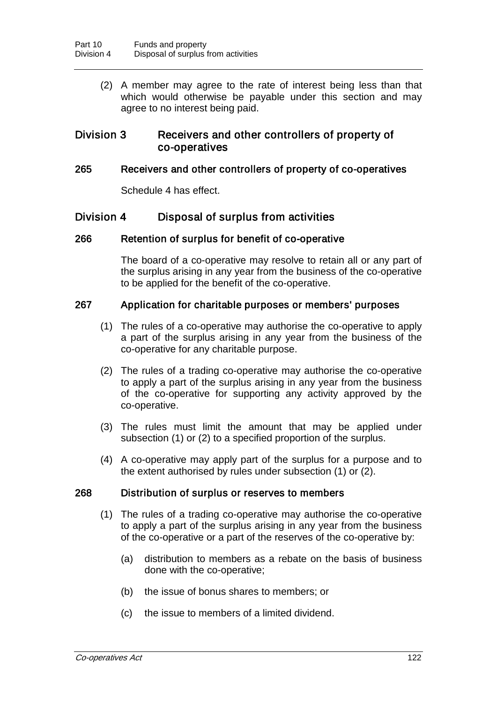(2) A member may agree to the rate of interest being less than that which would otherwise be payable under this section and may agree to no interest being paid.

### Division 3 Receivers and other controllers of property of co-operatives

### 265 Receivers and other controllers of property of co-operatives

Schedule 4 has effect.

# Division 4 Disposal of surplus from activities

### 266 Retention of surplus for benefit of co-operative

The board of a co-operative may resolve to retain all or any part of the surplus arising in any year from the business of the co-operative to be applied for the benefit of the co-operative.

### 267 Application for charitable purposes or members' purposes

- (1) The rules of a co-operative may authorise the co-operative to apply a part of the surplus arising in any year from the business of the co-operative for any charitable purpose.
- (2) The rules of a trading co-operative may authorise the co-operative to apply a part of the surplus arising in any year from the business of the co-operative for supporting any activity approved by the co-operative.
- (3) The rules must limit the amount that may be applied under subsection (1) or (2) to a specified proportion of the surplus.
- (4) A co-operative may apply part of the surplus for a purpose and to the extent authorised by rules under subsection (1) or (2).

### 268 Distribution of surplus or reserves to members

- (1) The rules of a trading co-operative may authorise the co-operative to apply a part of the surplus arising in any year from the business of the co-operative or a part of the reserves of the co-operative by:
	- (a) distribution to members as a rebate on the basis of business done with the co-operative;
	- (b) the issue of bonus shares to members; or
	- (c) the issue to members of a limited dividend.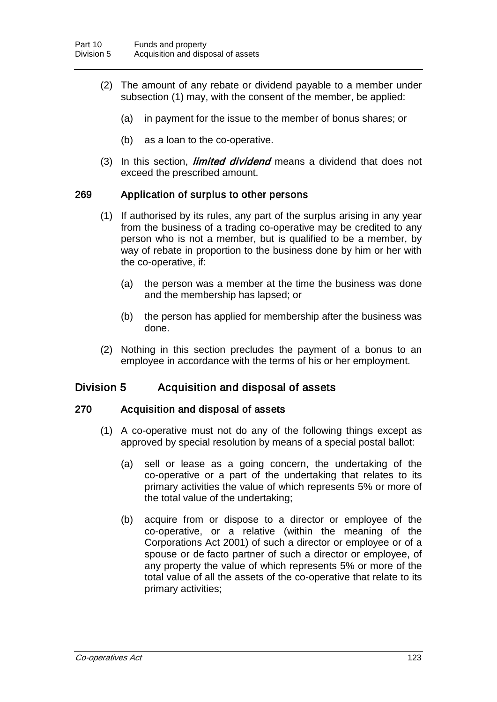- (2) The amount of any rebate or dividend payable to a member under subsection (1) may, with the consent of the member, be applied:
	- (a) in payment for the issue to the member of bonus shares; or
	- (b) as a loan to the co-operative.
- (3) In this section, *limited dividend* means a dividend that does not exceed the prescribed amount.

### 269 Application of surplus to other persons

- (1) If authorised by its rules, any part of the surplus arising in any year from the business of a trading co-operative may be credited to any person who is not a member, but is qualified to be a member, by way of rebate in proportion to the business done by him or her with the co-operative, if:
	- (a) the person was a member at the time the business was done and the membership has lapsed; or
	- (b) the person has applied for membership after the business was done.
- (2) Nothing in this section precludes the payment of a bonus to an employee in accordance with the terms of his or her employment.

### Division 5 Acquisition and disposal of assets

### 270 Acquisition and disposal of assets

- (1) A co-operative must not do any of the following things except as approved by special resolution by means of a special postal ballot:
	- (a) sell or lease as a going concern, the undertaking of the co-operative or a part of the undertaking that relates to its primary activities the value of which represents 5% or more of the total value of the undertaking;
	- (b) acquire from or dispose to a director or employee of the co-operative, or a relative (within the meaning of the Corporations Act 2001) of such a director or employee or of a spouse or de facto partner of such a director or employee, of any property the value of which represents 5% or more of the total value of all the assets of the co-operative that relate to its primary activities;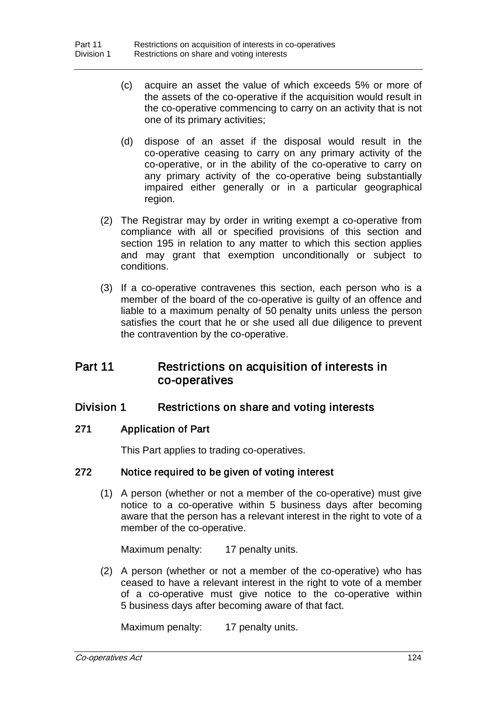- (c) acquire an asset the value of which exceeds 5% or more of the assets of the co-operative if the acquisition would result in the co-operative commencing to carry on an activity that is not one of its primary activities;
- (d) dispose of an asset if the disposal would result in the co-operative ceasing to carry on any primary activity of the co-operative, or in the ability of the co-operative to carry on any primary activity of the co-operative being substantially impaired either generally or in a particular geographical region.
- (2) The Registrar may by order in writing exempt a co-operative from compliance with all or specified provisions of this section and section 195 in relation to any matter to which this section applies and may grant that exemption unconditionally or subject to conditions.
- (3) If a co-operative contravenes this section, each person who is a member of the board of the co-operative is guilty of an offence and liable to a maximum penalty of 50 penalty units unless the person satisfies the court that he or she used all due diligence to prevent the contravention by the co-operative.

# Part 11 Restrictions on acquisition of interests in co-operatives

# Division 1 Restrictions on share and voting interests

### 271 Application of Part

This Part applies to trading co-operatives.

### 272 Notice required to be given of voting interest

(1) A person (whether or not a member of the co-operative) must give notice to a co-operative within 5 business days after becoming aware that the person has a relevant interest in the right to vote of a member of the co-operative.

Maximum penalty: 17 penalty units.

(2) A person (whether or not a member of the co-operative) who has ceased to have a relevant interest in the right to vote of a member of a co-operative must give notice to the co-operative within 5 business days after becoming aware of that fact.

Maximum penalty: 17 penalty units.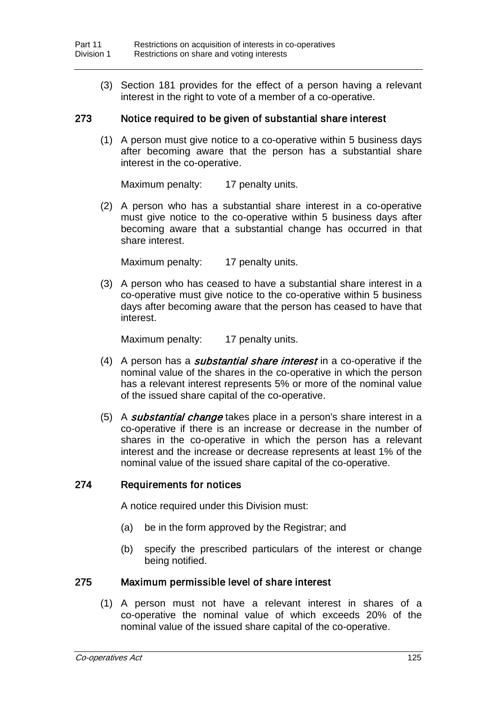(3) Section 181 provides for the effect of a person having a relevant interest in the right to vote of a member of a co-operative.

### 273 Notice required to be given of substantial share interest

(1) A person must give notice to a co-operative within 5 business days after becoming aware that the person has a substantial share interest in the co-operative.

Maximum penalty: 17 penalty units.

(2) A person who has a substantial share interest in a co-operative must give notice to the co-operative within 5 business days after becoming aware that a substantial change has occurred in that share interest.

Maximum penalty: 17 penalty units.

(3) A person who has ceased to have a substantial share interest in a co-operative must give notice to the co-operative within 5 business days after becoming aware that the person has ceased to have that interest.

Maximum penalty: 17 penalty units.

- (4) A person has a *substantial share interest* in a co-operative if the nominal value of the shares in the co-operative in which the person has a relevant interest represents 5% or more of the nominal value of the issued share capital of the co-operative.
- (5) A *substantial change* takes place in a person's share interest in a co-operative if there is an increase or decrease in the number of shares in the co-operative in which the person has a relevant interest and the increase or decrease represents at least 1% of the nominal value of the issued share capital of the co-operative.

### 274 Requirements for notices

A notice required under this Division must:

- (a) be in the form approved by the Registrar; and
- (b) specify the prescribed particulars of the interest or change being notified.

### 275 Maximum permissible level of share interest

(1) A person must not have a relevant interest in shares of a co-operative the nominal value of which exceeds 20% of the nominal value of the issued share capital of the co-operative.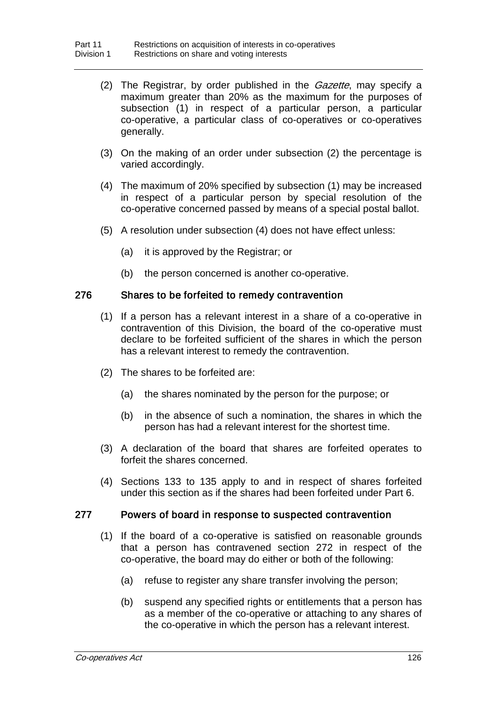- (2) The Registrar, by order published in the *Gazette*, may specify a maximum greater than 20% as the maximum for the purposes of subsection (1) in respect of a particular person, a particular co-operative, a particular class of co-operatives or co-operatives generally.
- (3) On the making of an order under subsection (2) the percentage is varied accordingly.
- (4) The maximum of 20% specified by subsection (1) may be increased in respect of a particular person by special resolution of the co-operative concerned passed by means of a special postal ballot.
- (5) A resolution under subsection (4) does not have effect unless:
	- (a) it is approved by the Registrar; or
	- (b) the person concerned is another co-operative.

### 276 Shares to be forfeited to remedy contravention

- (1) If a person has a relevant interest in a share of a co-operative in contravention of this Division, the board of the co-operative must declare to be forfeited sufficient of the shares in which the person has a relevant interest to remedy the contravention.
- (2) The shares to be forfeited are:
	- (a) the shares nominated by the person for the purpose; or
	- (b) in the absence of such a nomination, the shares in which the person has had a relevant interest for the shortest time.
- (3) A declaration of the board that shares are forfeited operates to forfeit the shares concerned.
- (4) Sections 133 to 135 apply to and in respect of shares forfeited under this section as if the shares had been forfeited under Part 6.

#### 277 Powers of board in response to suspected contravention

- (1) If the board of a co-operative is satisfied on reasonable grounds that a person has contravened section 272 in respect of the co-operative, the board may do either or both of the following:
	- (a) refuse to register any share transfer involving the person;
	- (b) suspend any specified rights or entitlements that a person has as a member of the co-operative or attaching to any shares of the co-operative in which the person has a relevant interest.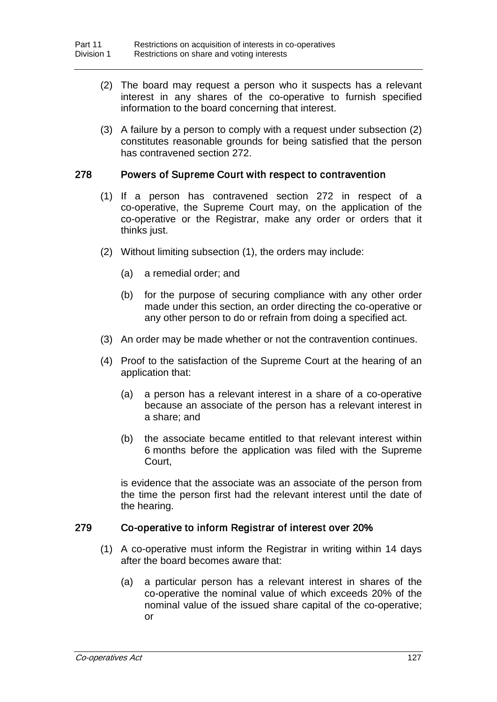- (2) The board may request a person who it suspects has a relevant interest in any shares of the co-operative to furnish specified information to the board concerning that interest.
- (3) A failure by a person to comply with a request under subsection (2) constitutes reasonable grounds for being satisfied that the person has contravened section 272.

### 278 Powers of Supreme Court with respect to contravention

- (1) If a person has contravened section 272 in respect of a co-operative, the Supreme Court may, on the application of the co-operative or the Registrar, make any order or orders that it thinks just.
- (2) Without limiting subsection (1), the orders may include:
	- (a) a remedial order; and
	- (b) for the purpose of securing compliance with any other order made under this section, an order directing the co-operative or any other person to do or refrain from doing a specified act.
- (3) An order may be made whether or not the contravention continues.
- (4) Proof to the satisfaction of the Supreme Court at the hearing of an application that:
	- (a) a person has a relevant interest in a share of a co-operative because an associate of the person has a relevant interest in a share; and
	- (b) the associate became entitled to that relevant interest within 6 months before the application was filed with the Supreme Court,

is evidence that the associate was an associate of the person from the time the person first had the relevant interest until the date of the hearing.

### 279 Co-operative to inform Registrar of interest over 20%

- (1) A co-operative must inform the Registrar in writing within 14 days after the board becomes aware that:
	- (a) a particular person has a relevant interest in shares of the co-operative the nominal value of which exceeds 20% of the nominal value of the issued share capital of the co-operative; or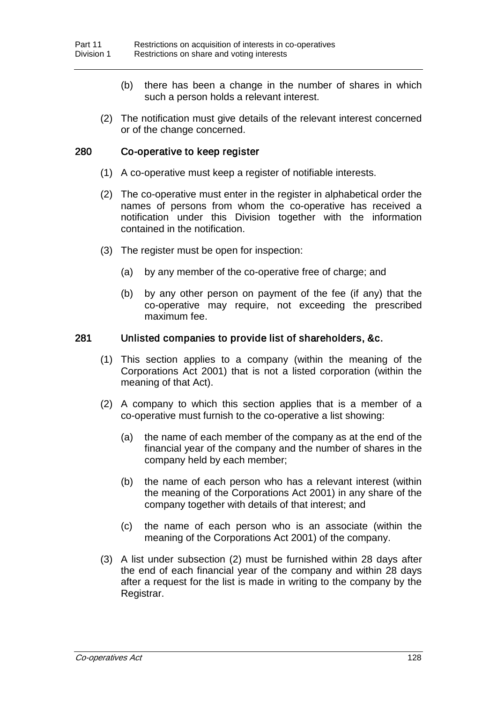- (b) there has been a change in the number of shares in which such a person holds a relevant interest.
- (2) The notification must give details of the relevant interest concerned or of the change concerned.

#### 280 Co-operative to keep register

- (1) A co-operative must keep a register of notifiable interests.
- (2) The co-operative must enter in the register in alphabetical order the names of persons from whom the co-operative has received a notification under this Division together with the information contained in the notification.
- (3) The register must be open for inspection:
	- (a) by any member of the co-operative free of charge; and
	- (b) by any other person on payment of the fee (if any) that the co-operative may require, not exceeding the prescribed maximum fee.

#### 281 Unlisted companies to provide list of shareholders, &c.

- (1) This section applies to a company (within the meaning of the Corporations Act 2001) that is not a listed corporation (within the meaning of that Act).
- (2) A company to which this section applies that is a member of a co-operative must furnish to the co-operative a list showing:
	- (a) the name of each member of the company as at the end of the financial year of the company and the number of shares in the company held by each member;
	- (b) the name of each person who has a relevant interest (within the meaning of the Corporations Act 2001) in any share of the company together with details of that interest; and
	- (c) the name of each person who is an associate (within the meaning of the Corporations Act 2001) of the company.
- (3) A list under subsection (2) must be furnished within 28 days after the end of each financial year of the company and within 28 days after a request for the list is made in writing to the company by the Registrar.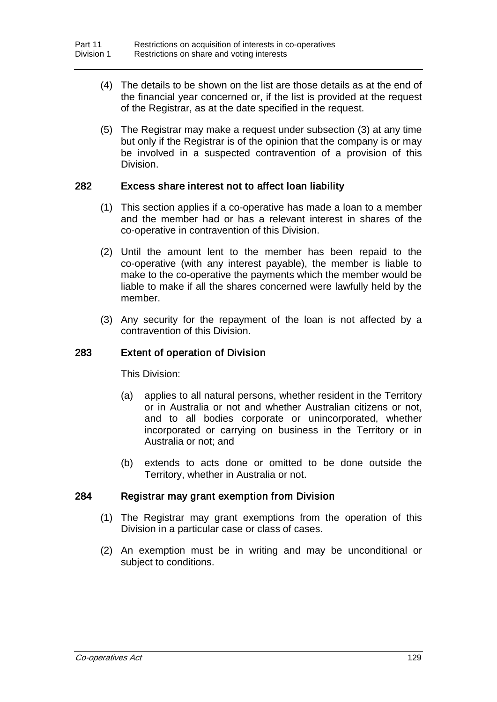- (4) The details to be shown on the list are those details as at the end of the financial year concerned or, if the list is provided at the request of the Registrar, as at the date specified in the request.
- (5) The Registrar may make a request under subsection (3) at any time but only if the Registrar is of the opinion that the company is or may be involved in a suspected contravention of a provision of this Division.

## 282 Excess share interest not to affect loan liability

- (1) This section applies if a co-operative has made a loan to a member and the member had or has a relevant interest in shares of the co-operative in contravention of this Division.
- (2) Until the amount lent to the member has been repaid to the co-operative (with any interest payable), the member is liable to make to the co-operative the payments which the member would be liable to make if all the shares concerned were lawfully held by the member.
- (3) Any security for the repayment of the loan is not affected by a contravention of this Division.

## 283 Extent of operation of Division

This Division:

- (a) applies to all natural persons, whether resident in the Territory or in Australia or not and whether Australian citizens or not, and to all bodies corporate or unincorporated, whether incorporated or carrying on business in the Territory or in Australia or not; and
- (b) extends to acts done or omitted to be done outside the Territory, whether in Australia or not.

## 284 Registrar may grant exemption from Division

- (1) The Registrar may grant exemptions from the operation of this Division in a particular case or class of cases.
- (2) An exemption must be in writing and may be unconditional or subject to conditions.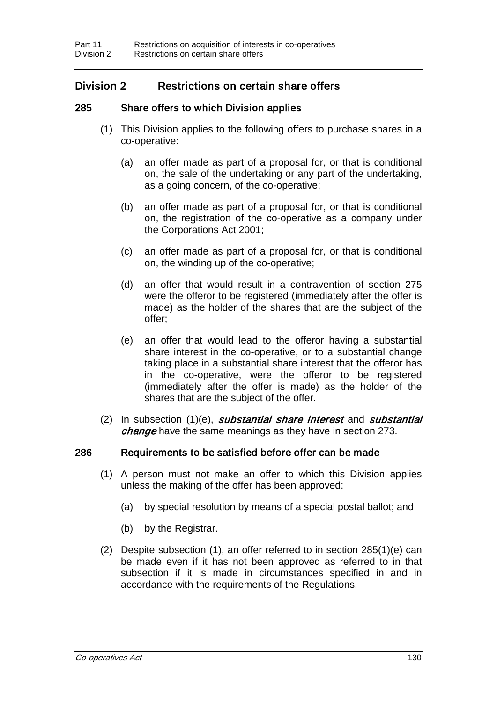# Division 2 Restrictions on certain share offers

## 285 Share offers to which Division applies

- (1) This Division applies to the following offers to purchase shares in a co-operative:
	- (a) an offer made as part of a proposal for, or that is conditional on, the sale of the undertaking or any part of the undertaking, as a going concern, of the co-operative;
	- (b) an offer made as part of a proposal for, or that is conditional on, the registration of the co-operative as a company under the Corporations Act 2001;
	- (c) an offer made as part of a proposal for, or that is conditional on, the winding up of the co-operative;
	- (d) an offer that would result in a contravention of section 275 were the offeror to be registered (immediately after the offer is made) as the holder of the shares that are the subject of the offer;
	- (e) an offer that would lead to the offeror having a substantial share interest in the co-operative, or to a substantial change taking place in a substantial share interest that the offeror has in the co-operative, were the offeror to be registered (immediately after the offer is made) as the holder of the shares that are the subject of the offer.
- (2) In subsection  $(1)(e)$ , substantial share interest and substantial change have the same meanings as they have in section 273.

## 286 Requirements to be satisfied before offer can be made

- (1) A person must not make an offer to which this Division applies unless the making of the offer has been approved:
	- (a) by special resolution by means of a special postal ballot; and
	- (b) by the Registrar.
- (2) Despite subsection (1), an offer referred to in section 285(1)(e) can be made even if it has not been approved as referred to in that subsection if it is made in circumstances specified in and in accordance with the requirements of the Regulations.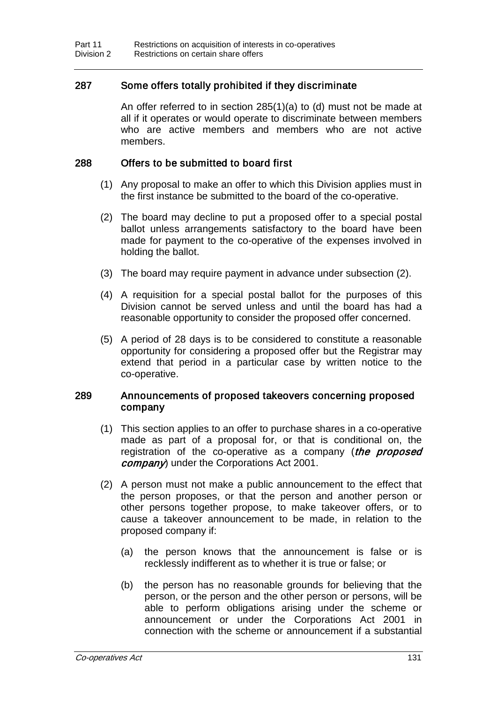## 287 Some offers totally prohibited if they discriminate

An offer referred to in section 285(1)(a) to (d) must not be made at all if it operates or would operate to discriminate between members who are active members and members who are not active members.

#### 288 Offers to be submitted to board first

- (1) Any proposal to make an offer to which this Division applies must in the first instance be submitted to the board of the co-operative.
- (2) The board may decline to put a proposed offer to a special postal ballot unless arrangements satisfactory to the board have been made for payment to the co-operative of the expenses involved in holding the ballot.
- (3) The board may require payment in advance under subsection (2).
- (4) A requisition for a special postal ballot for the purposes of this Division cannot be served unless and until the board has had a reasonable opportunity to consider the proposed offer concerned.
- (5) A period of 28 days is to be considered to constitute a reasonable opportunity for considering a proposed offer but the Registrar may extend that period in a particular case by written notice to the co-operative.

#### 289 Announcements of proposed takeovers concerning proposed company

- (1) This section applies to an offer to purchase shares in a co-operative made as part of a proposal for, or that is conditional on, the registration of the co-operative as a company (the proposed company) under the Corporations Act 2001.
- (2) A person must not make a public announcement to the effect that the person proposes, or that the person and another person or other persons together propose, to make takeover offers, or to cause a takeover announcement to be made, in relation to the proposed company if:
	- (a) the person knows that the announcement is false or is recklessly indifferent as to whether it is true or false; or
	- (b) the person has no reasonable grounds for believing that the person, or the person and the other person or persons, will be able to perform obligations arising under the scheme or announcement or under the Corporations Act 2001 in connection with the scheme or announcement if a substantial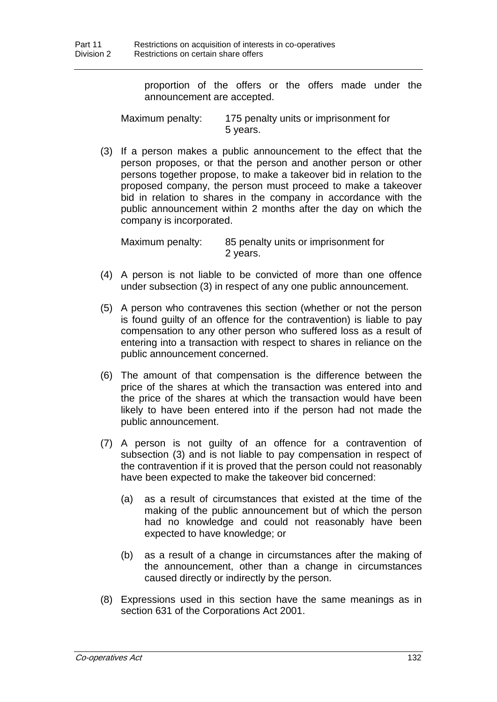proportion of the offers or the offers made under the announcement are accepted.

Maximum penalty: 175 penalty units or imprisonment for 5 years.

(3) If a person makes a public announcement to the effect that the person proposes, or that the person and another person or other persons together propose, to make a takeover bid in relation to the proposed company, the person must proceed to make a takeover bid in relation to shares in the company in accordance with the public announcement within 2 months after the day on which the company is incorporated.

Maximum penalty: 85 penalty units or imprisonment for 2 years.

- (4) A person is not liable to be convicted of more than one offence under subsection (3) in respect of any one public announcement.
- (5) A person who contravenes this section (whether or not the person is found guilty of an offence for the contravention) is liable to pay compensation to any other person who suffered loss as a result of entering into a transaction with respect to shares in reliance on the public announcement concerned.
- (6) The amount of that compensation is the difference between the price of the shares at which the transaction was entered into and the price of the shares at which the transaction would have been likely to have been entered into if the person had not made the public announcement.
- (7) A person is not guilty of an offence for a contravention of subsection (3) and is not liable to pay compensation in respect of the contravention if it is proved that the person could not reasonably have been expected to make the takeover bid concerned:
	- (a) as a result of circumstances that existed at the time of the making of the public announcement but of which the person had no knowledge and could not reasonably have been expected to have knowledge; or
	- (b) as a result of a change in circumstances after the making of the announcement, other than a change in circumstances caused directly or indirectly by the person.
- (8) Expressions used in this section have the same meanings as in section 631 of the Corporations Act 2001.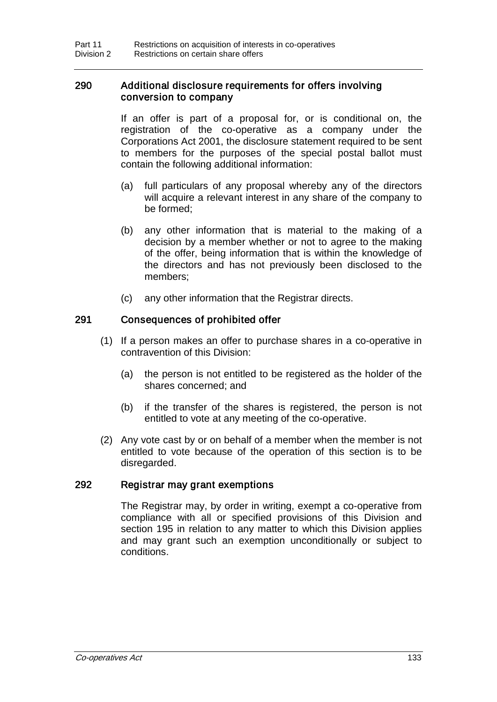## 290 Additional disclosure requirements for offers involving conversion to company

If an offer is part of a proposal for, or is conditional on, the registration of the co-operative as a company under the Corporations Act 2001, the disclosure statement required to be sent to members for the purposes of the special postal ballot must contain the following additional information:

- (a) full particulars of any proposal whereby any of the directors will acquire a relevant interest in any share of the company to be formed;
- (b) any other information that is material to the making of a decision by a member whether or not to agree to the making of the offer, being information that is within the knowledge of the directors and has not previously been disclosed to the members;
- (c) any other information that the Registrar directs.

## 291 Consequences of prohibited offer

- (1) If a person makes an offer to purchase shares in a co-operative in contravention of this Division:
	- (a) the person is not entitled to be registered as the holder of the shares concerned; and
	- (b) if the transfer of the shares is registered, the person is not entitled to vote at any meeting of the co-operative.
- (2) Any vote cast by or on behalf of a member when the member is not entitled to vote because of the operation of this section is to be disregarded.

## 292 Registrar may grant exemptions

The Registrar may, by order in writing, exempt a co-operative from compliance with all or specified provisions of this Division and section 195 in relation to any matter to which this Division applies and may grant such an exemption unconditionally or subject to conditions.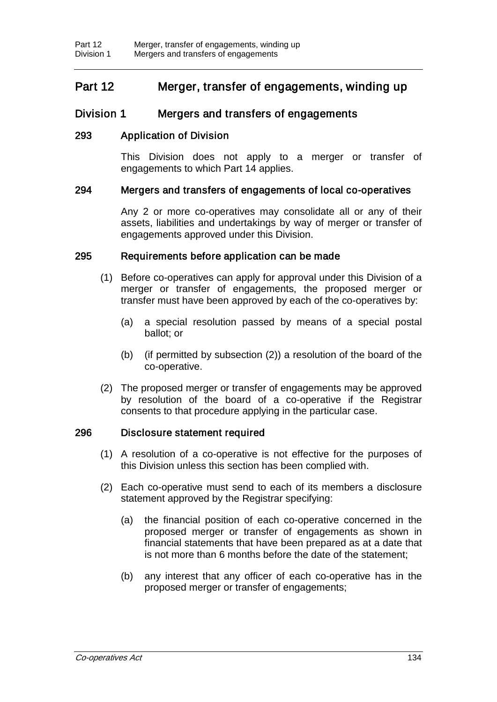# Part 12 Merger, transfer of engagements, winding up

# Division 1 Mergers and transfers of engagements

# 293 Application of Division

This Division does not apply to a merger or transfer of engagements to which Part 14 applies.

## 294 Mergers and transfers of engagements of local co-operatives

Any 2 or more co-operatives may consolidate all or any of their assets, liabilities and undertakings by way of merger or transfer of engagements approved under this Division.

## 295 Requirements before application can be made

- (1) Before co-operatives can apply for approval under this Division of a merger or transfer of engagements, the proposed merger or transfer must have been approved by each of the co-operatives by:
	- (a) a special resolution passed by means of a special postal ballot; or
	- (b) (if permitted by subsection (2)) a resolution of the board of the co-operative.
- (2) The proposed merger or transfer of engagements may be approved by resolution of the board of a co-operative if the Registrar consents to that procedure applying in the particular case.

## 296 Disclosure statement required

- (1) A resolution of a co-operative is not effective for the purposes of this Division unless this section has been complied with.
- (2) Each co-operative must send to each of its members a disclosure statement approved by the Registrar specifying:
	- (a) the financial position of each co-operative concerned in the proposed merger or transfer of engagements as shown in financial statements that have been prepared as at a date that is not more than 6 months before the date of the statement;
	- (b) any interest that any officer of each co-operative has in the proposed merger or transfer of engagements;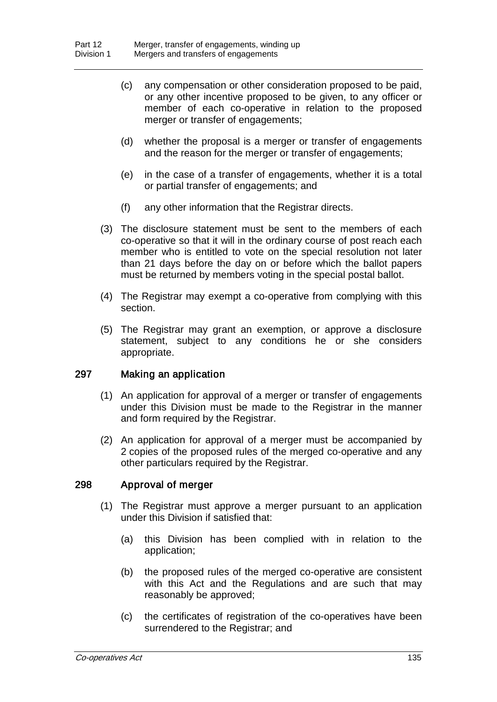- (c) any compensation or other consideration proposed to be paid, or any other incentive proposed to be given, to any officer or member of each co-operative in relation to the proposed merger or transfer of engagements;
- (d) whether the proposal is a merger or transfer of engagements and the reason for the merger or transfer of engagements;
- (e) in the case of a transfer of engagements, whether it is a total or partial transfer of engagements; and
- (f) any other information that the Registrar directs.
- (3) The disclosure statement must be sent to the members of each co-operative so that it will in the ordinary course of post reach each member who is entitled to vote on the special resolution not later than 21 days before the day on or before which the ballot papers must be returned by members voting in the special postal ballot.
- (4) The Registrar may exempt a co-operative from complying with this section.
- (5) The Registrar may grant an exemption, or approve a disclosure statement, subject to any conditions he or she considers appropriate.

## 297 Making an application

- (1) An application for approval of a merger or transfer of engagements under this Division must be made to the Registrar in the manner and form required by the Registrar.
- (2) An application for approval of a merger must be accompanied by 2 copies of the proposed rules of the merged co-operative and any other particulars required by the Registrar.

## 298 Approval of merger

- (1) The Registrar must approve a merger pursuant to an application under this Division if satisfied that:
	- (a) this Division has been complied with in relation to the application;
	- (b) the proposed rules of the merged co-operative are consistent with this Act and the Regulations and are such that may reasonably be approved;
	- (c) the certificates of registration of the co-operatives have been surrendered to the Registrar; and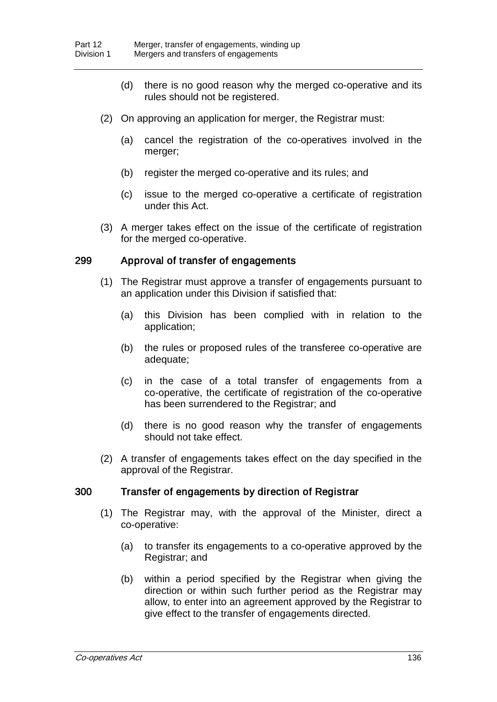- (d) there is no good reason why the merged co-operative and its rules should not be registered.
- (2) On approving an application for merger, the Registrar must:
	- (a) cancel the registration of the co-operatives involved in the merger;
	- (b) register the merged co-operative and its rules; and
	- (c) issue to the merged co-operative a certificate of registration under this Act.
- (3) A merger takes effect on the issue of the certificate of registration for the merged co-operative.

## 299 Approval of transfer of engagements

- (1) The Registrar must approve a transfer of engagements pursuant to an application under this Division if satisfied that:
	- (a) this Division has been complied with in relation to the application;
	- (b) the rules or proposed rules of the transferee co-operative are adequate;
	- (c) in the case of a total transfer of engagements from a co-operative, the certificate of registration of the co-operative has been surrendered to the Registrar; and
	- (d) there is no good reason why the transfer of engagements should not take effect.
- (2) A transfer of engagements takes effect on the day specified in the approval of the Registrar.

# 300 Transfer of engagements by direction of Registrar

- (1) The Registrar may, with the approval of the Minister, direct a co-operative:
	- (a) to transfer its engagements to a co-operative approved by the Registrar; and
	- (b) within a period specified by the Registrar when giving the direction or within such further period as the Registrar may allow, to enter into an agreement approved by the Registrar to give effect to the transfer of engagements directed.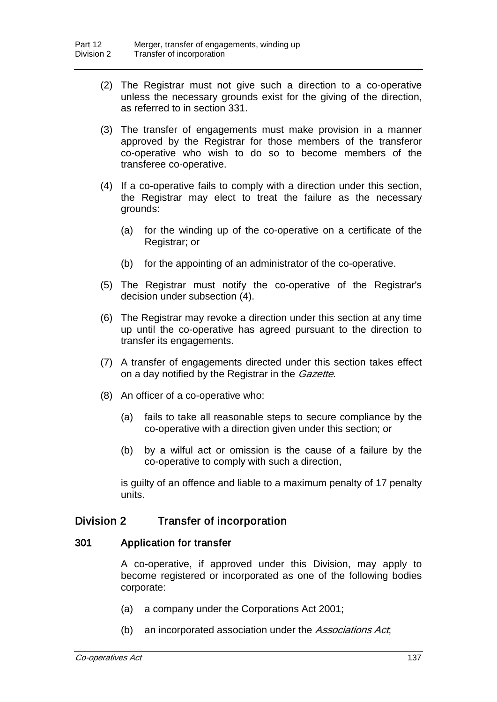- (2) The Registrar must not give such a direction to a co-operative unless the necessary grounds exist for the giving of the direction, as referred to in section 331.
- (3) The transfer of engagements must make provision in a manner approved by the Registrar for those members of the transferor co-operative who wish to do so to become members of the transferee co-operative.
- (4) If a co-operative fails to comply with a direction under this section, the Registrar may elect to treat the failure as the necessary grounds:
	- (a) for the winding up of the co-operative on a certificate of the Registrar; or
	- (b) for the appointing of an administrator of the co-operative.
- (5) The Registrar must notify the co-operative of the Registrar's decision under subsection (4).
- (6) The Registrar may revoke a direction under this section at any time up until the co-operative has agreed pursuant to the direction to transfer its engagements.
- (7) A transfer of engagements directed under this section takes effect on a day notified by the Registrar in the *Gazette*.
- (8) An officer of a co-operative who:
	- (a) fails to take all reasonable steps to secure compliance by the co-operative with a direction given under this section; or
	- (b) by a wilful act or omission is the cause of a failure by the co-operative to comply with such a direction,

is guilty of an offence and liable to a maximum penalty of 17 penalty units.

# Division 2 Transfer of incorporation

## 301 Application for transfer

A co-operative, if approved under this Division, may apply to become registered or incorporated as one of the following bodies corporate:

- (a) a company under the Corporations Act 2001;
- (b) an incorporated association under the Associations Act,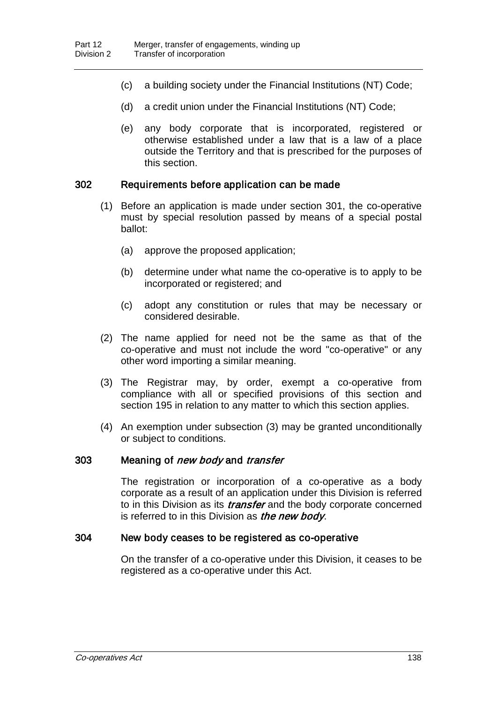- (c) a building society under the Financial Institutions (NT) Code;
- (d) a credit union under the Financial Institutions (NT) Code;
- (e) any body corporate that is incorporated, registered or otherwise established under a law that is a law of a place outside the Territory and that is prescribed for the purposes of this section.

#### 302 Requirements before application can be made

- (1) Before an application is made under section 301, the co-operative must by special resolution passed by means of a special postal ballot:
	- (a) approve the proposed application;
	- (b) determine under what name the co-operative is to apply to be incorporated or registered; and
	- (c) adopt any constitution or rules that may be necessary or considered desirable.
- (2) The name applied for need not be the same as that of the co-operative and must not include the word "co-operative" or any other word importing a similar meaning.
- (3) The Registrar may, by order, exempt a co-operative from compliance with all or specified provisions of this section and section 195 in relation to any matter to which this section applies.
- (4) An exemption under subsection (3) may be granted unconditionally or subject to conditions.

#### 303 Meaning of *new body* and *transfer*

The registration or incorporation of a co-operative as a body corporate as a result of an application under this Division is referred to in this Division as its *transfer* and the body corporate concerned is referred to in this Division as the new body.

#### 304 New body ceases to be registered as co-operative

On the transfer of a co-operative under this Division, it ceases to be registered as a co-operative under this Act.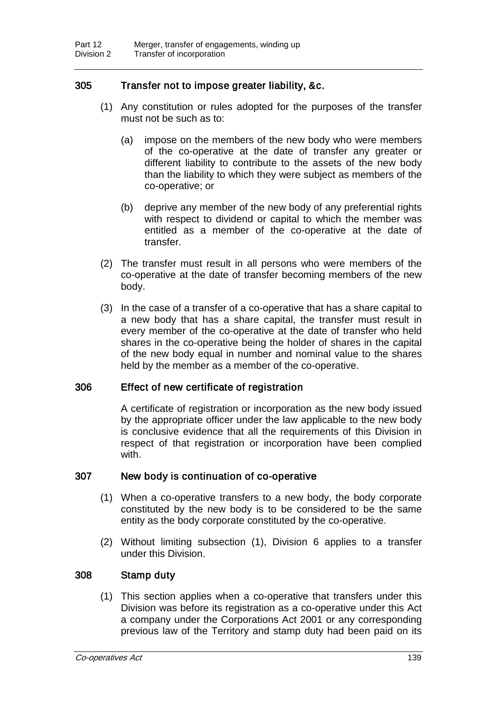# 305 Transfer not to impose greater liability, &c.

- (1) Any constitution or rules adopted for the purposes of the transfer must not be such as to:
	- (a) impose on the members of the new body who were members of the co-operative at the date of transfer any greater or different liability to contribute to the assets of the new body than the liability to which they were subject as members of the co-operative; or
	- (b) deprive any member of the new body of any preferential rights with respect to dividend or capital to which the member was entitled as a member of the co-operative at the date of transfer.
- (2) The transfer must result in all persons who were members of the co-operative at the date of transfer becoming members of the new body.
- (3) In the case of a transfer of a co-operative that has a share capital to a new body that has a share capital, the transfer must result in every member of the co-operative at the date of transfer who held shares in the co-operative being the holder of shares in the capital of the new body equal in number and nominal value to the shares held by the member as a member of the co-operative.

## 306 Effect of new certificate of registration

A certificate of registration or incorporation as the new body issued by the appropriate officer under the law applicable to the new body is conclusive evidence that all the requirements of this Division in respect of that registration or incorporation have been complied with.

## 307 New body is continuation of co-operative

- (1) When a co-operative transfers to a new body, the body corporate constituted by the new body is to be considered to be the same entity as the body corporate constituted by the co-operative.
- (2) Without limiting subsection (1), Division 6 applies to a transfer under this Division.

## 308 Stamp duty

(1) This section applies when a co-operative that transfers under this Division was before its registration as a co-operative under this Act a company under the Corporations Act 2001 or any corresponding previous law of the Territory and stamp duty had been paid on its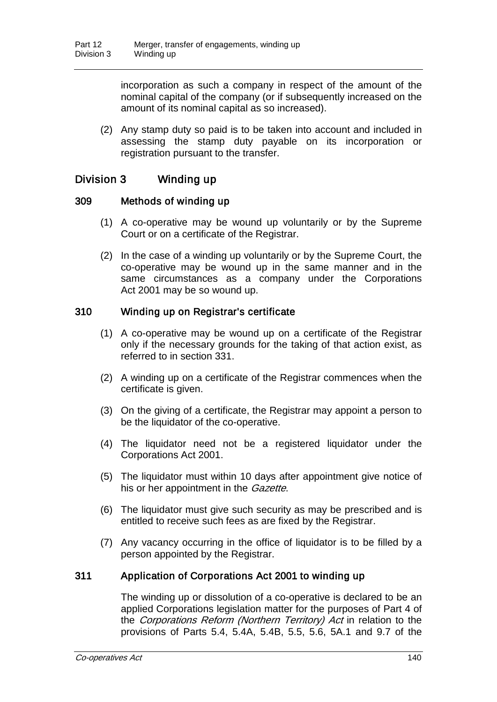incorporation as such a company in respect of the amount of the nominal capital of the company (or if subsequently increased on the amount of its nominal capital as so increased).

(2) Any stamp duty so paid is to be taken into account and included in assessing the stamp duty payable on its incorporation or registration pursuant to the transfer.

# Division 3 Winding up

## 309 Methods of winding up

- (1) A co-operative may be wound up voluntarily or by the Supreme Court or on a certificate of the Registrar.
- (2) In the case of a winding up voluntarily or by the Supreme Court, the co-operative may be wound up in the same manner and in the same circumstances as a company under the Corporations Act 2001 may be so wound up.

# 310 Winding up on Registrar's certificate

- (1) A co-operative may be wound up on a certificate of the Registrar only if the necessary grounds for the taking of that action exist, as referred to in section 331.
- (2) A winding up on a certificate of the Registrar commences when the certificate is given.
- (3) On the giving of a certificate, the Registrar may appoint a person to be the liquidator of the co-operative.
- (4) The liquidator need not be a registered liquidator under the Corporations Act 2001.
- (5) The liquidator must within 10 days after appointment give notice of his or her appointment in the *Gazette*.
- (6) The liquidator must give such security as may be prescribed and is entitled to receive such fees as are fixed by the Registrar.
- (7) Any vacancy occurring in the office of liquidator is to be filled by a person appointed by the Registrar.

# 311 Application of Corporations Act 2001 to winding up

The winding up or dissolution of a co-operative is declared to be an applied Corporations legislation matter for the purposes of Part 4 of the Corporations Reform (Northern Territory) Act in relation to the provisions of Parts 5.4, 5.4A, 5.4B, 5.5, 5.6, 5A.1 and 9.7 of the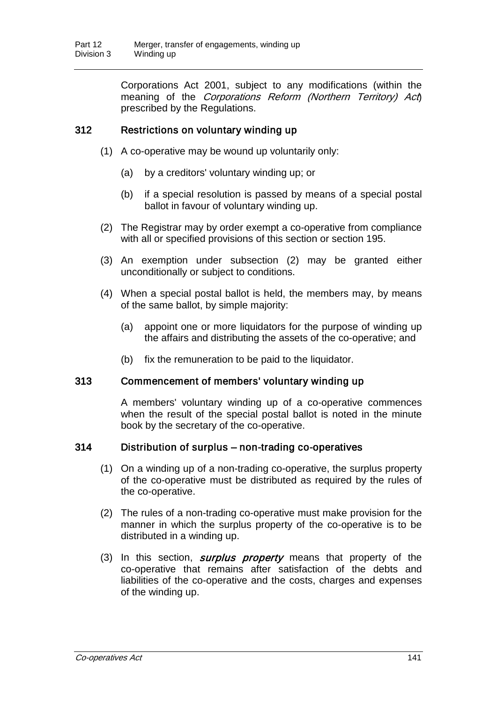Corporations Act 2001, subject to any modifications (within the meaning of the *Corporations Reform (Northern Territory) Act*) prescribed by the Regulations.

## 312 Restrictions on voluntary winding up

- (1) A co-operative may be wound up voluntarily only:
	- (a) by a creditors' voluntary winding up; or
	- (b) if a special resolution is passed by means of a special postal ballot in favour of voluntary winding up.
- (2) The Registrar may by order exempt a co-operative from compliance with all or specified provisions of this section or section 195.
- (3) An exemption under subsection (2) may be granted either unconditionally or subject to conditions.
- (4) When a special postal ballot is held, the members may, by means of the same ballot, by simple majority:
	- (a) appoint one or more liquidators for the purpose of winding up the affairs and distributing the assets of the co-operative; and
	- (b) fix the remuneration to be paid to the liquidator.

## 313 Commencement of members' voluntary winding up

A members' voluntary winding up of a co-operative commences when the result of the special postal ballot is noted in the minute book by the secretary of the co-operative.

#### 314 Distribution of surplus – non-trading co-operatives

- (1) On a winding up of a non-trading co-operative, the surplus property of the co-operative must be distributed as required by the rules of the co-operative.
- (2) The rules of a non-trading co-operative must make provision for the manner in which the surplus property of the co-operative is to be distributed in a winding up.
- (3) In this section, *surplus property* means that property of the co-operative that remains after satisfaction of the debts and liabilities of the co-operative and the costs, charges and expenses of the winding up.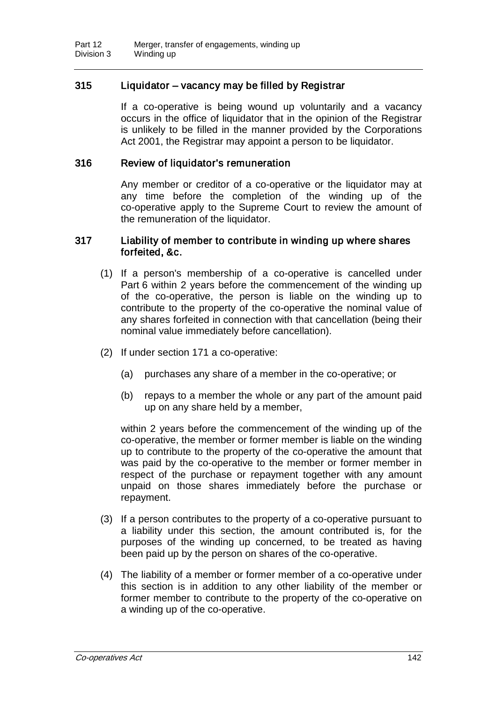# 315 Liquidator – vacancy may be filled by Registrar

If a co-operative is being wound up voluntarily and a vacancy occurs in the office of liquidator that in the opinion of the Registrar is unlikely to be filled in the manner provided by the Corporations Act 2001, the Registrar may appoint a person to be liquidator.

#### 316 Review of liquidator's remuneration

Any member or creditor of a co-operative or the liquidator may at any time before the completion of the winding up of the co-operative apply to the Supreme Court to review the amount of the remuneration of the liquidator.

#### 317 Liability of member to contribute in winding up where shares forfeited, &c.

- (1) If a person's membership of a co-operative is cancelled under Part 6 within 2 years before the commencement of the winding up of the co-operative, the person is liable on the winding up to contribute to the property of the co-operative the nominal value of any shares forfeited in connection with that cancellation (being their nominal value immediately before cancellation).
- (2) If under section 171 a co-operative:
	- (a) purchases any share of a member in the co-operative; or
	- (b) repays to a member the whole or any part of the amount paid up on any share held by a member,

within 2 years before the commencement of the winding up of the co-operative, the member or former member is liable on the winding up to contribute to the property of the co-operative the amount that was paid by the co-operative to the member or former member in respect of the purchase or repayment together with any amount unpaid on those shares immediately before the purchase or repayment.

- (3) If a person contributes to the property of a co-operative pursuant to a liability under this section, the amount contributed is, for the purposes of the winding up concerned, to be treated as having been paid up by the person on shares of the co-operative.
- (4) The liability of a member or former member of a co-operative under this section is in addition to any other liability of the member or former member to contribute to the property of the co-operative on a winding up of the co-operative.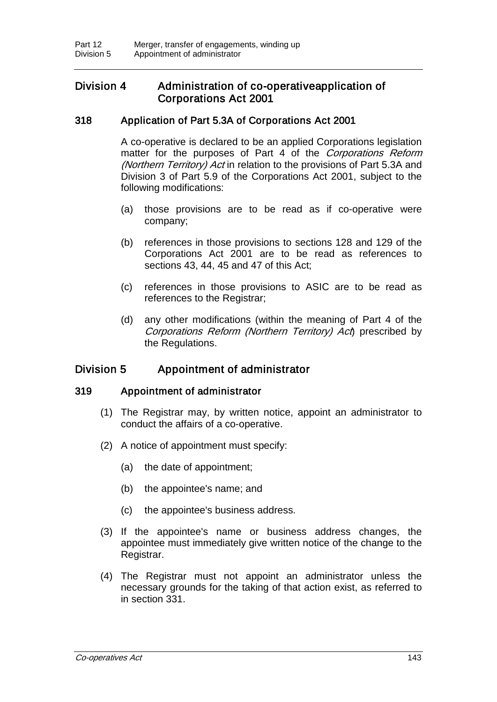# Division 4 Administration of co-operative application of Corporations Act 2001

# 318 Application of Part 5.3A of Corporations Act 2001

A co-operative is declared to be an applied Corporations legislation matter for the purposes of Part 4 of the Corporations Reform (Northern Territory) Act in relation to the provisions of Part 5.3A and Division 3 of Part 5.9 of the Corporations Act 2001, subject to the following modifications:

- (a) those provisions are to be read as if co-operative were company;
- (b) references in those provisions to sections 128 and 129 of the Corporations Act 2001 are to be read as references to sections 43, 44, 45 and 47 of this Act;
- (c) references in those provisions to ASIC are to be read as references to the Registrar;
- (d) any other modifications (within the meaning of Part 4 of the Corporations Reform (Northern Territory) Act) prescribed by the Regulations.

# Division 5 Appointment of administrator

# 319 Appointment of administrator

- (1) The Registrar may, by written notice, appoint an administrator to conduct the affairs of a co-operative.
- (2) A notice of appointment must specify:
	- (a) the date of appointment;
	- (b) the appointee's name; and
	- (c) the appointee's business address.
- (3) If the appointee's name or business address changes, the appointee must immediately give written notice of the change to the Registrar.
- (4) The Registrar must not appoint an administrator unless the necessary grounds for the taking of that action exist, as referred to in section 331.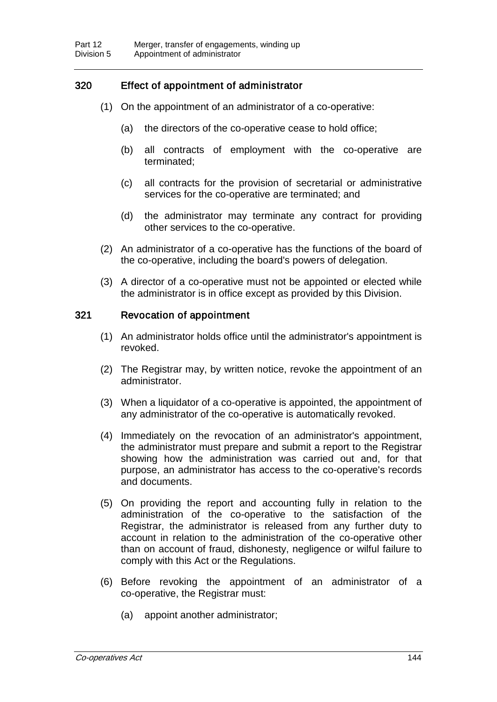# 320 Effect of appointment of administrator

- (1) On the appointment of an administrator of a co-operative:
	- (a) the directors of the co-operative cease to hold office;
	- (b) all contracts of employment with the co-operative are terminated;
	- (c) all contracts for the provision of secretarial or administrative services for the co-operative are terminated; and
	- (d) the administrator may terminate any contract for providing other services to the co-operative.
- (2) An administrator of a co-operative has the functions of the board of the co-operative, including the board's powers of delegation.
- (3) A director of a co-operative must not be appointed or elected while the administrator is in office except as provided by this Division.

## 321 Revocation of appointment

- (1) An administrator holds office until the administrator's appointment is revoked.
- (2) The Registrar may, by written notice, revoke the appointment of an administrator.
- (3) When a liquidator of a co-operative is appointed, the appointment of any administrator of the co-operative is automatically revoked.
- (4) Immediately on the revocation of an administrator's appointment, the administrator must prepare and submit a report to the Registrar showing how the administration was carried out and, for that purpose, an administrator has access to the co-operative's records and documents.
- (5) On providing the report and accounting fully in relation to the administration of the co-operative to the satisfaction of the Registrar, the administrator is released from any further duty to account in relation to the administration of the co-operative other than on account of fraud, dishonesty, negligence or wilful failure to comply with this Act or the Regulations.
- (6) Before revoking the appointment of an administrator of a co-operative, the Registrar must:
	- (a) appoint another administrator;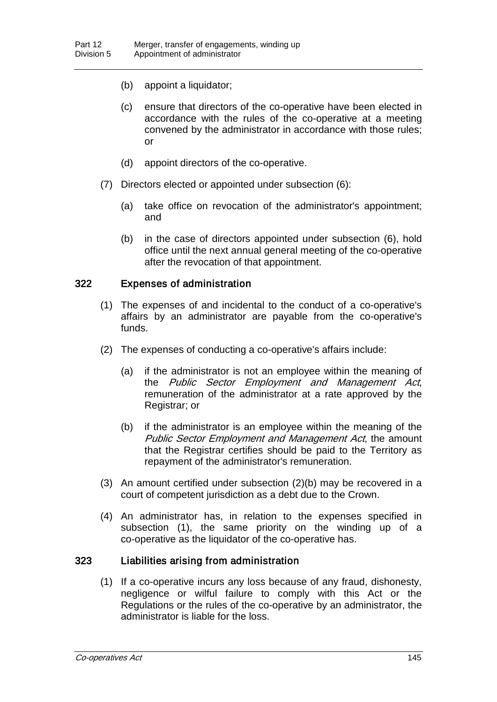- (b) appoint a liquidator;
- (c) ensure that directors of the co-operative have been elected in accordance with the rules of the co-operative at a meeting convened by the administrator in accordance with those rules; or
- (d) appoint directors of the co-operative.
- (7) Directors elected or appointed under subsection (6):
	- (a) take office on revocation of the administrator's appointment; and
	- (b) in the case of directors appointed under subsection (6), hold office until the next annual general meeting of the co-operative after the revocation of that appointment.

## 322 Expenses of administration

- (1) The expenses of and incidental to the conduct of a co-operative's affairs by an administrator are payable from the co-operative's funds.
- (2) The expenses of conducting a co-operative's affairs include:
	- (a) if the administrator is not an employee within the meaning of the Public Sector Employment and Management Act, remuneration of the administrator at a rate approved by the Registrar; or
	- (b) if the administrator is an employee within the meaning of the Public Sector Employment and Management Act, the amount that the Registrar certifies should be paid to the Territory as repayment of the administrator's remuneration.
- (3) An amount certified under subsection (2)(b) may be recovered in a court of competent jurisdiction as a debt due to the Crown.
- (4) An administrator has, in relation to the expenses specified in subsection (1), the same priority on the winding up of a co-operative as the liquidator of the co-operative has.

## 323 Liabilities arising from administration

(1) If a co-operative incurs any loss because of any fraud, dishonesty, negligence or wilful failure to comply with this Act or the Regulations or the rules of the co-operative by an administrator, the administrator is liable for the loss.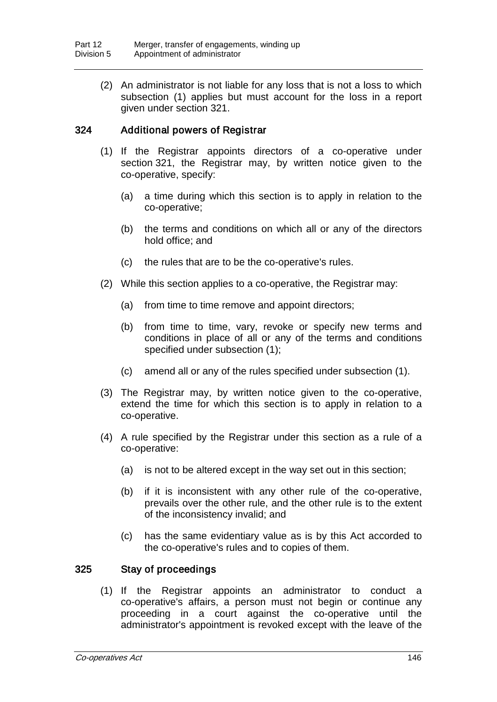(2) An administrator is not liable for any loss that is not a loss to which subsection (1) applies but must account for the loss in a report given under section 321.

## 324 Additional powers of Registrar

- (1) If the Registrar appoints directors of a co-operative under section 321, the Registrar may, by written notice given to the co-operative, specify:
	- (a) a time during which this section is to apply in relation to the co-operative;
	- (b) the terms and conditions on which all or any of the directors hold office; and
	- (c) the rules that are to be the co-operative's rules.
- (2) While this section applies to a co-operative, the Registrar may:
	- (a) from time to time remove and appoint directors;
	- (b) from time to time, vary, revoke or specify new terms and conditions in place of all or any of the terms and conditions specified under subsection (1);
	- (c) amend all or any of the rules specified under subsection (1).
- (3) The Registrar may, by written notice given to the co-operative, extend the time for which this section is to apply in relation to a co-operative.
- (4) A rule specified by the Registrar under this section as a rule of a co-operative:
	- (a) is not to be altered except in the way set out in this section;
	- (b) if it is inconsistent with any other rule of the co-operative, prevails over the other rule, and the other rule is to the extent of the inconsistency invalid; and
	- (c) has the same evidentiary value as is by this Act accorded to the co-operative's rules and to copies of them.

## 325 Stay of proceedings

(1) If the Registrar appoints an administrator to conduct a co-operative's affairs, a person must not begin or continue any proceeding in a court against the co-operative until the administrator's appointment is revoked except with the leave of the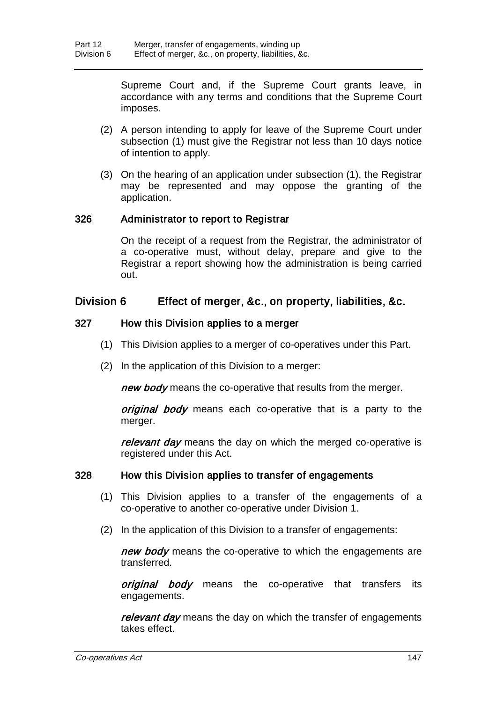Supreme Court and, if the Supreme Court grants leave, in accordance with any terms and conditions that the Supreme Court imposes.

- (2) A person intending to apply for leave of the Supreme Court under subsection (1) must give the Registrar not less than 10 days notice of intention to apply.
- (3) On the hearing of an application under subsection (1), the Registrar may be represented and may oppose the granting of the application.

## 326 Administrator to report to Registrar

On the receipt of a request from the Registrar, the administrator of a co-operative must, without delay, prepare and give to the Registrar a report showing how the administration is being carried out.

# Division 6 Effect of merger, &c., on property, liabilities, &c.

## 327 How this Division applies to a merger

- (1) This Division applies to a merger of co-operatives under this Part.
- (2) In the application of this Division to a merger:

new body means the co-operative that results from the merger.

*original body* means each co-operative that is a party to the merger.

relevant day means the day on which the merged co-operative is registered under this Act.

## 328 How this Division applies to transfer of engagements

- (1) This Division applies to a transfer of the engagements of a co-operative to another co-operative under Division 1.
- (2) In the application of this Division to a transfer of engagements:

new body means the co-operative to which the engagements are transferred.

original body means the co-operative that transfers its engagements.

relevant day means the day on which the transfer of engagements takes effect.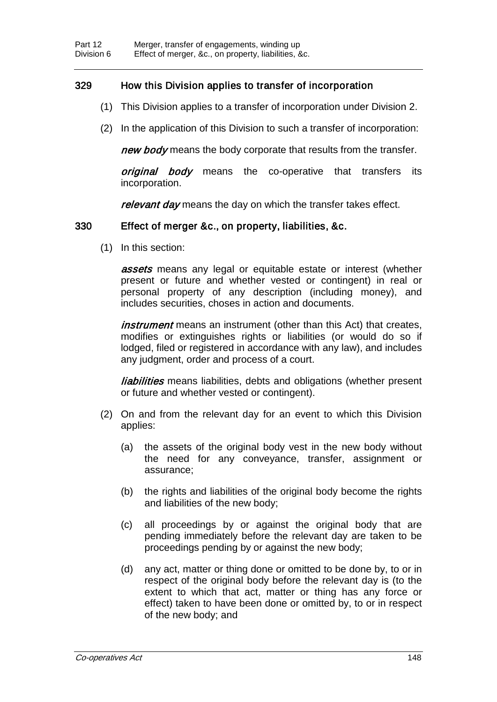# 329 How this Division applies to transfer of incorporation

- (1) This Division applies to a transfer of incorporation under Division 2.
- (2) In the application of this Division to such a transfer of incorporation:

new body means the body corporate that results from the transfer.

original body means the co-operative that transfers its incorporation.

relevant day means the day on which the transfer takes effect.

## 330 Effect of merger &c., on property, liabilities, &c.

(1) In this section:

**assets** means any legal or equitable estate or interest (whether present or future and whether vested or contingent) in real or personal property of any description (including money), and includes securities, choses in action and documents.

*instrument* means an instrument (other than this Act) that creates, modifies or extinguishes rights or liabilities (or would do so if lodged, filed or registered in accordance with any law), and includes any judgment, order and process of a court.

*liabilities* means liabilities, debts and obligations (whether present or future and whether vested or contingent).

- (2) On and from the relevant day for an event to which this Division applies:
	- (a) the assets of the original body vest in the new body without the need for any conveyance, transfer, assignment or assurance;
	- (b) the rights and liabilities of the original body become the rights and liabilities of the new body;
	- (c) all proceedings by or against the original body that are pending immediately before the relevant day are taken to be proceedings pending by or against the new body;
	- (d) any act, matter or thing done or omitted to be done by, to or in respect of the original body before the relevant day is (to the extent to which that act, matter or thing has any force or effect) taken to have been done or omitted by, to or in respect of the new body; and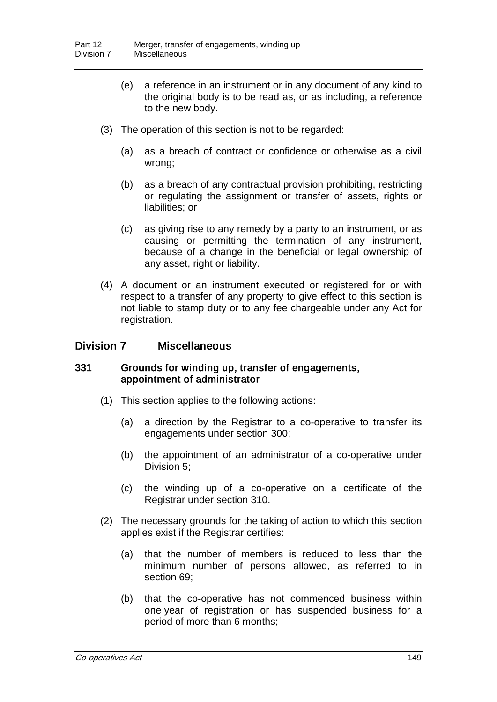- (e) a reference in an instrument or in any document of any kind to the original body is to be read as, or as including, a reference to the new body.
- (3) The operation of this section is not to be regarded:
	- (a) as a breach of contract or confidence or otherwise as a civil wrong;
	- (b) as a breach of any contractual provision prohibiting, restricting or regulating the assignment or transfer of assets, rights or liabilities; or
	- (c) as giving rise to any remedy by a party to an instrument, or as causing or permitting the termination of any instrument, because of a change in the beneficial or legal ownership of any asset, right or liability.
- (4) A document or an instrument executed or registered for or with respect to a transfer of any property to give effect to this section is not liable to stamp duty or to any fee chargeable under any Act for registration.

## Division 7 Miscellaneous

#### 331 Grounds for winding up, transfer of engagements, appointment of administrator

- (1) This section applies to the following actions:
	- (a) a direction by the Registrar to a co-operative to transfer its engagements under section 300;
	- (b) the appointment of an administrator of a co-operative under Division 5;
	- (c) the winding up of a co-operative on a certificate of the Registrar under section 310.
- (2) The necessary grounds for the taking of action to which this section applies exist if the Registrar certifies:
	- (a) that the number of members is reduced to less than the minimum number of persons allowed, as referred to in section 69;
	- (b) that the co-operative has not commenced business within one year of registration or has suspended business for a period of more than 6 months;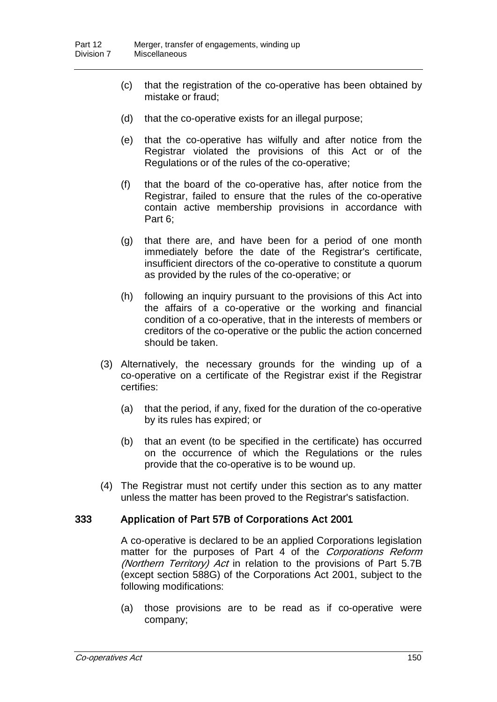- (c) that the registration of the co-operative has been obtained by mistake or fraud;
- (d) that the co-operative exists for an illegal purpose;
- (e) that the co-operative has wilfully and after notice from the Registrar violated the provisions of this Act or of the Regulations or of the rules of the co-operative;
- (f) that the board of the co-operative has, after notice from the Registrar, failed to ensure that the rules of the co-operative contain active membership provisions in accordance with Part 6;
- (g) that there are, and have been for a period of one month immediately before the date of the Registrar's certificate, insufficient directors of the co-operative to constitute a quorum as provided by the rules of the co-operative; or
- (h) following an inquiry pursuant to the provisions of this Act into the affairs of a co-operative or the working and financial condition of a co-operative, that in the interests of members or creditors of the co-operative or the public the action concerned should be taken.
- (3) Alternatively, the necessary grounds for the winding up of a co-operative on a certificate of the Registrar exist if the Registrar certifies:
	- (a) that the period, if any, fixed for the duration of the co-operative by its rules has expired; or
	- (b) that an event (to be specified in the certificate) has occurred on the occurrence of which the Regulations or the rules provide that the co-operative is to be wound up.
- (4) The Registrar must not certify under this section as to any matter unless the matter has been proved to the Registrar's satisfaction.

## 333 Application of Part 57B of Corporations Act 2001

A co-operative is declared to be an applied Corporations legislation matter for the purposes of Part 4 of the Corporations Reform (Northern Territory) Act in relation to the provisions of Part 5.7B (except section 588G) of the Corporations Act 2001, subject to the following modifications:

(a) those provisions are to be read as if co-operative were company;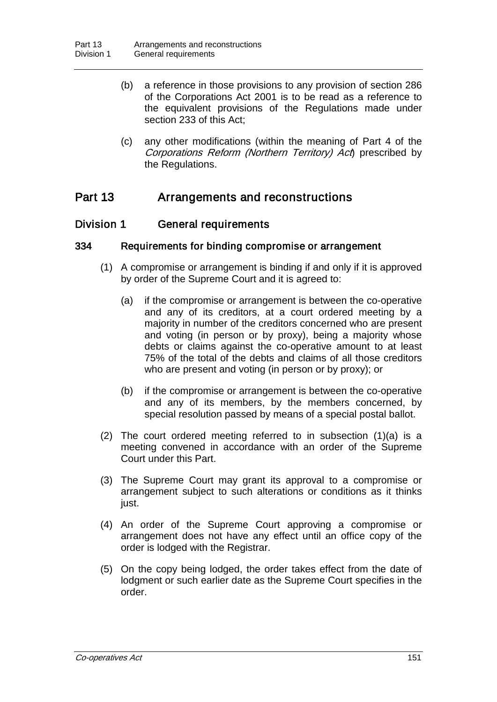- (b) a reference in those provisions to any provision of section 286 of the Corporations Act 2001 is to be read as a reference to the equivalent provisions of the Regulations made under section 233 of this Act;
- (c) any other modifications (within the meaning of Part 4 of the Corporations Reform (Northern Territory) Act prescribed by the Regulations.

# Part 13 Arrangements and reconstructions

# Division 1 General requirements

## 334 Requirements for binding compromise or arrangement

- (1) A compromise or arrangement is binding if and only if it is approved by order of the Supreme Court and it is agreed to:
	- (a) if the compromise or arrangement is between the co-operative and any of its creditors, at a court ordered meeting by a majority in number of the creditors concerned who are present and voting (in person or by proxy), being a majority whose debts or claims against the co-operative amount to at least 75% of the total of the debts and claims of all those creditors who are present and voting (in person or by proxy); or
	- (b) if the compromise or arrangement is between the co-operative and any of its members, by the members concerned, by special resolution passed by means of a special postal ballot.
- (2) The court ordered meeting referred to in subsection (1)(a) is a meeting convened in accordance with an order of the Supreme Court under this Part.
- (3) The Supreme Court may grant its approval to a compromise or arrangement subject to such alterations or conditions as it thinks just.
- (4) An order of the Supreme Court approving a compromise or arrangement does not have any effect until an office copy of the order is lodged with the Registrar.
- (5) On the copy being lodged, the order takes effect from the date of lodgment or such earlier date as the Supreme Court specifies in the order.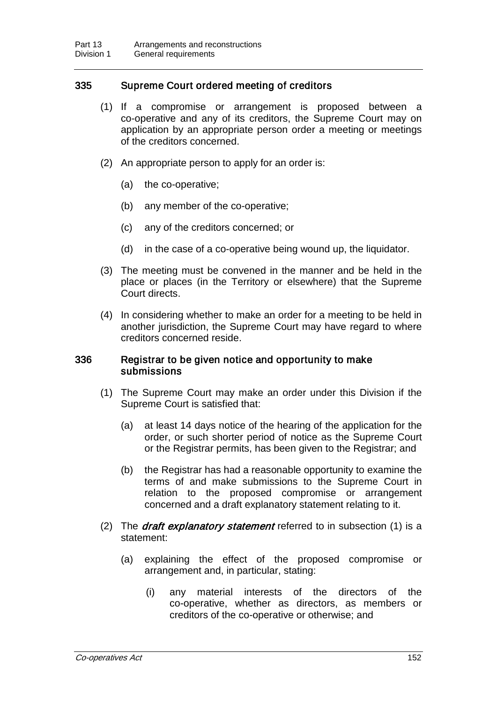## 335 Supreme Court ordered meeting of creditors

- (1) If a compromise or arrangement is proposed between a co-operative and any of its creditors, the Supreme Court may on application by an appropriate person order a meeting or meetings of the creditors concerned.
- (2) An appropriate person to apply for an order is:
	- (a) the co-operative;
	- (b) any member of the co-operative;
	- (c) any of the creditors concerned; or
	- (d) in the case of a co-operative being wound up, the liquidator.
- (3) The meeting must be convened in the manner and be held in the place or places (in the Territory or elsewhere) that the Supreme Court directs.
- (4) In considering whether to make an order for a meeting to be held in another jurisdiction, the Supreme Court may have regard to where creditors concerned reside.

#### 336 Registrar to be given notice and opportunity to make submissions

- (1) The Supreme Court may make an order under this Division if the Supreme Court is satisfied that:
	- (a) at least 14 days notice of the hearing of the application for the order, or such shorter period of notice as the Supreme Court or the Registrar permits, has been given to the Registrar; and
	- (b) the Registrar has had a reasonable opportunity to examine the terms of and make submissions to the Supreme Court in relation to the proposed compromise or arrangement concerned and a draft explanatory statement relating to it.
- (2) The *draft explanatory statement* referred to in subsection (1) is a statement:
	- (a) explaining the effect of the proposed compromise or arrangement and, in particular, stating:
		- (i) any material interests of the directors of the co-operative, whether as directors, as members or creditors of the co-operative or otherwise; and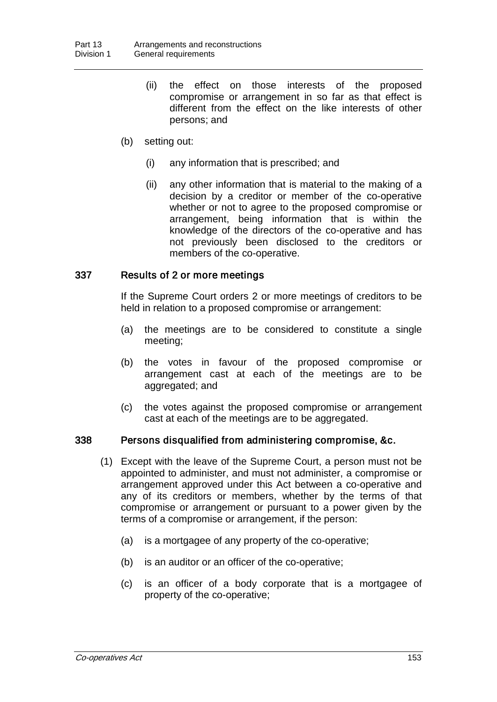- (ii) the effect on those interests of the proposed compromise or arrangement in so far as that effect is different from the effect on the like interests of other persons; and
- (b) setting out:
	- (i) any information that is prescribed; and
	- (ii) any other information that is material to the making of a decision by a creditor or member of the co-operative whether or not to agree to the proposed compromise or arrangement, being information that is within the knowledge of the directors of the co-operative and has not previously been disclosed to the creditors or members of the co-operative.

## 337 Results of 2 or more meetings

If the Supreme Court orders 2 or more meetings of creditors to be held in relation to a proposed compromise or arrangement:

- (a) the meetings are to be considered to constitute a single meeting;
- (b) the votes in favour of the proposed compromise or arrangement cast at each of the meetings are to be aggregated; and
- (c) the votes against the proposed compromise or arrangement cast at each of the meetings are to be aggregated.

## 338 Persons disqualified from administering compromise, &c.

- (1) Except with the leave of the Supreme Court, a person must not be appointed to administer, and must not administer, a compromise or arrangement approved under this Act between a co-operative and any of its creditors or members, whether by the terms of that compromise or arrangement or pursuant to a power given by the terms of a compromise or arrangement, if the person:
	- (a) is a mortgagee of any property of the co-operative;
	- (b) is an auditor or an officer of the co-operative;
	- (c) is an officer of a body corporate that is a mortgagee of property of the co-operative;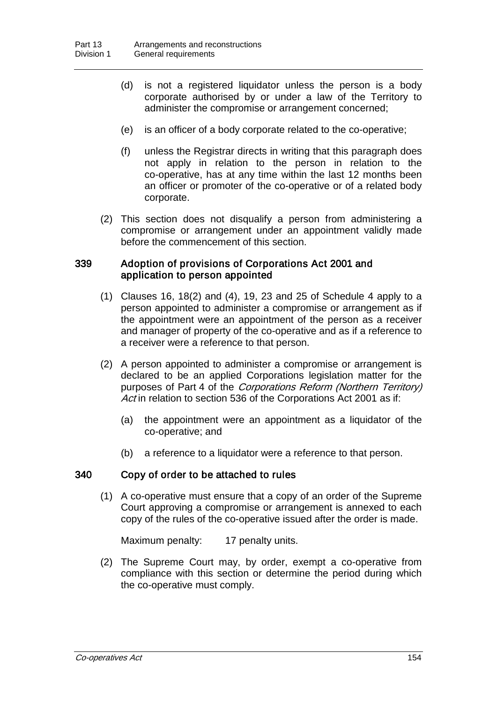- (d) is not a registered liquidator unless the person is a body corporate authorised by or under a law of the Territory to administer the compromise or arrangement concerned;
- (e) is an officer of a body corporate related to the co-operative;
- (f) unless the Registrar directs in writing that this paragraph does not apply in relation to the person in relation to the co-operative, has at any time within the last 12 months been an officer or promoter of the co-operative or of a related body corporate.
- (2) This section does not disqualify a person from administering a compromise or arrangement under an appointment validly made before the commencement of this section.

## 339 Adoption of provisions of Corporations Act 2001 and application to person appointed

- (1) Clauses 16, 18(2) and (4), 19, 23 and 25 of Schedule 4 apply to a person appointed to administer a compromise or arrangement as if the appointment were an appointment of the person as a receiver and manager of property of the co-operative and as if a reference to a receiver were a reference to that person.
- (2) A person appointed to administer a compromise or arrangement is declared to be an applied Corporations legislation matter for the purposes of Part 4 of the Corporations Reform (Northern Territory) Act in relation to section 536 of the Corporations Act 2001 as if:
	- (a) the appointment were an appointment as a liquidator of the co-operative; and
	- (b) a reference to a liquidator were a reference to that person.

## 340 Copy of order to be attached to rules

(1) A co-operative must ensure that a copy of an order of the Supreme Court approving a compromise or arrangement is annexed to each copy of the rules of the co-operative issued after the order is made.

Maximum penalty: 17 penalty units.

(2) The Supreme Court may, by order, exempt a co-operative from compliance with this section or determine the period during which the co-operative must comply.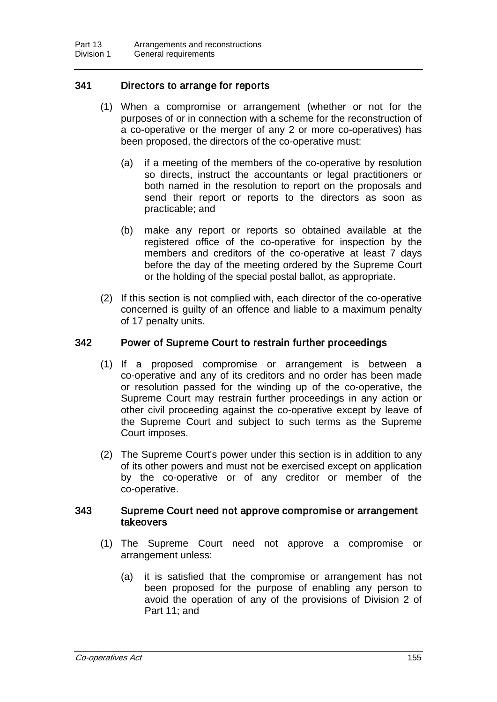## 341 Directors to arrange for reports

- (1) When a compromise or arrangement (whether or not for the purposes of or in connection with a scheme for the reconstruction of a co-operative or the merger of any 2 or more co-operatives) has been proposed, the directors of the co-operative must:
	- (a) if a meeting of the members of the co-operative by resolution so directs, instruct the accountants or legal practitioners or both named in the resolution to report on the proposals and send their report or reports to the directors as soon as practicable; and
	- (b) make any report or reports so obtained available at the registered office of the co-operative for inspection by the members and creditors of the co-operative at least 7 days before the day of the meeting ordered by the Supreme Court or the holding of the special postal ballot, as appropriate.
- (2) If this section is not complied with, each director of the co-operative concerned is guilty of an offence and liable to a maximum penalty of 17 penalty units.

## 342 Power of Supreme Court to restrain further proceedings

- (1) If a proposed compromise or arrangement is between a co-operative and any of its creditors and no order has been made or resolution passed for the winding up of the co-operative, the Supreme Court may restrain further proceedings in any action or other civil proceeding against the co-operative except by leave of the Supreme Court and subject to such terms as the Supreme Court imposes.
- (2) The Supreme Court's power under this section is in addition to any of its other powers and must not be exercised except on application by the co-operative or of any creditor or member of the co-operative.

## 343 Supreme Court need not approve compromise or arrangement takeovers

- (1) The Supreme Court need not approve a compromise or arrangement unless:
	- (a) it is satisfied that the compromise or arrangement has not been proposed for the purpose of enabling any person to avoid the operation of any of the provisions of Division 2 of Part 11; and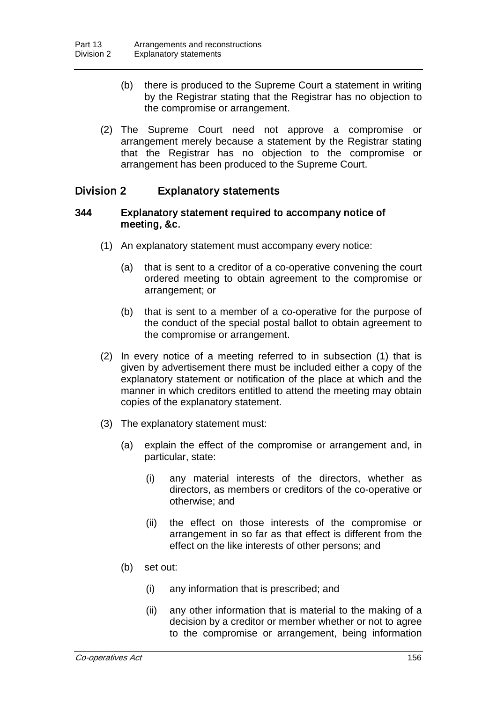- (b) there is produced to the Supreme Court a statement in writing by the Registrar stating that the Registrar has no objection to the compromise or arrangement.
- (2) The Supreme Court need not approve a compromise or arrangement merely because a statement by the Registrar stating that the Registrar has no objection to the compromise or arrangement has been produced to the Supreme Court.

# Division 2 Explanatory statements

#### 344 Explanatory statement required to accompany notice of meeting, &c.

- (1) An explanatory statement must accompany every notice:
	- (a) that is sent to a creditor of a co-operative convening the court ordered meeting to obtain agreement to the compromise or arrangement; or
	- (b) that is sent to a member of a co-operative for the purpose of the conduct of the special postal ballot to obtain agreement to the compromise or arrangement.
- (2) In every notice of a meeting referred to in subsection (1) that is given by advertisement there must be included either a copy of the explanatory statement or notification of the place at which and the manner in which creditors entitled to attend the meeting may obtain copies of the explanatory statement.
- (3) The explanatory statement must:
	- (a) explain the effect of the compromise or arrangement and, in particular, state:
		- (i) any material interests of the directors, whether as directors, as members or creditors of the co-operative or otherwise; and
		- (ii) the effect on those interests of the compromise or arrangement in so far as that effect is different from the effect on the like interests of other persons; and
	- (b) set out:
		- (i) any information that is prescribed; and
		- (ii) any other information that is material to the making of a decision by a creditor or member whether or not to agree to the compromise or arrangement, being information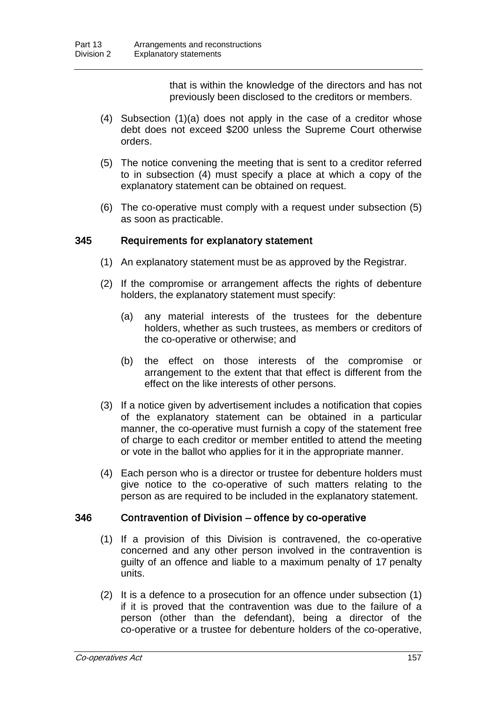that is within the knowledge of the directors and has not previously been disclosed to the creditors or members.

- (4) Subsection (1)(a) does not apply in the case of a creditor whose debt does not exceed \$200 unless the Supreme Court otherwise orders.
- (5) The notice convening the meeting that is sent to a creditor referred to in subsection (4) must specify a place at which a copy of the explanatory statement can be obtained on request.
- (6) The co-operative must comply with a request under subsection (5) as soon as practicable.

## 345 Requirements for explanatory statement

- (1) An explanatory statement must be as approved by the Registrar.
- (2) If the compromise or arrangement affects the rights of debenture holders, the explanatory statement must specify:
	- (a) any material interests of the trustees for the debenture holders, whether as such trustees, as members or creditors of the co-operative or otherwise; and
	- (b) the effect on those interests of the compromise or arrangement to the extent that that effect is different from the effect on the like interests of other persons.
- (3) If a notice given by advertisement includes a notification that copies of the explanatory statement can be obtained in a particular manner, the co-operative must furnish a copy of the statement free of charge to each creditor or member entitled to attend the meeting or vote in the ballot who applies for it in the appropriate manner.
- (4) Each person who is a director or trustee for debenture holders must give notice to the co-operative of such matters relating to the person as are required to be included in the explanatory statement.

## 346 Contravention of Division – offence by co-operative

- (1) If a provision of this Division is contravened, the co-operative concerned and any other person involved in the contravention is guilty of an offence and liable to a maximum penalty of 17 penalty units.
- (2) It is a defence to a prosecution for an offence under subsection (1) if it is proved that the contravention was due to the failure of a person (other than the defendant), being a director of the co-operative or a trustee for debenture holders of the co-operative,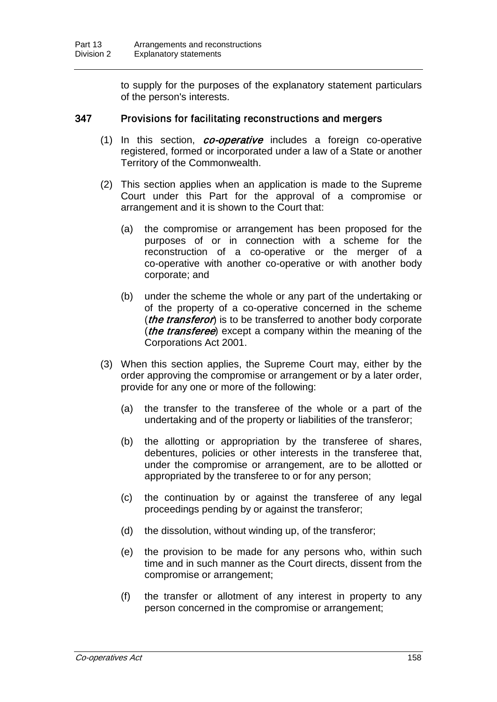to supply for the purposes of the explanatory statement particulars of the person's interests.

#### 347 Provisions for facilitating reconstructions and mergers

- (1) In this section, *co-operative* includes a foreign co-operative registered, formed or incorporated under a law of a State or another Territory of the Commonwealth.
- (2) This section applies when an application is made to the Supreme Court under this Part for the approval of a compromise or arrangement and it is shown to the Court that:
	- (a) the compromise or arrangement has been proposed for the purposes of or in connection with a scheme for the reconstruction of a co-operative or the merger of a co-operative with another co-operative or with another body corporate; and
	- (b) under the scheme the whole or any part of the undertaking or of the property of a co-operative concerned in the scheme (*the transferor*) is to be transferred to another body corporate (*the transferee*) except a company within the meaning of the Corporations Act 2001.
- (3) When this section applies, the Supreme Court may, either by the order approving the compromise or arrangement or by a later order, provide for any one or more of the following:
	- (a) the transfer to the transferee of the whole or a part of the undertaking and of the property or liabilities of the transferor;
	- (b) the allotting or appropriation by the transferee of shares, debentures, policies or other interests in the transferee that, under the compromise or arrangement, are to be allotted or appropriated by the transferee to or for any person;
	- (c) the continuation by or against the transferee of any legal proceedings pending by or against the transferor;
	- (d) the dissolution, without winding up, of the transferor;
	- (e) the provision to be made for any persons who, within such time and in such manner as the Court directs, dissent from the compromise or arrangement;
	- (f) the transfer or allotment of any interest in property to any person concerned in the compromise or arrangement;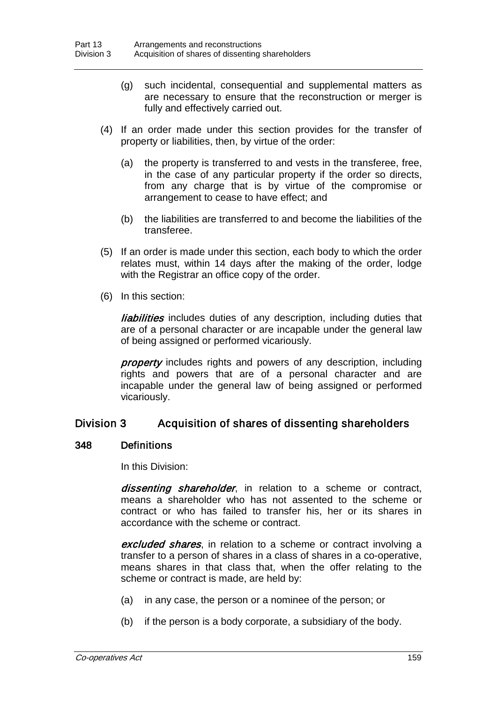- (g) such incidental, consequential and supplemental matters as are necessary to ensure that the reconstruction or merger is fully and effectively carried out.
- (4) If an order made under this section provides for the transfer of property or liabilities, then, by virtue of the order:
	- (a) the property is transferred to and vests in the transferee, free, in the case of any particular property if the order so directs, from any charge that is by virtue of the compromise or arrangement to cease to have effect; and
	- (b) the liabilities are transferred to and become the liabilities of the transferee.
- (5) If an order is made under this section, each body to which the order relates must, within 14 days after the making of the order, lodge with the Registrar an office copy of the order.
- (6) In this section:

**liabilities** includes duties of any description, including duties that are of a personal character or are incapable under the general law of being assigned or performed vicariously.

**property** includes rights and powers of any description, including rights and powers that are of a personal character and are incapable under the general law of being assigned or performed vicariously.

# Division 3 Acquisition of shares of dissenting shareholders

## 348 Definitions

In this Division:

dissenting shareholder, in relation to a scheme or contract, means a shareholder who has not assented to the scheme or contract or who has failed to transfer his, her or its shares in accordance with the scheme or contract.

excluded shares, in relation to a scheme or contract involving a transfer to a person of shares in a class of shares in a co-operative, means shares in that class that, when the offer relating to the scheme or contract is made, are held by:

- (a) in any case, the person or a nominee of the person; or
- (b) if the person is a body corporate, a subsidiary of the body.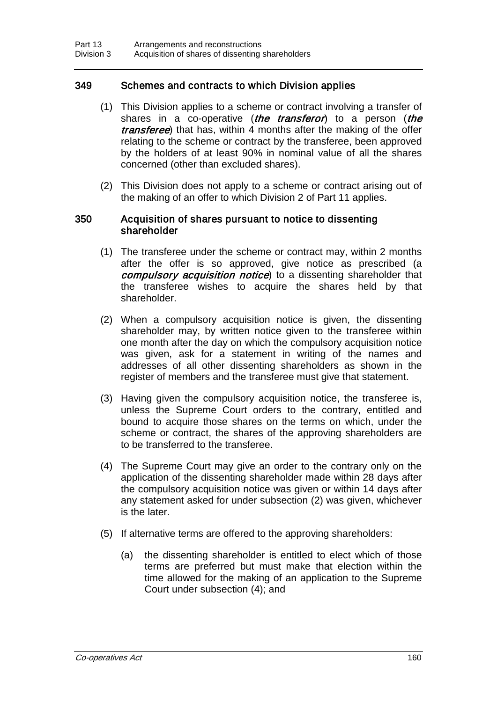# 349 Schemes and contracts to which Division applies

- (1) This Division applies to a scheme or contract involving a transfer of shares in a co-operative (*the transferor*) to a person (*the* transferee) that has, within 4 months after the making of the offer relating to the scheme or contract by the transferee, been approved by the holders of at least 90% in nominal value of all the shares concerned (other than excluded shares).
- (2) This Division does not apply to a scheme or contract arising out of the making of an offer to which Division 2 of Part 11 applies.

## 350 Acquisition of shares pursuant to notice to dissenting shareholder

- (1) The transferee under the scheme or contract may, within 2 months after the offer is so approved, give notice as prescribed (a compulsory acquisition notice) to a dissenting shareholder that the transferee wishes to acquire the shares held by that shareholder.
- (2) When a compulsory acquisition notice is given, the dissenting shareholder may, by written notice given to the transferee within one month after the day on which the compulsory acquisition notice was given, ask for a statement in writing of the names and addresses of all other dissenting shareholders as shown in the register of members and the transferee must give that statement.
- (3) Having given the compulsory acquisition notice, the transferee is, unless the Supreme Court orders to the contrary, entitled and bound to acquire those shares on the terms on which, under the scheme or contract, the shares of the approving shareholders are to be transferred to the transferee.
- (4) The Supreme Court may give an order to the contrary only on the application of the dissenting shareholder made within 28 days after the compulsory acquisition notice was given or within 14 days after any statement asked for under subsection (2) was given, whichever is the later.
- (5) If alternative terms are offered to the approving shareholders:
	- (a) the dissenting shareholder is entitled to elect which of those terms are preferred but must make that election within the time allowed for the making of an application to the Supreme Court under subsection (4); and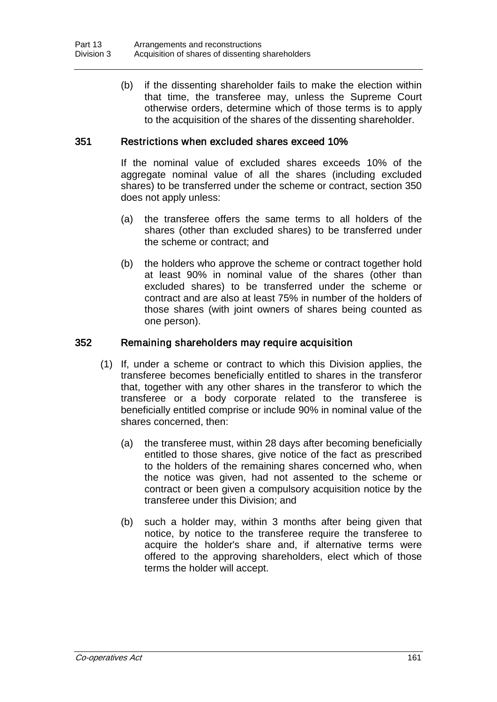(b) if the dissenting shareholder fails to make the election within that time, the transferee may, unless the Supreme Court otherwise orders, determine which of those terms is to apply to the acquisition of the shares of the dissenting shareholder.

## 351 Restrictions when excluded shares exceed 10%

If the nominal value of excluded shares exceeds 10% of the aggregate nominal value of all the shares (including excluded shares) to be transferred under the scheme or contract, section 350 does not apply unless:

- (a) the transferee offers the same terms to all holders of the shares (other than excluded shares) to be transferred under the scheme or contract; and
- (b) the holders who approve the scheme or contract together hold at least 90% in nominal value of the shares (other than excluded shares) to be transferred under the scheme or contract and are also at least 75% in number of the holders of those shares (with joint owners of shares being counted as one person).

## 352 Remaining shareholders may require acquisition

- (1) If, under a scheme or contract to which this Division applies, the transferee becomes beneficially entitled to shares in the transferor that, together with any other shares in the transferor to which the transferee or a body corporate related to the transferee is beneficially entitled comprise or include 90% in nominal value of the shares concerned, then:
	- (a) the transferee must, within 28 days after becoming beneficially entitled to those shares, give notice of the fact as prescribed to the holders of the remaining shares concerned who, when the notice was given, had not assented to the scheme or contract or been given a compulsory acquisition notice by the transferee under this Division; and
	- (b) such a holder may, within 3 months after being given that notice, by notice to the transferee require the transferee to acquire the holder's share and, if alternative terms were offered to the approving shareholders, elect which of those terms the holder will accept.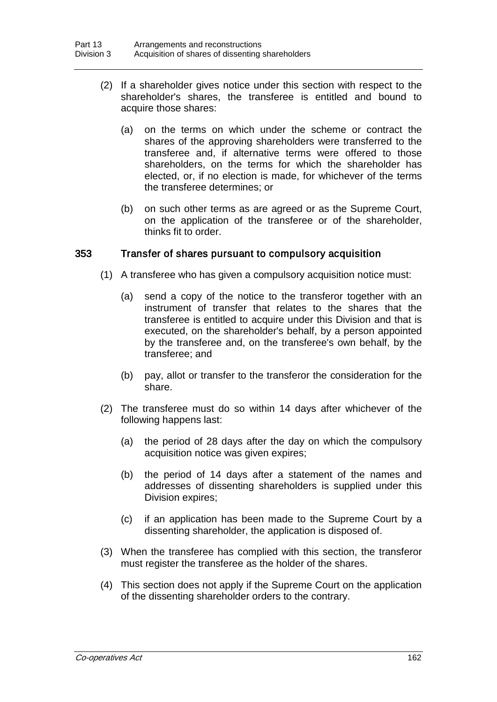- (2) If a shareholder gives notice under this section with respect to the shareholder's shares, the transferee is entitled and bound to acquire those shares:
	- (a) on the terms on which under the scheme or contract the shares of the approving shareholders were transferred to the transferee and, if alternative terms were offered to those shareholders, on the terms for which the shareholder has elected, or, if no election is made, for whichever of the terms the transferee determines; or
	- (b) on such other terms as are agreed or as the Supreme Court, on the application of the transferee or of the shareholder, thinks fit to order.

## 353 Transfer of shares pursuant to compulsory acquisition

- (1) A transferee who has given a compulsory acquisition notice must:
	- (a) send a copy of the notice to the transferor together with an instrument of transfer that relates to the shares that the transferee is entitled to acquire under this Division and that is executed, on the shareholder's behalf, by a person appointed by the transferee and, on the transferee's own behalf, by the transferee; and
	- (b) pay, allot or transfer to the transferor the consideration for the share.
- (2) The transferee must do so within 14 days after whichever of the following happens last:
	- (a) the period of 28 days after the day on which the compulsory acquisition notice was given expires;
	- (b) the period of 14 days after a statement of the names and addresses of dissenting shareholders is supplied under this Division expires;
	- (c) if an application has been made to the Supreme Court by a dissenting shareholder, the application is disposed of.
- (3) When the transferee has complied with this section, the transferor must register the transferee as the holder of the shares.
- (4) This section does not apply if the Supreme Court on the application of the dissenting shareholder orders to the contrary.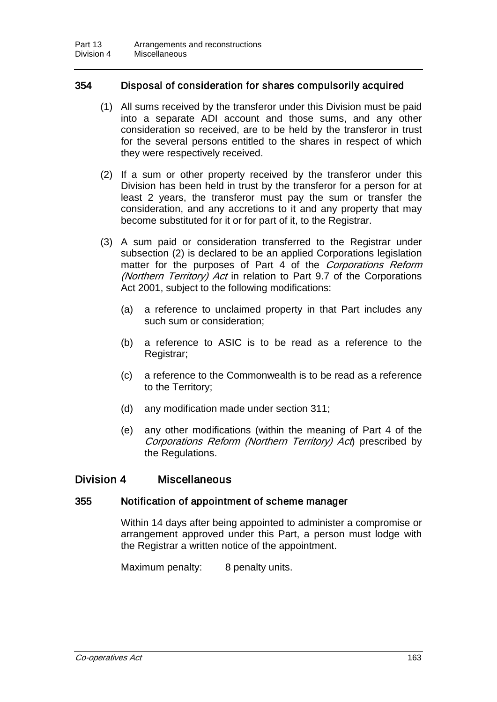# 354 Disposal of consideration for shares compulsorily acquired

- (1) All sums received by the transferor under this Division must be paid into a separate ADI account and those sums, and any other consideration so received, are to be held by the transferor in trust for the several persons entitled to the shares in respect of which they were respectively received.
- (2) If a sum or other property received by the transferor under this Division has been held in trust by the transferor for a person for at least 2 years, the transferor must pay the sum or transfer the consideration, and any accretions to it and any property that may become substituted for it or for part of it, to the Registrar.
- (3) A sum paid or consideration transferred to the Registrar under subsection (2) is declared to be an applied Corporations legislation matter for the purposes of Part 4 of the *Corporations Reform* (Northern Territory) Act in relation to Part 9.7 of the Corporations Act 2001, subject to the following modifications:
	- (a) a reference to unclaimed property in that Part includes any such sum or consideration;
	- (b) a reference to ASIC is to be read as a reference to the Registrar;
	- (c) a reference to the Commonwealth is to be read as a reference to the Territory;
	- (d) any modification made under section 311;
	- (e) any other modifications (within the meaning of Part 4 of the Corporations Reform (Northern Territory) Act prescribed by the Regulations.

# Division 4 Miscellaneous

## 355 Notification of appointment of scheme manager

Within 14 days after being appointed to administer a compromise or arrangement approved under this Part, a person must lodge with the Registrar a written notice of the appointment.

Maximum penalty: 8 penalty units.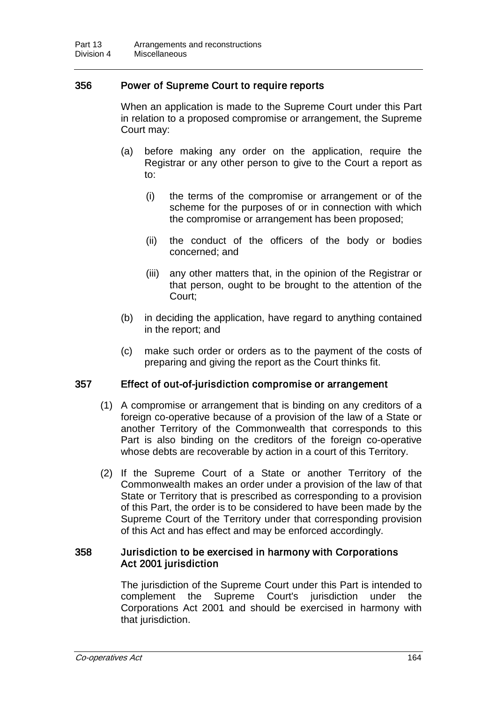### 356 Power of Supreme Court to require reports

When an application is made to the Supreme Court under this Part in relation to a proposed compromise or arrangement, the Supreme Court may:

- (a) before making any order on the application, require the Registrar or any other person to give to the Court a report as to:
	- (i) the terms of the compromise or arrangement or of the scheme for the purposes of or in connection with which the compromise or arrangement has been proposed;
	- (ii) the conduct of the officers of the body or bodies concerned; and
	- (iii) any other matters that, in the opinion of the Registrar or that person, ought to be brought to the attention of the Court;
- (b) in deciding the application, have regard to anything contained in the report; and
- (c) make such order or orders as to the payment of the costs of preparing and giving the report as the Court thinks fit.

#### 357 Effect of out-of-jurisdiction compromise or arrangement

- (1) A compromise or arrangement that is binding on any creditors of a foreign co-operative because of a provision of the law of a State or another Territory of the Commonwealth that corresponds to this Part is also binding on the creditors of the foreign co-operative whose debts are recoverable by action in a court of this Territory.
- (2) If the Supreme Court of a State or another Territory of the Commonwealth makes an order under a provision of the law of that State or Territory that is prescribed as corresponding to a provision of this Part, the order is to be considered to have been made by the Supreme Court of the Territory under that corresponding provision of this Act and has effect and may be enforced accordingly.

### 358 Jurisdiction to be exercised in harmony with Corporations Act 2001 jurisdiction

The jurisdiction of the Supreme Court under this Part is intended to complement the Supreme Court's jurisdiction under the Corporations Act 2001 and should be exercised in harmony with that jurisdiction.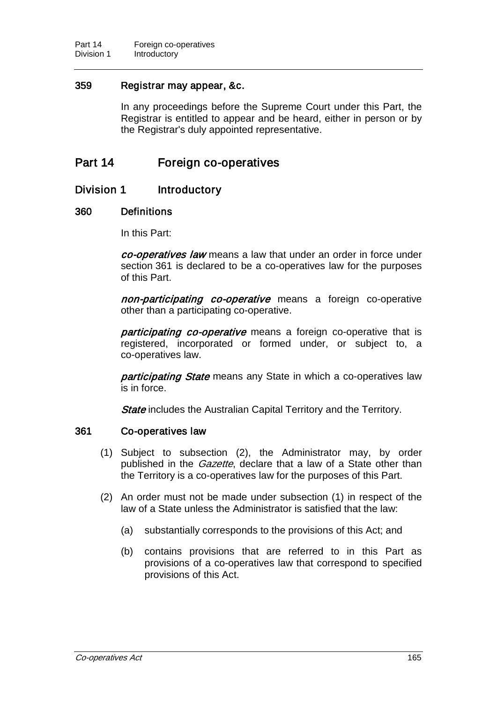### 359 Registrar may appear, &c.

In any proceedings before the Supreme Court under this Part, the Registrar is entitled to appear and be heard, either in person or by the Registrar's duly appointed representative.

# Part 14 Foreign co-operatives

### Division 1 Introductory

#### 360 Definitions

In this Part:

co-operatives law means a law that under an order in force under section 361 is declared to be a co-operatives law for the purposes of this Part.

non-participating co-operative means a foreign co-operative other than a participating co-operative.

participating co-operative means a foreign co-operative that is registered, incorporated or formed under, or subject to, a co-operatives law.

participating State means any State in which a co-operatives law is in force.

**State** includes the Australian Capital Territory and the Territory.

#### 361 Co-operatives law

- (1) Subject to subsection (2), the Administrator may, by order published in the *Gazette*, declare that a law of a State other than the Territory is a co-operatives law for the purposes of this Part.
- (2) An order must not be made under subsection (1) in respect of the law of a State unless the Administrator is satisfied that the law:
	- (a) substantially corresponds to the provisions of this Act; and
	- (b) contains provisions that are referred to in this Part as provisions of a co-operatives law that correspond to specified provisions of this Act.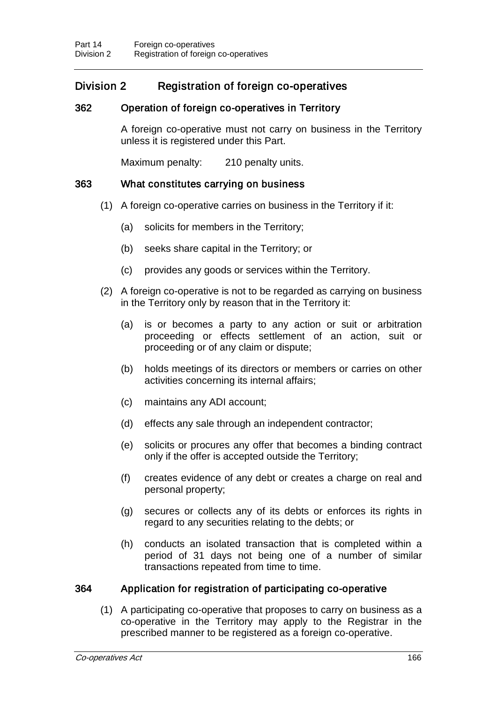# Division 2 Registration of foreign co-operatives

### 362 Operation of foreign co-operatives in Territory

A foreign co-operative must not carry on business in the Territory unless it is registered under this Part.

Maximum penalty: 210 penalty units.

#### 363 What constitutes carrying on business

- (1) A foreign co-operative carries on business in the Territory if it:
	- (a) solicits for members in the Territory;
	- (b) seeks share capital in the Territory; or
	- (c) provides any goods or services within the Territory.
- (2) A foreign co-operative is not to be regarded as carrying on business in the Territory only by reason that in the Territory it:
	- (a) is or becomes a party to any action or suit or arbitration proceeding or effects settlement of an action, suit or proceeding or of any claim or dispute;
	- (b) holds meetings of its directors or members or carries on other activities concerning its internal affairs;
	- (c) maintains any ADI account;
	- (d) effects any sale through an independent contractor;
	- (e) solicits or procures any offer that becomes a binding contract only if the offer is accepted outside the Territory;
	- (f) creates evidence of any debt or creates a charge on real and personal property;
	- (g) secures or collects any of its debts or enforces its rights in regard to any securities relating to the debts; or
	- (h) conducts an isolated transaction that is completed within a period of 31 days not being one of a number of similar transactions repeated from time to time.

#### 364 Application for registration of participating co-operative

(1) A participating co-operative that proposes to carry on business as a co-operative in the Territory may apply to the Registrar in the prescribed manner to be registered as a foreign co-operative.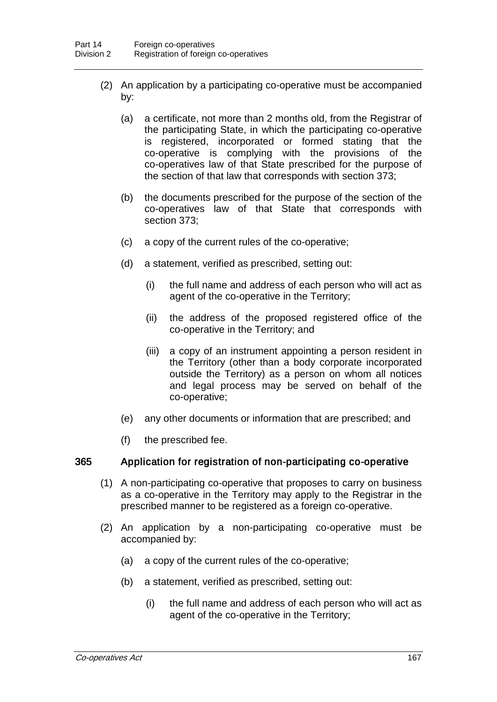- (2) An application by a participating co-operative must be accompanied by:
	- (a) a certificate, not more than 2 months old, from the Registrar of the participating State, in which the participating co-operative is registered, incorporated or formed stating that the co-operative is complying with the provisions of the co-operatives law of that State prescribed for the purpose of the section of that law that corresponds with section 373;
	- (b) the documents prescribed for the purpose of the section of the co-operatives law of that State that corresponds with section 373;
	- (c) a copy of the current rules of the co-operative;
	- (d) a statement, verified as prescribed, setting out:
		- (i) the full name and address of each person who will act as agent of the co-operative in the Territory;
		- (ii) the address of the proposed registered office of the co-operative in the Territory; and
		- (iii) a copy of an instrument appointing a person resident in the Territory (other than a body corporate incorporated outside the Territory) as a person on whom all notices and legal process may be served on behalf of the co-operative;
	- (e) any other documents or information that are prescribed; and
	- (f) the prescribed fee.

#### 365 Application for registration of non-participating co-operative

- (1) A non-participating co-operative that proposes to carry on business as a co-operative in the Territory may apply to the Registrar in the prescribed manner to be registered as a foreign co-operative.
- (2) An application by a non-participating co-operative must be accompanied by:
	- (a) a copy of the current rules of the co-operative;
	- (b) a statement, verified as prescribed, setting out:
		- (i) the full name and address of each person who will act as agent of the co-operative in the Territory;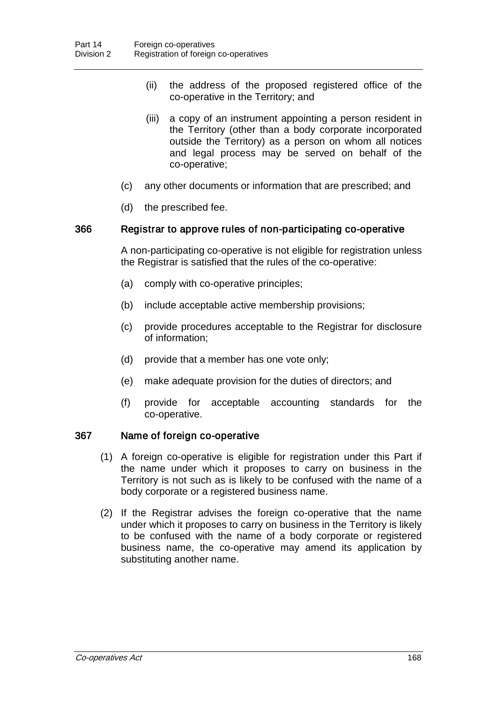- (ii) the address of the proposed registered office of the co-operative in the Territory; and
- (iii) a copy of an instrument appointing a person resident in the Territory (other than a body corporate incorporated outside the Territory) as a person on whom all notices and legal process may be served on behalf of the co-operative;
- (c) any other documents or information that are prescribed; and
- (d) the prescribed fee.

#### 366 Registrar to approve rules of non-participating co-operative

A non-participating co-operative is not eligible for registration unless the Registrar is satisfied that the rules of the co-operative:

- (a) comply with co-operative principles;
- (b) include acceptable active membership provisions;
- (c) provide procedures acceptable to the Registrar for disclosure of information;
- (d) provide that a member has one vote only;
- (e) make adequate provision for the duties of directors; and
- (f) provide for acceptable accounting standards for the co-operative.

#### 367 Name of foreign co-operative

- (1) A foreign co-operative is eligible for registration under this Part if the name under which it proposes to carry on business in the Territory is not such as is likely to be confused with the name of a body corporate or a registered business name.
- (2) If the Registrar advises the foreign co-operative that the name under which it proposes to carry on business in the Territory is likely to be confused with the name of a body corporate or registered business name, the co-operative may amend its application by substituting another name.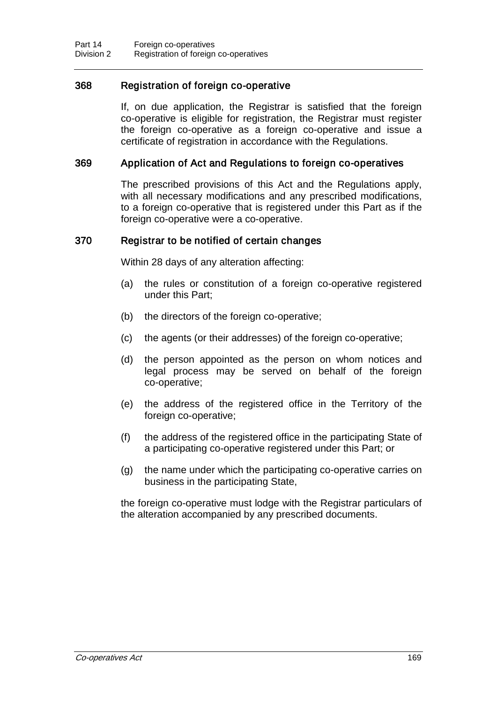### 368 Registration of foreign co-operative

If, on due application, the Registrar is satisfied that the foreign co-operative is eligible for registration, the Registrar must register the foreign co-operative as a foreign co-operative and issue a certificate of registration in accordance with the Regulations.

#### 369 Application of Act and Regulations to foreign co-operatives

The prescribed provisions of this Act and the Regulations apply, with all necessary modifications and any prescribed modifications, to a foreign co-operative that is registered under this Part as if the foreign co-operative were a co-operative.

#### 370 Registrar to be notified of certain changes

Within 28 days of any alteration affecting:

- (a) the rules or constitution of a foreign co-operative registered under this Part;
- (b) the directors of the foreign co-operative;
- (c) the agents (or their addresses) of the foreign co-operative;
- (d) the person appointed as the person on whom notices and legal process may be served on behalf of the foreign co-operative;
- (e) the address of the registered office in the Territory of the foreign co-operative;
- (f) the address of the registered office in the participating State of a participating co-operative registered under this Part; or
- (g) the name under which the participating co-operative carries on business in the participating State,

the foreign co-operative must lodge with the Registrar particulars of the alteration accompanied by any prescribed documents.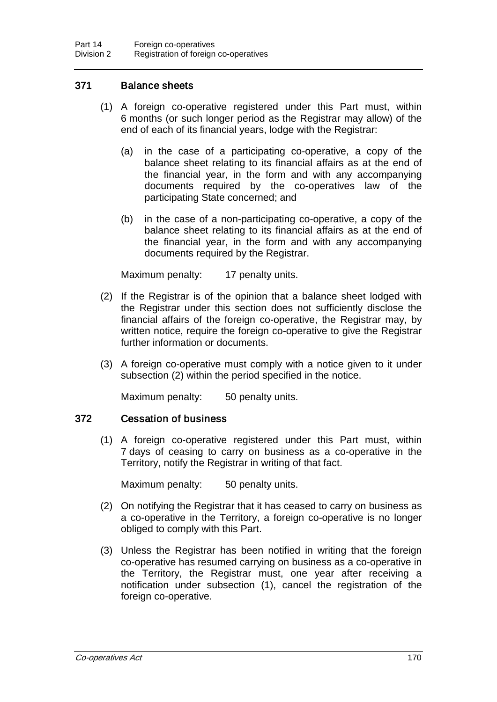### 371 Balance sheets

- (1) A foreign co-operative registered under this Part must, within 6 months (or such longer period as the Registrar may allow) of the end of each of its financial years, lodge with the Registrar:
	- (a) in the case of a participating co-operative, a copy of the balance sheet relating to its financial affairs as at the end of the financial year, in the form and with any accompanying documents required by the co-operatives law of the participating State concerned; and
	- (b) in the case of a non-participating co-operative, a copy of the balance sheet relating to its financial affairs as at the end of the financial year, in the form and with any accompanying documents required by the Registrar.

Maximum penalty: 17 penalty units.

- (2) If the Registrar is of the opinion that a balance sheet lodged with the Registrar under this section does not sufficiently disclose the financial affairs of the foreign co-operative, the Registrar may, by written notice, require the foreign co-operative to give the Registrar further information or documents.
- (3) A foreign co-operative must comply with a notice given to it under subsection (2) within the period specified in the notice.

Maximum penalty: 50 penalty units.

#### 372 Cessation of business

(1) A foreign co-operative registered under this Part must, within 7 days of ceasing to carry on business as a co-operative in the Territory, notify the Registrar in writing of that fact.

Maximum penalty: 50 penalty units.

- (2) On notifying the Registrar that it has ceased to carry on business as a co-operative in the Territory, a foreign co-operative is no longer obliged to comply with this Part.
- (3) Unless the Registrar has been notified in writing that the foreign co-operative has resumed carrying on business as a co-operative in the Territory, the Registrar must, one year after receiving a notification under subsection (1), cancel the registration of the foreign co-operative.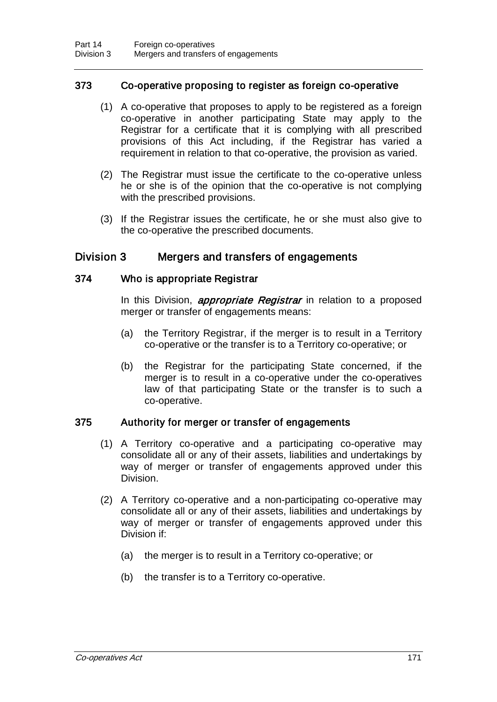### 373 Co-operative proposing to register as foreign co-operative

- (1) A co-operative that proposes to apply to be registered as a foreign co-operative in another participating State may apply to the Registrar for a certificate that it is complying with all prescribed provisions of this Act including, if the Registrar has varied a requirement in relation to that co-operative, the provision as varied.
- (2) The Registrar must issue the certificate to the co-operative unless he or she is of the opinion that the co-operative is not complying with the prescribed provisions.
- (3) If the Registrar issues the certificate, he or she must also give to the co-operative the prescribed documents.

### Division 3 Mergers and transfers of engagements

#### 374 Who is appropriate Registrar

In this Division, *appropriate Registrar* in relation to a proposed merger or transfer of engagements means:

- (a) the Territory Registrar, if the merger is to result in a Territory co-operative or the transfer is to a Territory co-operative; or
- (b) the Registrar for the participating State concerned, if the merger is to result in a co-operative under the co-operatives law of that participating State or the transfer is to such a co-operative.

#### 375 Authority for merger or transfer of engagements

- (1) A Territory co-operative and a participating co-operative may consolidate all or any of their assets, liabilities and undertakings by way of merger or transfer of engagements approved under this Division.
- (2) A Territory co-operative and a non-participating co-operative may consolidate all or any of their assets, liabilities and undertakings by way of merger or transfer of engagements approved under this Division if:
	- (a) the merger is to result in a Territory co-operative; or
	- (b) the transfer is to a Territory co-operative.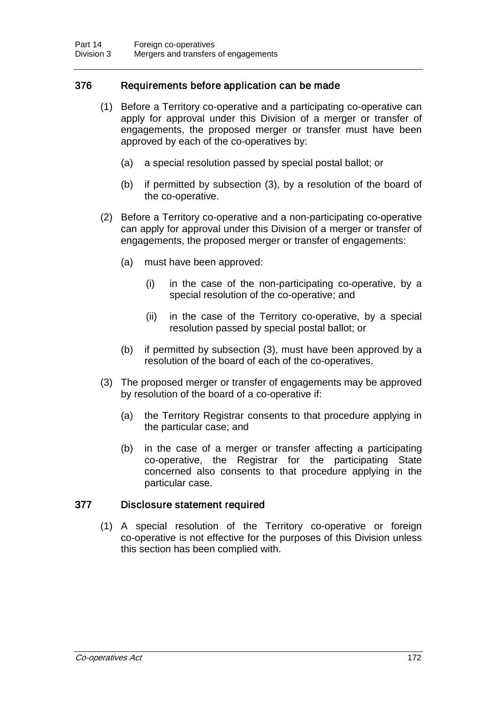### 376 Requirements before application can be made

- (1) Before a Territory co-operative and a participating co-operative can apply for approval under this Division of a merger or transfer of engagements, the proposed merger or transfer must have been approved by each of the co-operatives by:
	- (a) a special resolution passed by special postal ballot; or
	- (b) if permitted by subsection (3), by a resolution of the board of the co-operative.
- (2) Before a Territory co-operative and a non-participating co-operative can apply for approval under this Division of a merger or transfer of engagements, the proposed merger or transfer of engagements:
	- (a) must have been approved:
		- (i) in the case of the non-participating co-operative, by a special resolution of the co-operative; and
		- (ii) in the case of the Territory co-operative, by a special resolution passed by special postal ballot; or
	- (b) if permitted by subsection (3), must have been approved by a resolution of the board of each of the co-operatives.
- (3) The proposed merger or transfer of engagements may be approved by resolution of the board of a co-operative if:
	- (a) the Territory Registrar consents to that procedure applying in the particular case; and
	- (b) in the case of a merger or transfer affecting a participating co-operative, the Registrar for the participating State concerned also consents to that procedure applying in the particular case.

### 377 Disclosure statement required

(1) A special resolution of the Territory co-operative or foreign co-operative is not effective for the purposes of this Division unless this section has been complied with.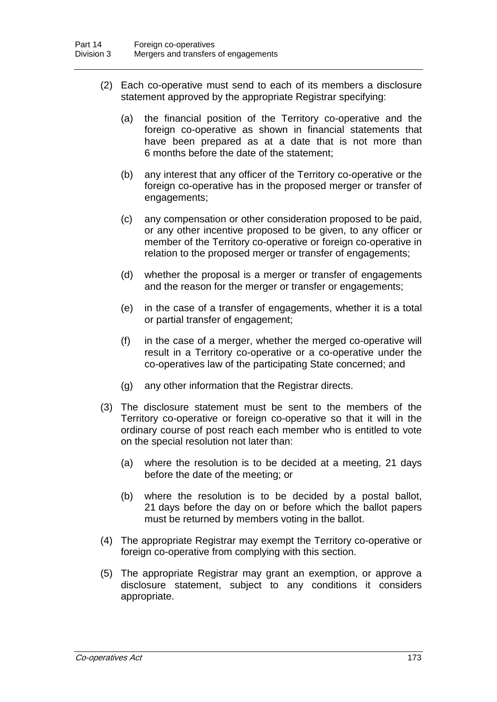- (2) Each co-operative must send to each of its members a disclosure statement approved by the appropriate Registrar specifying:
	- (a) the financial position of the Territory co-operative and the foreign co-operative as shown in financial statements that have been prepared as at a date that is not more than 6 months before the date of the statement;
	- (b) any interest that any officer of the Territory co-operative or the foreign co-operative has in the proposed merger or transfer of engagements;
	- (c) any compensation or other consideration proposed to be paid, or any other incentive proposed to be given, to any officer or member of the Territory co-operative or foreign co-operative in relation to the proposed merger or transfer of engagements;
	- (d) whether the proposal is a merger or transfer of engagements and the reason for the merger or transfer or engagements;
	- (e) in the case of a transfer of engagements, whether it is a total or partial transfer of engagement;
	- (f) in the case of a merger, whether the merged co-operative will result in a Territory co-operative or a co-operative under the co-operatives law of the participating State concerned; and
	- (g) any other information that the Registrar directs.
- (3) The disclosure statement must be sent to the members of the Territory co-operative or foreign co-operative so that it will in the ordinary course of post reach each member who is entitled to vote on the special resolution not later than:
	- (a) where the resolution is to be decided at a meeting, 21 days before the date of the meeting; or
	- (b) where the resolution is to be decided by a postal ballot, 21 days before the day on or before which the ballot papers must be returned by members voting in the ballot.
- (4) The appropriate Registrar may exempt the Territory co-operative or foreign co-operative from complying with this section.
- (5) The appropriate Registrar may grant an exemption, or approve a disclosure statement, subject to any conditions it considers appropriate.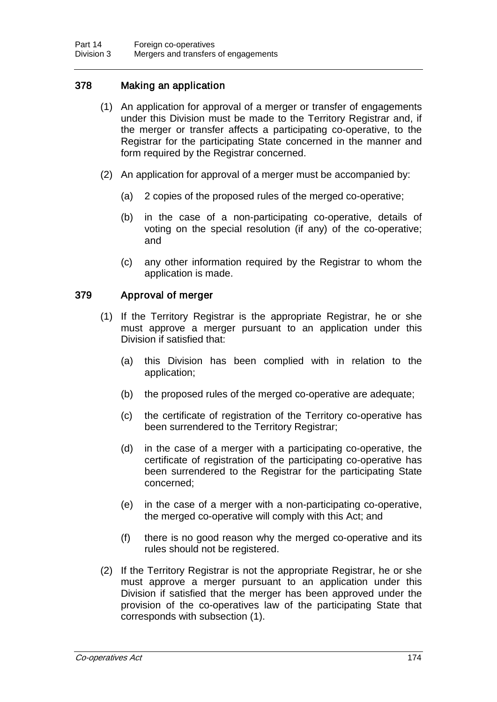### 378 Making an application

- (1) An application for approval of a merger or transfer of engagements under this Division must be made to the Territory Registrar and, if the merger or transfer affects a participating co-operative, to the Registrar for the participating State concerned in the manner and form required by the Registrar concerned.
- (2) An application for approval of a merger must be accompanied by:
	- (a) 2 copies of the proposed rules of the merged co-operative;
	- (b) in the case of a non-participating co-operative, details of voting on the special resolution (if any) of the co-operative; and
	- (c) any other information required by the Registrar to whom the application is made.

### 379 Approval of merger

- (1) If the Territory Registrar is the appropriate Registrar, he or she must approve a merger pursuant to an application under this Division if satisfied that:
	- (a) this Division has been complied with in relation to the application;
	- (b) the proposed rules of the merged co-operative are adequate;
	- (c) the certificate of registration of the Territory co-operative has been surrendered to the Territory Registrar;
	- (d) in the case of a merger with a participating co-operative, the certificate of registration of the participating co-operative has been surrendered to the Registrar for the participating State concerned;
	- (e) in the case of a merger with a non-participating co-operative, the merged co-operative will comply with this Act; and
	- (f) there is no good reason why the merged co-operative and its rules should not be registered.
- (2) If the Territory Registrar is not the appropriate Registrar, he or she must approve a merger pursuant to an application under this Division if satisfied that the merger has been approved under the provision of the co-operatives law of the participating State that corresponds with subsection (1).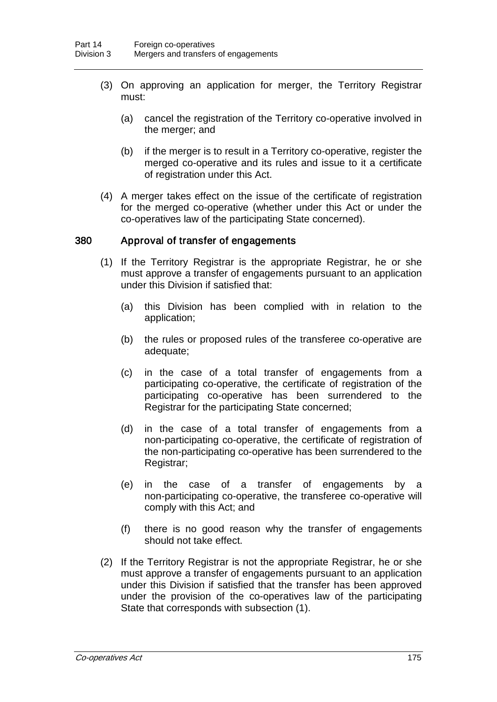- (3) On approving an application for merger, the Territory Registrar must:
	- (a) cancel the registration of the Territory co-operative involved in the merger; and
	- (b) if the merger is to result in a Territory co-operative, register the merged co-operative and its rules and issue to it a certificate of registration under this Act.
- (4) A merger takes effect on the issue of the certificate of registration for the merged co-operative (whether under this Act or under the co-operatives law of the participating State concerned).

#### 380 Approval of transfer of engagements

- (1) If the Territory Registrar is the appropriate Registrar, he or she must approve a transfer of engagements pursuant to an application under this Division if satisfied that:
	- (a) this Division has been complied with in relation to the application;
	- (b) the rules or proposed rules of the transferee co-operative are adequate;
	- (c) in the case of a total transfer of engagements from a participating co-operative, the certificate of registration of the participating co-operative has been surrendered to the Registrar for the participating State concerned;
	- (d) in the case of a total transfer of engagements from a non-participating co-operative, the certificate of registration of the non-participating co-operative has been surrendered to the Registrar;
	- (e) in the case of a transfer of engagements by a non-participating co-operative, the transferee co-operative will comply with this Act; and
	- (f) there is no good reason why the transfer of engagements should not take effect.
- (2) If the Territory Registrar is not the appropriate Registrar, he or she must approve a transfer of engagements pursuant to an application under this Division if satisfied that the transfer has been approved under the provision of the co-operatives law of the participating State that corresponds with subsection (1).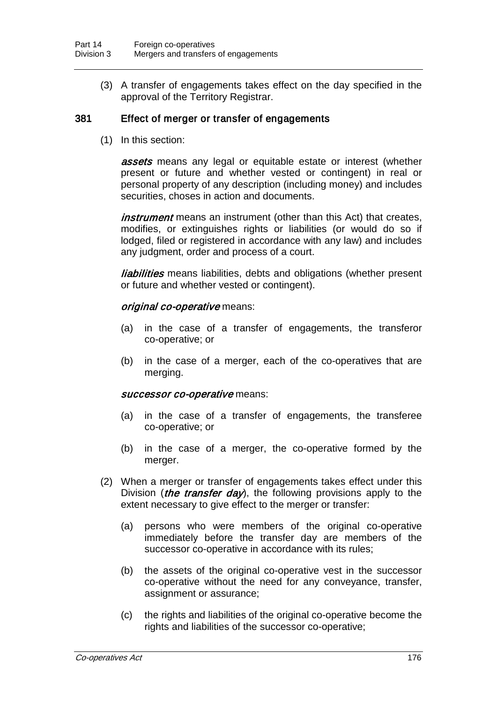(3) A transfer of engagements takes effect on the day specified in the approval of the Territory Registrar.

#### 381 Effect of merger or transfer of engagements

(1) In this section:

**assets** means any legal or equitable estate or interest (whether present or future and whether vested or contingent) in real or personal property of any description (including money) and includes securities, choses in action and documents.

*instrument* means an instrument (other than this Act) that creates, modifies, or extinguishes rights or liabilities (or would do so if lodged, filed or registered in accordance with any law) and includes any judgment, order and process of a court.

*liabilities* means liabilities, debts and obligations (whether present or future and whether vested or contingent).

#### original co-operative means:

- (a) in the case of a transfer of engagements, the transferor co-operative; or
- (b) in the case of a merger, each of the co-operatives that are merging.

#### successor co-operative means:

- (a) in the case of a transfer of engagements, the transferee co-operative; or
- (b) in the case of a merger, the co-operative formed by the merger.
- (2) When a merger or transfer of engagements takes effect under this Division (*the transfer day*), the following provisions apply to the extent necessary to give effect to the merger or transfer:
	- (a) persons who were members of the original co-operative immediately before the transfer day are members of the successor co-operative in accordance with its rules;
	- (b) the assets of the original co-operative vest in the successor co-operative without the need for any conveyance, transfer, assignment or assurance;
	- (c) the rights and liabilities of the original co-operative become the rights and liabilities of the successor co-operative;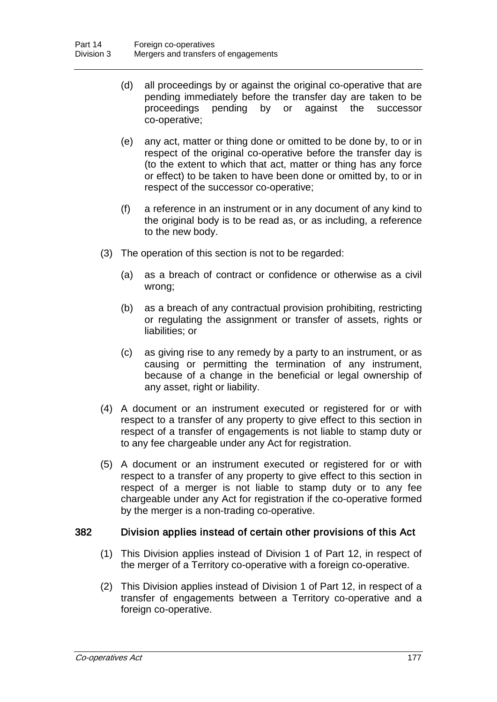- (d) all proceedings by or against the original co-operative that are pending immediately before the transfer day are taken to be proceedings pending by or against the successor pending by or against the successor co-operative;
- (e) any act, matter or thing done or omitted to be done by, to or in respect of the original co-operative before the transfer day is (to the extent to which that act, matter or thing has any force or effect) to be taken to have been done or omitted by, to or in respect of the successor co-operative;
- (f) a reference in an instrument or in any document of any kind to the original body is to be read as, or as including, a reference to the new body.
- (3) The operation of this section is not to be regarded:
	- (a) as a breach of contract or confidence or otherwise as a civil wrong;
	- (b) as a breach of any contractual provision prohibiting, restricting or regulating the assignment or transfer of assets, rights or liabilities; or
	- (c) as giving rise to any remedy by a party to an instrument, or as causing or permitting the termination of any instrument, because of a change in the beneficial or legal ownership of any asset, right or liability.
- (4) A document or an instrument executed or registered for or with respect to a transfer of any property to give effect to this section in respect of a transfer of engagements is not liable to stamp duty or to any fee chargeable under any Act for registration.
- (5) A document or an instrument executed or registered for or with respect to a transfer of any property to give effect to this section in respect of a merger is not liable to stamp duty or to any fee chargeable under any Act for registration if the co-operative formed by the merger is a non-trading co-operative.

#### 382 Division applies instead of certain other provisions of this Act

- (1) This Division applies instead of Division 1 of Part 12, in respect of the merger of a Territory co-operative with a foreign co-operative.
- (2) This Division applies instead of Division 1 of Part 12, in respect of a transfer of engagements between a Territory co-operative and a foreign co-operative.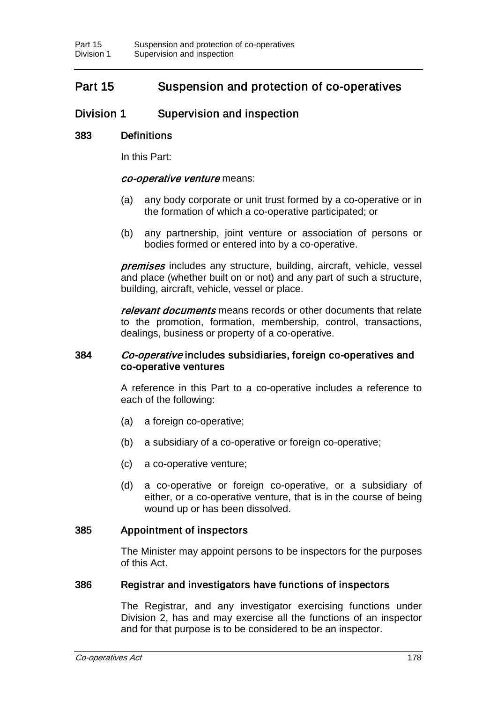# Part 15 Suspension and protection of co-operatives

# Division 1 Supervision and inspection

### 383 Definitions

In this Part:

#### co-operative venture means:

- (a) any body corporate or unit trust formed by a co-operative or in the formation of which a co-operative participated; or
- (b) any partnership, joint venture or association of persons or bodies formed or entered into by a co-operative.

**premises** includes any structure, building, aircraft, vehicle, vessel and place (whether built on or not) and any part of such a structure, building, aircraft, vehicle, vessel or place.

relevant documents means records or other documents that relate to the promotion, formation, membership, control, transactions, dealings, business or property of a co-operative.

#### 384 Co-operative includes subsidiaries, foreign co-operatives and co-operative ventures

A reference in this Part to a co-operative includes a reference to each of the following:

- (a) a foreign co-operative;
- (b) a subsidiary of a co-operative or foreign co-operative;
- (c) a co-operative venture;
- (d) a co-operative or foreign co-operative, or a subsidiary of either, or a co-operative venture, that is in the course of being wound up or has been dissolved.

#### 385 Appointment of inspectors

The Minister may appoint persons to be inspectors for the purposes of this Act.

#### 386 Registrar and investigators have functions of inspectors

The Registrar, and any investigator exercising functions under Division 2, has and may exercise all the functions of an inspector and for that purpose is to be considered to be an inspector.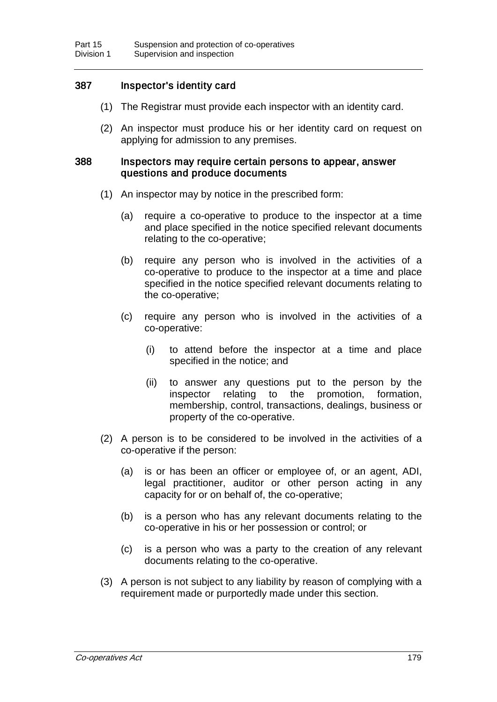### 387 Inspector's identity card

- (1) The Registrar must provide each inspector with an identity card.
- (2) An inspector must produce his or her identity card on request on applying for admission to any premises.

#### 388 Inspectors may require certain persons to appear, answer questions and produce documents

- (1) An inspector may by notice in the prescribed form:
	- (a) require a co-operative to produce to the inspector at a time and place specified in the notice specified relevant documents relating to the co-operative;
	- (b) require any person who is involved in the activities of a co-operative to produce to the inspector at a time and place specified in the notice specified relevant documents relating to the co-operative;
	- (c) require any person who is involved in the activities of a co-operative:
		- (i) to attend before the inspector at a time and place specified in the notice; and
		- (ii) to answer any questions put to the person by the inspector relating to the promotion, formation, membership, control, transactions, dealings, business or property of the co-operative.
- (2) A person is to be considered to be involved in the activities of a co-operative if the person:
	- (a) is or has been an officer or employee of, or an agent, ADI, legal practitioner, auditor or other person acting in any capacity for or on behalf of, the co-operative;
	- (b) is a person who has any relevant documents relating to the co-operative in his or her possession or control; or
	- (c) is a person who was a party to the creation of any relevant documents relating to the co-operative.
- (3) A person is not subject to any liability by reason of complying with a requirement made or purportedly made under this section.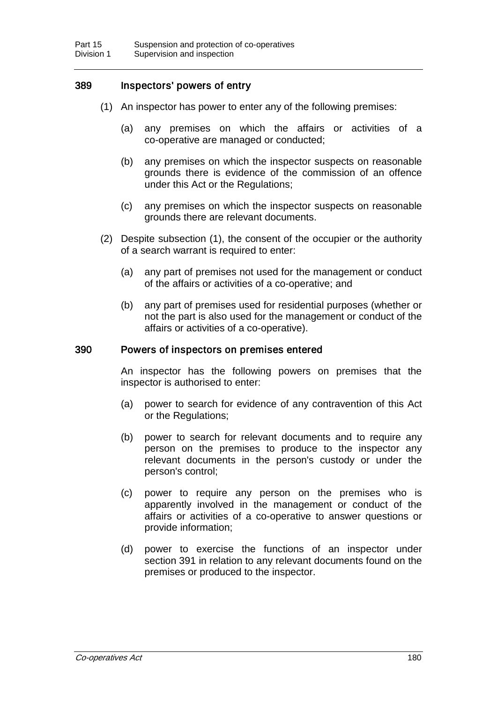### 389 Inspectors' powers of entry

- (1) An inspector has power to enter any of the following premises:
	- (a) any premises on which the affairs or activities of a co-operative are managed or conducted;
	- (b) any premises on which the inspector suspects on reasonable grounds there is evidence of the commission of an offence under this Act or the Regulations;
	- (c) any premises on which the inspector suspects on reasonable grounds there are relevant documents.
- (2) Despite subsection (1), the consent of the occupier or the authority of a search warrant is required to enter:
	- (a) any part of premises not used for the management or conduct of the affairs or activities of a co-operative; and
	- (b) any part of premises used for residential purposes (whether or not the part is also used for the management or conduct of the affairs or activities of a co-operative).

#### 390 Powers of inspectors on premises entered

An inspector has the following powers on premises that the inspector is authorised to enter:

- (a) power to search for evidence of any contravention of this Act or the Regulations;
- (b) power to search for relevant documents and to require any person on the premises to produce to the inspector any relevant documents in the person's custody or under the person's control;
- (c) power to require any person on the premises who is apparently involved in the management or conduct of the affairs or activities of a co-operative to answer questions or provide information;
- (d) power to exercise the functions of an inspector under section 391 in relation to any relevant documents found on the premises or produced to the inspector.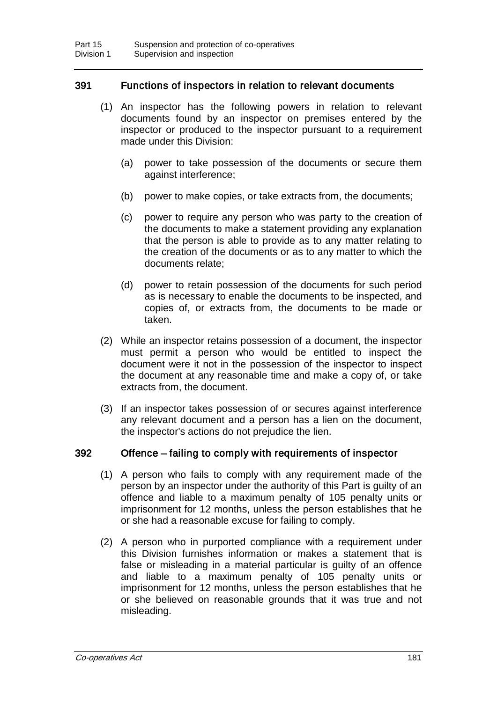### 391 Functions of inspectors in relation to relevant documents

- (1) An inspector has the following powers in relation to relevant documents found by an inspector on premises entered by the inspector or produced to the inspector pursuant to a requirement made under this Division:
	- (a) power to take possession of the documents or secure them against interference;
	- (b) power to make copies, or take extracts from, the documents;
	- (c) power to require any person who was party to the creation of the documents to make a statement providing any explanation that the person is able to provide as to any matter relating to the creation of the documents or as to any matter to which the documents relate;
	- (d) power to retain possession of the documents for such period as is necessary to enable the documents to be inspected, and copies of, or extracts from, the documents to be made or taken.
- (2) While an inspector retains possession of a document, the inspector must permit a person who would be entitled to inspect the document were it not in the possession of the inspector to inspect the document at any reasonable time and make a copy of, or take extracts from, the document.
- (3) If an inspector takes possession of or secures against interference any relevant document and a person has a lien on the document, the inspector's actions do not prejudice the lien.

### 392 Offence – failing to comply with requirements of inspector

- (1) A person who fails to comply with any requirement made of the person by an inspector under the authority of this Part is guilty of an offence and liable to a maximum penalty of 105 penalty units or imprisonment for 12 months, unless the person establishes that he or she had a reasonable excuse for failing to comply.
- (2) A person who in purported compliance with a requirement under this Division furnishes information or makes a statement that is false or misleading in a material particular is guilty of an offence and liable to a maximum penalty of 105 penalty units or imprisonment for 12 months, unless the person establishes that he or she believed on reasonable grounds that it was true and not misleading.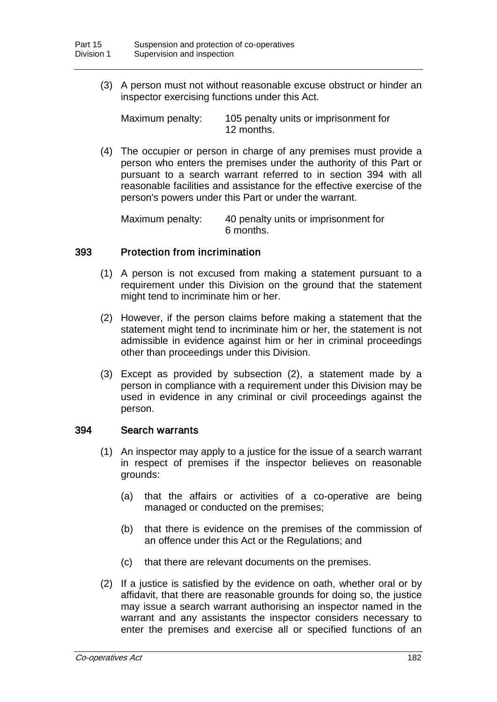(3) A person must not without reasonable excuse obstruct or hinder an inspector exercising functions under this Act.

Maximum penalty: 105 penalty units or imprisonment for 12 months.

(4) The occupier or person in charge of any premises must provide a person who enters the premises under the authority of this Part or pursuant to a search warrant referred to in section 394 with all reasonable facilities and assistance for the effective exercise of the person's powers under this Part or under the warrant.

Maximum penalty: 40 penalty units or imprisonment for 6 months.

### 393 Protection from incrimination

- (1) A person is not excused from making a statement pursuant to a requirement under this Division on the ground that the statement might tend to incriminate him or her.
- (2) However, if the person claims before making a statement that the statement might tend to incriminate him or her, the statement is not admissible in evidence against him or her in criminal proceedings other than proceedings under this Division.
- (3) Except as provided by subsection (2), a statement made by a person in compliance with a requirement under this Division may be used in evidence in any criminal or civil proceedings against the person.

#### 394 Search warrants

- (1) An inspector may apply to a justice for the issue of a search warrant in respect of premises if the inspector believes on reasonable grounds:
	- (a) that the affairs or activities of a co-operative are being managed or conducted on the premises;
	- (b) that there is evidence on the premises of the commission of an offence under this Act or the Regulations; and
	- (c) that there are relevant documents on the premises.
- (2) If a justice is satisfied by the evidence on oath, whether oral or by affidavit, that there are reasonable grounds for doing so, the justice may issue a search warrant authorising an inspector named in the warrant and any assistants the inspector considers necessary to enter the premises and exercise all or specified functions of an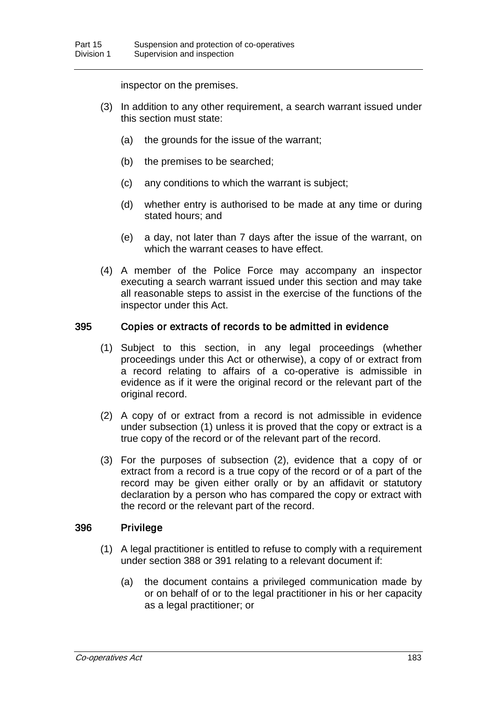inspector on the premises.

- (3) In addition to any other requirement, a search warrant issued under this section must state:
	- (a) the grounds for the issue of the warrant;
	- (b) the premises to be searched;
	- (c) any conditions to which the warrant is subject;
	- (d) whether entry is authorised to be made at any time or during stated hours; and
	- (e) a day, not later than 7 days after the issue of the warrant, on which the warrant ceases to have effect.
- (4) A member of the Police Force may accompany an inspector executing a search warrant issued under this section and may take all reasonable steps to assist in the exercise of the functions of the inspector under this Act.

#### 395 Copies or extracts of records to be admitted in evidence

- (1) Subject to this section, in any legal proceedings (whether proceedings under this Act or otherwise), a copy of or extract from a record relating to affairs of a co-operative is admissible in evidence as if it were the original record or the relevant part of the original record.
- (2) A copy of or extract from a record is not admissible in evidence under subsection (1) unless it is proved that the copy or extract is a true copy of the record or of the relevant part of the record.
- (3) For the purposes of subsection (2), evidence that a copy of or extract from a record is a true copy of the record or of a part of the record may be given either orally or by an affidavit or statutory declaration by a person who has compared the copy or extract with the record or the relevant part of the record.

### 396 Privilege

- (1) A legal practitioner is entitled to refuse to comply with a requirement under section 388 or 391 relating to a relevant document if:
	- (a) the document contains a privileged communication made by or on behalf of or to the legal practitioner in his or her capacity as a legal practitioner; or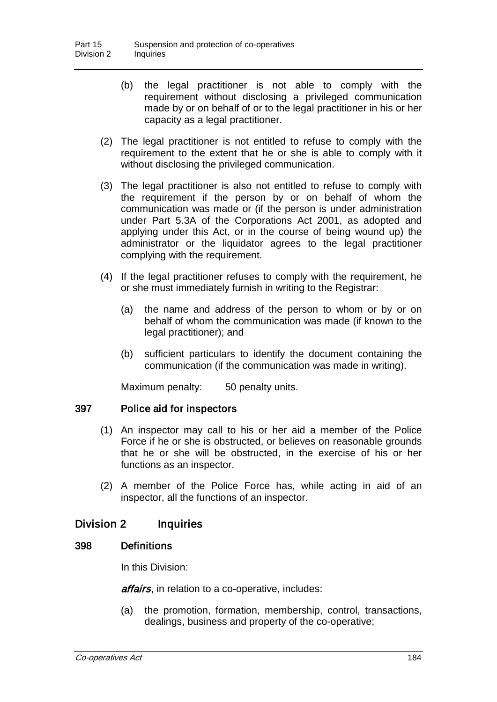- (b) the legal practitioner is not able to comply with the requirement without disclosing a privileged communication made by or on behalf of or to the legal practitioner in his or her capacity as a legal practitioner.
- (2) The legal practitioner is not entitled to refuse to comply with the requirement to the extent that he or she is able to comply with it without disclosing the privileged communication.
- (3) The legal practitioner is also not entitled to refuse to comply with the requirement if the person by or on behalf of whom the communication was made or (if the person is under administration under Part 5.3A of the Corporations Act 2001, as adopted and applying under this Act, or in the course of being wound up) the administrator or the liquidator agrees to the legal practitioner complying with the requirement.
- (4) If the legal practitioner refuses to comply with the requirement, he or she must immediately furnish in writing to the Registrar:
	- (a) the name and address of the person to whom or by or on behalf of whom the communication was made (if known to the legal practitioner); and
	- (b) sufficient particulars to identify the document containing the communication (if the communication was made in writing).

Maximum penalty: 50 penalty units.

### 397 Police aid for inspectors

- (1) An inspector may call to his or her aid a member of the Police Force if he or she is obstructed, or believes on reasonable grounds that he or she will be obstructed, in the exercise of his or her functions as an inspector.
- (2) A member of the Police Force has, while acting in aid of an inspector, all the functions of an inspector.

### Division 2 Inquiries

#### 398 Definitions

In this Division:

affairs, in relation to a co-operative, includes:

(a) the promotion, formation, membership, control, transactions, dealings, business and property of the co-operative;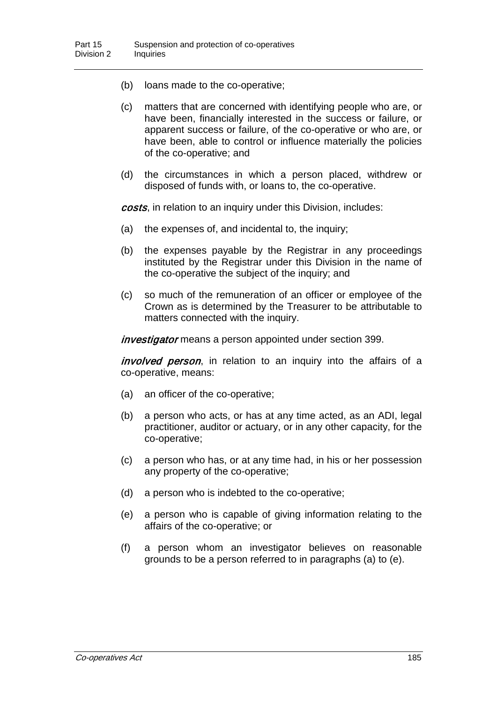- (b) loans made to the co-operative;
- (c) matters that are concerned with identifying people who are, or have been, financially interested in the success or failure, or apparent success or failure, of the co-operative or who are, or have been, able to control or influence materially the policies of the co-operative; and
- (d) the circumstances in which a person placed, withdrew or disposed of funds with, or loans to, the co-operative.

costs, in relation to an inquiry under this Division, includes:

- (a) the expenses of, and incidental to, the inquiry;
- (b) the expenses payable by the Registrar in any proceedings instituted by the Registrar under this Division in the name of the co-operative the subject of the inquiry; and
- (c) so much of the remuneration of an officer or employee of the Crown as is determined by the Treasurer to be attributable to matters connected with the inquiry.

investigator means a person appointed under section 399.

*involved person*, in relation to an inquiry into the affairs of a co-operative, means:

- (a) an officer of the co-operative;
- (b) a person who acts, or has at any time acted, as an ADI, legal practitioner, auditor or actuary, or in any other capacity, for the co-operative;
- (c) a person who has, or at any time had, in his or her possession any property of the co-operative;
- (d) a person who is indebted to the co-operative;
- (e) a person who is capable of giving information relating to the affairs of the co-operative; or
- (f) a person whom an investigator believes on reasonable grounds to be a person referred to in paragraphs (a) to (e).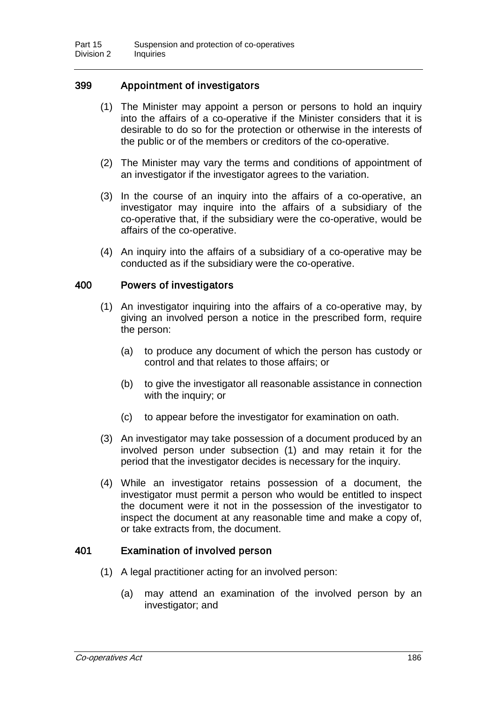### 399 Appointment of investigators

- (1) The Minister may appoint a person or persons to hold an inquiry into the affairs of a co-operative if the Minister considers that it is desirable to do so for the protection or otherwise in the interests of the public or of the members or creditors of the co-operative.
- (2) The Minister may vary the terms and conditions of appointment of an investigator if the investigator agrees to the variation.
- (3) In the course of an inquiry into the affairs of a co-operative, an investigator may inquire into the affairs of a subsidiary of the co-operative that, if the subsidiary were the co-operative, would be affairs of the co-operative.
- (4) An inquiry into the affairs of a subsidiary of a co-operative may be conducted as if the subsidiary were the co-operative.

### 400 Powers of investigators

- (1) An investigator inquiring into the affairs of a co-operative may, by giving an involved person a notice in the prescribed form, require the person:
	- (a) to produce any document of which the person has custody or control and that relates to those affairs; or
	- (b) to give the investigator all reasonable assistance in connection with the inquiry; or
	- (c) to appear before the investigator for examination on oath.
- (3) An investigator may take possession of a document produced by an involved person under subsection (1) and may retain it for the period that the investigator decides is necessary for the inquiry.
- (4) While an investigator retains possession of a document, the investigator must permit a person who would be entitled to inspect the document were it not in the possession of the investigator to inspect the document at any reasonable time and make a copy of, or take extracts from, the document.

#### 401 Examination of involved person

- (1) A legal practitioner acting for an involved person:
	- (a) may attend an examination of the involved person by an investigator; and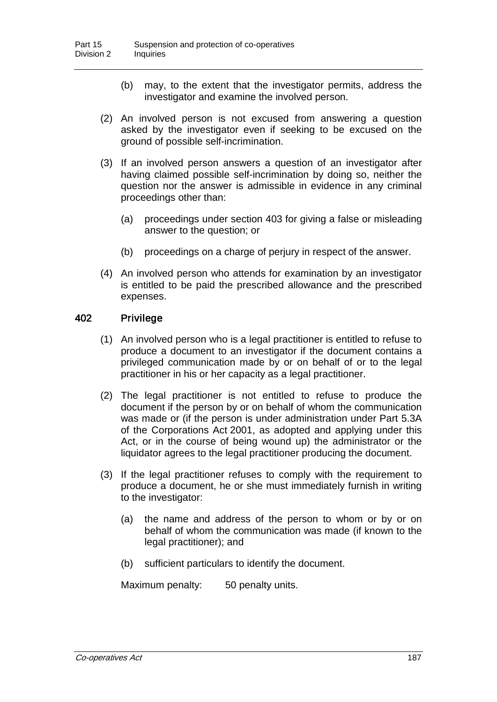- (b) may, to the extent that the investigator permits, address the investigator and examine the involved person.
- (2) An involved person is not excused from answering a question asked by the investigator even if seeking to be excused on the ground of possible self-incrimination.
- (3) If an involved person answers a question of an investigator after having claimed possible self-incrimination by doing so, neither the question nor the answer is admissible in evidence in any criminal proceedings other than:
	- (a) proceedings under section 403 for giving a false or misleading answer to the question; or
	- (b) proceedings on a charge of perjury in respect of the answer.
- (4) An involved person who attends for examination by an investigator is entitled to be paid the prescribed allowance and the prescribed expenses.

#### 402 Privilege

- (1) An involved person who is a legal practitioner is entitled to refuse to produce a document to an investigator if the document contains a privileged communication made by or on behalf of or to the legal practitioner in his or her capacity as a legal practitioner.
- (2) The legal practitioner is not entitled to refuse to produce the document if the person by or on behalf of whom the communication was made or (if the person is under administration under Part 5.3A of the Corporations Act 2001, as adopted and applying under this Act, or in the course of being wound up) the administrator or the liquidator agrees to the legal practitioner producing the document.
- (3) If the legal practitioner refuses to comply with the requirement to produce a document, he or she must immediately furnish in writing to the investigator:
	- (a) the name and address of the person to whom or by or on behalf of whom the communication was made (if known to the legal practitioner); and
	- (b) sufficient particulars to identify the document.

Maximum penalty: 50 penalty units.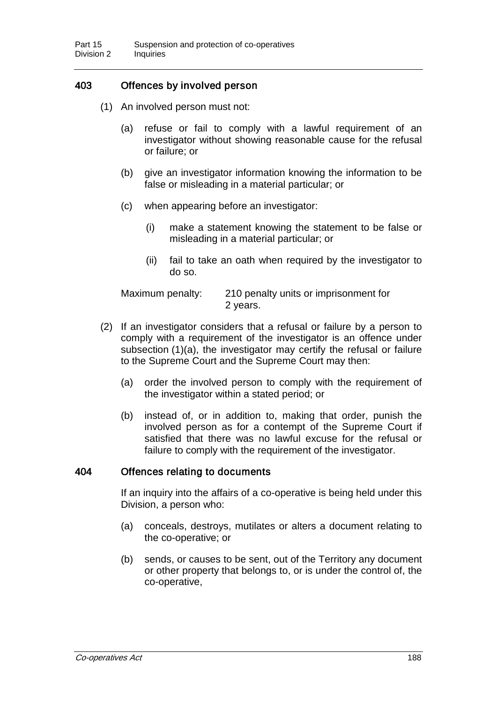### 403 Offences by involved person

- (1) An involved person must not:
	- (a) refuse or fail to comply with a lawful requirement of an investigator without showing reasonable cause for the refusal or failure; or
	- (b) give an investigator information knowing the information to be false or misleading in a material particular; or
	- (c) when appearing before an investigator:
		- (i) make a statement knowing the statement to be false or misleading in a material particular; or
		- (ii) fail to take an oath when required by the investigator to do so.

Maximum penalty: 210 penalty units or imprisonment for 2 years.

- (2) If an investigator considers that a refusal or failure by a person to comply with a requirement of the investigator is an offence under subsection (1)(a), the investigator may certify the refusal or failure to the Supreme Court and the Supreme Court may then:
	- (a) order the involved person to comply with the requirement of the investigator within a stated period; or
	- (b) instead of, or in addition to, making that order, punish the involved person as for a contempt of the Supreme Court if satisfied that there was no lawful excuse for the refusal or failure to comply with the requirement of the investigator.

### 404 Offences relating to documents

If an inquiry into the affairs of a co-operative is being held under this Division, a person who:

- (a) conceals, destroys, mutilates or alters a document relating to the co-operative; or
- (b) sends, or causes to be sent, out of the Territory any document or other property that belongs to, or is under the control of, the co-operative,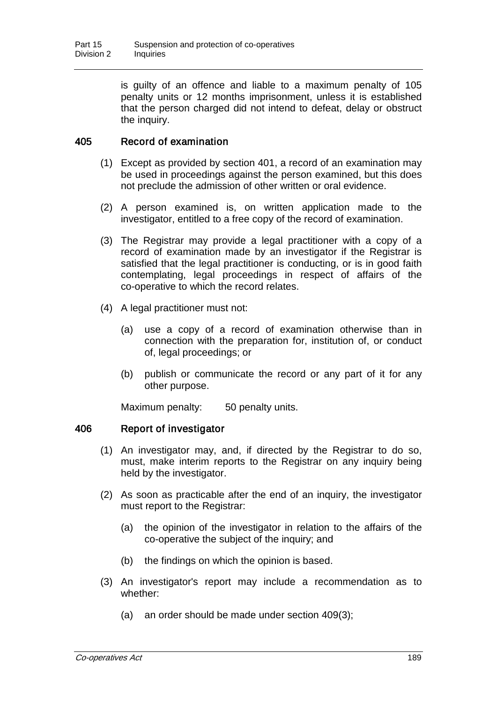is guilty of an offence and liable to a maximum penalty of 105 penalty units or 12 months imprisonment, unless it is established that the person charged did not intend to defeat, delay or obstruct the inquiry.

### 405 Record of examination

- (1) Except as provided by section 401, a record of an examination may be used in proceedings against the person examined, but this does not preclude the admission of other written or oral evidence.
- (2) A person examined is, on written application made to the investigator, entitled to a free copy of the record of examination.
- (3) The Registrar may provide a legal practitioner with a copy of a record of examination made by an investigator if the Registrar is satisfied that the legal practitioner is conducting, or is in good faith contemplating, legal proceedings in respect of affairs of the co-operative to which the record relates.
- (4) A legal practitioner must not:
	- (a) use a copy of a record of examination otherwise than in connection with the preparation for, institution of, or conduct of, legal proceedings; or
	- (b) publish or communicate the record or any part of it for any other purpose.

Maximum penalty: 50 penalty units.

#### 406 Report of investigator

- (1) An investigator may, and, if directed by the Registrar to do so, must, make interim reports to the Registrar on any inquiry being held by the investigator.
- (2) As soon as practicable after the end of an inquiry, the investigator must report to the Registrar:
	- (a) the opinion of the investigator in relation to the affairs of the co-operative the subject of the inquiry; and
	- (b) the findings on which the opinion is based.
- (3) An investigator's report may include a recommendation as to whether:
	- (a) an order should be made under section 409(3);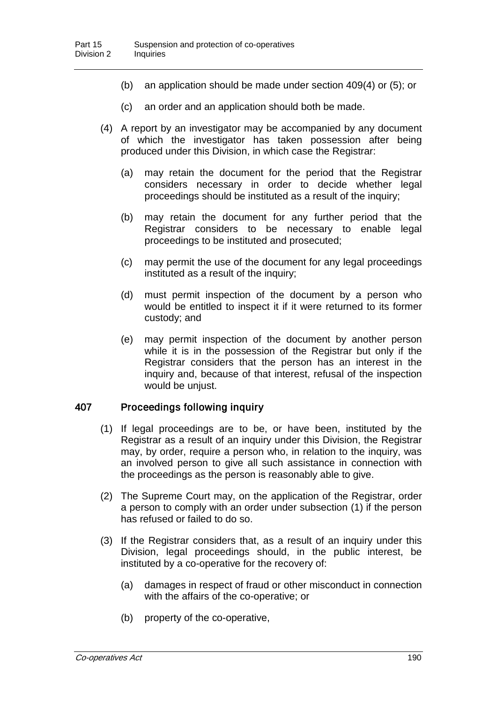- (b) an application should be made under section 409(4) or (5); or
- (c) an order and an application should both be made.
- (4) A report by an investigator may be accompanied by any document of which the investigator has taken possession after being produced under this Division, in which case the Registrar:
	- (a) may retain the document for the period that the Registrar considers necessary in order to decide whether legal proceedings should be instituted as a result of the inquiry;
	- (b) may retain the document for any further period that the Registrar considers to be necessary to enable legal proceedings to be instituted and prosecuted;
	- (c) may permit the use of the document for any legal proceedings instituted as a result of the inquiry;
	- (d) must permit inspection of the document by a person who would be entitled to inspect it if it were returned to its former custody; and
	- (e) may permit inspection of the document by another person while it is in the possession of the Registrar but only if the Registrar considers that the person has an interest in the inquiry and, because of that interest, refusal of the inspection would be unjust.

#### 407 Proceedings following inquiry

- (1) If legal proceedings are to be, or have been, instituted by the Registrar as a result of an inquiry under this Division, the Registrar may, by order, require a person who, in relation to the inquiry, was an involved person to give all such assistance in connection with the proceedings as the person is reasonably able to give.
- (2) The Supreme Court may, on the application of the Registrar, order a person to comply with an order under subsection (1) if the person has refused or failed to do so.
- (3) If the Registrar considers that, as a result of an inquiry under this Division, legal proceedings should, in the public interest, be instituted by a co-operative for the recovery of:
	- (a) damages in respect of fraud or other misconduct in connection with the affairs of the co-operative; or
	- (b) property of the co-operative,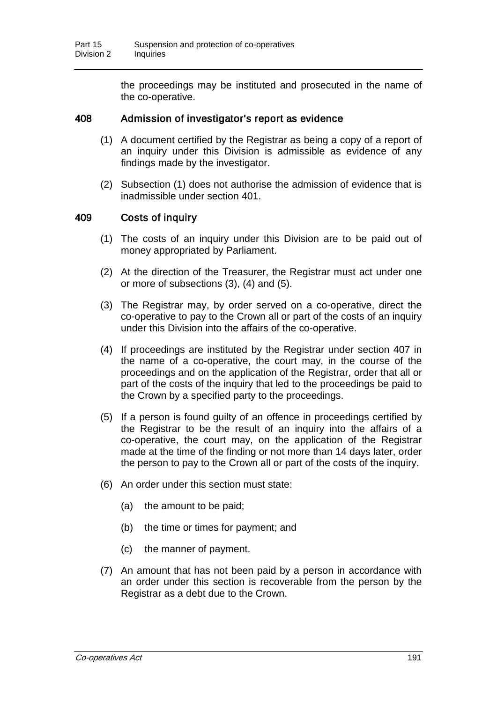the proceedings may be instituted and prosecuted in the name of the co-operative.

### 408 Admission of investigator's report as evidence

- (1) A document certified by the Registrar as being a copy of a report of an inquiry under this Division is admissible as evidence of any findings made by the investigator.
- (2) Subsection (1) does not authorise the admission of evidence that is inadmissible under section 401.

### 409 Costs of inquiry

- (1) The costs of an inquiry under this Division are to be paid out of money appropriated by Parliament.
- (2) At the direction of the Treasurer, the Registrar must act under one or more of subsections (3), (4) and (5).
- (3) The Registrar may, by order served on a co-operative, direct the co-operative to pay to the Crown all or part of the costs of an inquiry under this Division into the affairs of the co-operative.
- (4) If proceedings are instituted by the Registrar under section 407 in the name of a co-operative, the court may, in the course of the proceedings and on the application of the Registrar, order that all or part of the costs of the inquiry that led to the proceedings be paid to the Crown by a specified party to the proceedings.
- (5) If a person is found guilty of an offence in proceedings certified by the Registrar to be the result of an inquiry into the affairs of a co-operative, the court may, on the application of the Registrar made at the time of the finding or not more than 14 days later, order the person to pay to the Crown all or part of the costs of the inquiry.
- (6) An order under this section must state:
	- (a) the amount to be paid;
	- (b) the time or times for payment; and
	- (c) the manner of payment.
- (7) An amount that has not been paid by a person in accordance with an order under this section is recoverable from the person by the Registrar as a debt due to the Crown.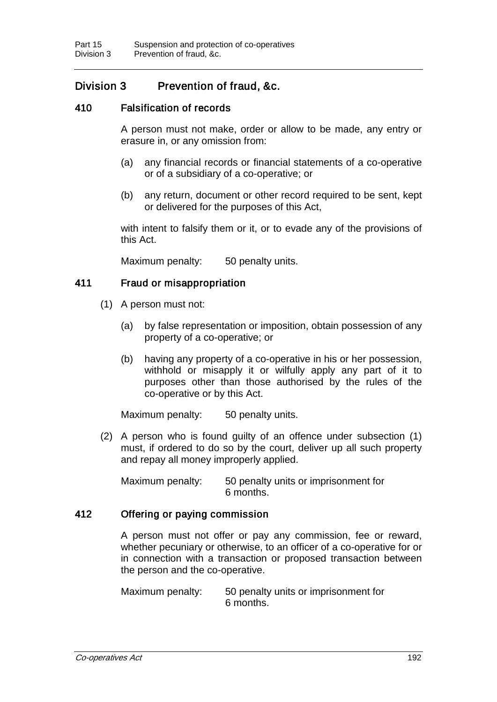# Division 3 Prevention of fraud, &c.

### 410 Falsification of records

A person must not make, order or allow to be made, any entry or erasure in, or any omission from:

- (a) any financial records or financial statements of a co-operative or of a subsidiary of a co-operative; or
- (b) any return, document or other record required to be sent, kept or delivered for the purposes of this Act,

with intent to falsify them or it, or to evade any of the provisions of this Act.

Maximum penalty: 50 penalty units.

### 411 Fraud or misappropriation

- (1) A person must not:
	- (a) by false representation or imposition, obtain possession of any property of a co-operative; or
	- (b) having any property of a co-operative in his or her possession, withhold or misapply it or wilfully apply any part of it to purposes other than those authorised by the rules of the co-operative or by this Act.

Maximum penalty: 50 penalty units.

(2) A person who is found guilty of an offence under subsection (1) must, if ordered to do so by the court, deliver up all such property and repay all money improperly applied.

Maximum penalty: 50 penalty units or imprisonment for 6 months.

#### 412 Offering or paying commission

A person must not offer or pay any commission, fee or reward, whether pecuniary or otherwise, to an officer of a co-operative for or in connection with a transaction or proposed transaction between the person and the co-operative.

Maximum penalty: 50 penalty units or imprisonment for 6 months.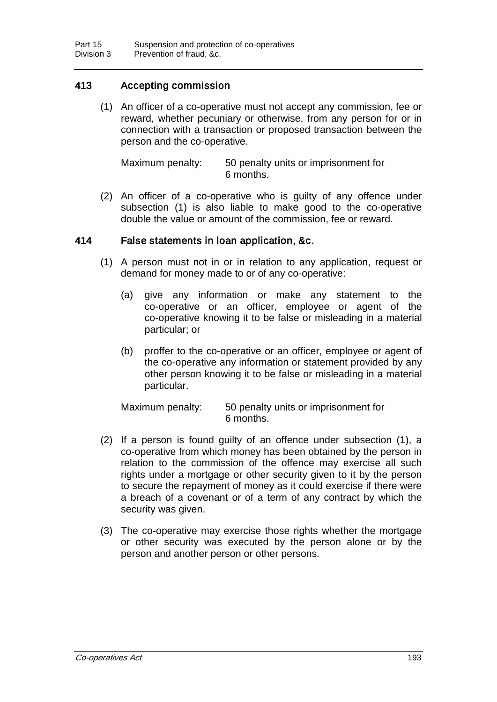### 413 Accepting commission

(1) An officer of a co-operative must not accept any commission, fee or reward, whether pecuniary or otherwise, from any person for or in connection with a transaction or proposed transaction between the person and the co-operative.

Maximum penalty: 50 penalty units or imprisonment for 6 months.

(2) An officer of a co-operative who is guilty of any offence under subsection (1) is also liable to make good to the co-operative double the value or amount of the commission, fee or reward.

### 414 False statements in loan application, &c.

- (1) A person must not in or in relation to any application, request or demand for money made to or of any co-operative:
	- (a) give any information or make any statement to the co-operative or an officer, employee or agent of the co-operative knowing it to be false or misleading in a material particular; or
	- (b) proffer to the co-operative or an officer, employee or agent of the co-operative any information or statement provided by any other person knowing it to be false or misleading in a material particular.

Maximum penalty: 50 penalty units or imprisonment for 6 months.

- (2) If a person is found guilty of an offence under subsection (1), a co-operative from which money has been obtained by the person in relation to the commission of the offence may exercise all such rights under a mortgage or other security given to it by the person to secure the repayment of money as it could exercise if there were a breach of a covenant or of a term of any contract by which the security was given.
- (3) The co-operative may exercise those rights whether the mortgage or other security was executed by the person alone or by the person and another person or other persons.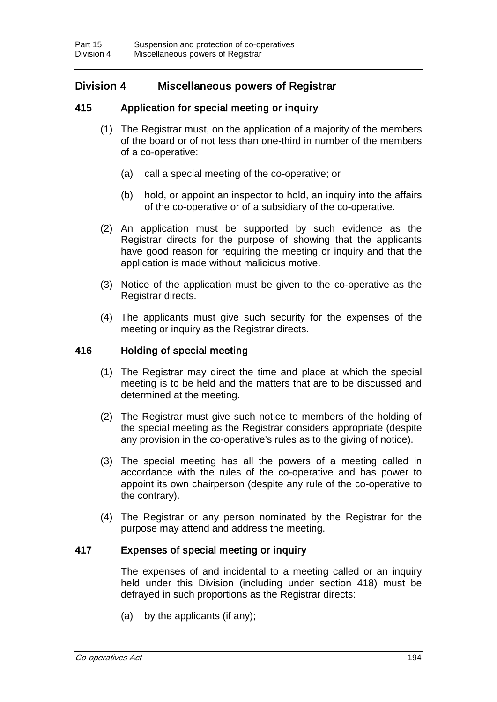# Division 4 Miscellaneous powers of Registrar

### 415 Application for special meeting or inquiry

- (1) The Registrar must, on the application of a majority of the members of the board or of not less than one-third in number of the members of a co-operative:
	- (a) call a special meeting of the co-operative; or
	- (b) hold, or appoint an inspector to hold, an inquiry into the affairs of the co-operative or of a subsidiary of the co-operative.
- (2) An application must be supported by such evidence as the Registrar directs for the purpose of showing that the applicants have good reason for requiring the meeting or inquiry and that the application is made without malicious motive.
- (3) Notice of the application must be given to the co-operative as the Registrar directs.
- (4) The applicants must give such security for the expenses of the meeting or inquiry as the Registrar directs.

### 416 Holding of special meeting

- (1) The Registrar may direct the time and place at which the special meeting is to be held and the matters that are to be discussed and determined at the meeting.
- (2) The Registrar must give such notice to members of the holding of the special meeting as the Registrar considers appropriate (despite any provision in the co-operative's rules as to the giving of notice).
- (3) The special meeting has all the powers of a meeting called in accordance with the rules of the co-operative and has power to appoint its own chairperson (despite any rule of the co-operative to the contrary).
- (4) The Registrar or any person nominated by the Registrar for the purpose may attend and address the meeting.

#### 417 Expenses of special meeting or inquiry

The expenses of and incidental to a meeting called or an inquiry held under this Division (including under section 418) must be defrayed in such proportions as the Registrar directs:

(a) by the applicants (if any);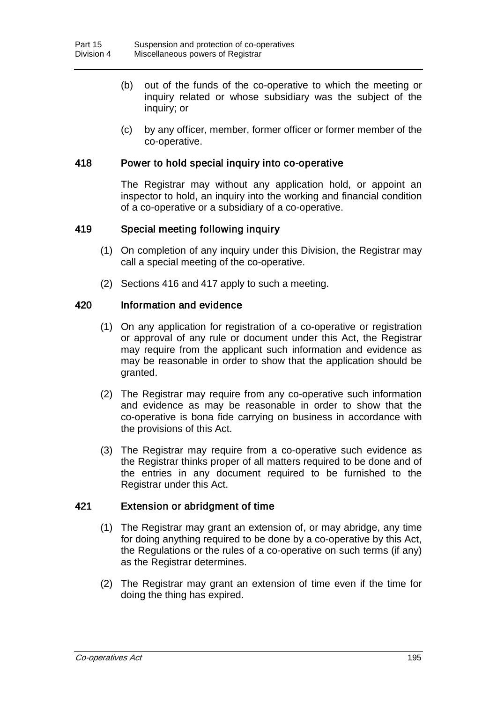- (b) out of the funds of the co-operative to which the meeting or inquiry related or whose subsidiary was the subject of the inquiry; or
- (c) by any officer, member, former officer or former member of the co-operative.

### 418 Power to hold special inquiry into co-operative

The Registrar may without any application hold, or appoint an inspector to hold, an inquiry into the working and financial condition of a co-operative or a subsidiary of a co-operative.

### 419 Special meeting following inquiry

- (1) On completion of any inquiry under this Division, the Registrar may call a special meeting of the co-operative.
- (2) Sections 416 and 417 apply to such a meeting.

### 420 Information and evidence

- (1) On any application for registration of a co-operative or registration or approval of any rule or document under this Act, the Registrar may require from the applicant such information and evidence as may be reasonable in order to show that the application should be granted.
- (2) The Registrar may require from any co-operative such information and evidence as may be reasonable in order to show that the co-operative is bona fide carrying on business in accordance with the provisions of this Act.
- (3) The Registrar may require from a co-operative such evidence as the Registrar thinks proper of all matters required to be done and of the entries in any document required to be furnished to the Registrar under this Act.

#### 421 Extension or abridgment of time

- (1) The Registrar may grant an extension of, or may abridge, any time for doing anything required to be done by a co-operative by this Act, the Regulations or the rules of a co-operative on such terms (if any) as the Registrar determines.
- (2) The Registrar may grant an extension of time even if the time for doing the thing has expired.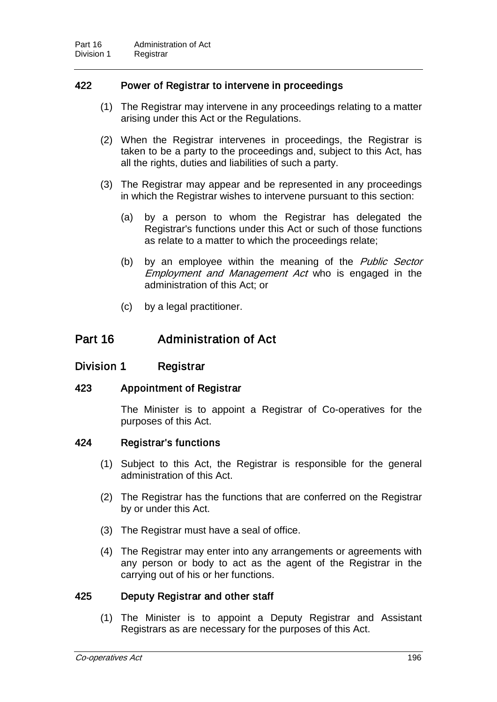### 422 Power of Registrar to intervene in proceedings

- (1) The Registrar may intervene in any proceedings relating to a matter arising under this Act or the Regulations.
- (2) When the Registrar intervenes in proceedings, the Registrar is taken to be a party to the proceedings and, subject to this Act, has all the rights, duties and liabilities of such a party.
- (3) The Registrar may appear and be represented in any proceedings in which the Registrar wishes to intervene pursuant to this section:
	- (a) by a person to whom the Registrar has delegated the Registrar's functions under this Act or such of those functions as relate to a matter to which the proceedings relate;
	- (b) by an employee within the meaning of the *Public Sector* Employment and Management Act who is engaged in the administration of this Act; or
	- (c) by a legal practitioner.

## Part 16 Administration of Act

### Division 1 Registrar

### 423 Appointment of Registrar

The Minister is to appoint a Registrar of Co-operatives for the purposes of this Act.

#### 424 Registrar's functions

- (1) Subject to this Act, the Registrar is responsible for the general administration of this Act.
- (2) The Registrar has the functions that are conferred on the Registrar by or under this Act.
- (3) The Registrar must have a seal of office.
- (4) The Registrar may enter into any arrangements or agreements with any person or body to act as the agent of the Registrar in the carrying out of his or her functions.

#### 425 Deputy Registrar and other staff

(1) The Minister is to appoint a Deputy Registrar and Assistant Registrars as are necessary for the purposes of this Act.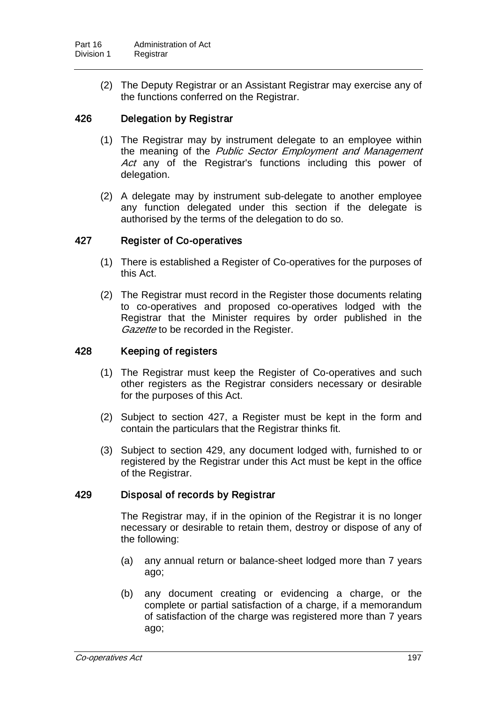(2) The Deputy Registrar or an Assistant Registrar may exercise any of the functions conferred on the Registrar.

### 426 Delegation by Registrar

- (1) The Registrar may by instrument delegate to an employee within the meaning of the Public Sector Employment and Management Act any of the Registrar's functions including this power of delegation.
- (2) A delegate may by instrument sub-delegate to another employee any function delegated under this section if the delegate is authorised by the terms of the delegation to do so.

### 427 Register of Co-operatives

- (1) There is established a Register of Co-operatives for the purposes of this Act.
- (2) The Registrar must record in the Register those documents relating to co-operatives and proposed co-operatives lodged with the Registrar that the Minister requires by order published in the Gazette to be recorded in the Register.

### 428 Keeping of registers

- (1) The Registrar must keep the Register of Co-operatives and such other registers as the Registrar considers necessary or desirable for the purposes of this Act.
- (2) Subject to section 427, a Register must be kept in the form and contain the particulars that the Registrar thinks fit.
- (3) Subject to section 429, any document lodged with, furnished to or registered by the Registrar under this Act must be kept in the office of the Registrar.

#### 429 Disposal of records by Registrar

The Registrar may, if in the opinion of the Registrar it is no longer necessary or desirable to retain them, destroy or dispose of any of the following:

- (a) any annual return or balance-sheet lodged more than 7 years ago;
- (b) any document creating or evidencing a charge, or the complete or partial satisfaction of a charge, if a memorandum of satisfaction of the charge was registered more than 7 years ago;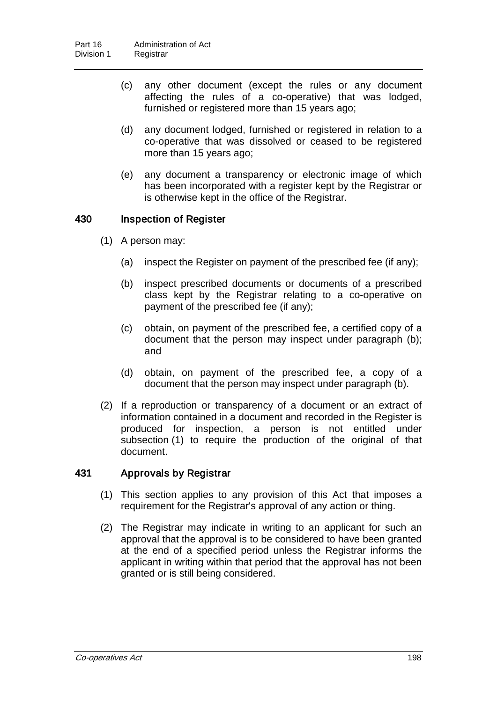- (c) any other document (except the rules or any document affecting the rules of a co-operative) that was lodged, furnished or registered more than 15 years ago;
- (d) any document lodged, furnished or registered in relation to a co-operative that was dissolved or ceased to be registered more than 15 years ago;
- (e) any document a transparency or electronic image of which has been incorporated with a register kept by the Registrar or is otherwise kept in the office of the Registrar.

### 430 Inspection of Register

- (1) A person may:
	- (a) inspect the Register on payment of the prescribed fee (if any);
	- (b) inspect prescribed documents or documents of a prescribed class kept by the Registrar relating to a co-operative on payment of the prescribed fee (if any);
	- (c) obtain, on payment of the prescribed fee, a certified copy of a document that the person may inspect under paragraph (b); and
	- (d) obtain, on payment of the prescribed fee, a copy of a document that the person may inspect under paragraph (b).
- (2) If a reproduction or transparency of a document or an extract of information contained in a document and recorded in the Register is produced for inspection, a person is not entitled under subsection (1) to require the production of the original of that document.

### 431 Approvals by Registrar

- (1) This section applies to any provision of this Act that imposes a requirement for the Registrar's approval of any action or thing.
- (2) The Registrar may indicate in writing to an applicant for such an approval that the approval is to be considered to have been granted at the end of a specified period unless the Registrar informs the applicant in writing within that period that the approval has not been granted or is still being considered.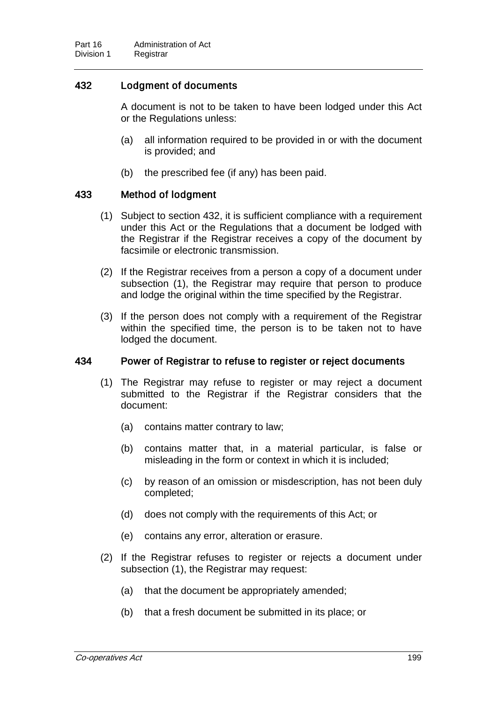### 432 Lodgment of documents

A document is not to be taken to have been lodged under this Act or the Regulations unless:

- (a) all information required to be provided in or with the document is provided; and
- (b) the prescribed fee (if any) has been paid.

### 433 Method of lodgment

- (1) Subject to section 432, it is sufficient compliance with a requirement under this Act or the Regulations that a document be lodged with the Registrar if the Registrar receives a copy of the document by facsimile or electronic transmission.
- (2) If the Registrar receives from a person a copy of a document under subsection (1), the Registrar may require that person to produce and lodge the original within the time specified by the Registrar.
- (3) If the person does not comply with a requirement of the Registrar within the specified time, the person is to be taken not to have lodged the document.

#### 434 Power of Registrar to refuse to register or reject documents

- (1) The Registrar may refuse to register or may reject a document submitted to the Registrar if the Registrar considers that the document:
	- (a) contains matter contrary to law;
	- (b) contains matter that, in a material particular, is false or misleading in the form or context in which it is included;
	- (c) by reason of an omission or misdescription, has not been duly completed;
	- (d) does not comply with the requirements of this Act; or
	- (e) contains any error, alteration or erasure.
- (2) If the Registrar refuses to register or rejects a document under subsection (1), the Registrar may request:
	- (a) that the document be appropriately amended;
	- (b) that a fresh document be submitted in its place; or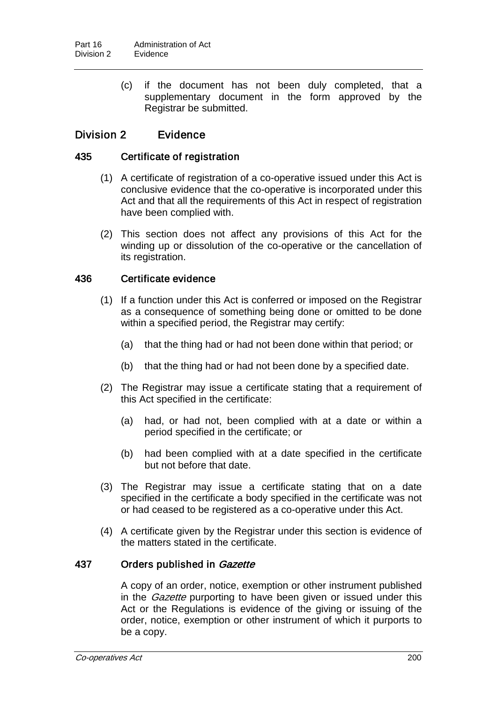(c) if the document has not been duly completed, that a supplementary document in the form approved by the Registrar be submitted.

# Division 2 Evidence

### 435 Certificate of registration

- (1) A certificate of registration of a co-operative issued under this Act is conclusive evidence that the co-operative is incorporated under this Act and that all the requirements of this Act in respect of registration have been complied with.
- (2) This section does not affect any provisions of this Act for the winding up or dissolution of the co-operative or the cancellation of its registration.

## 436 Certificate evidence

- (1) If a function under this Act is conferred or imposed on the Registrar as a consequence of something being done or omitted to be done within a specified period, the Registrar may certify:
	- (a) that the thing had or had not been done within that period; or
	- (b) that the thing had or had not been done by a specified date.
- (2) The Registrar may issue a certificate stating that a requirement of this Act specified in the certificate:
	- (a) had, or had not, been complied with at a date or within a period specified in the certificate; or
	- (b) had been complied with at a date specified in the certificate but not before that date.
- (3) The Registrar may issue a certificate stating that on a date specified in the certificate a body specified in the certificate was not or had ceased to be registered as a co-operative under this Act.
- (4) A certificate given by the Registrar under this section is evidence of the matters stated in the certificate.

### 437 Orders published in Gazette

A copy of an order, notice, exemption or other instrument published in the *Gazette* purporting to have been given or issued under this Act or the Regulations is evidence of the giving or issuing of the order, notice, exemption or other instrument of which it purports to be a copy.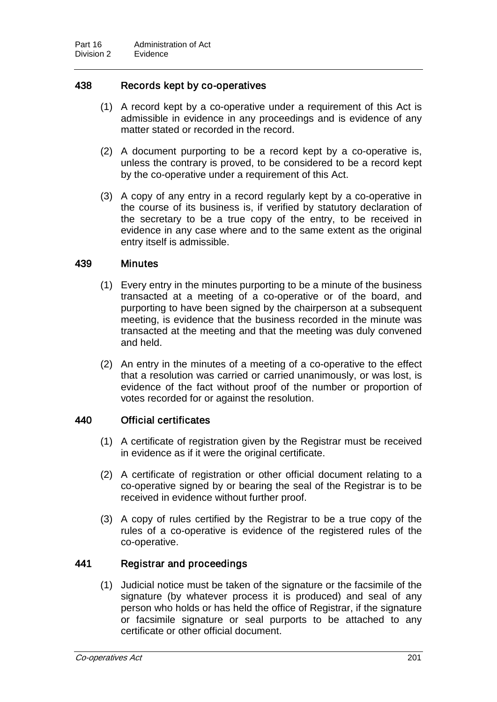# 438 Records kept by co-operatives

- (1) A record kept by a co-operative under a requirement of this Act is admissible in evidence in any proceedings and is evidence of any matter stated or recorded in the record.
- (2) A document purporting to be a record kept by a co-operative is, unless the contrary is proved, to be considered to be a record kept by the co-operative under a requirement of this Act.
- (3) A copy of any entry in a record regularly kept by a co-operative in the course of its business is, if verified by statutory declaration of the secretary to be a true copy of the entry, to be received in evidence in any case where and to the same extent as the original entry itself is admissible.

## 439 Minutes

- (1) Every entry in the minutes purporting to be a minute of the business transacted at a meeting of a co-operative or of the board, and purporting to have been signed by the chairperson at a subsequent meeting, is evidence that the business recorded in the minute was transacted at the meeting and that the meeting was duly convened and held.
- (2) An entry in the minutes of a meeting of a co-operative to the effect that a resolution was carried or carried unanimously, or was lost, is evidence of the fact without proof of the number or proportion of votes recorded for or against the resolution.

### 440 Official certificates

- (1) A certificate of registration given by the Registrar must be received in evidence as if it were the original certificate.
- (2) A certificate of registration or other official document relating to a co-operative signed by or bearing the seal of the Registrar is to be received in evidence without further proof.
- (3) A copy of rules certified by the Registrar to be a true copy of the rules of a co-operative is evidence of the registered rules of the co-operative.

### 441 Registrar and proceedings

(1) Judicial notice must be taken of the signature or the facsimile of the signature (by whatever process it is produced) and seal of any person who holds or has held the office of Registrar, if the signature or facsimile signature or seal purports to be attached to any certificate or other official document.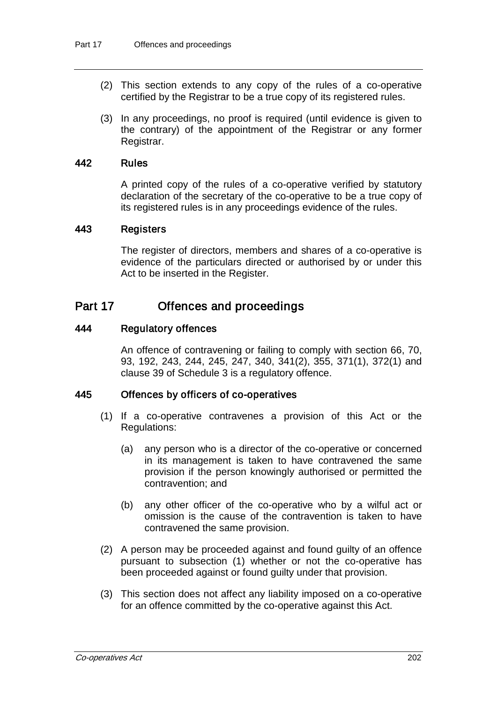- (2) This section extends to any copy of the rules of a co-operative certified by the Registrar to be a true copy of its registered rules.
- (3) In any proceedings, no proof is required (until evidence is given to the contrary) of the appointment of the Registrar or any former Registrar.

### 442 Rules

A printed copy of the rules of a co-operative verified by statutory declaration of the secretary of the co-operative to be a true copy of its registered rules is in any proceedings evidence of the rules.

#### 443 Registers

The register of directors, members and shares of a co-operative is evidence of the particulars directed or authorised by or under this Act to be inserted in the Register.

# Part 17 Offences and proceedings

#### 444 Regulatory offences

An offence of contravening or failing to comply with section 66, 70, 93, 192, 243, 244, 245, 247, 340, 341(2), 355, 371(1), 372(1) and clause 39 of Schedule 3 is a regulatory offence.

### 445 Offences by officers of co-operatives

- (1) If a co-operative contravenes a provision of this Act or the Regulations:
	- (a) any person who is a director of the co-operative or concerned in its management is taken to have contravened the same provision if the person knowingly authorised or permitted the contravention; and
	- (b) any other officer of the co-operative who by a wilful act or omission is the cause of the contravention is taken to have contravened the same provision.
- (2) A person may be proceeded against and found guilty of an offence pursuant to subsection (1) whether or not the co-operative has been proceeded against or found guilty under that provision.
- (3) This section does not affect any liability imposed on a co-operative for an offence committed by the co-operative against this Act.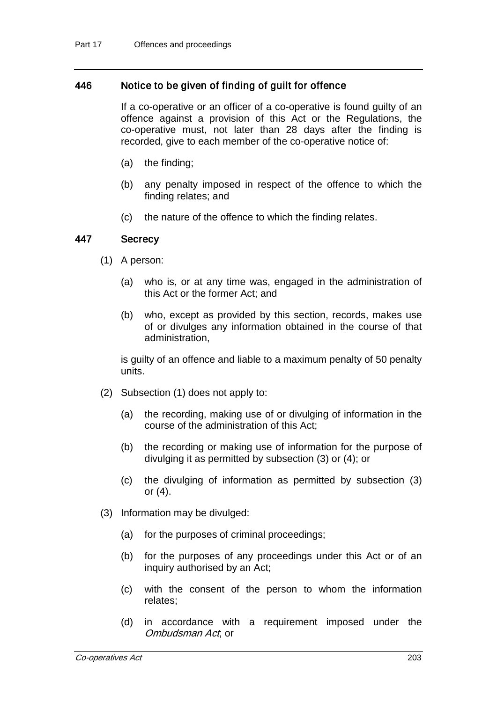### 446 Notice to be given of finding of guilt for offence

If a co-operative or an officer of a co-operative is found guilty of an offence against a provision of this Act or the Regulations, the co-operative must, not later than 28 days after the finding is recorded, give to each member of the co-operative notice of:

- (a) the finding;
- (b) any penalty imposed in respect of the offence to which the finding relates; and
- (c) the nature of the offence to which the finding relates.

#### 447 Secrecy

- (1) A person:
	- (a) who is, or at any time was, engaged in the administration of this Act or the former Act; and
	- (b) who, except as provided by this section, records, makes use of or divulges any information obtained in the course of that administration,

is guilty of an offence and liable to a maximum penalty of 50 penalty units.

- (2) Subsection (1) does not apply to:
	- (a) the recording, making use of or divulging of information in the course of the administration of this Act;
	- (b) the recording or making use of information for the purpose of divulging it as permitted by subsection (3) or (4); or
	- (c) the divulging of information as permitted by subsection (3) or (4).
- (3) Information may be divulged:
	- (a) for the purposes of criminal proceedings;
	- (b) for the purposes of any proceedings under this Act or of an inquiry authorised by an Act;
	- (c) with the consent of the person to whom the information relates;
	- (d) in accordance with a requirement imposed under the Ombudsman Act; or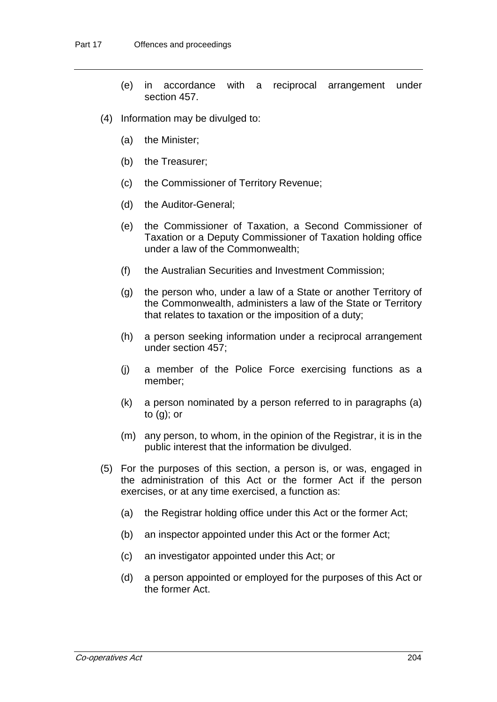- (e) in accordance with a reciprocal arrangement under section 457.
- (4) Information may be divulged to:
	- (a) the Minister;
	- (b) the Treasurer;
	- (c) the Commissioner of Territory Revenue;
	- (d) the Auditor-General;
	- (e) the Commissioner of Taxation, a Second Commissioner of Taxation or a Deputy Commissioner of Taxation holding office under a law of the Commonwealth;
	- (f) the Australian Securities and Investment Commission;
	- (g) the person who, under a law of a State or another Territory of the Commonwealth, administers a law of the State or Territory that relates to taxation or the imposition of a duty;
	- (h) a person seeking information under a reciprocal arrangement under section 457;
	- (j) a member of the Police Force exercising functions as a member;
	- (k) a person nominated by a person referred to in paragraphs (a) to (g); or
	- (m) any person, to whom, in the opinion of the Registrar, it is in the public interest that the information be divulged.
- (5) For the purposes of this section, a person is, or was, engaged in the administration of this Act or the former Act if the person exercises, or at any time exercised, a function as:
	- (a) the Registrar holding office under this Act or the former Act;
	- (b) an inspector appointed under this Act or the former Act;
	- (c) an investigator appointed under this Act; or
	- (d) a person appointed or employed for the purposes of this Act or the former Act.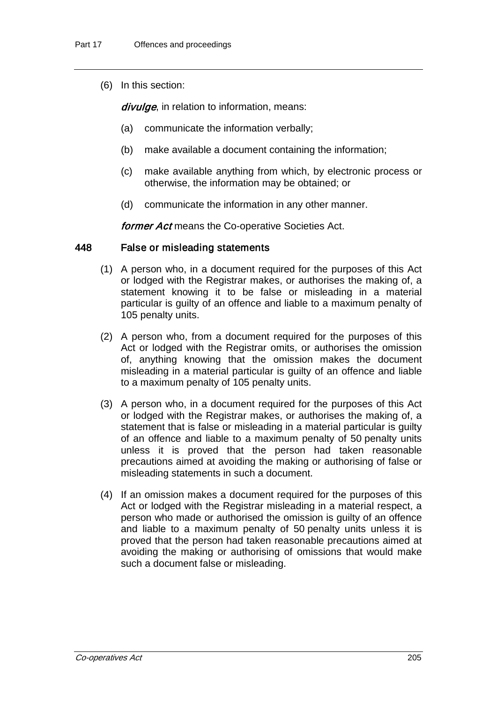(6) In this section:

divulge, in relation to information, means:

- (a) communicate the information verbally;
- (b) make available a document containing the information;
- (c) make available anything from which, by electronic process or otherwise, the information may be obtained; or
- (d) communicate the information in any other manner.

**former Act means the Co-operative Societies Act.** 

### 448 False or misleading statements

- (1) A person who, in a document required for the purposes of this Act or lodged with the Registrar makes, or authorises the making of, a statement knowing it to be false or misleading in a material particular is guilty of an offence and liable to a maximum penalty of 105 penalty units.
- (2) A person who, from a document required for the purposes of this Act or lodged with the Registrar omits, or authorises the omission of, anything knowing that the omission makes the document misleading in a material particular is guilty of an offence and liable to a maximum penalty of 105 penalty units.
- (3) A person who, in a document required for the purposes of this Act or lodged with the Registrar makes, or authorises the making of, a statement that is false or misleading in a material particular is guilty of an offence and liable to a maximum penalty of 50 penalty units unless it is proved that the person had taken reasonable precautions aimed at avoiding the making or authorising of false or misleading statements in such a document.
- (4) If an omission makes a document required for the purposes of this Act or lodged with the Registrar misleading in a material respect, a person who made or authorised the omission is guilty of an offence and liable to a maximum penalty of 50 penalty units unless it is proved that the person had taken reasonable precautions aimed at avoiding the making or authorising of omissions that would make such a document false or misleading.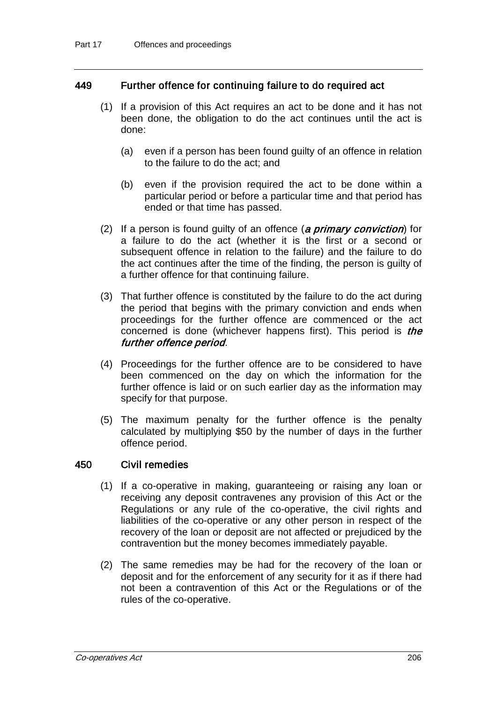## 449 Further offence for continuing failure to do required act

- (1) If a provision of this Act requires an act to be done and it has not been done, the obligation to do the act continues until the act is done:
	- (a) even if a person has been found guilty of an offence in relation to the failure to do the act; and
	- (b) even if the provision required the act to be done within a particular period or before a particular time and that period has ended or that time has passed.
- (2) If a person is found guilty of an offence (a *primary conviction*) for a failure to do the act (whether it is the first or a second or subsequent offence in relation to the failure) and the failure to do the act continues after the time of the finding, the person is guilty of a further offence for that continuing failure.
- (3) That further offence is constituted by the failure to do the act during the period that begins with the primary conviction and ends when proceedings for the further offence are commenced or the act concerned is done (whichever happens first). This period is the further offence period.
- (4) Proceedings for the further offence are to be considered to have been commenced on the day on which the information for the further offence is laid or on such earlier day as the information may specify for that purpose.
- (5) The maximum penalty for the further offence is the penalty calculated by multiplying \$50 by the number of days in the further offence period.

### 450 Civil remedies

- (1) If a co-operative in making, guaranteeing or raising any loan or receiving any deposit contravenes any provision of this Act or the Regulations or any rule of the co-operative, the civil rights and liabilities of the co-operative or any other person in respect of the recovery of the loan or deposit are not affected or prejudiced by the contravention but the money becomes immediately payable.
- (2) The same remedies may be had for the recovery of the loan or deposit and for the enforcement of any security for it as if there had not been a contravention of this Act or the Regulations or of the rules of the co-operative.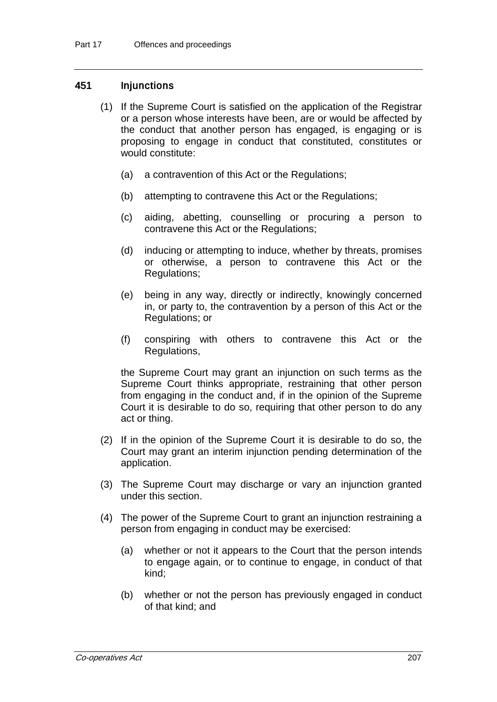## 451 Injunctions

- (1) If the Supreme Court is satisfied on the application of the Registrar or a person whose interests have been, are or would be affected by the conduct that another person has engaged, is engaging or is proposing to engage in conduct that constituted, constitutes or would constitute:
	- (a) a contravention of this Act or the Regulations;
	- (b) attempting to contravene this Act or the Regulations;
	- (c) aiding, abetting, counselling or procuring a person to contravene this Act or the Regulations;
	- (d) inducing or attempting to induce, whether by threats, promises or otherwise, a person to contravene this Act or the Regulations;
	- (e) being in any way, directly or indirectly, knowingly concerned in, or party to, the contravention by a person of this Act or the Regulations; or
	- (f) conspiring with others to contravene this Act or the Regulations,

the Supreme Court may grant an injunction on such terms as the Supreme Court thinks appropriate, restraining that other person from engaging in the conduct and, if in the opinion of the Supreme Court it is desirable to do so, requiring that other person to do any act or thing.

- (2) If in the opinion of the Supreme Court it is desirable to do so, the Court may grant an interim injunction pending determination of the application.
- (3) The Supreme Court may discharge or vary an injunction granted under this section.
- (4) The power of the Supreme Court to grant an injunction restraining a person from engaging in conduct may be exercised:
	- (a) whether or not it appears to the Court that the person intends to engage again, or to continue to engage, in conduct of that kind;
	- (b) whether or not the person has previously engaged in conduct of that kind; and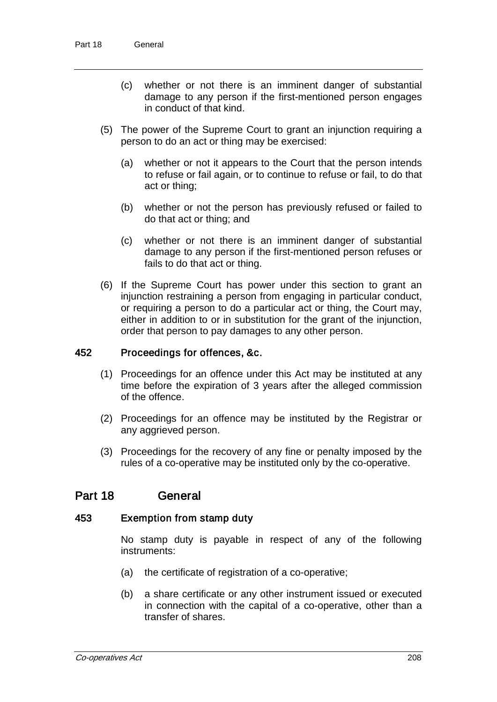- (c) whether or not there is an imminent danger of substantial damage to any person if the first-mentioned person engages in conduct of that kind.
- (5) The power of the Supreme Court to grant an injunction requiring a person to do an act or thing may be exercised:
	- (a) whether or not it appears to the Court that the person intends to refuse or fail again, or to continue to refuse or fail, to do that act or thing;
	- (b) whether or not the person has previously refused or failed to do that act or thing; and
	- (c) whether or not there is an imminent danger of substantial damage to any person if the first-mentioned person refuses or fails to do that act or thing.
- (6) If the Supreme Court has power under this section to grant an injunction restraining a person from engaging in particular conduct, or requiring a person to do a particular act or thing, the Court may, either in addition to or in substitution for the grant of the injunction, order that person to pay damages to any other person.

#### 452 Proceedings for offences, &c.

- (1) Proceedings for an offence under this Act may be instituted at any time before the expiration of 3 years after the alleged commission of the offence.
- (2) Proceedings for an offence may be instituted by the Registrar or any aggrieved person.
- (3) Proceedings for the recovery of any fine or penalty imposed by the rules of a co-operative may be instituted only by the co-operative.

# Part 18 General

#### 453 Exemption from stamp duty

No stamp duty is payable in respect of any of the following instruments:

- (a) the certificate of registration of a co-operative;
- (b) a share certificate or any other instrument issued or executed in connection with the capital of a co-operative, other than a transfer of shares.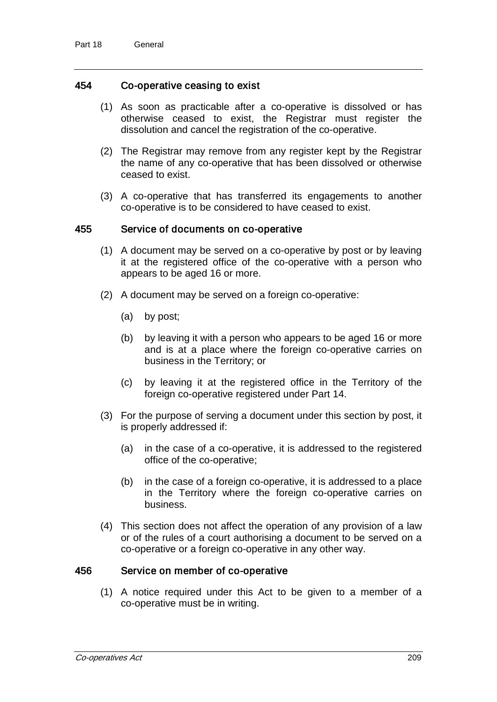### 454 Co-operative ceasing to exist

- (1) As soon as practicable after a co-operative is dissolved or has otherwise ceased to exist, the Registrar must register the dissolution and cancel the registration of the co-operative.
- (2) The Registrar may remove from any register kept by the Registrar the name of any co-operative that has been dissolved or otherwise ceased to exist.
- (3) A co-operative that has transferred its engagements to another co-operative is to be considered to have ceased to exist.

#### 455 Service of documents on co-operative

- (1) A document may be served on a co-operative by post or by leaving it at the registered office of the co-operative with a person who appears to be aged 16 or more.
- (2) A document may be served on a foreign co-operative:
	- (a) by post;
	- (b) by leaving it with a person who appears to be aged 16 or more and is at a place where the foreign co-operative carries on business in the Territory; or
	- (c) by leaving it at the registered office in the Territory of the foreign co-operative registered under Part 14.
- (3) For the purpose of serving a document under this section by post, it is properly addressed if:
	- (a) in the case of a co-operative, it is addressed to the registered office of the co-operative;
	- (b) in the case of a foreign co-operative, it is addressed to a place in the Territory where the foreign co-operative carries on business.
- (4) This section does not affect the operation of any provision of a law or of the rules of a court authorising a document to be served on a co-operative or a foreign co-operative in any other way.

### 456 Service on member of co-operative

(1) A notice required under this Act to be given to a member of a co-operative must be in writing.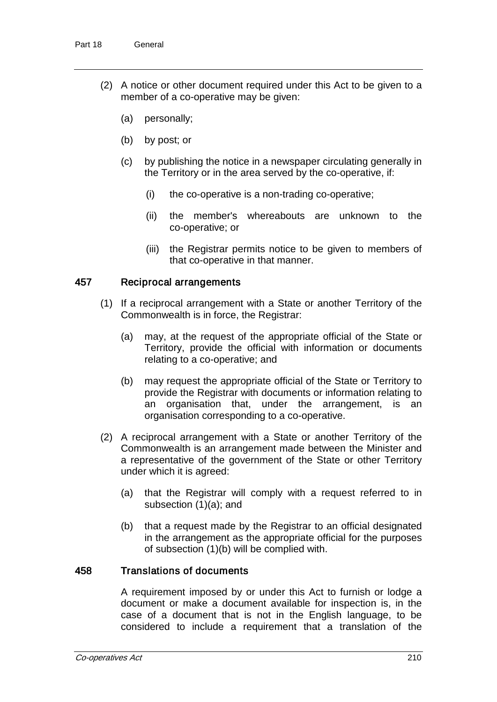- (2) A notice or other document required under this Act to be given to a member of a co-operative may be given:
	- (a) personally;
	- (b) by post; or
	- (c) by publishing the notice in a newspaper circulating generally in the Territory or in the area served by the co-operative, if:
		- (i) the co-operative is a non-trading co-operative;
		- (ii) the member's whereabouts are unknown to the co-operative; or
		- (iii) the Registrar permits notice to be given to members of that co-operative in that manner.

## 457 Reciprocal arrangements

- (1) If a reciprocal arrangement with a State or another Territory of the Commonwealth is in force, the Registrar:
	- (a) may, at the request of the appropriate official of the State or Territory, provide the official with information or documents relating to a co-operative; and
	- (b) may request the appropriate official of the State or Territory to provide the Registrar with documents or information relating to an organisation that, under the arrangement, is an organisation corresponding to a co-operative.
- (2) A reciprocal arrangement with a State or another Territory of the Commonwealth is an arrangement made between the Minister and a representative of the government of the State or other Territory under which it is agreed:
	- (a) that the Registrar will comply with a request referred to in subsection (1)(a); and
	- (b) that a request made by the Registrar to an official designated in the arrangement as the appropriate official for the purposes of subsection (1)(b) will be complied with.

### 458 Translations of documents

A requirement imposed by or under this Act to furnish or lodge a document or make a document available for inspection is, in the case of a document that is not in the English language, to be considered to include a requirement that a translation of the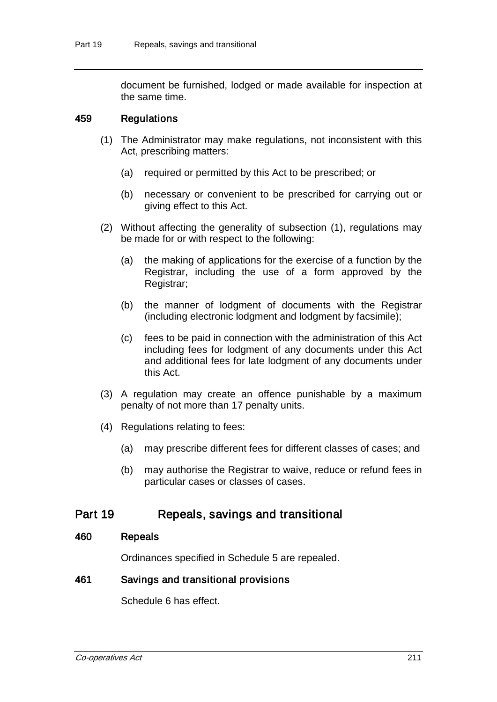document be furnished, lodged or made available for inspection at the same time.

### 459 Regulations

- (1) The Administrator may make regulations, not inconsistent with this Act, prescribing matters:
	- (a) required or permitted by this Act to be prescribed; or
	- (b) necessary or convenient to be prescribed for carrying out or giving effect to this Act.
- (2) Without affecting the generality of subsection (1), regulations may be made for or with respect to the following:
	- (a) the making of applications for the exercise of a function by the Registrar, including the use of a form approved by the Registrar;
	- (b) the manner of lodgment of documents with the Registrar (including electronic lodgment and lodgment by facsimile);
	- (c) fees to be paid in connection with the administration of this Act including fees for lodgment of any documents under this Act and additional fees for late lodgment of any documents under this Act.
- (3) A regulation may create an offence punishable by a maximum penalty of not more than 17 penalty units.
- (4) Regulations relating to fees:
	- (a) may prescribe different fees for different classes of cases; and
	- (b) may authorise the Registrar to waive, reduce or refund fees in particular cases or classes of cases.

# Part 19 Repeals, savings and transitional

#### 460 Repeals

Ordinances specified in Schedule 5 are repealed.

### 461 Savings and transitional provisions

Schedule 6 has effect.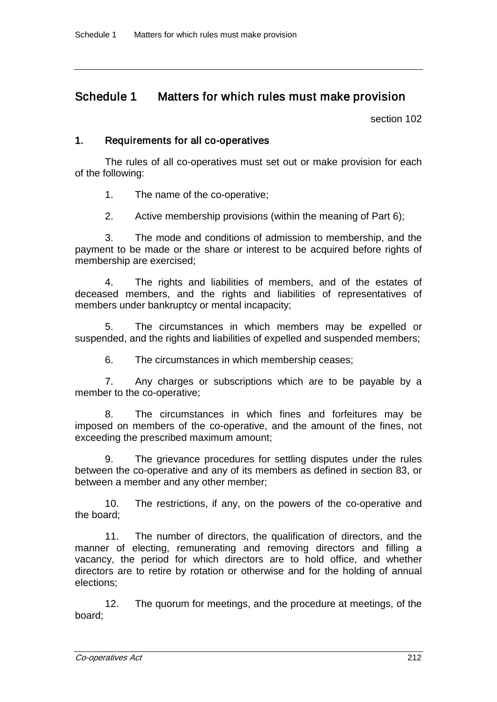# Schedule 1 Matters for which rules must make provision

section 102

# 1. Requirements for all co-operatives

The rules of all co-operatives must set out or make provision for each of the following:

1. The name of the co-operative;

2. Active membership provisions (within the meaning of Part 6);

3. The mode and conditions of admission to membership, and the payment to be made or the share or interest to be acquired before rights of membership are exercised;

4. The rights and liabilities of members, and of the estates of deceased members, and the rights and liabilities of representatives of members under bankruptcy or mental incapacity;

5. The circumstances in which members may be expelled or suspended, and the rights and liabilities of expelled and suspended members;

6. The circumstances in which membership ceases;

7. Any charges or subscriptions which are to be payable by a member to the co-operative;

8. The circumstances in which fines and forfeitures may be imposed on members of the co-operative, and the amount of the fines, not exceeding the prescribed maximum amount;

9. The grievance procedures for settling disputes under the rules between the co-operative and any of its members as defined in section 83, or between a member and any other member;

10. The restrictions, if any, on the powers of the co-operative and the board;

11. The number of directors, the qualification of directors, and the manner of electing, remunerating and removing directors and filling a vacancy, the period for which directors are to hold office, and whether directors are to retire by rotation or otherwise and for the holding of annual elections;

12. The quorum for meetings, and the procedure at meetings, of the board;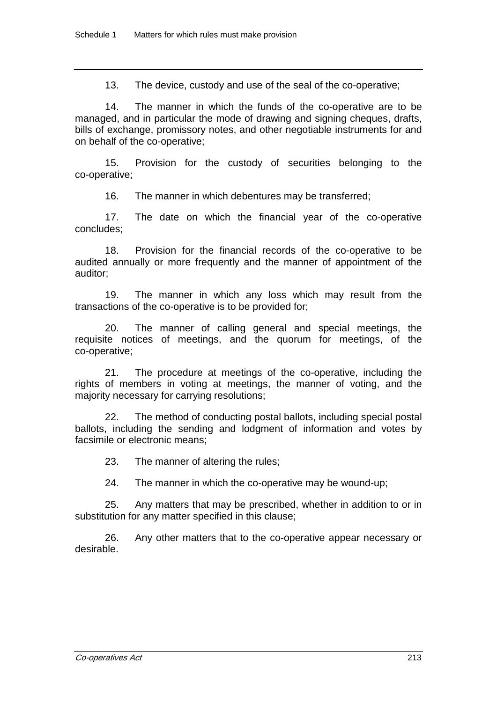13. The device, custody and use of the seal of the co-operative;

14. The manner in which the funds of the co-operative are to be managed, and in particular the mode of drawing and signing cheques, drafts, bills of exchange, promissory notes, and other negotiable instruments for and on behalf of the co-operative;

15. Provision for the custody of securities belonging to the co-operative;

16. The manner in which debentures may be transferred;

17. The date on which the financial year of the co-operative concludes;

18. Provision for the financial records of the co-operative to be audited annually or more frequently and the manner of appointment of the auditor;

19. The manner in which any loss which may result from the transactions of the co-operative is to be provided for;

20. The manner of calling general and special meetings, the requisite notices of meetings, and the quorum for meetings, of the co-operative;

21. The procedure at meetings of the co-operative, including the rights of members in voting at meetings, the manner of voting, and the majority necessary for carrying resolutions;

22. The method of conducting postal ballots, including special postal ballots, including the sending and lodgment of information and votes by facsimile or electronic means;

23. The manner of altering the rules;

24. The manner in which the co-operative may be wound-up;

25. Any matters that may be prescribed, whether in addition to or in substitution for any matter specified in this clause;

26. Any other matters that to the co-operative appear necessary or desirable.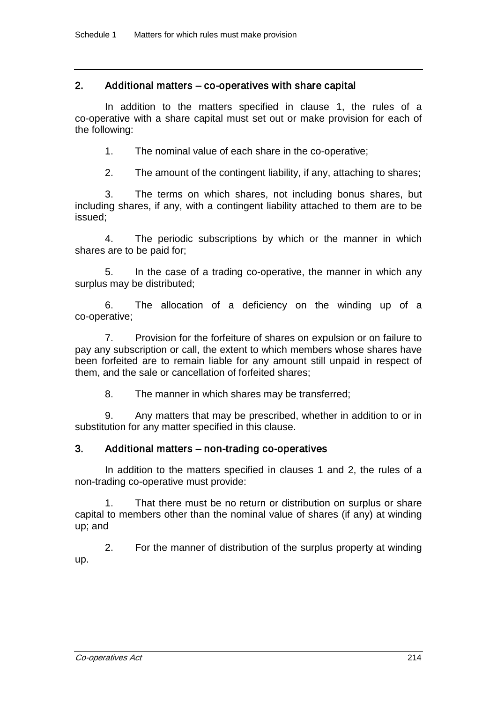## 2. Additional matters – co-operatives with share capital

In addition to the matters specified in clause 1, the rules of a co-operative with a share capital must set out or make provision for each of the following:

1. The nominal value of each share in the co-operative;

2. The amount of the contingent liability, if any, attaching to shares;

3. The terms on which shares, not including bonus shares, but including shares, if any, with a contingent liability attached to them are to be issued;

4. The periodic subscriptions by which or the manner in which shares are to be paid for;

5. In the case of a trading co-operative, the manner in which any surplus may be distributed;

6. The allocation of a deficiency on the winding up of a co-operative;

7. Provision for the forfeiture of shares on expulsion or on failure to pay any subscription or call, the extent to which members whose shares have been forfeited are to remain liable for any amount still unpaid in respect of them, and the sale or cancellation of forfeited shares;

8. The manner in which shares may be transferred;

9. Any matters that may be prescribed, whether in addition to or in substitution for any matter specified in this clause.

# 3. Additional matters – non-trading co-operatives

In addition to the matters specified in clauses 1 and 2, the rules of a non-trading co-operative must provide:

1. That there must be no return or distribution on surplus or share capital to members other than the nominal value of shares (if any) at winding up; and

2. For the manner of distribution of the surplus property at winding up.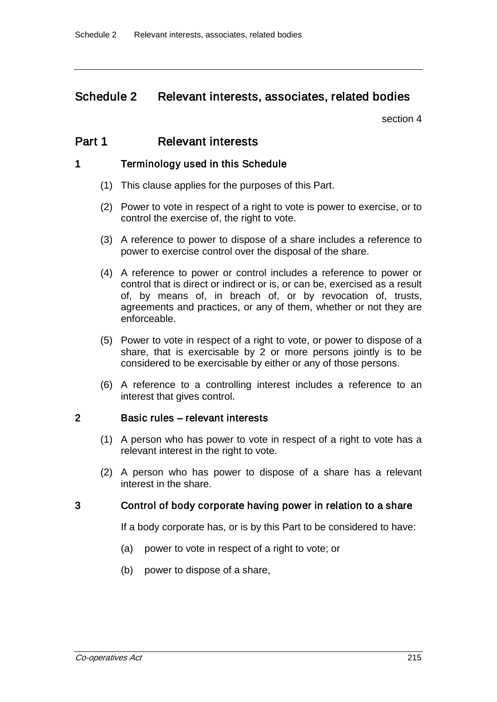# Schedule 2 Relevant interests, associates, related bodies

section 4

# Part 1 Relevant interests

## 1 Terminology used in this Schedule

- (1) This clause applies for the purposes of this Part.
- (2) Power to vote in respect of a right to vote is power to exercise, or to control the exercise of, the right to vote.
- (3) A reference to power to dispose of a share includes a reference to power to exercise control over the disposal of the share.
- (4) A reference to power or control includes a reference to power or control that is direct or indirect or is, or can be, exercised as a result of, by means of, in breach of, or by revocation of, trusts, agreements and practices, or any of them, whether or not they are enforceable.
- (5) Power to vote in respect of a right to vote, or power to dispose of a share, that is exercisable by 2 or more persons jointly is to be considered to be exercisable by either or any of those persons.
- (6) A reference to a controlling interest includes a reference to an interest that gives control.

### 2 Basic rules – relevant interests

- (1) A person who has power to vote in respect of a right to vote has a relevant interest in the right to vote.
- (2) A person who has power to dispose of a share has a relevant interest in the share.

### 3 Control of body corporate having power in relation to a share

If a body corporate has, or is by this Part to be considered to have:

- (a) power to vote in respect of a right to vote; or
- (b) power to dispose of a share,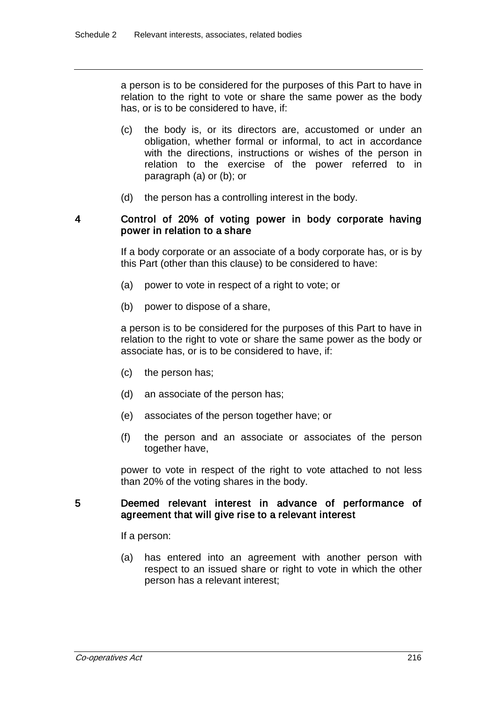a person is to be considered for the purposes of this Part to have in relation to the right to vote or share the same power as the body has, or is to be considered to have, if:

- (c) the body is, or its directors are, accustomed or under an obligation, whether formal or informal, to act in accordance with the directions, instructions or wishes of the person in relation to the exercise of the power referred to in paragraph (a) or (b); or
- (d) the person has a controlling interest in the body.

## 4 Control of 20% of voting power in body corporate having power in relation to a share

If a body corporate or an associate of a body corporate has, or is by this Part (other than this clause) to be considered to have:

- (a) power to vote in respect of a right to vote; or
- (b) power to dispose of a share,

a person is to be considered for the purposes of this Part to have in relation to the right to vote or share the same power as the body or associate has, or is to be considered to have, if:

- (c) the person has;
- (d) an associate of the person has;
- (e) associates of the person together have; or
- (f) the person and an associate or associates of the person together have,

power to vote in respect of the right to vote attached to not less than 20% of the voting shares in the body.

### 5 Deemed relevant interest in advance of performance of agreement that will give rise to a relevant interest

If a person:

(a) has entered into an agreement with another person with respect to an issued share or right to vote in which the other person has a relevant interest;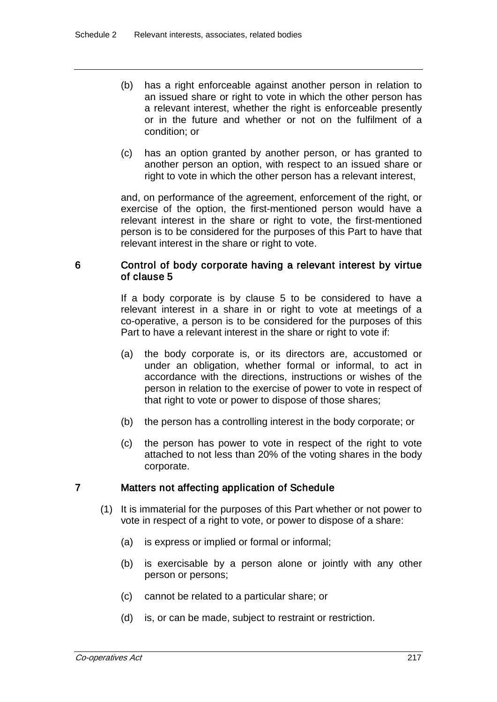- (b) has a right enforceable against another person in relation to an issued share or right to vote in which the other person has a relevant interest, whether the right is enforceable presently or in the future and whether or not on the fulfilment of a condition; or
- (c) has an option granted by another person, or has granted to another person an option, with respect to an issued share or right to vote in which the other person has a relevant interest,

and, on performance of the agreement, enforcement of the right, or exercise of the option, the first-mentioned person would have a relevant interest in the share or right to vote, the first-mentioned person is to be considered for the purposes of this Part to have that relevant interest in the share or right to vote.

### 6 Control of body corporate having a relevant interest by virtue of clause 5

If a body corporate is by clause 5 to be considered to have a relevant interest in a share in or right to vote at meetings of a co-operative, a person is to be considered for the purposes of this Part to have a relevant interest in the share or right to vote if:

- (a) the body corporate is, or its directors are, accustomed or under an obligation, whether formal or informal, to act in accordance with the directions, instructions or wishes of the person in relation to the exercise of power to vote in respect of that right to vote or power to dispose of those shares;
- (b) the person has a controlling interest in the body corporate; or
- (c) the person has power to vote in respect of the right to vote attached to not less than 20% of the voting shares in the body corporate.

### 7 Matters not affecting application of Schedule

- (1) It is immaterial for the purposes of this Part whether or not power to vote in respect of a right to vote, or power to dispose of a share:
	- (a) is express or implied or formal or informal;
	- (b) is exercisable by a person alone or jointly with any other person or persons;
	- (c) cannot be related to a particular share; or
	- (d) is, or can be made, subject to restraint or restriction.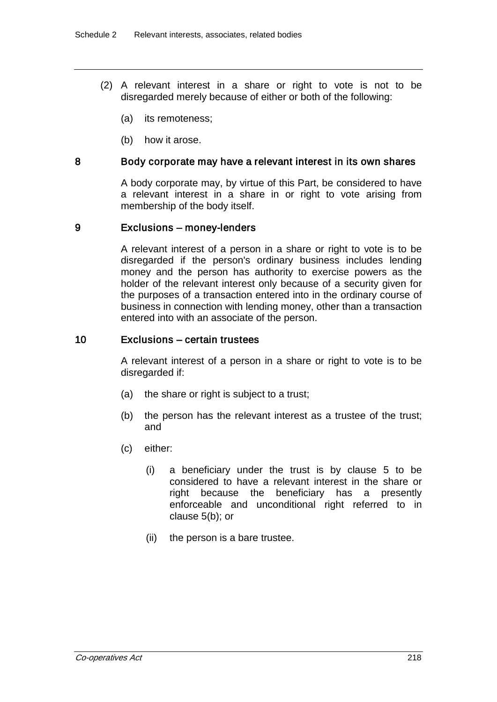- (2) A relevant interest in a share or right to vote is not to be disregarded merely because of either or both of the following:
	- (a) its remoteness;
	- (b) how it arose.

#### 8 Body corporate may have a relevant interest in its own shares

A body corporate may, by virtue of this Part, be considered to have a relevant interest in a share in or right to vote arising from membership of the body itself.

#### 9 Exclusions – money-lenders

A relevant interest of a person in a share or right to vote is to be disregarded if the person's ordinary business includes lending money and the person has authority to exercise powers as the holder of the relevant interest only because of a security given for the purposes of a transaction entered into in the ordinary course of business in connection with lending money, other than a transaction entered into with an associate of the person.

#### 10 Exclusions – certain trustees

A relevant interest of a person in a share or right to vote is to be disregarded if:

- (a) the share or right is subject to a trust;
- (b) the person has the relevant interest as a trustee of the trust; and
- (c) either:
	- (i) a beneficiary under the trust is by clause 5 to be considered to have a relevant interest in the share or right because the beneficiary has a presently enforceable and unconditional right referred to in clause 5(b); or
	- (ii) the person is a bare trustee.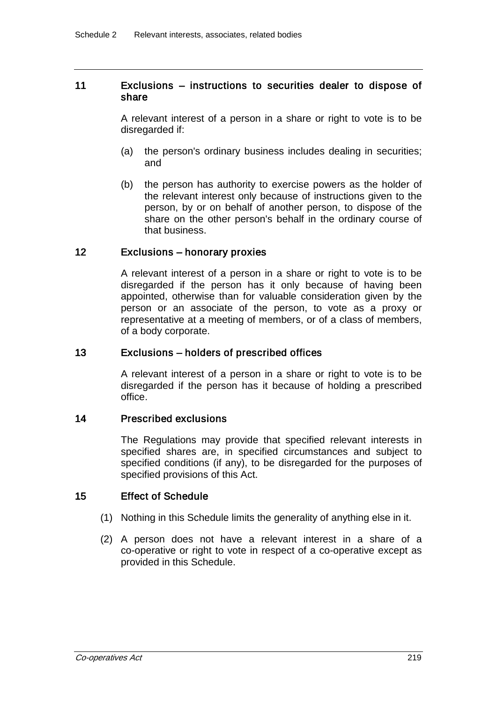### 11 Exclusions – instructions to securities dealer to dispose of share

A relevant interest of a person in a share or right to vote is to be disregarded if:

- (a) the person's ordinary business includes dealing in securities; and
- (b) the person has authority to exercise powers as the holder of the relevant interest only because of instructions given to the person, by or on behalf of another person, to dispose of the share on the other person's behalf in the ordinary course of that business.

#### 12 Exclusions – honorary proxies

A relevant interest of a person in a share or right to vote is to be disregarded if the person has it only because of having been appointed, otherwise than for valuable consideration given by the person or an associate of the person, to vote as a proxy or representative at a meeting of members, or of a class of members, of a body corporate.

#### 13 Exclusions – holders of prescribed offices

A relevant interest of a person in a share or right to vote is to be disregarded if the person has it because of holding a prescribed office.

#### 14 Prescribed exclusions

The Regulations may provide that specified relevant interests in specified shares are, in specified circumstances and subject to specified conditions (if any), to be disregarded for the purposes of specified provisions of this Act.

### 15 Effect of Schedule

- (1) Nothing in this Schedule limits the generality of anything else in it.
- (2) A person does not have a relevant interest in a share of a co-operative or right to vote in respect of a co-operative except as provided in this Schedule.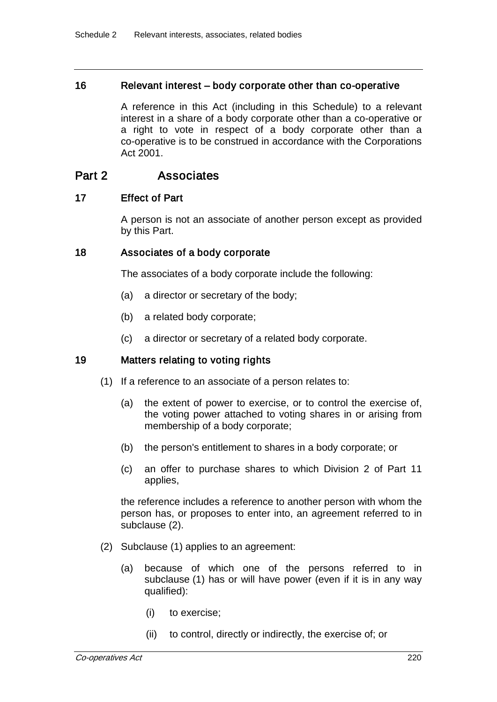#### 16 Relevant interest – body corporate other than co-operative

A reference in this Act (including in this Schedule) to a relevant interest in a share of a body corporate other than a co-operative or a right to vote in respect of a body corporate other than a co-operative is to be construed in accordance with the Corporations Act 2001.

# Part 2 **Associates**

### 17 Effect of Part

A person is not an associate of another person except as provided by this Part.

### 18 Associates of a body corporate

The associates of a body corporate include the following:

- (a) a director or secretary of the body;
- (b) a related body corporate;
- (c) a director or secretary of a related body corporate.

### 19 Matters relating to voting rights

- (1) If a reference to an associate of a person relates to:
	- (a) the extent of power to exercise, or to control the exercise of, the voting power attached to voting shares in or arising from membership of a body corporate;
	- (b) the person's entitlement to shares in a body corporate; or
	- (c) an offer to purchase shares to which Division 2 of Part 11 applies,

the reference includes a reference to another person with whom the person has, or proposes to enter into, an agreement referred to in subclause (2).

- (2) Subclause (1) applies to an agreement:
	- (a) because of which one of the persons referred to in subclause (1) has or will have power (even if it is in any way qualified):
		- (i) to exercise;
		- (ii) to control, directly or indirectly, the exercise of; or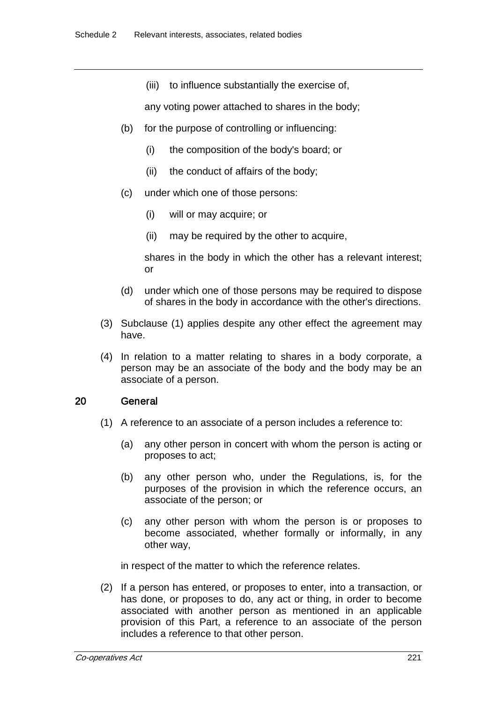(iii) to influence substantially the exercise of,

any voting power attached to shares in the body;

- (b) for the purpose of controlling or influencing:
	- (i) the composition of the body's board; or
	- (ii) the conduct of affairs of the body;
- (c) under which one of those persons:
	- (i) will or may acquire; or
	- (ii) may be required by the other to acquire,

shares in the body in which the other has a relevant interest; or

- (d) under which one of those persons may be required to dispose of shares in the body in accordance with the other's directions.
- (3) Subclause (1) applies despite any other effect the agreement may have.
- (4) In relation to a matter relating to shares in a body corporate, a person may be an associate of the body and the body may be an associate of a person.

### 20 General

- (1) A reference to an associate of a person includes a reference to:
	- (a) any other person in concert with whom the person is acting or proposes to act;
	- (b) any other person who, under the Regulations, is, for the purposes of the provision in which the reference occurs, an associate of the person; or
	- (c) any other person with whom the person is or proposes to become associated, whether formally or informally, in any other way,

in respect of the matter to which the reference relates.

(2) If a person has entered, or proposes to enter, into a transaction, or has done, or proposes to do, any act or thing, in order to become associated with another person as mentioned in an applicable provision of this Part, a reference to an associate of the person includes a reference to that other person.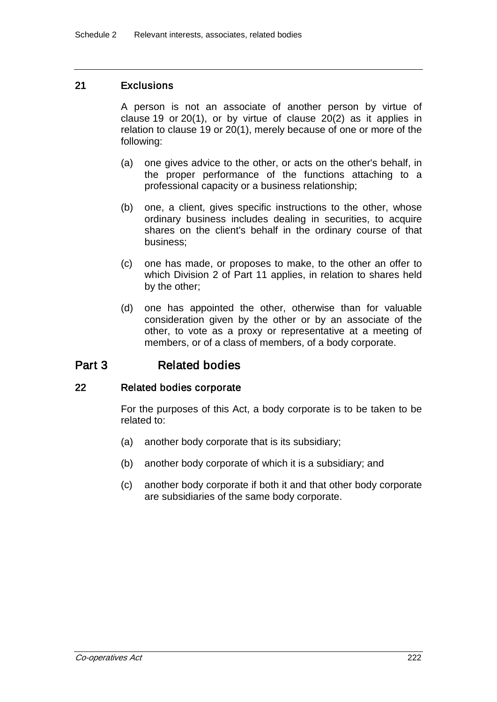### 21 Exclusions

A person is not an associate of another person by virtue of clause 19 or 20(1), or by virtue of clause 20(2) as it applies in relation to clause 19 or 20(1), merely because of one or more of the following:

- (a) one gives advice to the other, or acts on the other's behalf, in the proper performance of the functions attaching to a professional capacity or a business relationship;
- (b) one, a client, gives specific instructions to the other, whose ordinary business includes dealing in securities, to acquire shares on the client's behalf in the ordinary course of that business;
- (c) one has made, or proposes to make, to the other an offer to which Division 2 of Part 11 applies, in relation to shares held by the other;
- (d) one has appointed the other, otherwise than for valuable consideration given by the other or by an associate of the other, to vote as a proxy or representative at a meeting of members, or of a class of members, of a body corporate.

# Part 3 Related bodies

### 22 Related bodies corporate

For the purposes of this Act, a body corporate is to be taken to be related to:

- (a) another body corporate that is its subsidiary;
- (b) another body corporate of which it is a subsidiary; and
- (c) another body corporate if both it and that other body corporate are subsidiaries of the same body corporate.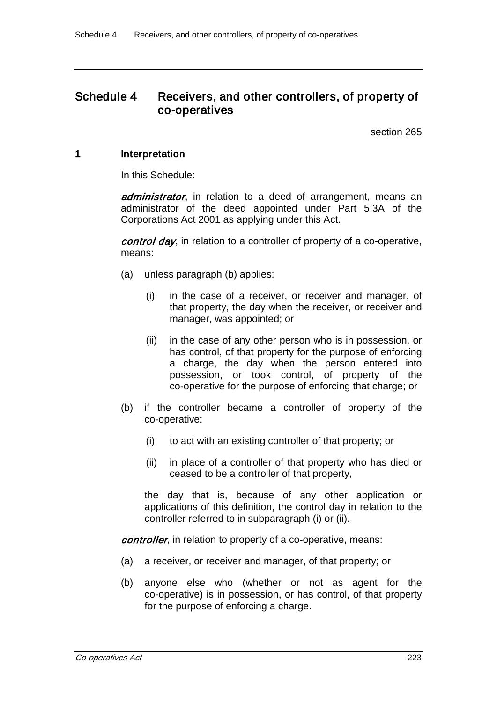# Schedule 4 Receivers, and other controllers, of property of co-operatives

section 265

### 1 Interpretation

In this Schedule:

administrator, in relation to a deed of arrangement, means an administrator of the deed appointed under Part 5.3A of the Corporations Act 2001 as applying under this Act.

control day, in relation to a controller of property of a co-operative, means:

- (a) unless paragraph (b) applies:
	- (i) in the case of a receiver, or receiver and manager, of that property, the day when the receiver, or receiver and manager, was appointed; or
	- (ii) in the case of any other person who is in possession, or has control, of that property for the purpose of enforcing a charge, the day when the person entered into possession, or took control, of property of the co-operative for the purpose of enforcing that charge; or
- (b) if the controller became a controller of property of the co-operative:
	- (i) to act with an existing controller of that property; or
	- (ii) in place of a controller of that property who has died or ceased to be a controller of that property,

the day that is, because of any other application or applications of this definition, the control day in relation to the controller referred to in subparagraph (i) or (ii).

controller, in relation to property of a co-operative, means:

- (a) a receiver, or receiver and manager, of that property; or
- (b) anyone else who (whether or not as agent for the co-operative) is in possession, or has control, of that property for the purpose of enforcing a charge.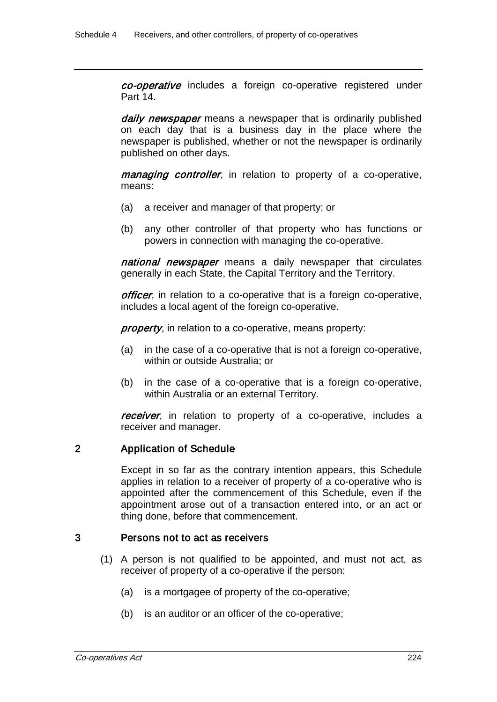co-operative includes a foreign co-operative registered under Part 14.

daily newspaper means a newspaper that is ordinarily published on each day that is a business day in the place where the newspaper is published, whether or not the newspaper is ordinarily published on other days.

*managing controller*, in relation to property of a co-operative, means:

- (a) a receiver and manager of that property; or
- (b) any other controller of that property who has functions or powers in connection with managing the co-operative.

national newspaper means a daily newspaper that circulates generally in each State, the Capital Territory and the Territory.

officer, in relation to a co-operative that is a foreign co-operative, includes a local agent of the foreign co-operative.

property, in relation to a co-operative, means property:

- (a) in the case of a co-operative that is not a foreign co-operative, within or outside Australia; or
- (b) in the case of a co-operative that is a foreign co-operative, within Australia or an external Territory.

receiver, in relation to property of a co-operative, includes a receiver and manager.

# 2 Application of Schedule

Except in so far as the contrary intention appears, this Schedule applies in relation to a receiver of property of a co-operative who is appointed after the commencement of this Schedule, even if the appointment arose out of a transaction entered into, or an act or thing done, before that commencement.

### 3 Persons not to act as receivers

- (1) A person is not qualified to be appointed, and must not act, as receiver of property of a co-operative if the person:
	- (a) is a mortgagee of property of the co-operative;
	- (b) is an auditor or an officer of the co-operative;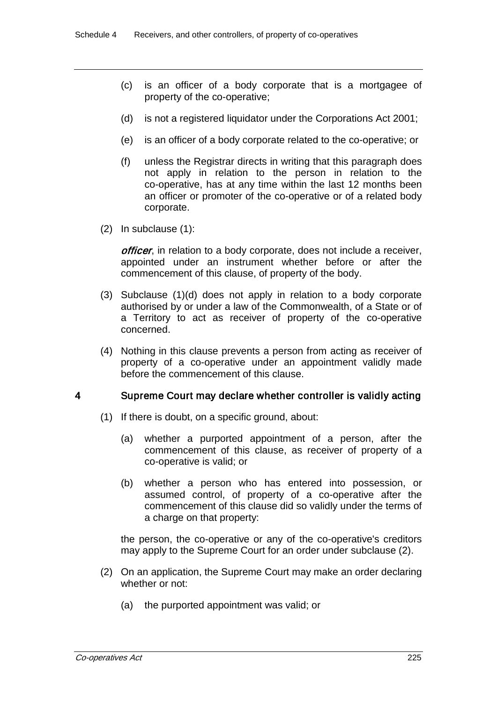- (c) is an officer of a body corporate that is a mortgagee of property of the co-operative;
- (d) is not a registered liquidator under the Corporations Act 2001;
- (e) is an officer of a body corporate related to the co-operative; or
- (f) unless the Registrar directs in writing that this paragraph does not apply in relation to the person in relation to the co-operative, has at any time within the last 12 months been an officer or promoter of the co-operative or of a related body corporate.
- (2) In subclause (1):

officer, in relation to a body corporate, does not include a receiver, appointed under an instrument whether before or after the commencement of this clause, of property of the body.

- (3) Subclause (1)(d) does not apply in relation to a body corporate authorised by or under a law of the Commonwealth, of a State or of a Territory to act as receiver of property of the co-operative concerned.
- (4) Nothing in this clause prevents a person from acting as receiver of property of a co-operative under an appointment validly made before the commencement of this clause.

# 4 Supreme Court may declare whether controller is validly acting

- (1) If there is doubt, on a specific ground, about:
	- (a) whether a purported appointment of a person, after the commencement of this clause, as receiver of property of a co-operative is valid; or
	- (b) whether a person who has entered into possession, or assumed control, of property of a co-operative after the commencement of this clause did so validly under the terms of a charge on that property:

the person, the co-operative or any of the co-operative's creditors may apply to the Supreme Court for an order under subclause (2).

- (2) On an application, the Supreme Court may make an order declaring whether or not:
	- (a) the purported appointment was valid; or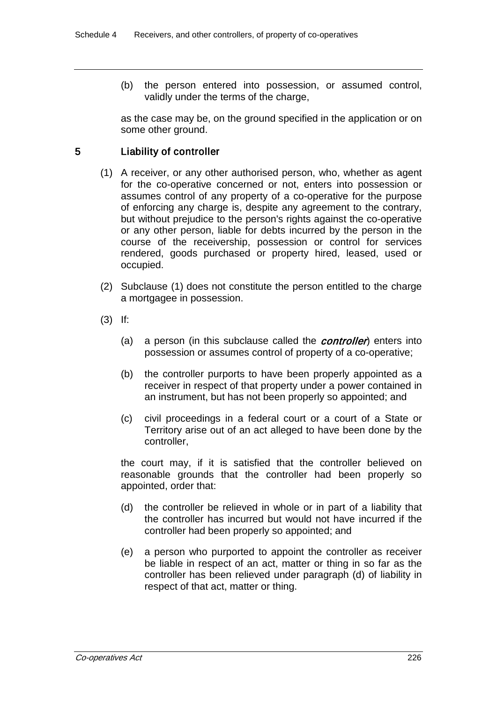(b) the person entered into possession, or assumed control, validly under the terms of the charge,

as the case may be, on the ground specified in the application or on some other ground.

# 5 Liability of controller

- (1) A receiver, or any other authorised person, who, whether as agent for the co-operative concerned or not, enters into possession or assumes control of any property of a co-operative for the purpose of enforcing any charge is, despite any agreement to the contrary, but without prejudice to the person's rights against the co-operative or any other person, liable for debts incurred by the person in the course of the receivership, possession or control for services rendered, goods purchased or property hired, leased, used or occupied.
- (2) Subclause (1) does not constitute the person entitled to the charge a mortgagee in possession.
- (3) If:
	- (a) a person (in this subclause called the **controller**) enters into possession or assumes control of property of a co-operative;
	- (b) the controller purports to have been properly appointed as a receiver in respect of that property under a power contained in an instrument, but has not been properly so appointed; and
	- (c) civil proceedings in a federal court or a court of a State or Territory arise out of an act alleged to have been done by the controller,

the court may, if it is satisfied that the controller believed on reasonable grounds that the controller had been properly so appointed, order that:

- (d) the controller be relieved in whole or in part of a liability that the controller has incurred but would not have incurred if the controller had been properly so appointed; and
- (e) a person who purported to appoint the controller as receiver be liable in respect of an act, matter or thing in so far as the controller has been relieved under paragraph (d) of liability in respect of that act, matter or thing.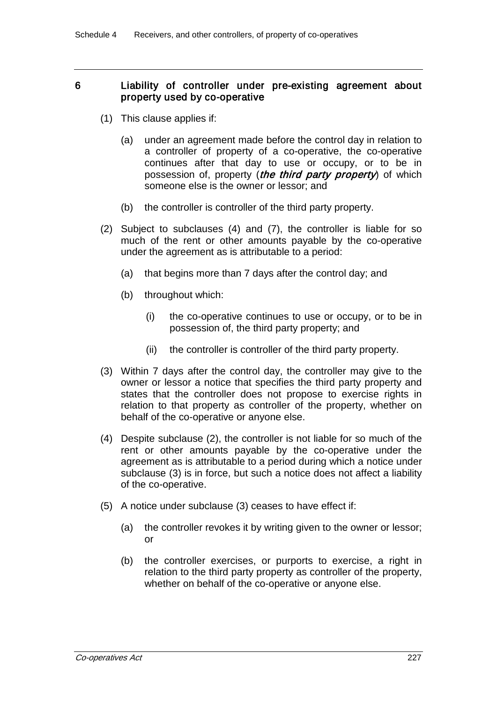## 6 Liability of controller under pre-existing agreement about property used by co-operative

- (1) This clause applies if:
	- (a) under an agreement made before the control day in relation to a controller of property of a co-operative, the co-operative continues after that day to use or occupy, or to be in possession of, property (*the third party property*) of which someone else is the owner or lessor; and
	- (b) the controller is controller of the third party property.
- (2) Subject to subclauses (4) and (7), the controller is liable for so much of the rent or other amounts payable by the co-operative under the agreement as is attributable to a period:
	- (a) that begins more than 7 days after the control day; and
	- (b) throughout which:
		- (i) the co-operative continues to use or occupy, or to be in possession of, the third party property; and
		- (ii) the controller is controller of the third party property.
- (3) Within 7 days after the control day, the controller may give to the owner or lessor a notice that specifies the third party property and states that the controller does not propose to exercise rights in relation to that property as controller of the property, whether on behalf of the co-operative or anyone else.
- (4) Despite subclause (2), the controller is not liable for so much of the rent or other amounts payable by the co-operative under the agreement as is attributable to a period during which a notice under subclause (3) is in force, but such a notice does not affect a liability of the co-operative.
- (5) A notice under subclause (3) ceases to have effect if:
	- (a) the controller revokes it by writing given to the owner or lessor; or
	- (b) the controller exercises, or purports to exercise, a right in relation to the third party property as controller of the property, whether on behalf of the co-operative or anyone else.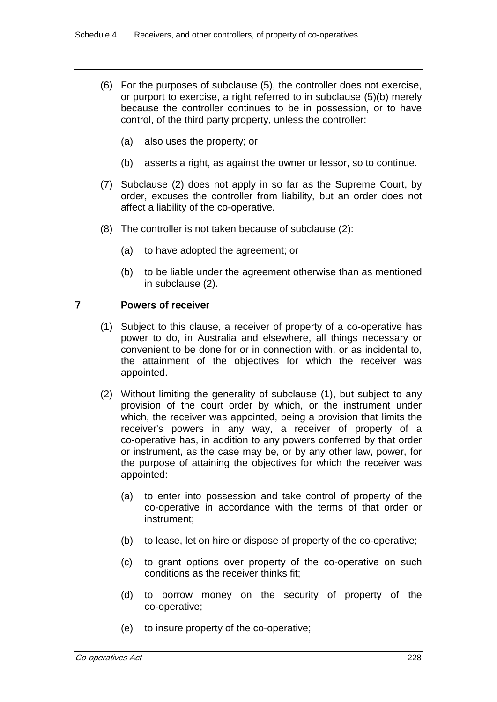- (6) For the purposes of subclause (5), the controller does not exercise, or purport to exercise, a right referred to in subclause (5)(b) merely because the controller continues to be in possession, or to have control, of the third party property, unless the controller:
	- (a) also uses the property; or
	- (b) asserts a right, as against the owner or lessor, so to continue.
- (7) Subclause (2) does not apply in so far as the Supreme Court, by order, excuses the controller from liability, but an order does not affect a liability of the co-operative.
- (8) The controller is not taken because of subclause (2):
	- (a) to have adopted the agreement; or
	- (b) to be liable under the agreement otherwise than as mentioned in subclause (2).

# 7 Powers of receiver

- (1) Subject to this clause, a receiver of property of a co-operative has power to do, in Australia and elsewhere, all things necessary or convenient to be done for or in connection with, or as incidental to, the attainment of the objectives for which the receiver was appointed.
- (2) Without limiting the generality of subclause (1), but subject to any provision of the court order by which, or the instrument under which, the receiver was appointed, being a provision that limits the receiver's powers in any way, a receiver of property of a co-operative has, in addition to any powers conferred by that order or instrument, as the case may be, or by any other law, power, for the purpose of attaining the objectives for which the receiver was appointed:
	- (a) to enter into possession and take control of property of the co-operative in accordance with the terms of that order or instrument;
	- (b) to lease, let on hire or dispose of property of the co-operative;
	- (c) to grant options over property of the co-operative on such conditions as the receiver thinks fit;
	- (d) to borrow money on the security of property of the co-operative;
	- (e) to insure property of the co-operative;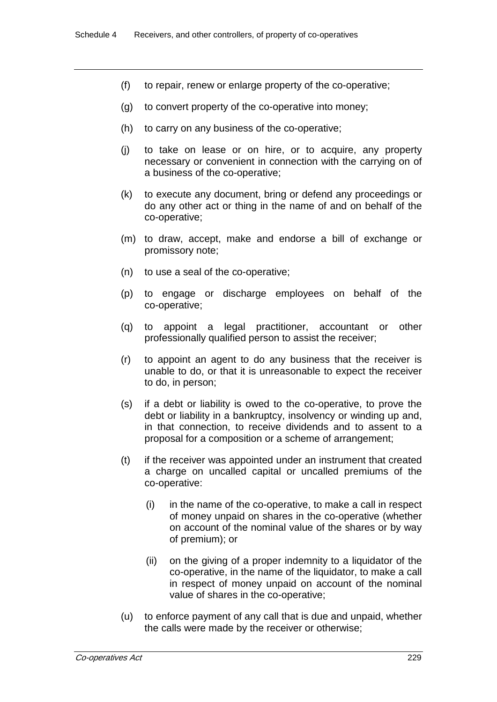- (f) to repair, renew or enlarge property of the co-operative;
- (g) to convert property of the co-operative into money;
- (h) to carry on any business of the co-operative;
- (j) to take on lease or on hire, or to acquire, any property necessary or convenient in connection with the carrying on of a business of the co-operative;
- (k) to execute any document, bring or defend any proceedings or do any other act or thing in the name of and on behalf of the co-operative;
- (m) to draw, accept, make and endorse a bill of exchange or promissory note;
- (n) to use a seal of the co-operative;
- (p) to engage or discharge employees on behalf of the co-operative;
- (q) to appoint a legal practitioner, accountant or other professionally qualified person to assist the receiver;
- (r) to appoint an agent to do any business that the receiver is unable to do, or that it is unreasonable to expect the receiver to do, in person;
- (s) if a debt or liability is owed to the co-operative, to prove the debt or liability in a bankruptcy, insolvency or winding up and, in that connection, to receive dividends and to assent to a proposal for a composition or a scheme of arrangement;
- (t) if the receiver was appointed under an instrument that created a charge on uncalled capital or uncalled premiums of the co-operative:
	- (i) in the name of the co-operative, to make a call in respect of money unpaid on shares in the co-operative (whether on account of the nominal value of the shares or by way of premium); or
	- (ii) on the giving of a proper indemnity to a liquidator of the co-operative, in the name of the liquidator, to make a call in respect of money unpaid on account of the nominal value of shares in the co-operative;
- (u) to enforce payment of any call that is due and unpaid, whether the calls were made by the receiver or otherwise;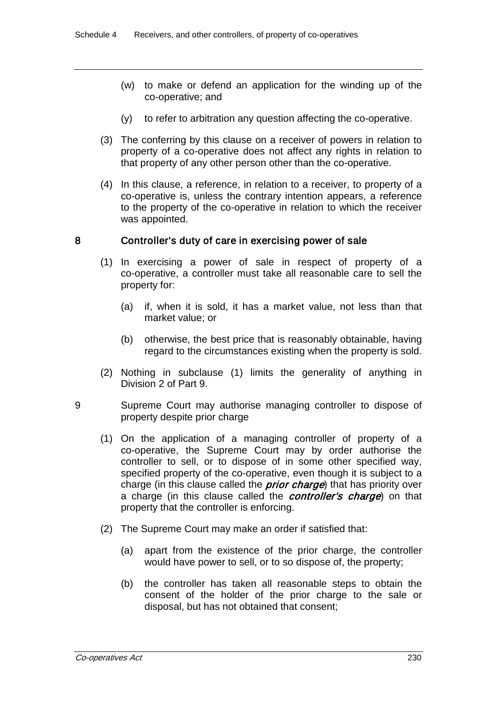- (w) to make or defend an application for the winding up of the co-operative; and
- (y) to refer to arbitration any question affecting the co-operative.
- (3) The conferring by this clause on a receiver of powers in relation to property of a co-operative does not affect any rights in relation to that property of any other person other than the co-operative.
- (4) In this clause, a reference, in relation to a receiver, to property of a co-operative is, unless the contrary intention appears, a reference to the property of the co-operative in relation to which the receiver was appointed.

## 8 Controller's duty of care in exercising power of sale

- (1) In exercising a power of sale in respect of property of a co-operative, a controller must take all reasonable care to sell the property for:
	- (a) if, when it is sold, it has a market value, not less than that market value; or
	- (b) otherwise, the best price that is reasonably obtainable, having regard to the circumstances existing when the property is sold.
- (2) Nothing in subclause (1) limits the generality of anything in Division 2 of Part 9.
- 9 Supreme Court may authorise managing controller to dispose of property despite prior charge
	- (1) On the application of a managing controller of property of a co-operative, the Supreme Court may by order authorise the controller to sell, or to dispose of in some other specified way, specified property of the co-operative, even though it is subject to a charge (in this clause called the *prior charge*) that has priority over a charge (in this clause called the *controller's charge*) on that property that the controller is enforcing.
	- (2) The Supreme Court may make an order if satisfied that:
		- (a) apart from the existence of the prior charge, the controller would have power to sell, or to so dispose of, the property;
		- (b) the controller has taken all reasonable steps to obtain the consent of the holder of the prior charge to the sale or disposal, but has not obtained that consent;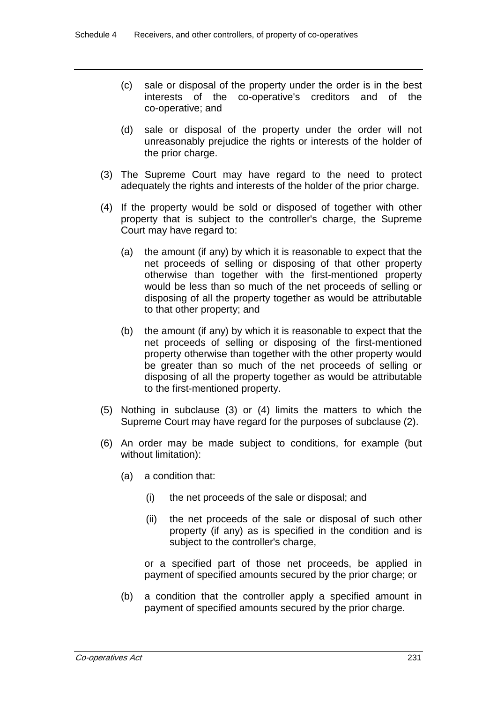- (c) sale or disposal of the property under the order is in the best interests of the co-operative's creditors and of the co-operative; and
- (d) sale or disposal of the property under the order will not unreasonably prejudice the rights or interests of the holder of the prior charge.
- (3) The Supreme Court may have regard to the need to protect adequately the rights and interests of the holder of the prior charge.
- (4) If the property would be sold or disposed of together with other property that is subject to the controller's charge, the Supreme Court may have regard to:
	- (a) the amount (if any) by which it is reasonable to expect that the net proceeds of selling or disposing of that other property otherwise than together with the first-mentioned property would be less than so much of the net proceeds of selling or disposing of all the property together as would be attributable to that other property; and
	- (b) the amount (if any) by which it is reasonable to expect that the net proceeds of selling or disposing of the first-mentioned property otherwise than together with the other property would be greater than so much of the net proceeds of selling or disposing of all the property together as would be attributable to the first-mentioned property.
- (5) Nothing in subclause (3) or (4) limits the matters to which the Supreme Court may have regard for the purposes of subclause (2).
- (6) An order may be made subject to conditions, for example (but without limitation):
	- (a) a condition that:
		- (i) the net proceeds of the sale or disposal; and
		- (ii) the net proceeds of the sale or disposal of such other property (if any) as is specified in the condition and is subject to the controller's charge,

or a specified part of those net proceeds, be applied in payment of specified amounts secured by the prior charge; or

(b) a condition that the controller apply a specified amount in payment of specified amounts secured by the prior charge.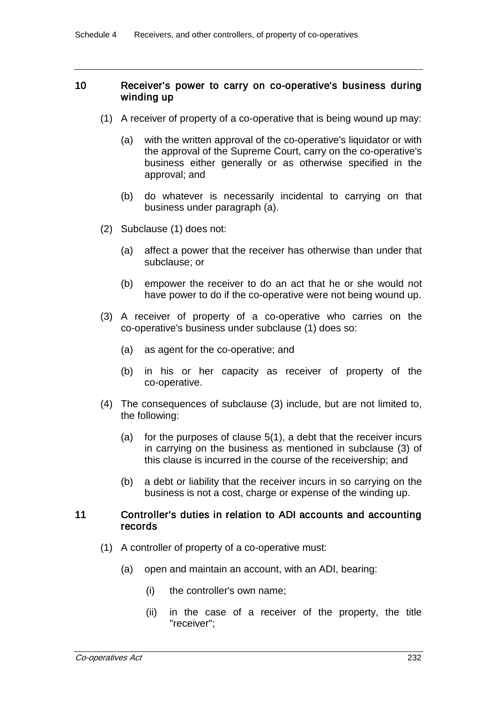#### 10 Receiver's power to carry on co-operative's business during winding up

- (1) A receiver of property of a co-operative that is being wound up may:
	- (a) with the written approval of the co-operative's liquidator or with the approval of the Supreme Court, carry on the co-operative's business either generally or as otherwise specified in the approval; and
	- (b) do whatever is necessarily incidental to carrying on that business under paragraph (a).
- (2) Subclause (1) does not:
	- (a) affect a power that the receiver has otherwise than under that subclause; or
	- (b) empower the receiver to do an act that he or she would not have power to do if the co-operative were not being wound up.
- (3) A receiver of property of a co-operative who carries on the co-operative's business under subclause (1) does so:
	- (a) as agent for the co-operative; and
	- (b) in his or her capacity as receiver of property of the co-operative.
- (4) The consequences of subclause (3) include, but are not limited to, the following:
	- (a) for the purposes of clause 5(1), a debt that the receiver incurs in carrying on the business as mentioned in subclause (3) of this clause is incurred in the course of the receivership; and
	- (b) a debt or liability that the receiver incurs in so carrying on the business is not a cost, charge or expense of the winding up.

#### 11 Controller's duties in relation to ADI accounts and accounting records

- (1) A controller of property of a co-operative must:
	- (a) open and maintain an account, with an ADI, bearing:
		- (i) the controller's own name;
		- (ii) in the case of a receiver of the property, the title "receiver";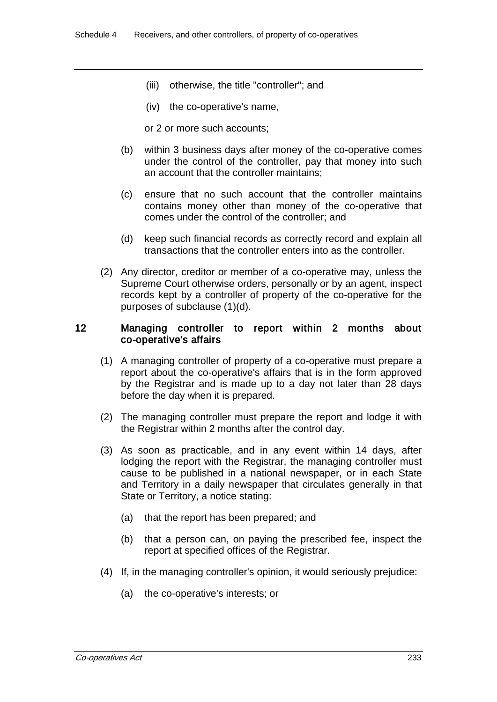- (iii) otherwise, the title "controller"; and
- (iv) the co-operative's name,

or 2 or more such accounts;

- (b) within 3 business days after money of the co-operative comes under the control of the controller, pay that money into such an account that the controller maintains;
- (c) ensure that no such account that the controller maintains contains money other than money of the co-operative that comes under the control of the controller; and
- (d) keep such financial records as correctly record and explain all transactions that the controller enters into as the controller.
- (2) Any director, creditor or member of a co-operative may, unless the Supreme Court otherwise orders, personally or by an agent, inspect records kept by a controller of property of the co-operative for the purposes of subclause (1)(d).

#### 12 Managing controller to report within 2 months about co-operative's affairs

- (1) A managing controller of property of a co-operative must prepare a report about the co-operative's affairs that is in the form approved by the Registrar and is made up to a day not later than 28 days before the day when it is prepared.
- (2) The managing controller must prepare the report and lodge it with the Registrar within 2 months after the control day.
- (3) As soon as practicable, and in any event within 14 days, after lodging the report with the Registrar, the managing controller must cause to be published in a national newspaper, or in each State and Territory in a daily newspaper that circulates generally in that State or Territory, a notice stating:
	- (a) that the report has been prepared; and
	- (b) that a person can, on paying the prescribed fee, inspect the report at specified offices of the Registrar.
- (4) If, in the managing controller's opinion, it would seriously prejudice:
	- (a) the co-operative's interests; or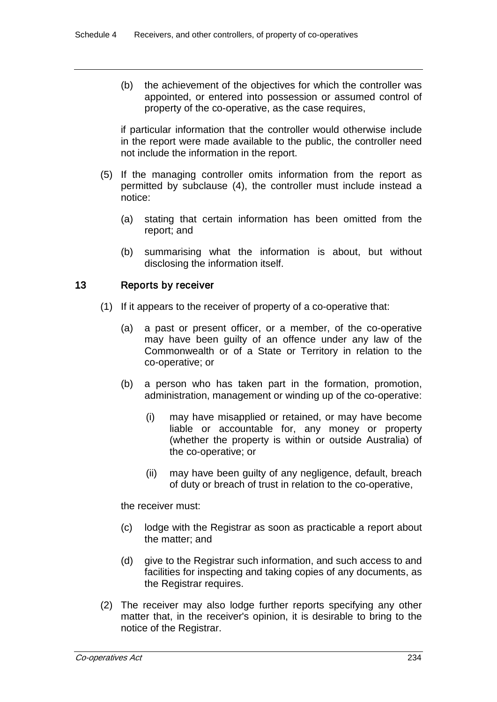(b) the achievement of the objectives for which the controller was appointed, or entered into possession or assumed control of property of the co-operative, as the case requires,

if particular information that the controller would otherwise include in the report were made available to the public, the controller need not include the information in the report.

- (5) If the managing controller omits information from the report as permitted by subclause (4), the controller must include instead a notice:
	- (a) stating that certain information has been omitted from the report; and
	- (b) summarising what the information is about, but without disclosing the information itself.

# 13 Reports by receiver

- (1) If it appears to the receiver of property of a co-operative that:
	- (a) a past or present officer, or a member, of the co-operative may have been guilty of an offence under any law of the Commonwealth or of a State or Territory in relation to the co-operative; or
	- (b) a person who has taken part in the formation, promotion, administration, management or winding up of the co-operative:
		- (i) may have misapplied or retained, or may have become liable or accountable for, any money or property (whether the property is within or outside Australia) of the co-operative; or
		- (ii) may have been guilty of any negligence, default, breach of duty or breach of trust in relation to the co-operative,

the receiver must:

- (c) lodge with the Registrar as soon as practicable a report about the matter; and
- (d) give to the Registrar such information, and such access to and facilities for inspecting and taking copies of any documents, as the Registrar requires.
- (2) The receiver may also lodge further reports specifying any other matter that, in the receiver's opinion, it is desirable to bring to the notice of the Registrar.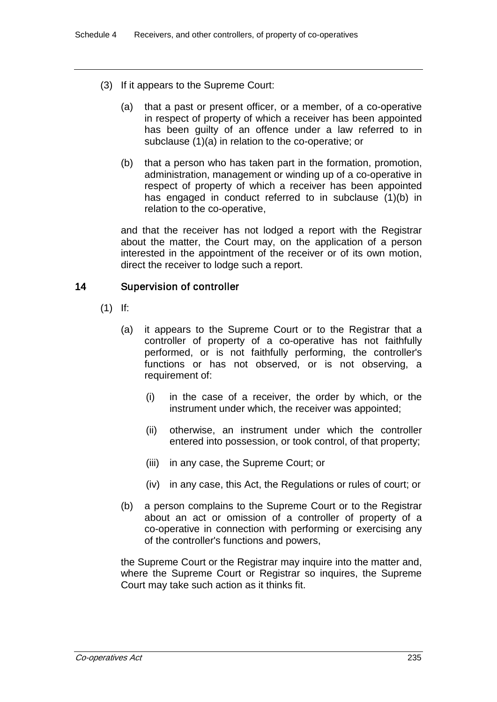- (3) If it appears to the Supreme Court:
	- (a) that a past or present officer, or a member, of a co-operative in respect of property of which a receiver has been appointed has been guilty of an offence under a law referred to in subclause (1)(a) in relation to the co-operative; or
	- (b) that a person who has taken part in the formation, promotion, administration, management or winding up of a co-operative in respect of property of which a receiver has been appointed has engaged in conduct referred to in subclause (1)(b) in relation to the co-operative,

and that the receiver has not lodged a report with the Registrar about the matter, the Court may, on the application of a person interested in the appointment of the receiver or of its own motion, direct the receiver to lodge such a report.

# 14 Supervision of controller

- (1) If:
	- (a) it appears to the Supreme Court or to the Registrar that a controller of property of a co-operative has not faithfully performed, or is not faithfully performing, the controller's functions or has not observed, or is not observing, a requirement of:
		- (i) in the case of a receiver, the order by which, or the instrument under which, the receiver was appointed;
		- (ii) otherwise, an instrument under which the controller entered into possession, or took control, of that property;
		- (iii) in any case, the Supreme Court; or
		- (iv) in any case, this Act, the Regulations or rules of court; or
	- (b) a person complains to the Supreme Court or to the Registrar about an act or omission of a controller of property of a co-operative in connection with performing or exercising any of the controller's functions and powers,

the Supreme Court or the Registrar may inquire into the matter and, where the Supreme Court or Registrar so inquires, the Supreme Court may take such action as it thinks fit.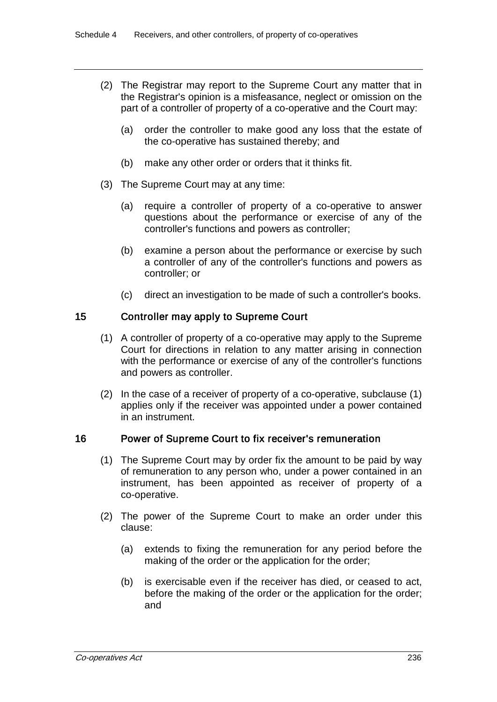- (2) The Registrar may report to the Supreme Court any matter that in the Registrar's opinion is a misfeasance, neglect or omission on the part of a controller of property of a co-operative and the Court may:
	- (a) order the controller to make good any loss that the estate of the co-operative has sustained thereby; and
	- (b) make any other order or orders that it thinks fit.
- (3) The Supreme Court may at any time:
	- (a) require a controller of property of a co-operative to answer questions about the performance or exercise of any of the controller's functions and powers as controller;
	- (b) examine a person about the performance or exercise by such a controller of any of the controller's functions and powers as controller; or
	- (c) direct an investigation to be made of such a controller's books.

### 15 Controller may apply to Supreme Court

- (1) A controller of property of a co-operative may apply to the Supreme Court for directions in relation to any matter arising in connection with the performance or exercise of any of the controller's functions and powers as controller.
- (2) In the case of a receiver of property of a co-operative, subclause (1) applies only if the receiver was appointed under a power contained in an instrument.

#### 16 Power of Supreme Court to fix receiver's remuneration

- (1) The Supreme Court may by order fix the amount to be paid by way of remuneration to any person who, under a power contained in an instrument, has been appointed as receiver of property of a co-operative.
- (2) The power of the Supreme Court to make an order under this clause:
	- (a) extends to fixing the remuneration for any period before the making of the order or the application for the order;
	- (b) is exercisable even if the receiver has died, or ceased to act, before the making of the order or the application for the order; and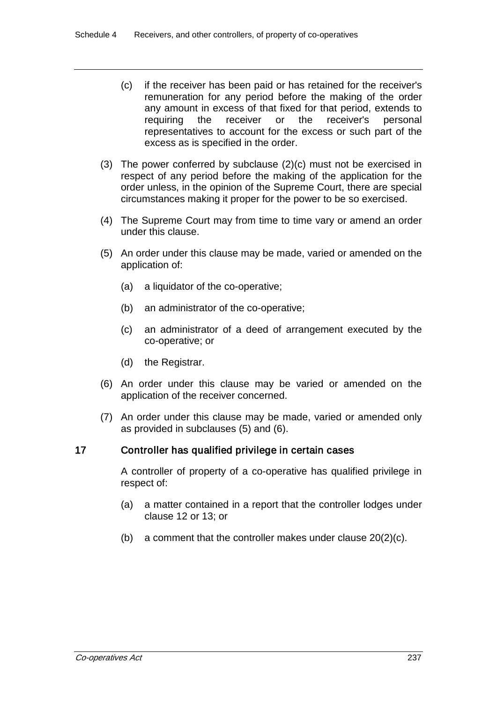- (c) if the receiver has been paid or has retained for the receiver's remuneration for any period before the making of the order any amount in excess of that fixed for that period, extends to requiring the receiver or the receiver's personal representatives to account for the excess or such part of the excess as is specified in the order.
- (3) The power conferred by subclause (2)(c) must not be exercised in respect of any period before the making of the application for the order unless, in the opinion of the Supreme Court, there are special circumstances making it proper for the power to be so exercised.
- (4) The Supreme Court may from time to time vary or amend an order under this clause.
- (5) An order under this clause may be made, varied or amended on the application of:
	- (a) a liquidator of the co-operative;
	- (b) an administrator of the co-operative;
	- (c) an administrator of a deed of arrangement executed by the co-operative; or
	- (d) the Registrar.
- (6) An order under this clause may be varied or amended on the application of the receiver concerned.
- (7) An order under this clause may be made, varied or amended only as provided in subclauses (5) and (6).

## 17 Controller has qualified privilege in certain cases

A controller of property of a co-operative has qualified privilege in respect of:

- (a) a matter contained in a report that the controller lodges under clause 12 or 13; or
- (b) a comment that the controller makes under clause 20(2)(c).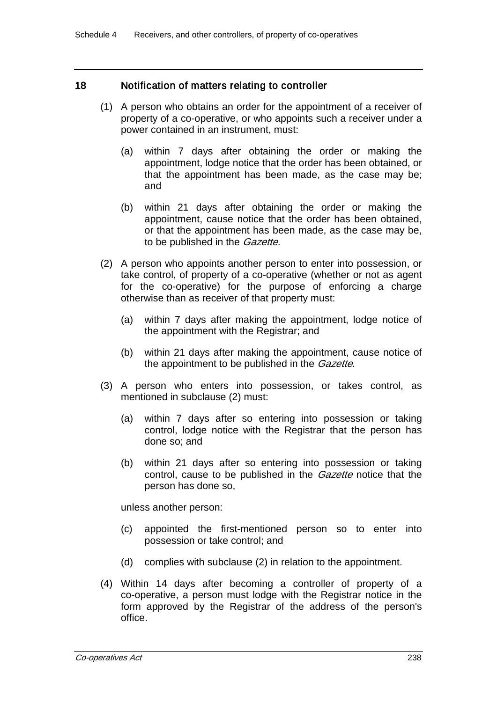### 18 Notification of matters relating to controller

- (1) A person who obtains an order for the appointment of a receiver of property of a co-operative, or who appoints such a receiver under a power contained in an instrument, must:
	- (a) within 7 days after obtaining the order or making the appointment, lodge notice that the order has been obtained, or that the appointment has been made, as the case may be; and
	- (b) within 21 days after obtaining the order or making the appointment, cause notice that the order has been obtained, or that the appointment has been made, as the case may be, to be published in the *Gazette*.
- (2) A person who appoints another person to enter into possession, or take control, of property of a co-operative (whether or not as agent for the co-operative) for the purpose of enforcing a charge otherwise than as receiver of that property must:
	- (a) within 7 days after making the appointment, lodge notice of the appointment with the Registrar; and
	- (b) within 21 days after making the appointment, cause notice of the appointment to be published in the *Gazette*.
- (3) A person who enters into possession, or takes control, as mentioned in subclause (2) must:
	- (a) within 7 days after so entering into possession or taking control, lodge notice with the Registrar that the person has done so; and
	- (b) within 21 days after so entering into possession or taking control, cause to be published in the *Gazette* notice that the person has done so,

unless another person:

- (c) appointed the first-mentioned person so to enter into possession or take control; and
- (d) complies with subclause (2) in relation to the appointment.
- (4) Within 14 days after becoming a controller of property of a co-operative, a person must lodge with the Registrar notice in the form approved by the Registrar of the address of the person's office.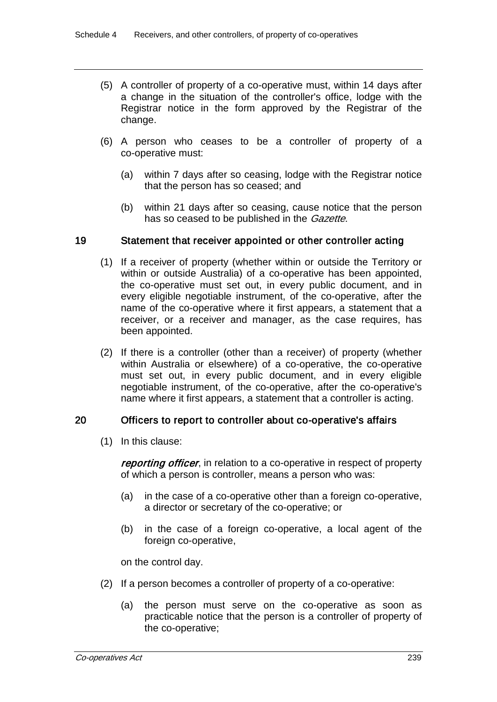- (5) A controller of property of a co-operative must, within 14 days after a change in the situation of the controller's office, lodge with the Registrar notice in the form approved by the Registrar of the change.
- (6) A person who ceases to be a controller of property of a co-operative must:
	- (a) within 7 days after so ceasing, lodge with the Registrar notice that the person has so ceased; and
	- (b) within 21 days after so ceasing, cause notice that the person has so ceased to be published in the *Gazette*.

#### 19 Statement that receiver appointed or other controller acting

- (1) If a receiver of property (whether within or outside the Territory or within or outside Australia) of a co-operative has been appointed, the co-operative must set out, in every public document, and in every eligible negotiable instrument, of the co-operative, after the name of the co-operative where it first appears, a statement that a receiver, or a receiver and manager, as the case requires, has been appointed.
- (2) If there is a controller (other than a receiver) of property (whether within Australia or elsewhere) of a co-operative, the co-operative must set out, in every public document, and in every eligible negotiable instrument, of the co-operative, after the co-operative's name where it first appears, a statement that a controller is acting.

#### 20 Officers to report to controller about co-operative's affairs

(1) In this clause:

reporting officer, in relation to a co-operative in respect of property of which a person is controller, means a person who was:

- (a) in the case of a co-operative other than a foreign co-operative, a director or secretary of the co-operative; or
- (b) in the case of a foreign co-operative, a local agent of the foreign co-operative,

on the control day.

- (2) If a person becomes a controller of property of a co-operative:
	- (a) the person must serve on the co-operative as soon as practicable notice that the person is a controller of property of the co-operative;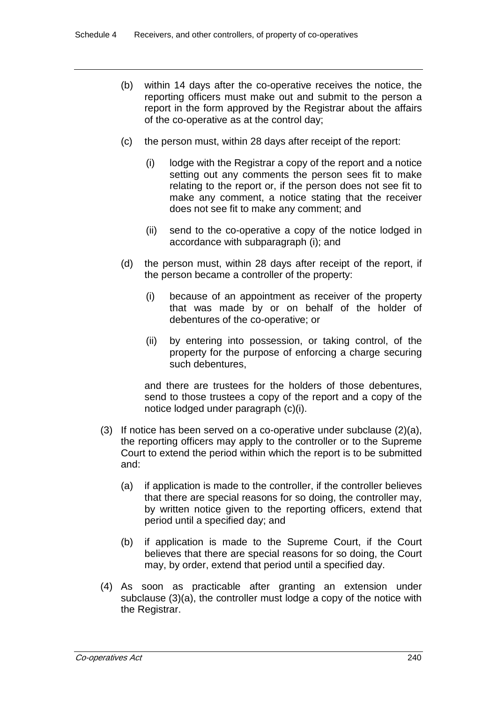- (b) within 14 days after the co-operative receives the notice, the reporting officers must make out and submit to the person a report in the form approved by the Registrar about the affairs of the co-operative as at the control day;
- (c) the person must, within 28 days after receipt of the report:
	- (i) lodge with the Registrar a copy of the report and a notice setting out any comments the person sees fit to make relating to the report or, if the person does not see fit to make any comment, a notice stating that the receiver does not see fit to make any comment; and
	- (ii) send to the co-operative a copy of the notice lodged in accordance with subparagraph (i); and
- (d) the person must, within 28 days after receipt of the report, if the person became a controller of the property:
	- (i) because of an appointment as receiver of the property that was made by or on behalf of the holder of debentures of the co-operative; or
	- (ii) by entering into possession, or taking control, of the property for the purpose of enforcing a charge securing such debentures,

and there are trustees for the holders of those debentures, send to those trustees a copy of the report and a copy of the notice lodged under paragraph (c)(i).

- (3) If notice has been served on a co-operative under subclause  $(2)(a)$ , the reporting officers may apply to the controller or to the Supreme Court to extend the period within which the report is to be submitted and:
	- (a) if application is made to the controller, if the controller believes that there are special reasons for so doing, the controller may, by written notice given to the reporting officers, extend that period until a specified day; and
	- (b) if application is made to the Supreme Court, if the Court believes that there are special reasons for so doing, the Court may, by order, extend that period until a specified day.
- (4) As soon as practicable after granting an extension under subclause (3)(a), the controller must lodge a copy of the notice with the Registrar.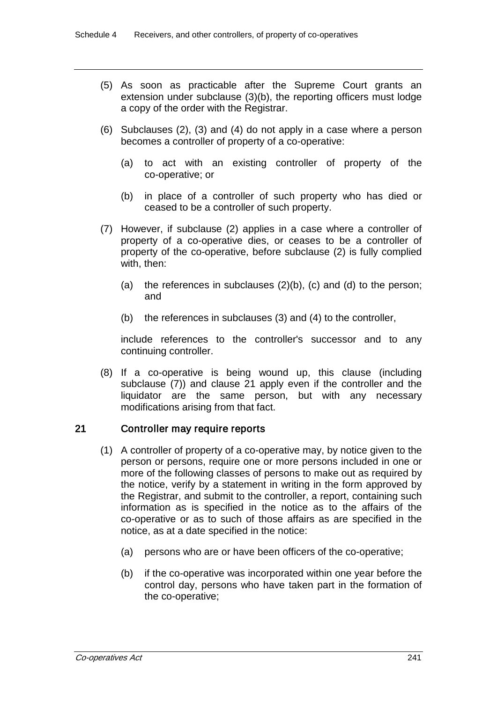- (5) As soon as practicable after the Supreme Court grants an extension under subclause (3)(b), the reporting officers must lodge a copy of the order with the Registrar.
- (6) Subclauses (2), (3) and (4) do not apply in a case where a person becomes a controller of property of a co-operative:
	- (a) to act with an existing controller of property of the co-operative; or
	- (b) in place of a controller of such property who has died or ceased to be a controller of such property.
- (7) However, if subclause (2) applies in a case where a controller of property of a co-operative dies, or ceases to be a controller of property of the co-operative, before subclause (2) is fully complied with, then:
	- (a) the references in subclauses  $(2)(b)$ ,  $(c)$  and  $(d)$  to the person; and
	- (b) the references in subclauses (3) and (4) to the controller,

include references to the controller's successor and to any continuing controller.

(8) If a co-operative is being wound up, this clause (including subclause (7)) and clause 21 apply even if the controller and the liquidator are the same person, but with any necessary modifications arising from that fact.

## 21 Controller may require reports

- (1) A controller of property of a co-operative may, by notice given to the person or persons, require one or more persons included in one or more of the following classes of persons to make out as required by the notice, verify by a statement in writing in the form approved by the Registrar, and submit to the controller, a report, containing such information as is specified in the notice as to the affairs of the co-operative or as to such of those affairs as are specified in the notice, as at a date specified in the notice:
	- (a) persons who are or have been officers of the co-operative;
	- (b) if the co-operative was incorporated within one year before the control day, persons who have taken part in the formation of the co-operative;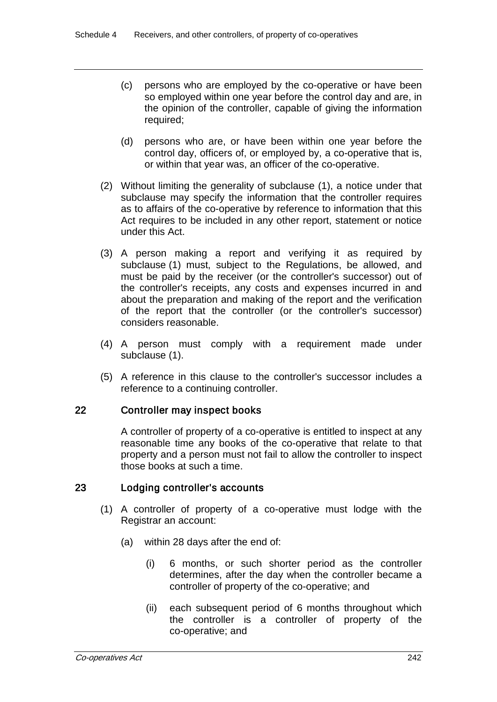- (c) persons who are employed by the co-operative or have been so employed within one year before the control day and are, in the opinion of the controller, capable of giving the information required;
- (d) persons who are, or have been within one year before the control day, officers of, or employed by, a co-operative that is, or within that year was, an officer of the co-operative.
- (2) Without limiting the generality of subclause (1), a notice under that subclause may specify the information that the controller requires as to affairs of the co-operative by reference to information that this Act requires to be included in any other report, statement or notice under this Act.
- (3) A person making a report and verifying it as required by subclause (1) must, subject to the Regulations, be allowed, and must be paid by the receiver (or the controller's successor) out of the controller's receipts, any costs and expenses incurred in and about the preparation and making of the report and the verification of the report that the controller (or the controller's successor) considers reasonable.
- (4) A person must comply with a requirement made under subclause (1).
- (5) A reference in this clause to the controller's successor includes a reference to a continuing controller.

## 22 Controller may inspect books

A controller of property of a co-operative is entitled to inspect at any reasonable time any books of the co-operative that relate to that property and a person must not fail to allow the controller to inspect those books at such a time.

## 23 Lodging controller's accounts

- (1) A controller of property of a co-operative must lodge with the Registrar an account:
	- (a) within 28 days after the end of:
		- (i) 6 months, or such shorter period as the controller determines, after the day when the controller became a controller of property of the co-operative; and
		- (ii) each subsequent period of 6 months throughout which the controller is a controller of property of the co-operative; and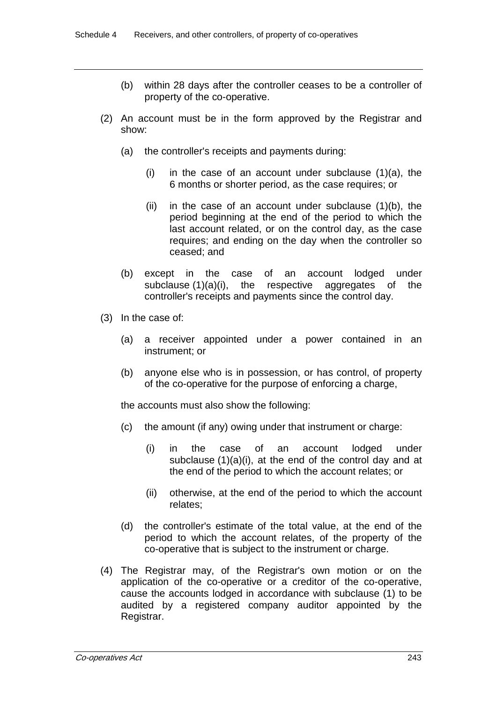- (b) within 28 days after the controller ceases to be a controller of property of the co-operative.
- (2) An account must be in the form approved by the Registrar and show:
	- (a) the controller's receipts and payments during:
		- (i) in the case of an account under subclause  $(1)(a)$ , the 6 months or shorter period, as the case requires; or
		- (ii) in the case of an account under subclause (1)(b), the period beginning at the end of the period to which the last account related, or on the control day, as the case requires; and ending on the day when the controller so ceased; and
	- (b) except in the case of an account lodged under subclause (1)(a)(i), the respective aggregates of the controller's receipts and payments since the control day.
- (3) In the case of:
	- (a) a receiver appointed under a power contained in an instrument; or
	- (b) anyone else who is in possession, or has control, of property of the co-operative for the purpose of enforcing a charge,

the accounts must also show the following:

- (c) the amount (if any) owing under that instrument or charge:
	- (i) in the case of an account lodged under subclause  $(1)(a)(i)$ , at the end of the control day and at the end of the period to which the account relates; or
	- (ii) otherwise, at the end of the period to which the account relates;
- (d) the controller's estimate of the total value, at the end of the period to which the account relates, of the property of the co-operative that is subject to the instrument or charge.
- (4) The Registrar may, of the Registrar's own motion or on the application of the co-operative or a creditor of the co-operative, cause the accounts lodged in accordance with subclause (1) to be audited by a registered company auditor appointed by the Registrar.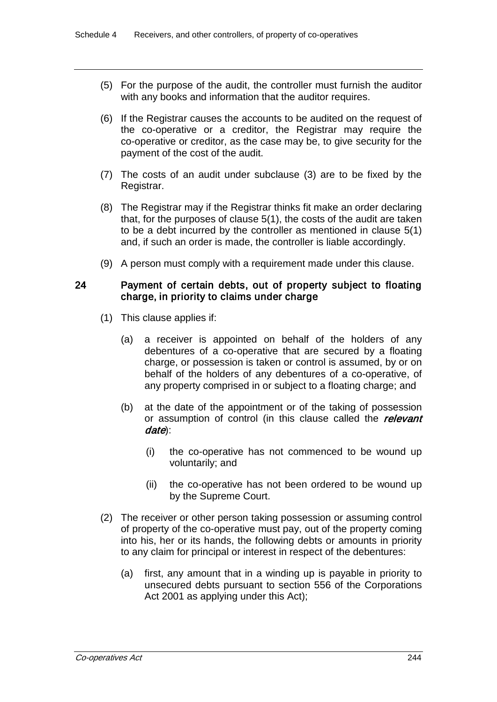- (5) For the purpose of the audit, the controller must furnish the auditor with any books and information that the auditor requires.
- (6) If the Registrar causes the accounts to be audited on the request of the co-operative or a creditor, the Registrar may require the co-operative or creditor, as the case may be, to give security for the payment of the cost of the audit.
- (7) The costs of an audit under subclause (3) are to be fixed by the Registrar.
- (8) The Registrar may if the Registrar thinks fit make an order declaring that, for the purposes of clause 5(1), the costs of the audit are taken to be a debt incurred by the controller as mentioned in clause 5(1) and, if such an order is made, the controller is liable accordingly.
- (9) A person must comply with a requirement made under this clause.

### 24 Payment of certain debts, out of property subject to floating charge, in priority to claims under charge

- (1) This clause applies if:
	- (a) a receiver is appointed on behalf of the holders of any debentures of a co-operative that are secured by a floating charge, or possession is taken or control is assumed, by or on behalf of the holders of any debentures of a co-operative, of any property comprised in or subject to a floating charge; and
	- (b) at the date of the appointment or of the taking of possession or assumption of control (in this clause called the relevant date):
		- (i) the co-operative has not commenced to be wound up voluntarily; and
		- (ii) the co-operative has not been ordered to be wound up by the Supreme Court.
- (2) The receiver or other person taking possession or assuming control of property of the co-operative must pay, out of the property coming into his, her or its hands, the following debts or amounts in priority to any claim for principal or interest in respect of the debentures:
	- (a) first, any amount that in a winding up is payable in priority to unsecured debts pursuant to section 556 of the Corporations Act 2001 as applying under this Act);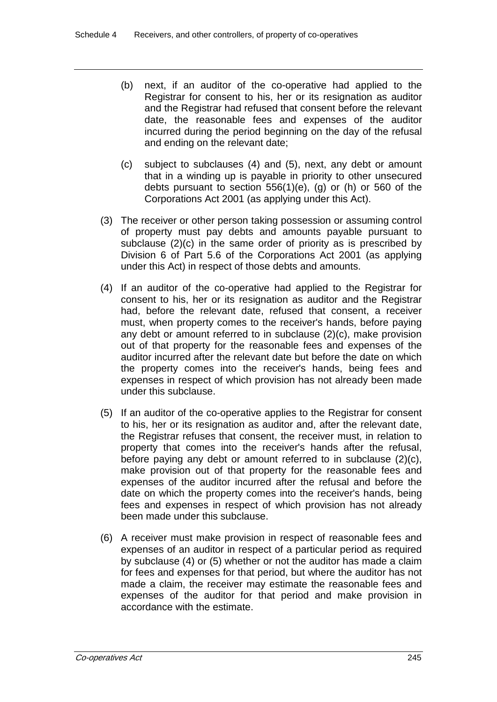- (b) next, if an auditor of the co-operative had applied to the Registrar for consent to his, her or its resignation as auditor and the Registrar had refused that consent before the relevant date, the reasonable fees and expenses of the auditor incurred during the period beginning on the day of the refusal and ending on the relevant date;
- (c) subject to subclauses (4) and (5), next, any debt or amount that in a winding up is payable in priority to other unsecured debts pursuant to section 556(1)(e), (g) or (h) or 560 of the Corporations Act 2001 (as applying under this Act).
- (3) The receiver or other person taking possession or assuming control of property must pay debts and amounts payable pursuant to subclause (2)(c) in the same order of priority as is prescribed by Division 6 of Part 5.6 of the Corporations Act 2001 (as applying under this Act) in respect of those debts and amounts.
- (4) If an auditor of the co-operative had applied to the Registrar for consent to his, her or its resignation as auditor and the Registrar had, before the relevant date, refused that consent, a receiver must, when property comes to the receiver's hands, before paying any debt or amount referred to in subclause (2)(c), make provision out of that property for the reasonable fees and expenses of the auditor incurred after the relevant date but before the date on which the property comes into the receiver's hands, being fees and expenses in respect of which provision has not already been made under this subclause.
- (5) If an auditor of the co-operative applies to the Registrar for consent to his, her or its resignation as auditor and, after the relevant date, the Registrar refuses that consent, the receiver must, in relation to property that comes into the receiver's hands after the refusal, before paying any debt or amount referred to in subclause (2)(c), make provision out of that property for the reasonable fees and expenses of the auditor incurred after the refusal and before the date on which the property comes into the receiver's hands, being fees and expenses in respect of which provision has not already been made under this subclause.
- (6) A receiver must make provision in respect of reasonable fees and expenses of an auditor in respect of a particular period as required by subclause (4) or (5) whether or not the auditor has made a claim for fees and expenses for that period, but where the auditor has not made a claim, the receiver may estimate the reasonable fees and expenses of the auditor for that period and make provision in accordance with the estimate.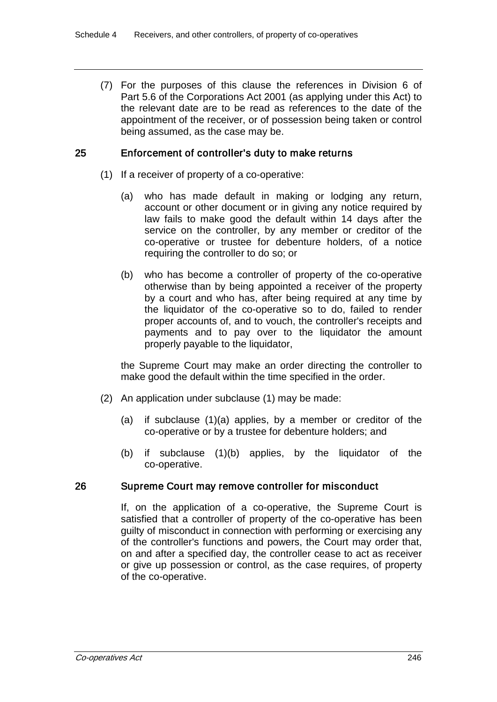(7) For the purposes of this clause the references in Division 6 of Part 5.6 of the Corporations Act 2001 (as applying under this Act) to the relevant date are to be read as references to the date of the appointment of the receiver, or of possession being taken or control being assumed, as the case may be.

### 25 Enforcement of controller's duty to make returns

- (1) If a receiver of property of a co-operative:
	- (a) who has made default in making or lodging any return, account or other document or in giving any notice required by law fails to make good the default within 14 days after the service on the controller, by any member or creditor of the co-operative or trustee for debenture holders, of a notice requiring the controller to do so; or
	- (b) who has become a controller of property of the co-operative otherwise than by being appointed a receiver of the property by a court and who has, after being required at any time by the liquidator of the co-operative so to do, failed to render proper accounts of, and to vouch, the controller's receipts and payments and to pay over to the liquidator the amount properly payable to the liquidator,

the Supreme Court may make an order directing the controller to make good the default within the time specified in the order.

- (2) An application under subclause (1) may be made:
	- (a) if subclause (1)(a) applies, by a member or creditor of the co-operative or by a trustee for debenture holders; and
	- (b) if subclause (1)(b) applies, by the liquidator of the co-operative.

## 26 Supreme Court may remove controller for misconduct

If, on the application of a co-operative, the Supreme Court is satisfied that a controller of property of the co-operative has been guilty of misconduct in connection with performing or exercising any of the controller's functions and powers, the Court may order that, on and after a specified day, the controller cease to act as receiver or give up possession or control, as the case requires, of property of the co-operative.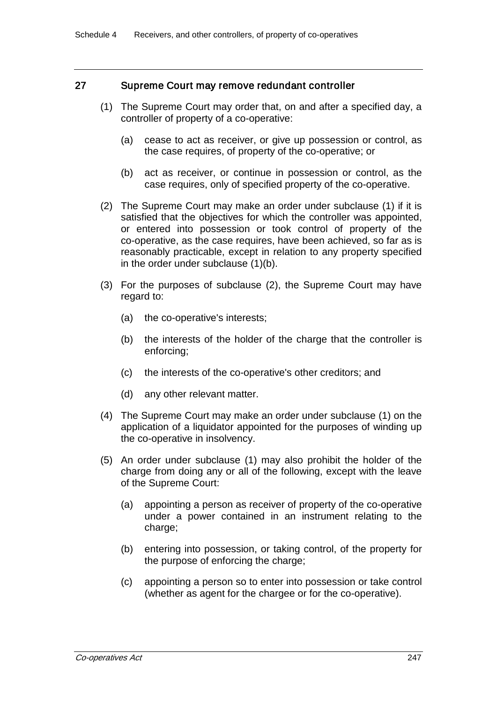### 27 Supreme Court may remove redundant controller

- (1) The Supreme Court may order that, on and after a specified day, a controller of property of a co-operative:
	- (a) cease to act as receiver, or give up possession or control, as the case requires, of property of the co-operative; or
	- (b) act as receiver, or continue in possession or control, as the case requires, only of specified property of the co-operative.
- (2) The Supreme Court may make an order under subclause (1) if it is satisfied that the objectives for which the controller was appointed, or entered into possession or took control of property of the co-operative, as the case requires, have been achieved, so far as is reasonably practicable, except in relation to any property specified in the order under subclause (1)(b).
- (3) For the purposes of subclause (2), the Supreme Court may have regard to:
	- (a) the co-operative's interests;
	- (b) the interests of the holder of the charge that the controller is enforcing;
	- (c) the interests of the co-operative's other creditors; and
	- (d) any other relevant matter.
- (4) The Supreme Court may make an order under subclause (1) on the application of a liquidator appointed for the purposes of winding up the co-operative in insolvency.
- (5) An order under subclause (1) may also prohibit the holder of the charge from doing any or all of the following, except with the leave of the Supreme Court:
	- (a) appointing a person as receiver of property of the co-operative under a power contained in an instrument relating to the charge;
	- (b) entering into possession, or taking control, of the property for the purpose of enforcing the charge;
	- (c) appointing a person so to enter into possession or take control (whether as agent for the chargee or for the co-operative).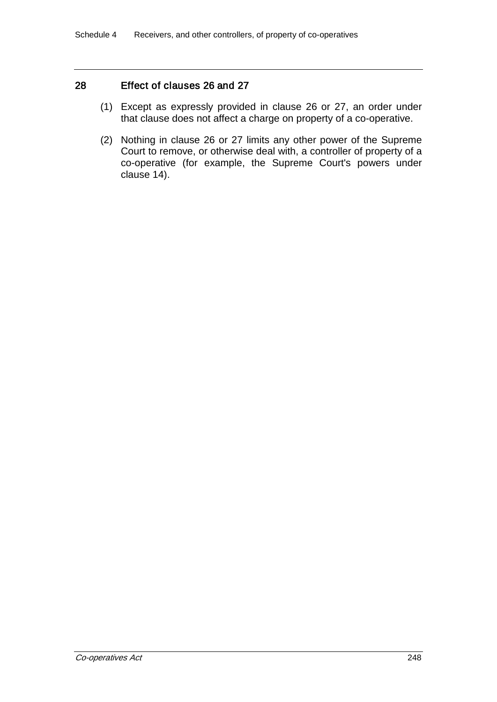## 28 Effect of clauses 26 and 27

- (1) Except as expressly provided in clause 26 or 27, an order under that clause does not affect a charge on property of a co-operative.
- (2) Nothing in clause 26 or 27 limits any other power of the Supreme Court to remove, or otherwise deal with, a controller of property of a co-operative (for example, the Supreme Court's powers under clause 14).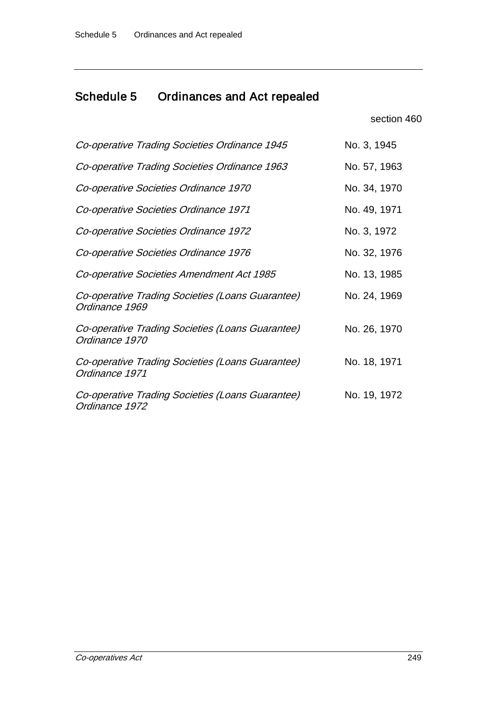# Schedule 5 Ordinances and Act repealed

section 460

| Co-operative Trading Societies Ordinance 1945                      | No. 3, 1945  |
|--------------------------------------------------------------------|--------------|
| Co-operative Trading Societies Ordinance 1963                      | No. 57, 1963 |
| Co-operative Societies Ordinance 1970                              | No. 34, 1970 |
| Co-operative Societies Ordinance 1971                              | No. 49, 1971 |
| Co-operative Societies Ordinance 1972                              | No. 3, 1972  |
| Co-operative Societies Ordinance 1976                              | No. 32, 1976 |
| Co-operative Societies Amendment Act 1985                          | No. 13, 1985 |
| Co-operative Trading Societies (Loans Guarantee)<br>Ordinance 1969 | No. 24, 1969 |
| Co-operative Trading Societies (Loans Guarantee)<br>Ordinance 1970 | No. 26, 1970 |
| Co-operative Trading Societies (Loans Guarantee)<br>Ordinance 1971 | No. 18, 1971 |
| Co-operative Trading Societies (Loans Guarantee)<br>Ordinance 1972 | No. 19, 1972 |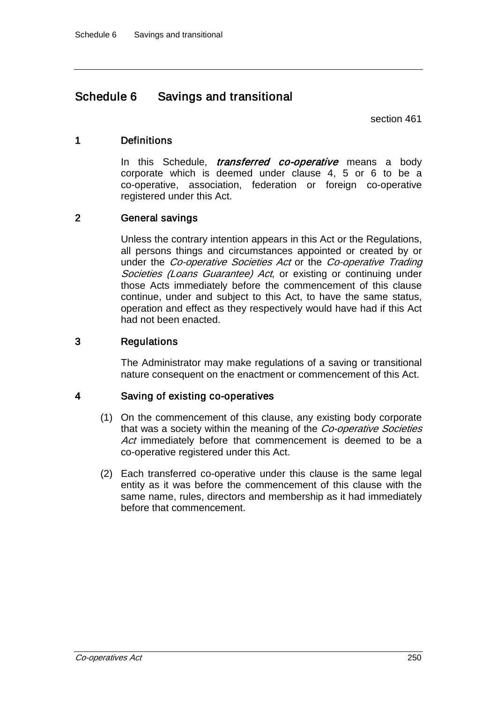## Schedule 6 Savings and transitional

section 461

#### 1 Definitions

In this Schedule, *transferred co-operative* means a body corporate which is deemed under clause 4, 5 or 6 to be a co-operative, association, federation or foreign co-operative registered under this Act.

## 2 General savings

Unless the contrary intention appears in this Act or the Regulations, all persons things and circumstances appointed or created by or under the Co-operative Societies Act or the Co-operative Trading Societies (Loans Guarantee) Act, or existing or continuing under those Acts immediately before the commencement of this clause continue, under and subject to this Act, to have the same status, operation and effect as they respectively would have had if this Act had not been enacted.

## 3 Regulations

The Administrator may make regulations of a saving or transitional nature consequent on the enactment or commencement of this Act.

#### 4 Saving of existing co-operatives

- (1) On the commencement of this clause, any existing body corporate that was a society within the meaning of the Co-operative Societies Act immediately before that commencement is deemed to be a co-operative registered under this Act.
- (2) Each transferred co-operative under this clause is the same legal entity as it was before the commencement of this clause with the same name, rules, directors and membership as it had immediately before that commencement.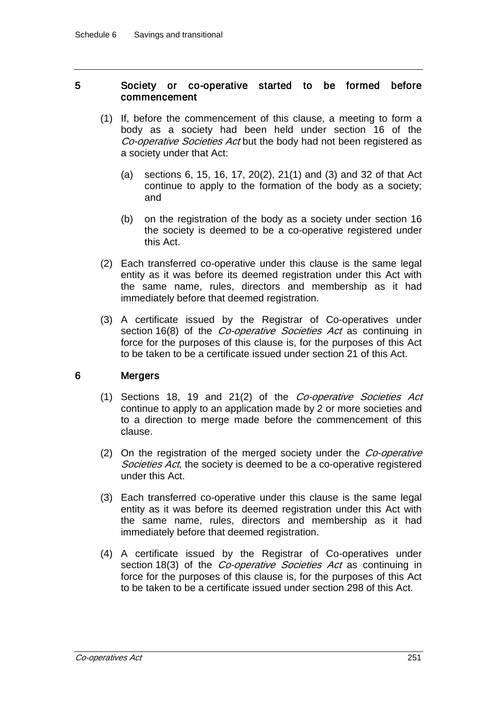#### 5 Society or co-operative started to be formed before commencement

- (1) If, before the commencement of this clause, a meeting to form a body as a society had been held under section 16 of the Co-operative Societies Act but the body had not been registered as a society under that Act:
	- (a) sections 6, 15, 16, 17, 20(2), 21(1) and (3) and 32 of that Act continue to apply to the formation of the body as a society; and
	- (b) on the registration of the body as a society under section 16 the society is deemed to be a co-operative registered under this Act.
- (2) Each transferred co-operative under this clause is the same legal entity as it was before its deemed registration under this Act with the same name, rules, directors and membership as it had immediately before that deemed registration.
- (3) A certificate issued by the Registrar of Co-operatives under section 16(8) of the *Co-operative Societies Act* as continuing in force for the purposes of this clause is, for the purposes of this Act to be taken to be a certificate issued under section 21 of this Act.

## 6 Mergers

- (1) Sections 18, 19 and 21(2) of the Co-operative Societies Act continue to apply to an application made by 2 or more societies and to a direction to merge made before the commencement of this clause.
- (2) On the registration of the merged society under the  $Co$ -operative Societies Act, the society is deemed to be a co-operative registered under this Act.
- (3) Each transferred co-operative under this clause is the same legal entity as it was before its deemed registration under this Act with the same name, rules, directors and membership as it had immediately before that deemed registration.
- (4) A certificate issued by the Registrar of Co-operatives under section 18(3) of the *Co-operative Societies Act* as continuing in force for the purposes of this clause is, for the purposes of this Act to be taken to be a certificate issued under section 298 of this Act.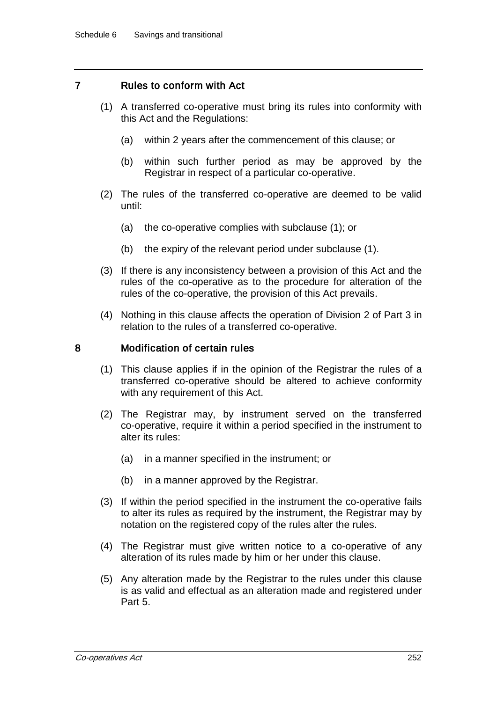## 7 Rules to conform with Act

- (1) A transferred co-operative must bring its rules into conformity with this Act and the Regulations:
	- (a) within 2 years after the commencement of this clause; or
	- (b) within such further period as may be approved by the Registrar in respect of a particular co-operative.
- (2) The rules of the transferred co-operative are deemed to be valid until:
	- (a) the co-operative complies with subclause (1); or
	- (b) the expiry of the relevant period under subclause (1).
- (3) If there is any inconsistency between a provision of this Act and the rules of the co-operative as to the procedure for alteration of the rules of the co-operative, the provision of this Act prevails.
- (4) Nothing in this clause affects the operation of Division 2 of Part 3 in relation to the rules of a transferred co-operative.

#### 8 Modification of certain rules

- (1) This clause applies if in the opinion of the Registrar the rules of a transferred co-operative should be altered to achieve conformity with any requirement of this Act.
- (2) The Registrar may, by instrument served on the transferred co-operative, require it within a period specified in the instrument to alter its rules:
	- (a) in a manner specified in the instrument; or
	- (b) in a manner approved by the Registrar.
- (3) If within the period specified in the instrument the co-operative fails to alter its rules as required by the instrument, the Registrar may by notation on the registered copy of the rules alter the rules.
- (4) The Registrar must give written notice to a co-operative of any alteration of its rules made by him or her under this clause.
- (5) Any alteration made by the Registrar to the rules under this clause is as valid and effectual as an alteration made and registered under Part 5.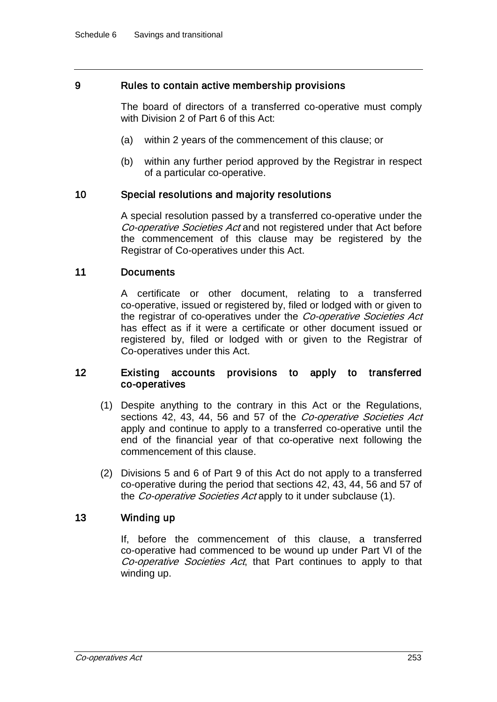#### 9 Rules to contain active membership provisions

The board of directors of a transferred co-operative must comply with Division 2 of Part 6 of this Act:

- (a) within 2 years of the commencement of this clause; or
- (b) within any further period approved by the Registrar in respect of a particular co-operative.

#### 10 Special resolutions and majority resolutions

A special resolution passed by a transferred co-operative under the Co-operative Societies Act and not registered under that Act before the commencement of this clause may be registered by the Registrar of Co-operatives under this Act.

#### 11 Documents

A certificate or other document, relating to a transferred co-operative, issued or registered by, filed or lodged with or given to the registrar of co-operatives under the Co-operative Societies Act has effect as if it were a certificate or other document issued or registered by, filed or lodged with or given to the Registrar of Co-operatives under this Act.

#### 12 Existing accounts provisions to apply to transferred co-operatives

- (1) Despite anything to the contrary in this Act or the Regulations, sections 42, 43, 44, 56 and 57 of the Co-operative Societies Act apply and continue to apply to a transferred co-operative until the end of the financial year of that co-operative next following the commencement of this clause.
- (2) Divisions 5 and 6 of Part 9 of this Act do not apply to a transferred co-operative during the period that sections 42, 43, 44, 56 and 57 of the *Co-operative Societies Act* apply to it under subclause (1).

#### 13 Winding up

If, before the commencement of this clause, a transferred co-operative had commenced to be wound up under Part VI of the Co-operative Societies Act, that Part continues to apply to that winding up.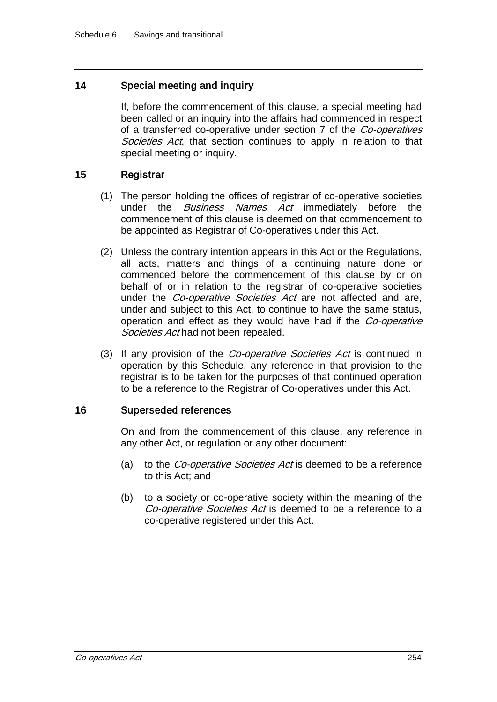## 14 Special meeting and inquiry

If, before the commencement of this clause, a special meeting had been called or an inquiry into the affairs had commenced in respect of a transferred co-operative under section 7 of the *Co-operatives* Societies Act, that section continues to apply in relation to that special meeting or inquiry.

## 15 Registrar

- (1) The person holding the offices of registrar of co-operative societies under the *Business Names Act* immediately before the commencement of this clause is deemed on that commencement to be appointed as Registrar of Co-operatives under this Act.
- (2) Unless the contrary intention appears in this Act or the Regulations, all acts, matters and things of a continuing nature done or commenced before the commencement of this clause by or on behalf of or in relation to the registrar of co-operative societies under the *Co-operative Societies Act* are not affected and are, under and subject to this Act, to continue to have the same status, operation and effect as they would have had if the Co-operative Societies Act had not been repealed.
- (3) If any provision of the *Co-operative Societies Act* is continued in operation by this Schedule, any reference in that provision to the registrar is to be taken for the purposes of that continued operation to be a reference to the Registrar of Co-operatives under this Act.

## 16 Superseded references

On and from the commencement of this clause, any reference in any other Act, or regulation or any other document:

- (a) to the *Co-operative Societies Act* is deemed to be a reference to this Act; and
- (b) to a society or co-operative society within the meaning of the Co-operative Societies Act is deemed to be a reference to a co-operative registered under this Act.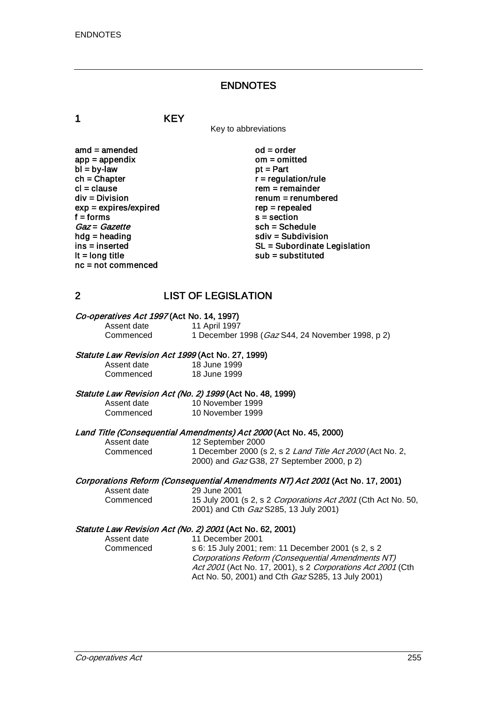### ENDNOTES

1 KEY

Key to abbreviations

amd = amended od = order<br>app = appendix om = omitted  $app = appendix$  om = om<br>  $bl = by-law$  of = Part  $bl = by-law$ <br>ch = Chapter  $ch = Chapter$ <br>  $cl = clause$   $rem = remainder$ cl = clause rem = remainder<br>div = Division rem = remumber  $exp = expires/expired$ <br>f = forms  $f = 6$  forms s = section<br>  $Gaz = Gazette$  sch = Sche  $Gaz = Gazette$ <br>hdg = heading sch = Schedule<br>sch = Subdivisi hdg = heading solution<br>ins = inserted solution<br>SL = Subordinate L nc = not commenced

 $renum = renumbered$ <br> $rep = rep\end{eq}$ ins = inserted state of the SL = Subordinate Legislation<br>  $\mathsf{I} \mathsf{t} = \mathsf{long}$  title state of the substituted substituted substituted  $sub =$ substituted

## 2 LIST OF LEGISLATION

# Co-operatives Act 1997 (Act No. 14, 1997)<br>Assent date 11 April 1997

Assent date 11 April 1997<br>Commenced 1 December 1 1 December 1998 (Gaz S44, 24 November 1998, p 2)

#### Statute Law Revision Act 1999 (Act No. 27, 1999)

Assent date 18 June 1999<br>Commenced 18 June 1999 18 June 1999

#### Statute Law Revision Act (No. 2) 1999 (Act No. 48, 1999)

| Assent date | 10 November 1999 |
|-------------|------------------|
| Commenced   | 10 November 1999 |

# Land Title (Consequential Amendments) Act 2000 (Act No. 45, 2000)<br>Assent date 12 September 2000

Assent date 12 September 2000<br>Commenced 1 December 2000 (s 1 December 2000 (s 2, s 2 Land Title Act 2000 (Act No. 2, 2000) and Gaz G38, 27 September 2000, p 2)

# Corporations Reform (Consequential Amendments NT) Act 2001 (Act No. 17, 2001)<br>Assent date 29 June 2001

Assent date 29 June 2001<br>Commenced 15 July 2001

15 July 2001 (s 2, s 2 Corporations Act 2001 (Cth Act No. 50, 2001) and Cth Gaz S285, 13 July 2001)

#### Statute Law Revision Act (No. 2) 2001 (Act No. 62, 2001)

| Assent date | 11 December 2001                                            |
|-------------|-------------------------------------------------------------|
| Commenced   | s 6: 15 July 2001; rem: 11 December 2001 (s 2, s 2)         |
|             | Corporations Reform (Consequential Amendments NT)           |
|             | Act 2001 (Act No. 17, 2001), s 2 Corporations Act 2001 (Cth |
|             | Act No. 50, 2001) and Cth Gaz S285, 13 July 2001)           |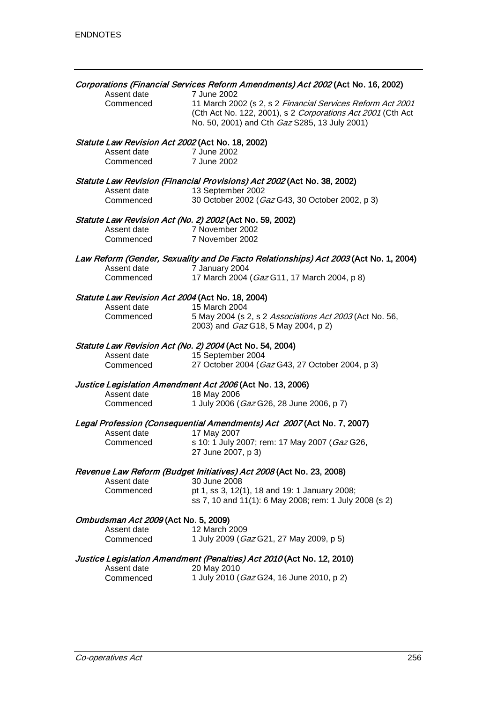| Assent date                                      | Corporations (Financial Services Reform Amendments) Act 2002 (Act No. 16, 2002)<br>7 June 2002                                                                             |
|--------------------------------------------------|----------------------------------------------------------------------------------------------------------------------------------------------------------------------------|
| Commenced                                        | 11 March 2002 (s 2, s 2 Financial Services Reform Act 2001<br>(Cth Act No. 122, 2001), s 2 Corporations Act 2001 (Cth Act<br>No. 50, 2001) and Cth Gaz S285, 13 July 2001) |
| Statute Law Revision Act 2002 (Act No. 18, 2002) |                                                                                                                                                                            |
| Assent date<br>Commenced                         | 7 June 2002<br>7 June 2002                                                                                                                                                 |
|                                                  | Statute Law Revision (Financial Provisions) Act 2002 (Act No. 38, 2002)                                                                                                    |
| Assent date                                      | 13 September 2002                                                                                                                                                          |
| Commenced                                        | 30 October 2002 (Gaz G43, 30 October 2002, p 3)                                                                                                                            |
|                                                  | Statute Law Revision Act (No. 2) 2002 (Act No. 59, 2002)                                                                                                                   |
| Assent date                                      | 7 November 2002                                                                                                                                                            |
| Commenced                                        | 7 November 2002                                                                                                                                                            |
|                                                  | Law Reform (Gender, Sexuality and De Facto Relationships) Act 2003 (Act No. 1, 2004)                                                                                       |
| Assent date                                      | 7 January 2004                                                                                                                                                             |
| Commenced                                        | 17 March 2004 (Gaz G11, 17 March 2004, p 8)                                                                                                                                |
| Statute Law Revision Act 2004 (Act No. 18, 2004) |                                                                                                                                                                            |
| Assent date                                      | 15 March 2004                                                                                                                                                              |
| Commenced                                        | 5 May 2004 (s 2, s 2 Associations Act 2003 (Act No. 56,<br>2003) and <i>Gaz</i> G18, 5 May 2004, p 2)                                                                      |
|                                                  | Statute Law Revision Act (No. 2) 2004 (Act No. 54, 2004)                                                                                                                   |
| Assent date                                      | 15 September 2004                                                                                                                                                          |
| Commenced                                        | 27 October 2004 (Gaz G43, 27 October 2004, p 3)                                                                                                                            |
|                                                  | Justice Legislation Amendment Act 2006 (Act No. 13, 2006)                                                                                                                  |
| Assent date                                      | 18 May 2006                                                                                                                                                                |
| Commenced                                        | 1 July 2006 (Gaz G26, 28 June 2006, p 7)                                                                                                                                   |
| Assent date                                      | Legal Profession (Consequential Amendments) Act 2007 (Act No. 7, 2007)<br>17 May 2007                                                                                      |
| Commenced                                        | s 10: 1 July 2007; rem: 17 May 2007 (Gaz G26,                                                                                                                              |
|                                                  | 27 June 2007, p 3)                                                                                                                                                         |
|                                                  | Revenue Law Reform (Budget Initiatives) Act 2008 (Act No. 23, 2008)                                                                                                        |
| Assent date                                      | 30 June 2008                                                                                                                                                               |
| Commenced                                        | pt 1, ss 3, 12(1), 18 and 19: 1 January 2008;<br>ss 7, 10 and 11(1): 6 May 2008; rem: 1 July 2008 (s 2)                                                                    |
| Ombudsman Act 2009 (Act No. 5, 2009)             |                                                                                                                                                                            |
| Assent date                                      | 12 March 2009                                                                                                                                                              |
| Commenced                                        | 1 July 2009 (Gaz G21, 27 May 2009, p 5)                                                                                                                                    |
|                                                  | Justice Legislation Amendment (Penalties) Act 2010 (Act No. 12, 2010)                                                                                                      |
| Assent date                                      | 20 May 2010                                                                                                                                                                |
| Commenced                                        | 1 July 2010 (Gaz G24, 16 June 2010, p 2)                                                                                                                                   |
|                                                  |                                                                                                                                                                            |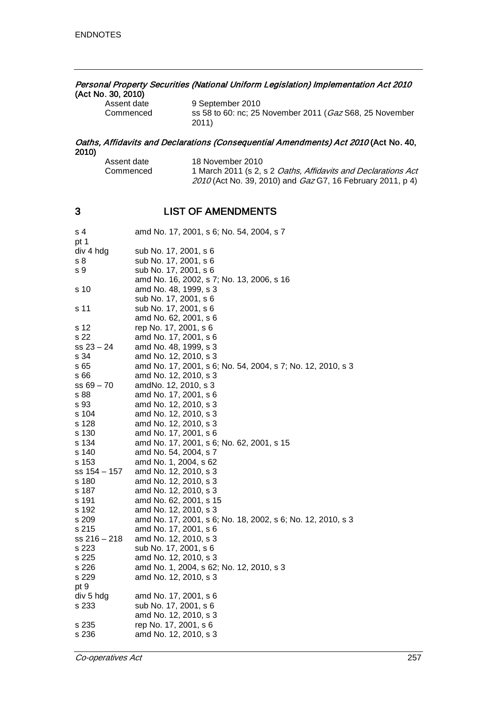# Personal Property Securities (National Uniform Legislation) Implementation Act 2010 (Act No. 30, 2010)<br>Assent date

| Assent date | 9 September 2010                                        |
|-------------|---------------------------------------------------------|
| Commenced   | ss 58 to 60: nc; 25 November 2011 (Gaz S68, 25 November |
|             | 2011)                                                   |

#### Oaths, Affidavits and Declarations (Consequential Amendments) Act 2010 (Act No. 40, 2010)

| Assent date | 18 November 2010                                                     |
|-------------|----------------------------------------------------------------------|
| Commenced   | 1 March 2011 (s 2, s 2 <i>Oaths, Affidavits and Declarations Act</i> |
|             | 2010 (Act No. 39, 2010) and <i>Gaz</i> G7, 16 February 2011, p 4)    |

## 3 LIST OF AMENDMENTS

| s 4<br>pt 1    | amd No. 17, 2001, s 6; No. 54, 2004, s 7                    |
|----------------|-------------------------------------------------------------|
| div 4 hdg      | sub No. 17, 2001, s 6                                       |
| s 8            | sub No. 17, 2001, s 6                                       |
| s 9            | sub No. 17, 2001, s 6                                       |
|                | amd No. 16, 2002, s 7; No. 13, 2006, s 16                   |
| s 10           | amd No. 48, 1999, s 3                                       |
|                | sub No. 17, 2001, s 6                                       |
| s 11           | sub No. 17, 2001, s 6                                       |
|                | amd No. 62, 2001, s 6                                       |
|                |                                                             |
| s 12           | rep No. 17, 2001, s 6                                       |
| s 22           | amd No. 17, 2001, s 6                                       |
| $ss 23 - 24$   | amd No. 48, 1999, s 3                                       |
| s 34           | amd No. 12, 2010, s 3                                       |
| s 65           | amd No. 17, 2001, s 6; No. 54, 2004, s 7; No. 12, 2010, s 3 |
| s 66           | amd No. 12, 2010, s 3                                       |
| $ss 69 - 70$   | amdNo. 12, 2010, s 3                                        |
| s 88           | amd No. 17, 2001, s 6                                       |
| s 93           | amd No. 12, 2010, s 3                                       |
| s 104          | amd No. 12, 2010, s 3                                       |
| s 128          | amd No. 12, 2010, s 3                                       |
| s 130          | amd No. 17, 2001, s 6                                       |
| s 134          | amd No. 17, 2001, s 6; No. 62, 2001, s 15                   |
| s 140          | amd No. 54, 2004, s 7                                       |
| s 153          | amd No. 1, 2004, s 62                                       |
| ss 154 - 157   | amd No. 12, 2010, s 3                                       |
| s 180          | amd No. 12, 2010, s 3                                       |
| s 187          | amd No. 12, 2010, s 3                                       |
| s 191          | amd No. 62, 2001, s 15                                      |
| s 192          | amd No. 12, 2010, s 3                                       |
| s 209          | amd No. 17, 2001, s 6; No. 18, 2002, s 6; No. 12, 2010, s 3 |
| s 215          | amd No. 17, 2001, s 6                                       |
| $ss 216 - 218$ | amd No. 12, 2010, s 3                                       |
| s 223          | sub No. 17, 2001, s 6                                       |
| s 225          | amd No. 12, 2010, s 3                                       |
| s 226          | amd No. 1, 2004, s 62; No. 12, 2010, s 3                    |
| s 229          | amd No. 12, 2010, s 3                                       |
| pt 9           |                                                             |
| div 5 hdg      | amd No. 17, 2001, s 6                                       |
| s 233          | sub No. 17, 2001, s 6                                       |
|                | amd No. 12, 2010, s 3                                       |
| s 235          | rep No. 17, 2001, s 6                                       |
| s 236          | amd No. 12, 2010, s 3                                       |
|                |                                                             |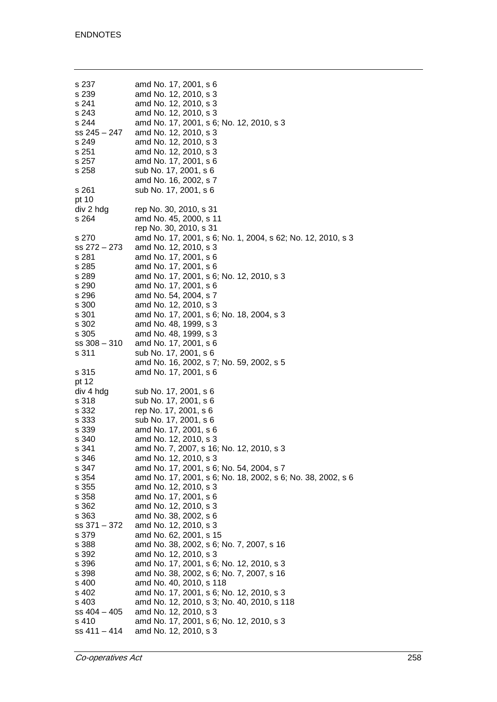| s 237<br>s 239<br>s 241<br>s 243<br>s 244<br>$ss 245 - 247$<br>s 249<br>s 251<br>s 257<br>s 258 | amd No. 17, 2001, s 6<br>amd No. 12, 2010, s 3<br>amd No. 12, 2010, s 3<br>amd No. 12, 2010, s 3<br>amd No. 17, 2001, s 6; No. 12, 2010, s 3<br>amd No. 12, 2010, s 3<br>amd No. 12, 2010, s 3<br>amd No. 12, 2010, s 3<br>amd No. 17, 2001, s 6<br>sub No. 17, 2001, s 6<br>amd No. 16, 2002, s 7 |
|-------------------------------------------------------------------------------------------------|----------------------------------------------------------------------------------------------------------------------------------------------------------------------------------------------------------------------------------------------------------------------------------------------------|
| s 261                                                                                           | sub No. 17, 2001, s 6                                                                                                                                                                                                                                                                              |
| pt 10                                                                                           |                                                                                                                                                                                                                                                                                                    |
| div 2 hdg                                                                                       | rep No. 30, 2010, s 31                                                                                                                                                                                                                                                                             |
| s 264                                                                                           | amd No. 45, 2000, s 11                                                                                                                                                                                                                                                                             |
|                                                                                                 | rep No. 30, 2010, s 31<br>amd No. 17, 2001, s 6; No. 1, 2004, s 62; No. 12, 2010, s 3                                                                                                                                                                                                              |
| s 270<br>$ss 272 - 273$                                                                         | amd No. 12, 2010, s 3                                                                                                                                                                                                                                                                              |
| s 281                                                                                           | amd No. 17, 2001, s 6                                                                                                                                                                                                                                                                              |
| s 285                                                                                           | amd No. 17, 2001, s 6                                                                                                                                                                                                                                                                              |
| s 289                                                                                           | amd No. 17, 2001, s 6; No. 12, 2010, s 3                                                                                                                                                                                                                                                           |
| s 290                                                                                           | amd No. 17, 2001, s 6                                                                                                                                                                                                                                                                              |
| s 296                                                                                           | amd No. 54, 2004, s 7                                                                                                                                                                                                                                                                              |
| s 300                                                                                           | amd No. 12, 2010, s 3                                                                                                                                                                                                                                                                              |
| s 301                                                                                           | amd No. 17, 2001, s 6; No. 18, 2004, s 3                                                                                                                                                                                                                                                           |
| s 302                                                                                           | amd No. 48, 1999, s 3                                                                                                                                                                                                                                                                              |
| s 305                                                                                           | amd No. 48, 1999, s 3                                                                                                                                                                                                                                                                              |
| $ss 308 - 310$                                                                                  | amd No. 17, 2001, s 6                                                                                                                                                                                                                                                                              |
| s 311                                                                                           | sub No. 17, 2001, s 6                                                                                                                                                                                                                                                                              |
|                                                                                                 | amd No. 16, 2002, s 7; No. 59, 2002, s 5                                                                                                                                                                                                                                                           |
| s 315                                                                                           | amd No. 17, 2001, s 6                                                                                                                                                                                                                                                                              |
| pt 12                                                                                           |                                                                                                                                                                                                                                                                                                    |
| div 4 hdg                                                                                       | sub No. 17, 2001, s 6                                                                                                                                                                                                                                                                              |
| s 318<br>s 332                                                                                  | sub No. 17, 2001, s 6<br>rep No. 17, 2001, s 6                                                                                                                                                                                                                                                     |
| s 333                                                                                           | sub No. 17, 2001, s 6                                                                                                                                                                                                                                                                              |
| s 339                                                                                           | amd No. 17, 2001, s 6                                                                                                                                                                                                                                                                              |
| s 340                                                                                           | amd No. 12, 2010, s 3                                                                                                                                                                                                                                                                              |
| s 341                                                                                           | amd No. 7, 2007, s 16; No. 12, 2010, s 3                                                                                                                                                                                                                                                           |
| s 346                                                                                           | amd No. 12, 2010, s 3                                                                                                                                                                                                                                                                              |
| s 347                                                                                           | amd No. 17, 2001, s 6; No. 54, 2004, s 7                                                                                                                                                                                                                                                           |
| s 354                                                                                           | amd No. 17, 2001, s 6; No. 18, 2002, s 6; No. 38, 2002, s 6                                                                                                                                                                                                                                        |
| s 355                                                                                           | amd No. 12, 2010, s 3                                                                                                                                                                                                                                                                              |
| s 358                                                                                           | amd No. 17, 2001, s 6                                                                                                                                                                                                                                                                              |
| s 362                                                                                           | amd No. 12, 2010, s 3                                                                                                                                                                                                                                                                              |
| s 363                                                                                           | amd No. 38, 2002, s 6                                                                                                                                                                                                                                                                              |
| ss 371 - 372                                                                                    | amd No. 12, 2010, s 3                                                                                                                                                                                                                                                                              |
| s 379                                                                                           | amd No. 62, 2001, s 15                                                                                                                                                                                                                                                                             |
| s 388                                                                                           | amd No. 38, 2002, s 6; No. 7, 2007, s 16                                                                                                                                                                                                                                                           |
| s 392<br>s 396                                                                                  | amd No. 12, 2010, s 3<br>amd No. 17, 2001, s 6; No. 12, 2010, s 3                                                                                                                                                                                                                                  |
| s 398                                                                                           | amd No. 38, 2002, s 6; No. 7, 2007, s 16                                                                                                                                                                                                                                                           |
| s 400                                                                                           | amd No. 40, 2010, s 118                                                                                                                                                                                                                                                                            |
| s 402                                                                                           | amd No. 17, 2001, s 6; No. 12, 2010, s 3                                                                                                                                                                                                                                                           |
| s 403                                                                                           | amd No. 12, 2010, s 3; No. 40, 2010, s 118                                                                                                                                                                                                                                                         |
| $ss$ 404 $-$ 405                                                                                | amd No. 12, 2010, s 3                                                                                                                                                                                                                                                                              |
| s 410                                                                                           | amd No. 17, 2001, s 6; No. 12, 2010, s 3                                                                                                                                                                                                                                                           |
| $ss 411 - 414$                                                                                  | amd No. 12, 2010, s 3                                                                                                                                                                                                                                                                              |